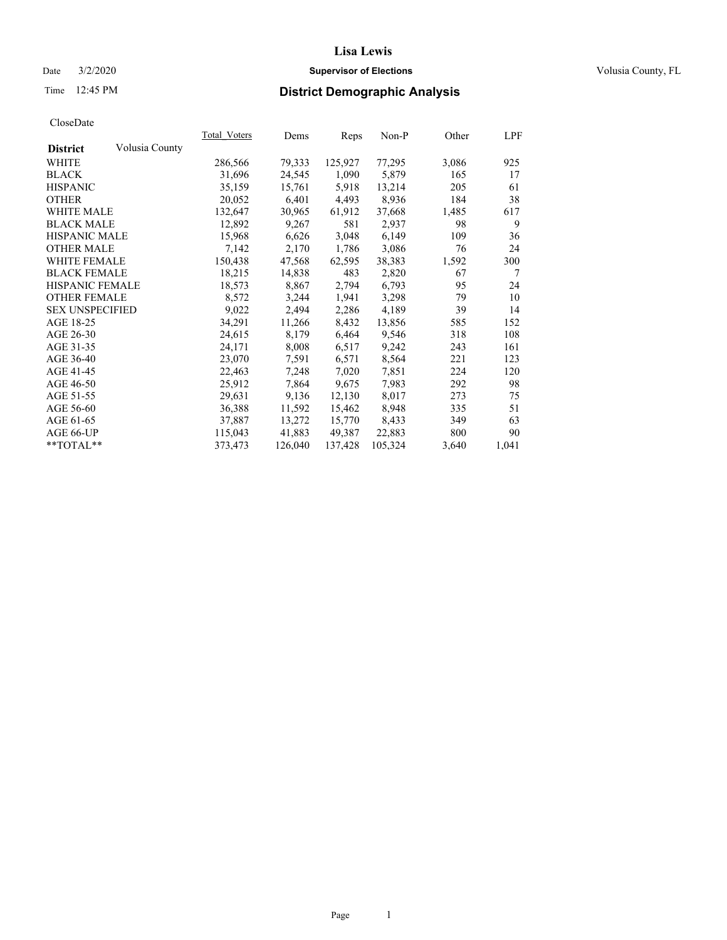### Date  $3/2/2020$  **Supervisor of Elections Supervisor of Elections** Volusia County, FL

## Time 12:45 PM **District Demographic Analysis**

|                        |                | Total Voters | Dems    | Reps    | Non-P   | Other | LPF   |
|------------------------|----------------|--------------|---------|---------|---------|-------|-------|
| <b>District</b>        | Volusia County |              |         |         |         |       |       |
| WHITE                  |                | 286,566      | 79,333  | 125,927 | 77,295  | 3,086 | 925   |
| <b>BLACK</b>           |                | 31,696       | 24,545  | 1,090   | 5,879   | 165   | 17    |
| <b>HISPANIC</b>        |                | 35,159       | 15,761  | 5,918   | 13,214  | 205   | 61    |
| <b>OTHER</b>           |                | 20,052       | 6,401   | 4,493   | 8,936   | 184   | 38    |
| WHITE MALE             |                | 132,647      | 30,965  | 61,912  | 37,668  | 1,485 | 617   |
| <b>BLACK MALE</b>      |                | 12,892       | 9,267   | 581     | 2,937   | 98    | 9     |
| <b>HISPANIC MALE</b>   |                | 15,968       | 6,626   | 3,048   | 6,149   | 109   | 36    |
| <b>OTHER MALE</b>      |                | 7,142        | 2,170   | 1,786   | 3,086   | 76    | 24    |
| <b>WHITE FEMALE</b>    |                | 150,438      | 47,568  | 62,595  | 38,383  | 1,592 | 300   |
| <b>BLACK FEMALE</b>    |                | 18,215       | 14,838  | 483     | 2,820   | 67    | 7     |
| HISPANIC FEMALE        |                | 18,573       | 8,867   | 2,794   | 6,793   | 95    | 24    |
| <b>OTHER FEMALE</b>    |                | 8,572        | 3,244   | 1,941   | 3,298   | 79    | 10    |
| <b>SEX UNSPECIFIED</b> |                | 9,022        | 2,494   | 2,286   | 4,189   | 39    | 14    |
| AGE 18-25              |                | 34,291       | 11,266  | 8,432   | 13,856  | 585   | 152   |
| AGE 26-30              |                | 24,615       | 8,179   | 6,464   | 9,546   | 318   | 108   |
| AGE 31-35              |                | 24,171       | 8,008   | 6,517   | 9,242   | 243   | 161   |
| AGE 36-40              |                | 23,070       | 7,591   | 6,571   | 8,564   | 221   | 123   |
| AGE 41-45              |                | 22,463       | 7,248   | 7,020   | 7,851   | 224   | 120   |
| AGE 46-50              |                | 25,912       | 7,864   | 9,675   | 7,983   | 292   | 98    |
| AGE 51-55              |                | 29,631       | 9,136   | 12,130  | 8,017   | 273   | 75    |
| AGE 56-60              |                | 36,388       | 11,592  | 15,462  | 8,948   | 335   | 51    |
| AGE 61-65              |                | 37,887       | 13,272  | 15,770  | 8,433   | 349   | 63    |
| AGE 66-UP              |                | 115,043      | 41,883  | 49,387  | 22,883  | 800   | 90    |
| $*$ $TOTAL**$          |                | 373,473      | 126,040 | 137,428 | 105,324 | 3,640 | 1,041 |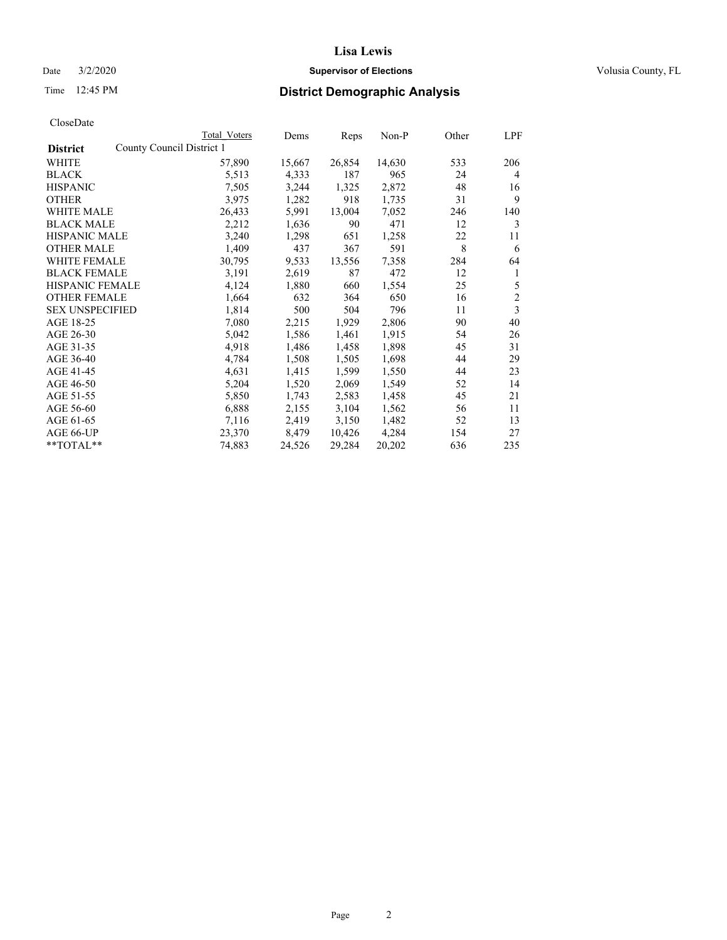## Date  $3/2/2020$  **Supervisor of Elections Supervisor of Elections** Volusia County, FL

|                        | Total Voters              | Dems   | Reps   | Non-P  | Other | LPF            |
|------------------------|---------------------------|--------|--------|--------|-------|----------------|
| <b>District</b>        | County Council District 1 |        |        |        |       |                |
| WHITE                  | 57,890                    | 15,667 | 26,854 | 14,630 | 533   | 206            |
| <b>BLACK</b>           | 5,513                     | 4,333  | 187    | 965    | 24    | 4              |
| <b>HISPANIC</b>        | 7,505                     | 3,244  | 1,325  | 2,872  | 48    | 16             |
| <b>OTHER</b>           | 3,975                     | 1,282  | 918    | 1,735  | 31    | 9              |
| <b>WHITE MALE</b>      | 26,433                    | 5,991  | 13,004 | 7,052  | 246   | 140            |
| <b>BLACK MALE</b>      | 2,212                     | 1,636  | 90     | 471    | 12    | 3              |
| <b>HISPANIC MALE</b>   | 3,240                     | 1,298  | 651    | 1,258  | 22    | 11             |
| <b>OTHER MALE</b>      | 1,409                     | 437    | 367    | 591    | 8     | 6              |
| WHITE FEMALE           | 30,795                    | 9,533  | 13,556 | 7,358  | 284   | 64             |
| <b>BLACK FEMALE</b>    | 3,191                     | 2,619  | 87     | 472    | 12    | 1              |
| <b>HISPANIC FEMALE</b> | 4,124                     | 1,880  | 660    | 1,554  | 25    | 5              |
| <b>OTHER FEMALE</b>    | 1,664                     | 632    | 364    | 650    | 16    | $\overline{2}$ |
| <b>SEX UNSPECIFIED</b> | 1,814                     | 500    | 504    | 796    | 11    | 3              |
| AGE 18-25              | 7,080                     | 2,215  | 1,929  | 2,806  | 90    | 40             |
| AGE 26-30              | 5,042                     | 1,586  | 1,461  | 1,915  | 54    | 26             |
| AGE 31-35              | 4,918                     | 1,486  | 1,458  | 1,898  | 45    | 31             |
| AGE 36-40              | 4,784                     | 1,508  | 1,505  | 1,698  | 44    | 29             |
| AGE 41-45              | 4,631                     | 1,415  | 1,599  | 1,550  | 44    | 23             |
| AGE 46-50              | 5,204                     | 1,520  | 2,069  | 1,549  | 52    | 14             |
| AGE 51-55              | 5,850                     | 1,743  | 2,583  | 1,458  | 45    | 21             |
| AGE 56-60              | 6,888                     | 2,155  | 3,104  | 1,562  | 56    | 11             |
| AGE 61-65              | 7,116                     | 2,419  | 3,150  | 1,482  | 52    | 13             |
| AGE 66-UP              | 23,370                    | 8,479  | 10,426 | 4,284  | 154   | 27             |
| **TOTAL**              | 74,883                    | 24,526 | 29,284 | 20,202 | 636   | 235            |
|                        |                           |        |        |        |       |                |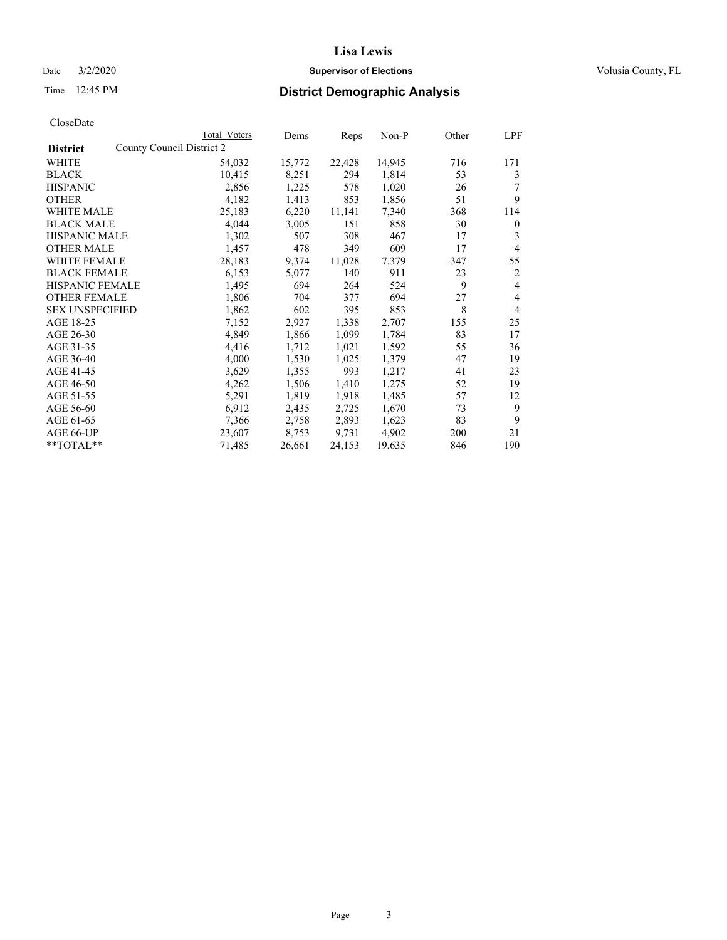## Date  $3/2/2020$  **Supervisor of Elections Supervisor of Elections** Volusia County, FL

|                        |                           | Total Voters | Dems   | Reps   | $Non-P$ | Other | LPF            |
|------------------------|---------------------------|--------------|--------|--------|---------|-------|----------------|
| <b>District</b>        | County Council District 2 |              |        |        |         |       |                |
| WHITE                  |                           | 54,032       | 15,772 | 22,428 | 14,945  | 716   | 171            |
| <b>BLACK</b>           |                           | 10,415       | 8,251  | 294    | 1,814   | 53    | 3              |
| <b>HISPANIC</b>        |                           | 2,856        | 1,225  | 578    | 1,020   | 26    |                |
| <b>OTHER</b>           |                           | 4,182        | 1,413  | 853    | 1,856   | 51    | 9              |
| WHITE MALE             |                           | 25,183       | 6,220  | 11,141 | 7,340   | 368   | 114            |
| <b>BLACK MALE</b>      |                           | 4,044        | 3,005  | 151    | 858     | 30    | $\mathbf{0}$   |
| <b>HISPANIC MALE</b>   |                           | 1,302        | 507    | 308    | 467     | 17    | 3              |
| <b>OTHER MALE</b>      |                           | 1,457        | 478    | 349    | 609     | 17    | $\overline{4}$ |
| WHITE FEMALE           |                           | 28,183       | 9,374  | 11,028 | 7,379   | 347   | 55             |
| <b>BLACK FEMALE</b>    |                           | 6,153        | 5,077  | 140    | 911     | 23    | 2              |
| HISPANIC FEMALE        |                           | 1,495        | 694    | 264    | 524     | 9     | 4              |
| <b>OTHER FEMALE</b>    |                           | 1,806        | 704    | 377    | 694     | 27    | 4              |
| <b>SEX UNSPECIFIED</b> |                           | 1,862        | 602    | 395    | 853     | 8     | $\overline{4}$ |
| AGE 18-25              |                           | 7,152        | 2,927  | 1,338  | 2,707   | 155   | 25             |
| AGE 26-30              |                           | 4,849        | 1,866  | 1,099  | 1,784   | 83    | 17             |
| AGE 31-35              |                           | 4,416        | 1,712  | 1,021  | 1,592   | 55    | 36             |
| AGE 36-40              |                           | 4,000        | 1,530  | 1,025  | 1,379   | 47    | 19             |
| AGE 41-45              |                           | 3,629        | 1,355  | 993    | 1,217   | 41    | 23             |
| AGE 46-50              |                           | 4,262        | 1,506  | 1,410  | 1,275   | 52    | 19             |
| AGE 51-55              |                           | 5,291        | 1,819  | 1,918  | 1,485   | 57    | 12             |
| AGE 56-60              |                           | 6,912        | 2,435  | 2,725  | 1,670   | 73    | 9              |
| AGE 61-65              |                           | 7,366        | 2,758  | 2,893  | 1,623   | 83    | 9              |
| AGE 66-UP              |                           | 23,607       | 8,753  | 9,731  | 4,902   | 200   | 21             |
| $*$ TOTAL $*$          |                           | 71,485       | 26,661 | 24,153 | 19,635  | 846   | 190            |
|                        |                           |              |        |        |         |       |                |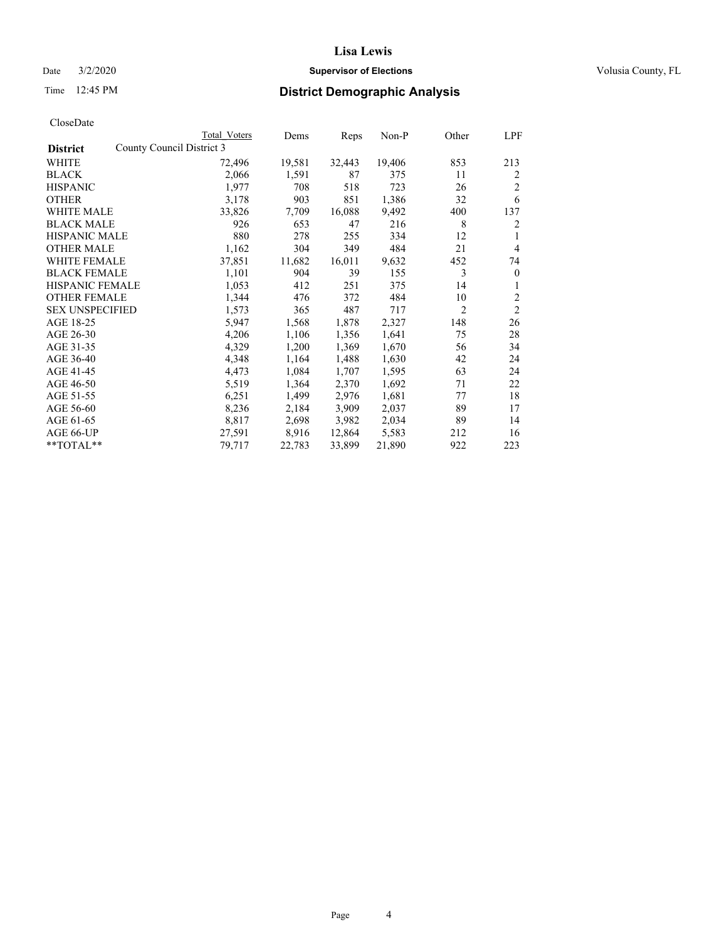## Date  $3/2/2020$  **Supervisor of Elections Supervisor of Elections** Volusia County, FL

| CloseDate |
|-----------|
|-----------|

|                       |                           | Total Voters | Dems   | Reps   | Non-P  | Other | LPF            |
|-----------------------|---------------------------|--------------|--------|--------|--------|-------|----------------|
| <b>District</b>       | County Council District 3 |              |        |        |        |       |                |
| WHITE                 |                           | 72,496       | 19,581 | 32,443 | 19,406 | 853   | 213            |
| BLACK                 |                           | 2,066        | 1,591  | 87     | 375    | 11    | 2              |
| HISPANIC              |                           | 1,977        | 708    | 518    | 723    | 26    | $\overline{2}$ |
| OTHER                 |                           | 3,178        | 903    | 851    | 1,386  | 32    | 6              |
| WHITE MALE            |                           | 33,826       | 7,709  | 16,088 | 9,492  | 400   | 137            |
| BLACK MALE            |                           | 926          | 653    | 47     | 216    | 8     | 2              |
| HISPANIC MALE         |                           | 880          | 278    | 255    | 334    | 12    |                |
| OTHER MALE            |                           | 1,162        | 304    | 349    | 484    | 21    | $\overline{4}$ |
| WHITE FEMALE          |                           | 37,851       | 11,682 | 16,011 | 9,632  | 452   | 74             |
| BLACK FEMALE          |                           | 1,101        | 904    | 39     | 155    | 3     | $\mathbf{0}$   |
| HISPANIC FEMALE       |                           | 1,053        | 412    | 251    | 375    | 14    | 1              |
| OTHER FEMALE          |                           | 1,344        | 476    | 372    | 484    | 10    | $\overline{2}$ |
| SEX UNSPECIFIED       |                           | 1,573        | 365    | 487    | 717    | 2     | $\overline{2}$ |
| AGE 18-25             |                           | 5,947        | 1,568  | 1,878  | 2,327  | 148   | 26             |
| AGE 26-30             |                           | 4,206        | 1,106  | 1,356  | 1,641  | 75    | 28             |
| AGE 31-35             |                           | 4,329        | 1,200  | 1,369  | 1,670  | 56    | 34             |
| AGE 36-40             |                           | 4,348        | 1,164  | 1,488  | 1,630  | 42    | 24             |
| AGE 41-45             |                           | 4,473        | 1,084  | 1,707  | 1,595  | 63    | 24             |
| AGE 46-50             |                           | 5,519        | 1,364  | 2,370  | 1,692  | 71    | 22             |
| AGE 51-55             |                           | 6,251        | 1,499  | 2,976  | 1,681  | 77    | 18             |
| AGE 56-60             |                           | 8,236        | 2,184  | 3,909  | 2,037  | 89    | 17             |
| AGE 61-65             |                           | 8,817        | 2,698  | 3,982  | 2,034  | 89    | 14             |
| AGE 66-UP             |                           | 27,591       | 8,916  | 12,864 | 5,583  | 212   | 16             |
| $*$ $*$ TOTAL $*$ $*$ |                           | 79,717       | 22,783 | 33,899 | 21,890 | 922   | 223            |
|                       |                           |              |        |        |        |       |                |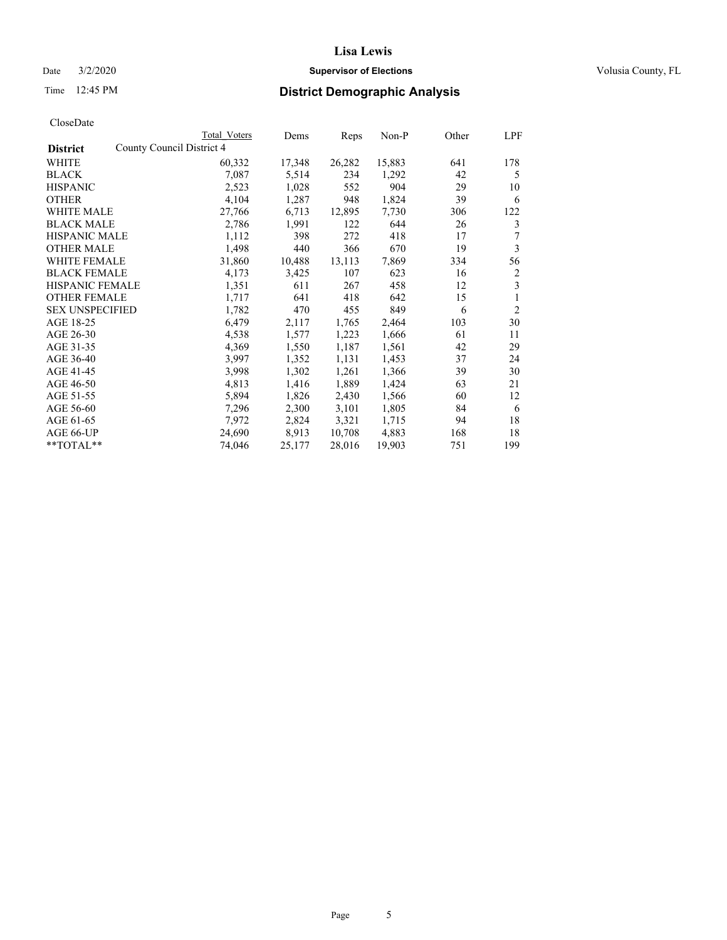### Date  $3/2/2020$  **Supervisor of Elections Supervisor of Elections** Volusia County, FL

| CloseDate |
|-----------|
|-----------|

|                                              | Total Voters | Dems   | Reps   | Non-P  | Other | LPF            |
|----------------------------------------------|--------------|--------|--------|--------|-------|----------------|
| County Council District 4<br><b>District</b> |              |        |        |        |       |                |
| WHITE                                        | 60,332       | 17,348 | 26,282 | 15,883 | 641   | 178            |
| <b>BLACK</b>                                 | 7,087        | 5,514  | 234    | 1,292  | 42    | 5              |
| <b>HISPANIC</b>                              | 2,523        | 1,028  | 552    | 904    | 29    | 10             |
| <b>OTHER</b>                                 | 4,104        | 1,287  | 948    | 1,824  | 39    | 6              |
| <b>WHITE MALE</b>                            | 27,766       | 6,713  | 12,895 | 7,730  | 306   | 122            |
| <b>BLACK MALE</b>                            | 2,786        | 1,991  | 122    | 644    | 26    | 3              |
| <b>HISPANIC MALE</b>                         | 1,112        | 398    | 272    | 418    | 17    | 7              |
| <b>OTHER MALE</b>                            | 1,498        | 440    | 366    | 670    | 19    | 3              |
| <b>WHITE FEMALE</b>                          | 31,860       | 10,488 | 13,113 | 7,869  | 334   | 56             |
| <b>BLACK FEMALE</b>                          | 4,173        | 3,425  | 107    | 623    | 16    | 2              |
| <b>HISPANIC FEMALE</b>                       | 1,351        | 611    | 267    | 458    | 12    | 3              |
| <b>OTHER FEMALE</b>                          | 1,717        | 641    | 418    | 642    | 15    | 1              |
| <b>SEX UNSPECIFIED</b>                       | 1,782        | 470    | 455    | 849    | 6     | $\overline{2}$ |
| AGE 18-25                                    | 6,479        | 2,117  | 1,765  | 2,464  | 103   | 30             |
| AGE 26-30                                    | 4,538        | 1,577  | 1,223  | 1,666  | 61    | 11             |
| AGE 31-35                                    | 4,369        | 1,550  | 1,187  | 1,561  | 42    | 29             |
| AGE 36-40                                    | 3,997        | 1,352  | 1,131  | 1,453  | 37    | 24             |
| AGE 41-45                                    | 3,998        | 1,302  | 1,261  | 1,366  | 39    | 30             |
| AGE 46-50                                    | 4,813        | 1,416  | 1,889  | 1,424  | 63    | 21             |
| AGE 51-55                                    | 5,894        | 1,826  | 2,430  | 1,566  | 60    | 12             |
| AGE 56-60                                    | 7,296        | 2,300  | 3,101  | 1,805  | 84    | 6              |
| AGE 61-65                                    | 7,972        | 2,824  | 3,321  | 1,715  | 94    | 18             |
| AGE 66-UP                                    | 24,690       | 8,913  | 10,708 | 4,883  | 168   | 18             |
| **TOTAL**                                    | 74,046       | 25,177 | 28,016 | 19,903 | 751   | 199            |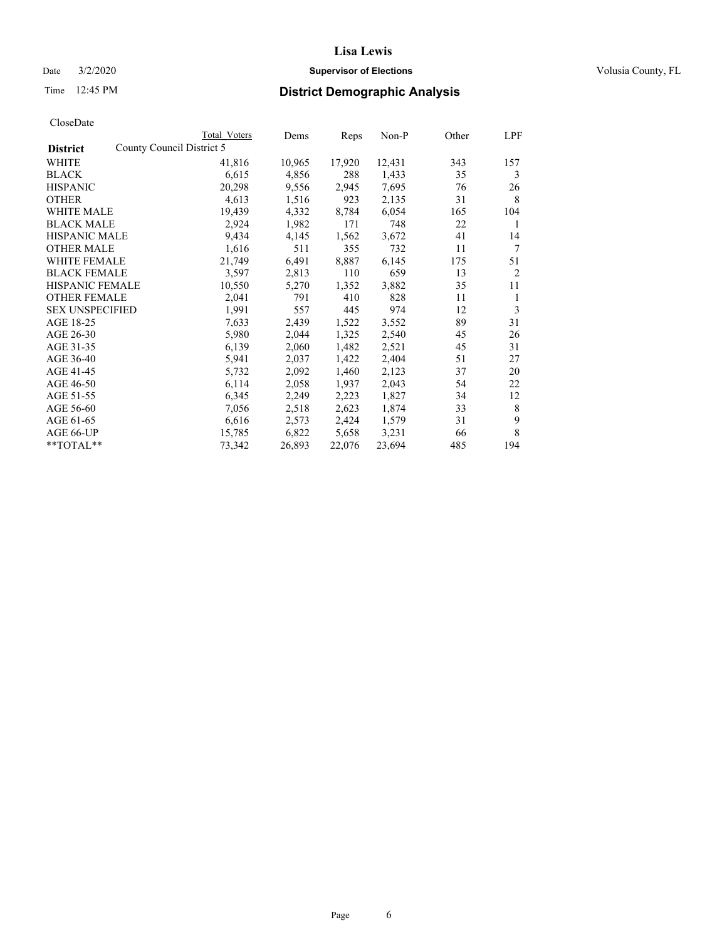## Date  $3/2/2020$  **Supervisor of Elections Supervisor of Elections** Volusia County, FL

| CloseDate |
|-----------|
|-----------|

|                     | Total Voters              | Dems   | Reps   | Non-P  | Other | LPF            |
|---------------------|---------------------------|--------|--------|--------|-------|----------------|
| <b>District</b>     | County Council District 5 |        |        |        |       |                |
| WHITE               | 41,816                    | 10,965 | 17,920 | 12,431 | 343   | 157            |
| BLACK               | 6,615                     | 4,856  | 288    | 1,433  | 35    | 3              |
| HISPANIC            | 20,298                    | 9,556  | 2,945  | 7,695  | 76    | 26             |
| OTHER               | 4,613                     | 1,516  | 923    | 2,135  | 31    | 8              |
| WHITE MALE          | 19,439                    | 4,332  | 8,784  | 6,054  | 165   | 104            |
| BLACK MALE          | 2,924                     | 1,982  | 171    | 748    | 22    | 1              |
| HISPANIC MALE       | 9,434                     | 4,145  | 1,562  | 3,672  | 41    | 14             |
| OTHER MALE          | 1,616                     | 511    | 355    | 732    | 11    | 7              |
| WHITE FEMALE        | 21,749                    | 6,491  | 8,887  | 6,145  | 175   | 51             |
| <b>BLACK FEMALE</b> | 3,597                     | 2,813  | 110    | 659    | 13    | $\overline{2}$ |
| HISPANIC FEMALE     | 10,550                    | 5,270  | 1,352  | 3,882  | 35    | 11             |
| OTHER FEMALE        | 2,041                     | 791    | 410    | 828    | 11    | 1              |
| SEX UNSPECIFIED     | 1,991                     | 557    | 445    | 974    | 12    | 3              |
| AGE 18-25           | 7,633                     | 2,439  | 1,522  | 3,552  | 89    | 31             |
| AGE 26-30           | 5,980                     | 2,044  | 1,325  | 2,540  | 45    | 26             |
| AGE 31-35           | 6,139                     | 2,060  | 1,482  | 2,521  | 45    | 31             |
| AGE 36-40           | 5,941                     | 2,037  | 1,422  | 2,404  | 51    | 27             |
| AGE 41-45           | 5,732                     | 2,092  | 1,460  | 2,123  | 37    | 20             |
| AGE 46-50           | 6,114                     | 2,058  | 1,937  | 2,043  | 54    | 22             |
| AGE 51-55           | 6,345                     | 2,249  | 2,223  | 1,827  | 34    | 12             |
| AGE 56-60           | 7,056                     | 2,518  | 2,623  | 1,874  | 33    | 8              |
| AGE 61-65           | 6,616                     | 2,573  | 2,424  | 1,579  | 31    | 9              |
| AGE 66-UP           | 15,785                    | 6,822  | 5,658  | 3,231  | 66    | 8              |
| **TOTAL**           | 73,342                    | 26,893 | 22,076 | 23,694 | 485   | 194            |
|                     |                           |        |        |        |       |                |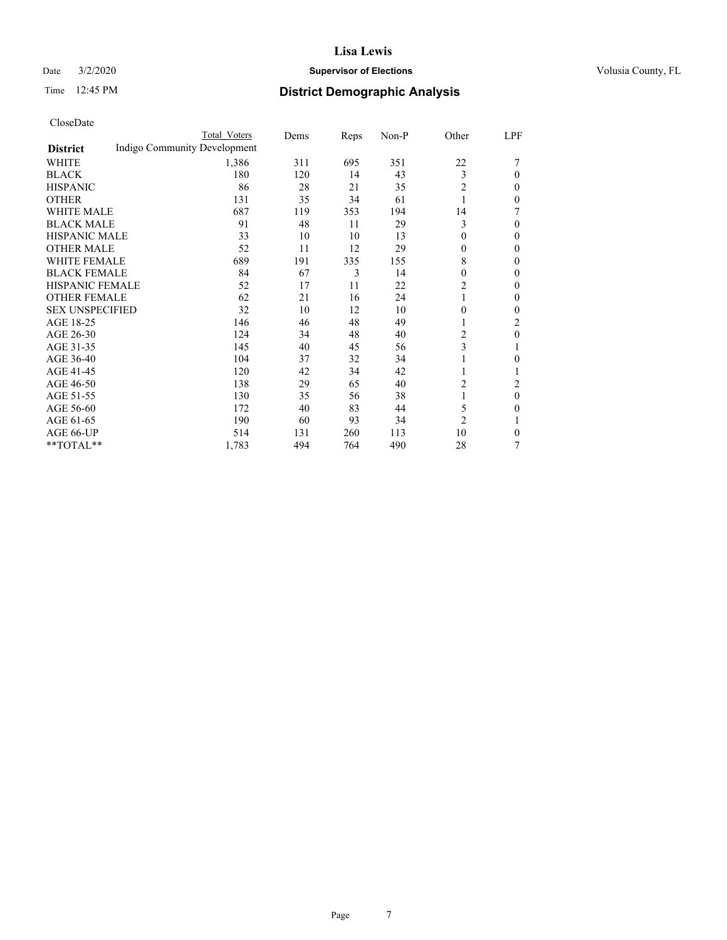## Date  $3/2/2020$  **Supervisor of Elections Supervisor of Elections** Volusia County, FL

## Time 12:45 PM **District Demographic Analysis**

|                                                 | Total Voters | Dems | Reps | Non-P | Other          | LPF            |
|-------------------------------------------------|--------------|------|------|-------|----------------|----------------|
| Indigo Community Development<br><b>District</b> |              |      |      |       |                |                |
| WHITE                                           | 1,386        | 311  | 695  | 351   | 22             |                |
| <b>BLACK</b>                                    | 180          | 120  | 14   | 43    | 3              | $\theta$       |
| <b>HISPANIC</b>                                 | 86           | 28   | 21   | 35    | 2              | $\mathbf{0}$   |
| <b>OTHER</b>                                    | 131          | 35   | 34   | 61    |                | $\Omega$       |
| <b>WHITE MALE</b>                               | 687          | 119  | 353  | 194   | 14             | 7              |
| <b>BLACK MALE</b>                               | 91           | 48   | 11   | 29    | 3              | $\Omega$       |
| <b>HISPANIC MALE</b>                            | 33           | 10   | 10   | 13    | $\theta$       | $\mathbf{0}$   |
| <b>OTHER MALE</b>                               | 52           | 11   | 12   | 29    | $\mathbf{0}$   | $\theta$       |
| <b>WHITE FEMALE</b>                             | 689          | 191  | 335  | 155   | 8              | $\Omega$       |
| <b>BLACK FEMALE</b>                             | 84           | 67   | 3    | 14    | $\theta$       | $\Omega$       |
| <b>HISPANIC FEMALE</b>                          | 52           | 17   | 11   | 22    | 2              | $\Omega$       |
| <b>OTHER FEMALE</b>                             | 62           | 21   | 16   | 24    |                | $\theta$       |
| <b>SEX UNSPECIFIED</b>                          | 32           | 10   | 12   | 10    | $\theta$       | $\mathbf{0}$   |
| AGE 18-25                                       | 146          | 46   | 48   | 49    |                | 2              |
| AGE 26-30                                       | 124          | 34   | 48   | 40    | $\overline{c}$ | $\theta$       |
| AGE 31-35                                       | 145          | 40   | 45   | 56    | 3              |                |
| AGE 36-40                                       | 104          | 37   | 32   | 34    |                | $\theta$       |
| AGE 41-45                                       | 120          | 42   | 34   | 42    |                |                |
| AGE 46-50                                       | 138          | 29   | 65   | 40    | 2              | $\overline{c}$ |
| AGE 51-55                                       | 130          | 35   | 56   | 38    | 1              | $\overline{0}$ |
| AGE 56-60                                       | 172          | 40   | 83   | 44    | 5              | $\theta$       |
| AGE 61-65                                       | 190          | 60   | 93   | 34    | $\overline{2}$ |                |
| AGE 66-UP                                       | 514          | 131  | 260  | 113   | 10             | $\theta$       |
| **TOTAL**                                       | 1,783        | 494  | 764  | 490   | 28             | 7              |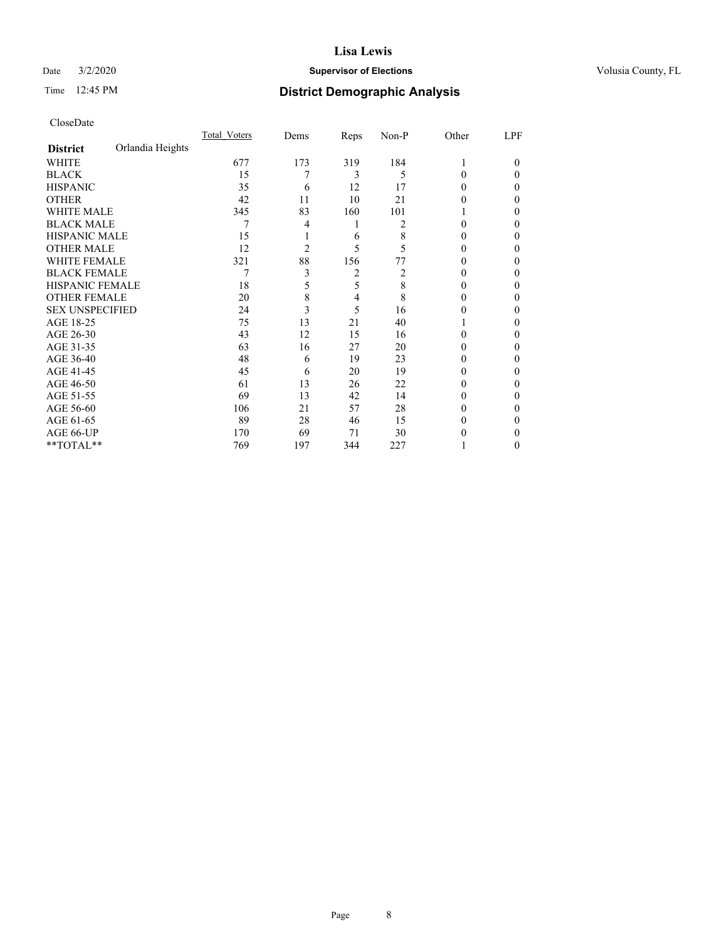### Date  $3/2/2020$  **Supervisor of Elections Supervisor of Elections** Volusia County, FL

## Time 12:45 PM **District Demographic Analysis**

|                        |                  | Total Voters | Dems | Reps | Non-P | Other    | LPF    |
|------------------------|------------------|--------------|------|------|-------|----------|--------|
| <b>District</b>        | Orlandia Heights |              |      |      |       |          |        |
| WHITE                  |                  | 677          | 173  | 319  | 184   |          | $_{0}$ |
| <b>BLACK</b>           |                  | 15           | 7    | 3    | 5     | 0        | 0      |
| <b>HISPANIC</b>        |                  | 35           | 6    | 12   | 17    | $_{0}$   | 0      |
| <b>OTHER</b>           |                  | 42           | 11   | 10   | 21    |          | 0      |
| <b>WHITE MALE</b>      |                  | 345          | 83   | 160  | 101   |          | 0      |
| <b>BLACK MALE</b>      |                  | 7            | 4    | 1    | 2     |          | 0      |
| <b>HISPANIC MALE</b>   |                  | 15           |      | 6    | 8     |          | 0      |
| <b>OTHER MALE</b>      |                  | 12           | 2    | 5    | 5     | $_{0}$   | 0      |
| <b>WHITE FEMALE</b>    |                  | 321          | 88   | 156  | 77    |          | 0      |
| <b>BLACK FEMALE</b>    |                  | 7            | 3    | 2    | 2     | $_{0}$   | 0      |
| HISPANIC FEMALE        |                  | 18           | 5    | 5    | 8     | $_{0}$   | 0      |
| <b>OTHER FEMALE</b>    |                  | 20           | 8    | 4    | 8     | $_{0}$   | 0      |
| <b>SEX UNSPECIFIED</b> |                  | 24           | 3    | 5    | 16    | 0        | 0      |
| AGE 18-25              |                  | 75           | 13   | 21   | 40    |          | 0      |
| AGE 26-30              |                  | 43           | 12   | 15   | 16    | 0        | 0      |
| AGE 31-35              |                  | 63           | 16   | 27   | 20    |          | 0      |
| AGE 36-40              |                  | 48           | 6    | 19   | 23    | 0        | 0      |
| AGE 41-45              |                  | 45           | 6    | 20   | 19    |          | 0      |
| AGE 46-50              |                  | 61           | 13   | 26   | 22    | $_{0}$   | 0      |
| AGE 51-55              |                  | 69           | 13   | 42   | 14    | $^{(1)}$ | 0      |
| AGE 56-60              |                  | 106          | 21   | 57   | 28    | $_{0}$   | 0      |
| AGE 61-65              |                  | 89           | 28   | 46   | 15    | $_{0}$   | 0      |
| AGE 66-UP              |                  | 170          | 69   | 71   | 30    |          | 0      |
| **TOTAL**              |                  | 769          | 197  | 344  | 227   |          | 0      |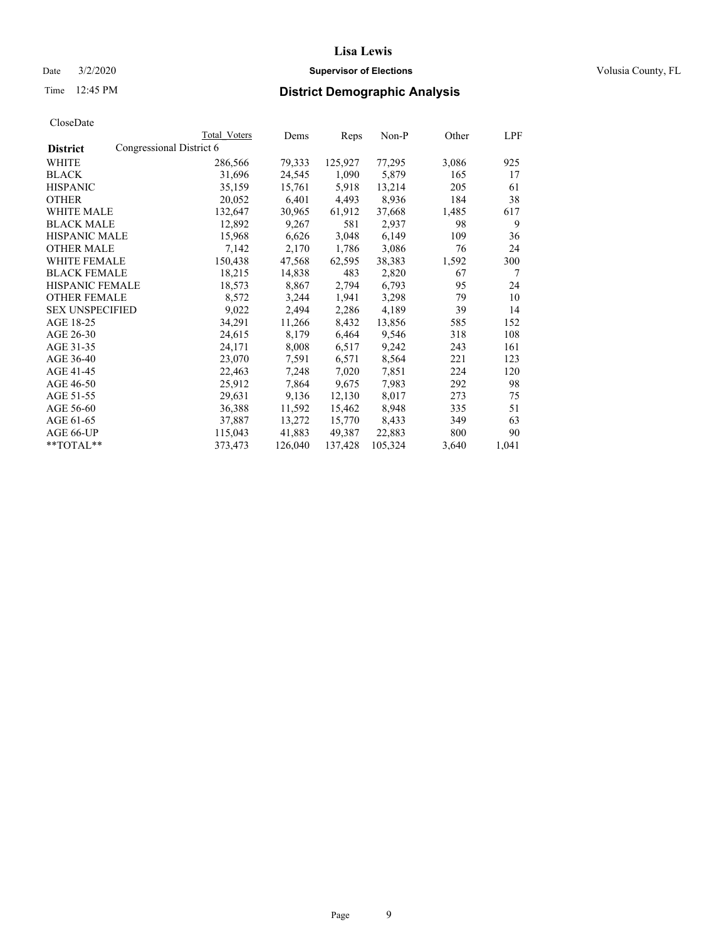### Date  $3/2/2020$  **Supervisor of Elections Supervisor of Elections** Volusia County, FL

| CloseDate |
|-----------|
|-----------|

|                                             | Total Voters | Dems    | Reps    | Non-P   | Other | LPF   |
|---------------------------------------------|--------------|---------|---------|---------|-------|-------|
| Congressional District 6<br><b>District</b> |              |         |         |         |       |       |
| WHITE                                       | 286,566      | 79,333  | 125,927 | 77,295  | 3,086 | 925   |
| <b>BLACK</b>                                | 31,696       | 24,545  | 1,090   | 5,879   | 165   | 17    |
| <b>HISPANIC</b>                             | 35,159       | 15,761  | 5,918   | 13,214  | 205   | 61    |
| <b>OTHER</b>                                | 20,052       | 6,401   | 4,493   | 8,936   | 184   | 38    |
| <b>WHITE MALE</b>                           | 132,647      | 30,965  | 61,912  | 37,668  | 1,485 | 617   |
| <b>BLACK MALE</b>                           | 12,892       | 9,267   | 581     | 2,937   | 98    | 9     |
| <b>HISPANIC MALE</b>                        | 15,968       | 6,626   | 3,048   | 6,149   | 109   | 36    |
| <b>OTHER MALE</b>                           | 7,142        | 2,170   | 1,786   | 3,086   | 76    | 24    |
| <b>WHITE FEMALE</b>                         | 150,438      | 47,568  | 62,595  | 38,383  | 1,592 | 300   |
| <b>BLACK FEMALE</b>                         | 18,215       | 14,838  | 483     | 2,820   | 67    | 7     |
| HISPANIC FEMALE                             | 18,573       | 8,867   | 2,794   | 6,793   | 95    | 24    |
| <b>OTHER FEMALE</b>                         | 8,572        | 3,244   | 1,941   | 3,298   | 79    | 10    |
| <b>SEX UNSPECIFIED</b>                      | 9,022        | 2,494   | 2,286   | 4,189   | 39    | 14    |
| AGE 18-25                                   | 34,291       | 11,266  | 8,432   | 13,856  | 585   | 152   |
| AGE 26-30                                   | 24,615       | 8,179   | 6,464   | 9,546   | 318   | 108   |
| AGE 31-35                                   | 24,171       | 8,008   | 6,517   | 9,242   | 243   | 161   |
| AGE 36-40                                   | 23,070       | 7,591   | 6,571   | 8,564   | 221   | 123   |
| AGE 41-45                                   | 22,463       | 7,248   | 7,020   | 7,851   | 224   | 120   |
| AGE 46-50                                   | 25,912       | 7,864   | 9,675   | 7,983   | 292   | 98    |
| AGE 51-55                                   | 29,631       | 9,136   | 12,130  | 8,017   | 273   | 75    |
| AGE 56-60                                   | 36,388       | 11,592  | 15,462  | 8,948   | 335   | 51    |
| AGE 61-65                                   | 37,887       | 13,272  | 15,770  | 8,433   | 349   | 63    |
| AGE 66-UP                                   | 115,043      | 41,883  | 49,387  | 22,883  | 800   | 90    |
| $*$ $TOTAL**$                               | 373,473      | 126,040 | 137,428 | 105,324 | 3,640 | 1,041 |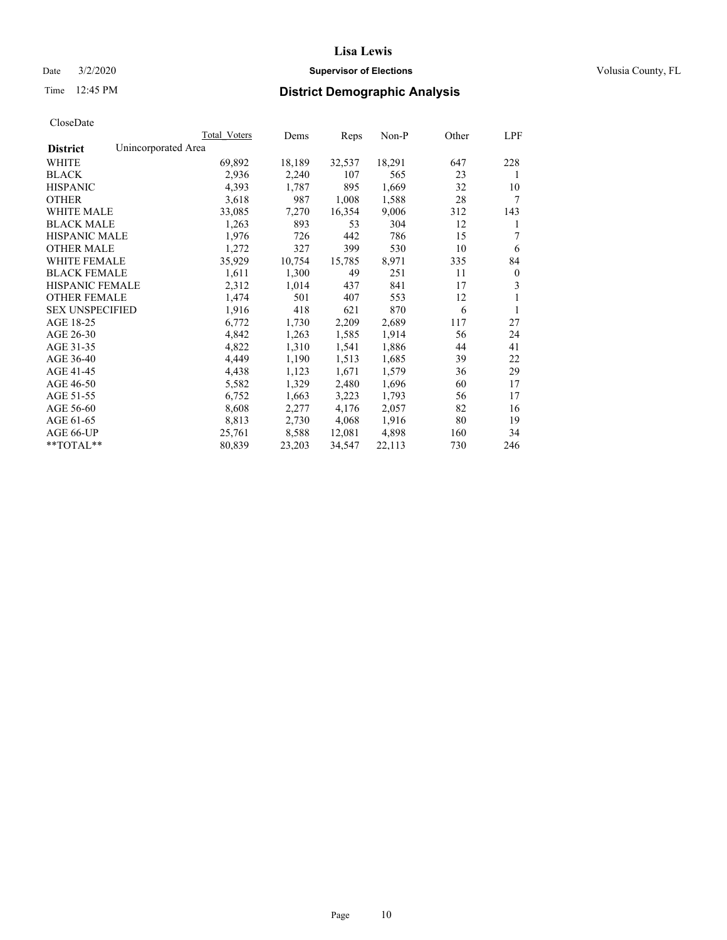### Date  $3/2/2020$  **Supervisor of Elections Supervisor of Elections** Volusia County, FL

## Time 12:45 PM **District Demographic Analysis**

|                                        | Total Voters | Dems   | Reps   | Non-P  | Other | LPF          |
|----------------------------------------|--------------|--------|--------|--------|-------|--------------|
| Unincorporated Area<br><b>District</b> |              |        |        |        |       |              |
| WHITE                                  | 69,892       | 18,189 | 32,537 | 18,291 | 647   | 228          |
| <b>BLACK</b>                           | 2,936        | 2,240  | 107    | 565    | 23    | 1            |
| <b>HISPANIC</b>                        | 4,393        | 1,787  | 895    | 1,669  | 32    | 10           |
| <b>OTHER</b>                           | 3,618        | 987    | 1,008  | 1,588  | 28    | 7            |
| WHITE MALE                             | 33,085       | 7,270  | 16,354 | 9,006  | 312   | 143          |
| <b>BLACK MALE</b>                      | 1,263        | 893    | 53     | 304    | 12    | 1            |
| <b>HISPANIC MALE</b>                   | 1,976        | 726    | 442    | 786    | 15    | 7            |
| <b>OTHER MALE</b>                      | 1,272        | 327    | 399    | 530    | 10    | 6            |
| <b>WHITE FEMALE</b>                    | 35,929       | 10,754 | 15,785 | 8,971  | 335   | 84           |
| <b>BLACK FEMALE</b>                    | 1,611        | 1,300  | 49     | 251    | 11    | $\mathbf{0}$ |
| <b>HISPANIC FEMALE</b>                 | 2,312        | 1,014  | 437    | 841    | 17    | 3            |
| <b>OTHER FEMALE</b>                    | 1,474        | 501    | 407    | 553    | 12    | 1            |
| <b>SEX UNSPECIFIED</b>                 | 1,916        | 418    | 621    | 870    | 6     | 1            |
| AGE 18-25                              | 6,772        | 1,730  | 2,209  | 2,689  | 117   | 27           |
| AGE 26-30                              | 4,842        | 1,263  | 1,585  | 1,914  | 56    | 24           |
| AGE 31-35                              | 4,822        | 1,310  | 1,541  | 1,886  | 44    | 41           |
| AGE 36-40                              | 4,449        | 1,190  | 1,513  | 1,685  | 39    | 22           |
| AGE 41-45                              | 4,438        | 1,123  | 1,671  | 1,579  | 36    | 29           |
| AGE 46-50                              | 5,582        | 1,329  | 2,480  | 1,696  | 60    | 17           |
| AGE 51-55                              | 6,752        | 1,663  | 3,223  | 1,793  | 56    | 17           |
| AGE 56-60                              | 8,608        | 2,277  | 4,176  | 2,057  | 82    | 16           |
| AGE 61-65                              | 8,813        | 2,730  | 4,068  | 1,916  | 80    | 19           |
| AGE 66-UP                              | 25,761       | 8,588  | 12,081 | 4,898  | 160   | 34           |
| $*$ $TOTAL**$                          | 80,839       | 23,203 | 34,547 | 22,113 | 730   | 246          |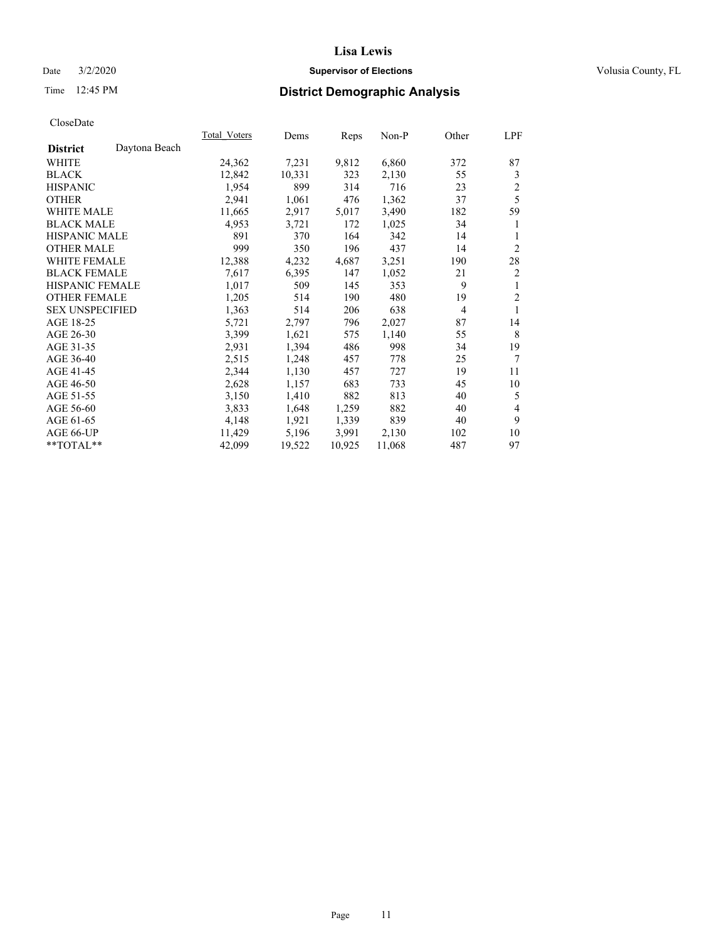## Date  $3/2/2020$  **Supervisor of Elections Supervisor of Elections** Volusia County, FL

## Time 12:45 PM **District Demographic Analysis**

| Total Voters | Dems   |        | Non-P  | Other | LPF            |
|--------------|--------|--------|--------|-------|----------------|
|              |        |        |        |       |                |
| 24,362       | 7,231  | 9,812  | 6,860  | 372   | 87             |
| 12,842       | 10,331 | 323    | 2,130  | 55    | 3              |
| 1,954        | 899    | 314    | 716    | 23    | $\overline{c}$ |
| 2,941        | 1,061  | 476    | 1,362  | 37    | 5              |
| 11,665       | 2,917  | 5,017  | 3,490  | 182   | 59             |
| 4,953        | 3,721  | 172    | 1,025  | 34    | 1              |
| 891          | 370    | 164    | 342    | 14    | 1              |
| 999          | 350    | 196    | 437    | 14    | $\overline{c}$ |
| 12,388       | 4,232  | 4,687  | 3,251  | 190   | 28             |
| 7,617        | 6,395  | 147    | 1,052  | 21    | $\overline{c}$ |
| 1,017        | 509    | 145    | 353    | 9     | 1              |
| 1,205        | 514    | 190    | 480    | 19    | $\overline{2}$ |
| 1,363        | 514    | 206    | 638    | 4     | 1              |
| 5,721        | 2,797  | 796    | 2,027  | 87    | 14             |
| 3,399        | 1,621  | 575    | 1,140  | 55    | 8              |
| 2,931        | 1,394  | 486    | 998    | 34    | 19             |
| 2,515        | 1,248  | 457    | 778    | 25    | 7              |
| 2,344        | 1,130  | 457    | 727    | 19    | 11             |
| 2,628        | 1,157  | 683    | 733    | 45    | 10             |
| 3,150        | 1,410  | 882    | 813    | 40    | 5              |
| 3,833        | 1,648  | 1,259  | 882    | 40    | 4              |
| 4,148        | 1,921  | 1,339  | 839    | 40    | 9              |
| 11,429       | 5,196  | 3,991  | 2,130  | 102   | 10             |
| 42,099       | 19,522 | 10,925 | 11,068 | 487   | 97             |
|              |        |        | Reps   |       |                |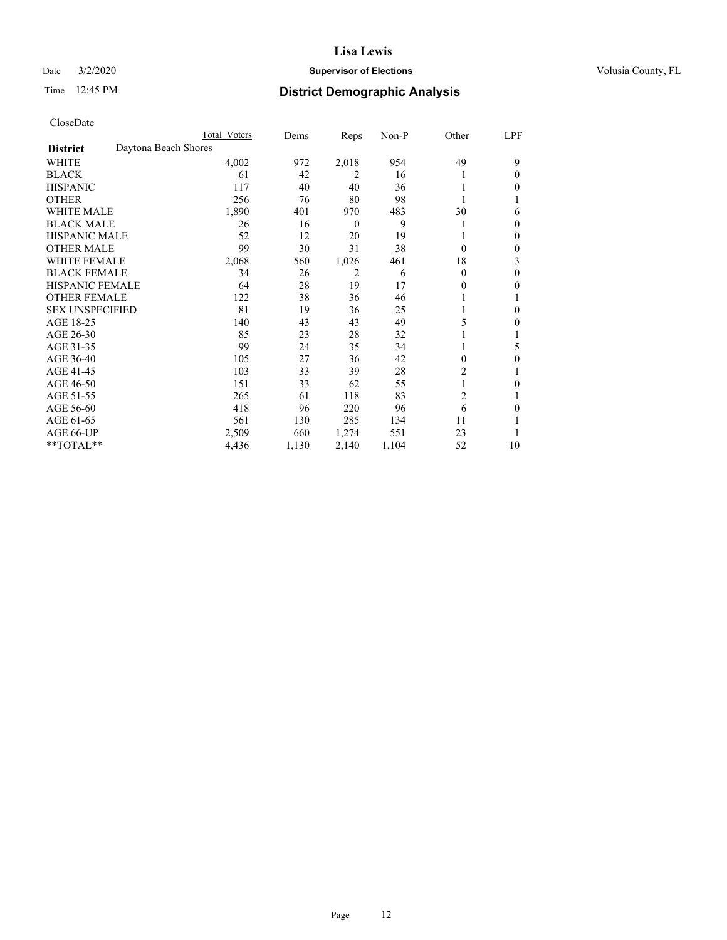## Date  $3/2/2020$  **Supervisor of Elections Supervisor of Elections** Volusia County, FL

## Time 12:45 PM **District Demographic Analysis**

|                        |                      | Total Voters | Dems  | Reps             | Non-P | Other    | LPF |
|------------------------|----------------------|--------------|-------|------------------|-------|----------|-----|
| <b>District</b>        | Daytona Beach Shores |              |       |                  |       |          |     |
| WHITE                  |                      | 4,002        | 972   | 2,018            | 954   | 49       | 9   |
| <b>BLACK</b>           |                      | 61           | 42    | 2                | 16    |          | 0   |
| <b>HISPANIC</b>        |                      | 117          | 40    | 40               | 36    |          | 0   |
| <b>OTHER</b>           |                      | 256          | 76    | 80               | 98    |          |     |
| WHITE MALE             |                      | 1,890        | 401   | 970              | 483   | 30       | 6   |
| <b>BLACK MALE</b>      |                      | 26           | 16    | $\boldsymbol{0}$ | 9     |          | 0   |
| <b>HISPANIC MALE</b>   |                      | 52           | 12    | 20               | 19    |          | 0   |
| <b>OTHER MALE</b>      |                      | 99           | 30    | 31               | 38    | $\Omega$ | 0   |
| WHITE FEMALE           |                      | 2,068        | 560   | 1,026            | 461   | 18       | 3   |
| <b>BLACK FEMALE</b>    |                      | 34           | 26    | 2                | 6     | $\Omega$ | 0   |
| <b>HISPANIC FEMALE</b> |                      | 64           | 28    | 19               | 17    | 0        | 0   |
| <b>OTHER FEMALE</b>    |                      | 122          | 38    | 36               | 46    |          |     |
| <b>SEX UNSPECIFIED</b> |                      | 81           | 19    | 36               | 25    |          | 0   |
| AGE 18-25              |                      | 140          | 43    | 43               | 49    | 5        | 0   |
| AGE 26-30              |                      | 85           | 23    | 28               | 32    |          |     |
| AGE 31-35              |                      | 99           | 24    | 35               | 34    |          | 5   |
| AGE 36-40              |                      | 105          | 27    | 36               | 42    | 0        | 0   |
| AGE 41-45              |                      | 103          | 33    | 39               | 28    | 2        |     |
| AGE 46-50              |                      | 151          | 33    | 62               | 55    | 1        | 0   |
| AGE 51-55              |                      | 265          | 61    | 118              | 83    | 2        |     |
| AGE 56-60              |                      | 418          | 96    | 220              | 96    | 6        | 0   |
| AGE 61-65              |                      | 561          | 130   | 285              | 134   | 11       |     |
| AGE 66-UP              |                      | 2,509        | 660   | 1,274            | 551   | 23       |     |
| $*$ TOTAL $**$         |                      | 4,436        | 1,130 | 2,140            | 1,104 | 52       | 10  |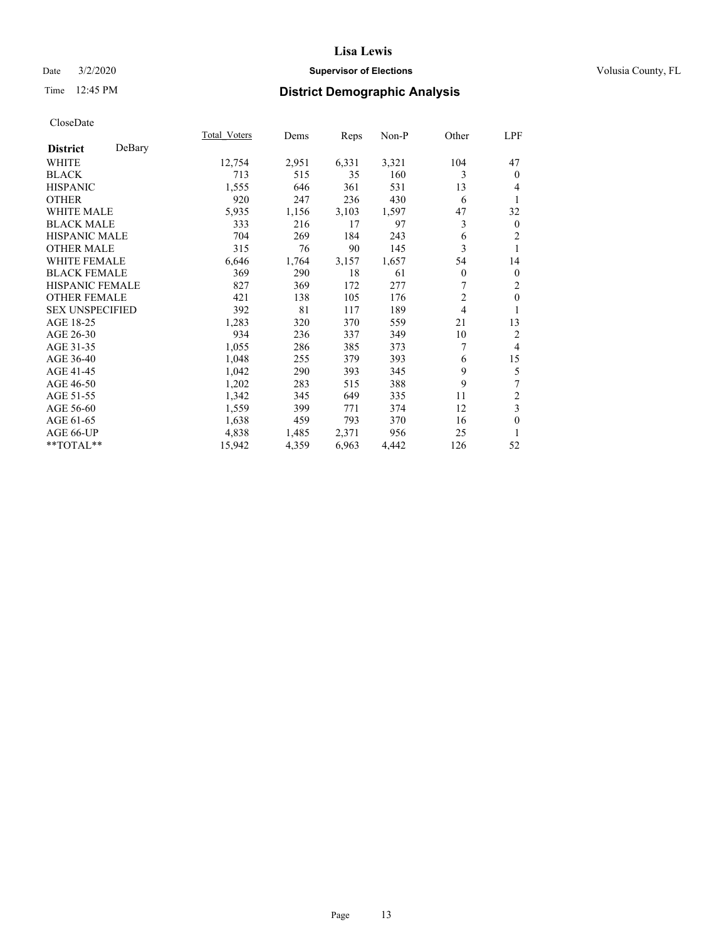## Date  $3/2/2020$  **Supervisor of Elections Supervisor of Elections** Volusia County, FL

## Time 12:45 PM **District Demographic Analysis**

|                        |        | Total Voters | Dems  | Reps  | Non-P | Other          | LPF          |
|------------------------|--------|--------------|-------|-------|-------|----------------|--------------|
| <b>District</b>        | DeBary |              |       |       |       |                |              |
| WHITE                  |        | 12,754       | 2,951 | 6,331 | 3,321 | 104            | 47           |
| <b>BLACK</b>           |        | 713          | 515   | 35    | 160   | 3              | $\mathbf{0}$ |
| <b>HISPANIC</b>        |        | 1,555        | 646   | 361   | 531   | 13             | 4            |
| <b>OTHER</b>           |        | 920          | 247   | 236   | 430   | 6              | 1            |
| WHITE MALE             |        | 5,935        | 1,156 | 3,103 | 1,597 | 47             | 32           |
| <b>BLACK MALE</b>      |        | 333          | 216   | 17    | 97    | 3              | $\mathbf{0}$ |
| <b>HISPANIC MALE</b>   |        | 704          | 269   | 184   | 243   | 6              | 2            |
| <b>OTHER MALE</b>      |        | 315          | 76    | 90    | 145   | 3              | 1            |
| <b>WHITE FEMALE</b>    |        | 6,646        | 1,764 | 3,157 | 1,657 | 54             | 14           |
| <b>BLACK FEMALE</b>    |        | 369          | 290   | 18    | 61    | $\overline{0}$ | $\mathbf{0}$ |
| <b>HISPANIC FEMALE</b> |        | 827          | 369   | 172   | 277   | 7              | 2            |
| <b>OTHER FEMALE</b>    |        | 421          | 138   | 105   | 176   | $\overline{2}$ | $\mathbf{0}$ |
| <b>SEX UNSPECIFIED</b> |        | 392          | 81    | 117   | 189   | $\overline{4}$ | 1            |
| AGE 18-25              |        | 1,283        | 320   | 370   | 559   | 21             | 13           |
| AGE 26-30              |        | 934          | 236   | 337   | 349   | 10             | 2            |
| AGE 31-35              |        | 1,055        | 286   | 385   | 373   | 7              | 4            |
| AGE 36-40              |        | 1,048        | 255   | 379   | 393   | 6              | 15           |
| AGE 41-45              |        | 1,042        | 290   | 393   | 345   | 9              | 5            |
| AGE 46-50              |        | 1,202        | 283   | 515   | 388   | 9              | 7            |
| AGE 51-55              |        | 1,342        | 345   | 649   | 335   | 11             | 2            |
| AGE 56-60              |        | 1,559        | 399   | 771   | 374   | 12             | 3            |
| AGE 61-65              |        | 1,638        | 459   | 793   | 370   | 16             | $\mathbf{0}$ |
| AGE 66-UP              |        | 4,838        | 1,485 | 2,371 | 956   | 25             | 1            |
| **TOTAL**              |        | 15,942       | 4,359 | 6,963 | 4,442 | 126            | 52           |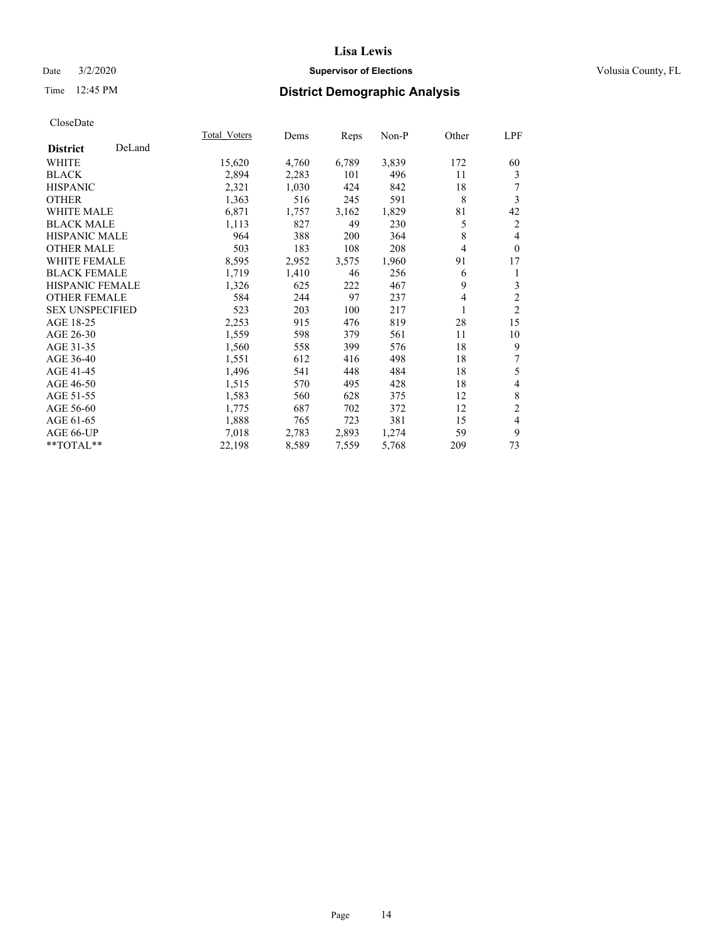## Date  $3/2/2020$  **Supervisor of Elections Supervisor of Elections** Volusia County, FL

## Time 12:45 PM **District Demographic Analysis**

|                        |        | Total Voters | Dems  | Reps  | Non-P | Other | LPF            |
|------------------------|--------|--------------|-------|-------|-------|-------|----------------|
| <b>District</b>        | DeLand |              |       |       |       |       |                |
| WHITE                  |        | 15,620       | 4,760 | 6,789 | 3,839 | 172   | 60             |
| <b>BLACK</b>           |        | 2,894        | 2,283 | 101   | 496   | 11    | 3              |
| <b>HISPANIC</b>        |        | 2,321        | 1,030 | 424   | 842   | 18    | 7              |
| <b>OTHER</b>           |        | 1,363        | 516   | 245   | 591   | 8     | 3              |
| WHITE MALE             |        | 6,871        | 1,757 | 3,162 | 1,829 | 81    | 42             |
| <b>BLACK MALE</b>      |        | 1,113        | 827   | 49    | 230   | 5     | 2              |
| <b>HISPANIC MALE</b>   |        | 964          | 388   | 200   | 364   | 8     | 4              |
| <b>OTHER MALE</b>      |        | 503          | 183   | 108   | 208   | 4     | $\theta$       |
| WHITE FEMALE           |        | 8,595        | 2,952 | 3,575 | 1,960 | 91    | 17             |
| <b>BLACK FEMALE</b>    |        | 1,719        | 1,410 | 46    | 256   | 6     | 1              |
| <b>HISPANIC FEMALE</b> |        | 1,326        | 625   | 222   | 467   | 9     | 3              |
| <b>OTHER FEMALE</b>    |        | 584          | 244   | 97    | 237   | 4     | $\overline{2}$ |
| <b>SEX UNSPECIFIED</b> |        | 523          | 203   | 100   | 217   | 1     | $\overline{2}$ |
| AGE 18-25              |        | 2,253        | 915   | 476   | 819   | 28    | 15             |
| AGE 26-30              |        | 1,559        | 598   | 379   | 561   | 11    | 10             |
| AGE 31-35              |        | 1,560        | 558   | 399   | 576   | 18    | 9              |
| AGE 36-40              |        | 1,551        | 612   | 416   | 498   | 18    | 7              |
| AGE 41-45              |        | 1,496        | 541   | 448   | 484   | 18    | 5              |
| AGE 46-50              |        | 1,515        | 570   | 495   | 428   | 18    | 4              |
| AGE 51-55              |        | 1,583        | 560   | 628   | 375   | 12    | $\,$ 8 $\,$    |
| AGE 56-60              |        | 1,775        | 687   | 702   | 372   | 12    | $\overline{c}$ |
| AGE 61-65              |        | 1,888        | 765   | 723   | 381   | 15    | 4              |
| AGE 66-UP              |        | 7,018        | 2,783 | 2,893 | 1,274 | 59    | 9              |
| **TOTAL**              |        | 22,198       | 8,589 | 7,559 | 5,768 | 209   | 73             |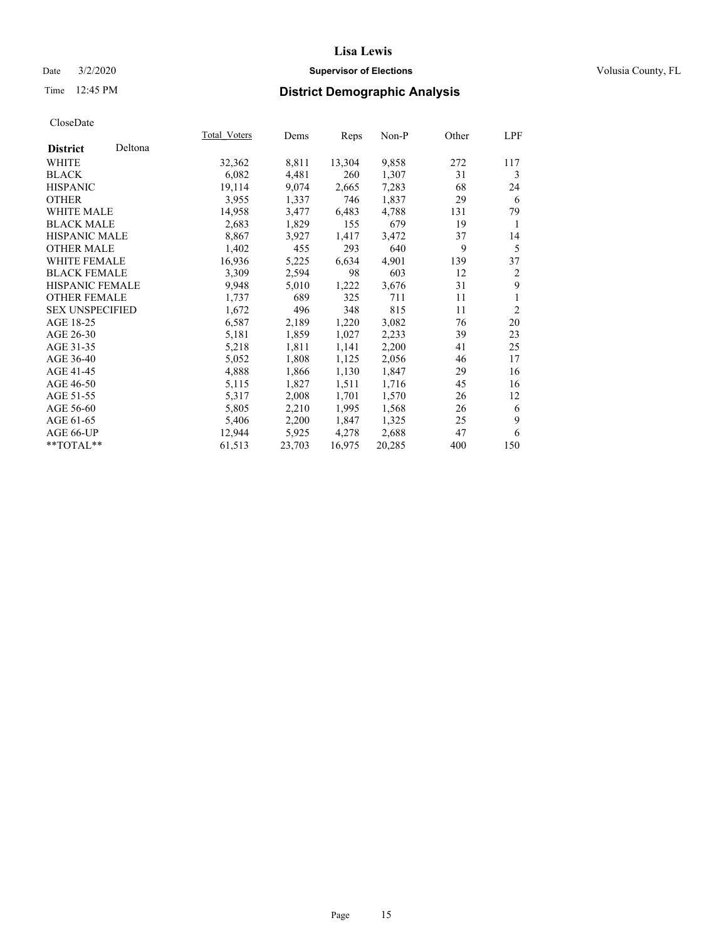## Date  $3/2/2020$  **Supervisor of Elections Supervisor of Elections** Volusia County, FL

## Time 12:45 PM **District Demographic Analysis**

|                        |         | Total Voters | Dems   | Reps   | Non-P  | Other | LPF            |
|------------------------|---------|--------------|--------|--------|--------|-------|----------------|
| <b>District</b>        | Deltona |              |        |        |        |       |                |
| WHITE                  |         | 32,362       | 8,811  | 13,304 | 9,858  | 272   | 117            |
| <b>BLACK</b>           |         | 6,082        | 4,481  | 260    | 1,307  | 31    | 3              |
| <b>HISPANIC</b>        |         | 19,114       | 9,074  | 2,665  | 7,283  | 68    | 24             |
| <b>OTHER</b>           |         | 3,955        | 1,337  | 746    | 1,837  | 29    | 6              |
| WHITE MALE             |         | 14,958       | 3,477  | 6,483  | 4,788  | 131   | 79             |
| <b>BLACK MALE</b>      |         | 2,683        | 1,829  | 155    | 679    | 19    | 1              |
| <b>HISPANIC MALE</b>   |         | 8,867        | 3,927  | 1,417  | 3,472  | 37    | 14             |
| <b>OTHER MALE</b>      |         | 1,402        | 455    | 293    | 640    | 9     | 5              |
| <b>WHITE FEMALE</b>    |         | 16,936       | 5,225  | 6,634  | 4,901  | 139   | 37             |
| <b>BLACK FEMALE</b>    |         | 3,309        | 2,594  | 98     | 603    | 12    | 2              |
| <b>HISPANIC FEMALE</b> |         | 9,948        | 5,010  | 1,222  | 3,676  | 31    | 9              |
| <b>OTHER FEMALE</b>    |         | 1,737        | 689    | 325    | 711    | 11    | 1              |
| <b>SEX UNSPECIFIED</b> |         | 1,672        | 496    | 348    | 815    | 11    | $\overline{2}$ |
| AGE 18-25              |         | 6,587        | 2,189  | 1,220  | 3,082  | 76    | 20             |
| AGE 26-30              |         | 5,181        | 1,859  | 1,027  | 2,233  | 39    | 23             |
| AGE 31-35              |         | 5,218        | 1,811  | 1,141  | 2,200  | 41    | 25             |
| AGE 36-40              |         | 5,052        | 1,808  | 1,125  | 2,056  | 46    | 17             |
| AGE 41-45              |         | 4,888        | 1,866  | 1,130  | 1,847  | 29    | 16             |
| AGE 46-50              |         | 5,115        | 1,827  | 1,511  | 1,716  | 45    | 16             |
| AGE 51-55              |         | 5,317        | 2,008  | 1,701  | 1,570  | 26    | 12             |
| AGE 56-60              |         | 5,805        | 2,210  | 1,995  | 1,568  | 26    | 6              |
| AGE 61-65              |         | 5,406        | 2,200  | 1,847  | 1,325  | 25    | 9              |
| AGE 66-UP              |         | 12,944       | 5,925  | 4,278  | 2,688  | 47    | 6              |
| $*$ TOTAL $*$          |         | 61,513       | 23,703 | 16,975 | 20,285 | 400   | 150            |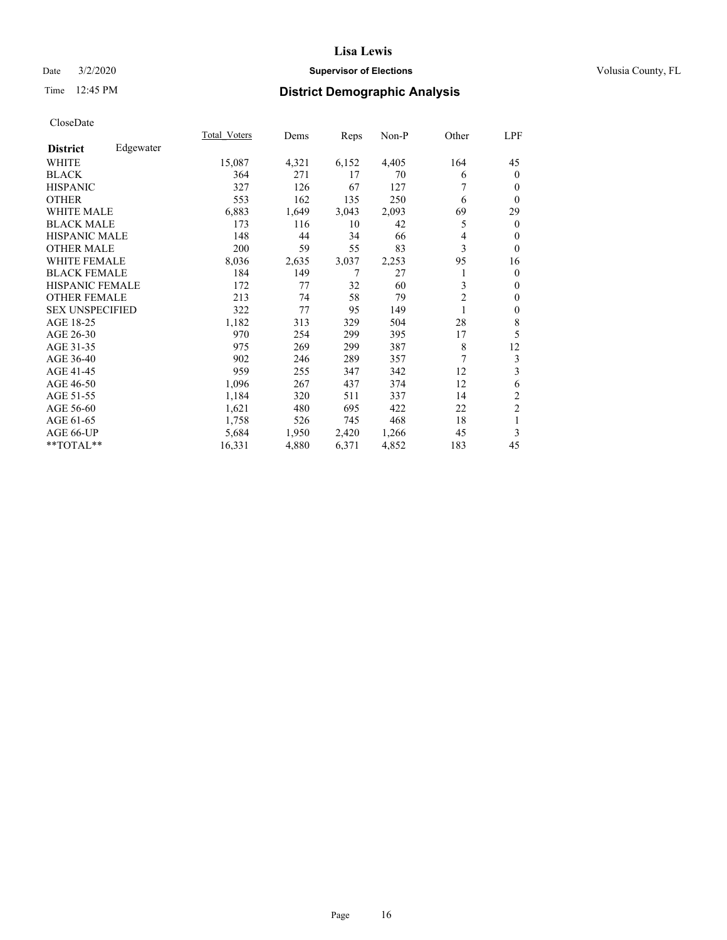## Date  $3/2/2020$  **Supervisor of Elections Supervisor of Elections** Volusia County, FL

## Time 12:45 PM **District Demographic Analysis**

|                        |           | Total Voters | Dems  | Reps  | Non-P | Other          | LPF            |
|------------------------|-----------|--------------|-------|-------|-------|----------------|----------------|
| <b>District</b>        | Edgewater |              |       |       |       |                |                |
| WHITE                  |           | 15,087       | 4,321 | 6,152 | 4,405 | 164            | 45             |
| <b>BLACK</b>           |           | 364          | 271   | 17    | 70    | 6              | $\mathbf{0}$   |
| <b>HISPANIC</b>        |           | 327          | 126   | 67    | 127   | 7              | $\mathbf{0}$   |
| <b>OTHER</b>           |           | 553          | 162   | 135   | 250   | 6              | $\theta$       |
| WHITE MALE             |           | 6,883        | 1,649 | 3,043 | 2,093 | 69             | 29             |
| <b>BLACK MALE</b>      |           | 173          | 116   | 10    | 42    | 5              | $\mathbf{0}$   |
| <b>HISPANIC MALE</b>   |           | 148          | 44    | 34    | 66    | 4              | $\theta$       |
| <b>OTHER MALE</b>      |           | 200          | 59    | 55    | 83    | 3              | $\theta$       |
| <b>WHITE FEMALE</b>    |           | 8,036        | 2,635 | 3,037 | 2,253 | 95             | 16             |
| <b>BLACK FEMALE</b>    |           | 184          | 149   | 7     | 27    | 1              | $\mathbf{0}$   |
| <b>HISPANIC FEMALE</b> |           | 172          | 77    | 32    | 60    | 3              | $\mathbf{0}$   |
| <b>OTHER FEMALE</b>    |           | 213          | 74    | 58    | 79    | $\overline{2}$ | $\theta$       |
| <b>SEX UNSPECIFIED</b> |           | 322          | 77    | 95    | 149   | 1              | $\mathbf{0}$   |
| AGE 18-25              |           | 1,182        | 313   | 329   | 504   | 28             | 8              |
| AGE 26-30              |           | 970          | 254   | 299   | 395   | 17             | 5              |
| AGE 31-35              |           | 975          | 269   | 299   | 387   | 8              | 12             |
| AGE 36-40              |           | 902          | 246   | 289   | 357   | 7              | 3              |
| AGE 41-45              |           | 959          | 255   | 347   | 342   | 12             | 3              |
| AGE 46-50              |           | 1,096        | 267   | 437   | 374   | 12             | 6              |
| AGE 51-55              |           | 1,184        | 320   | 511   | 337   | 14             | $\overline{c}$ |
| AGE 56-60              |           | 1,621        | 480   | 695   | 422   | 22             | $\overline{c}$ |
| AGE 61-65              |           | 1,758        | 526   | 745   | 468   | 18             | 1              |
| AGE 66-UP              |           | 5,684        | 1,950 | 2,420 | 1,266 | 45             | 3              |
| **TOTAL**              |           | 16,331       | 4,880 | 6,371 | 4,852 | 183            | 45             |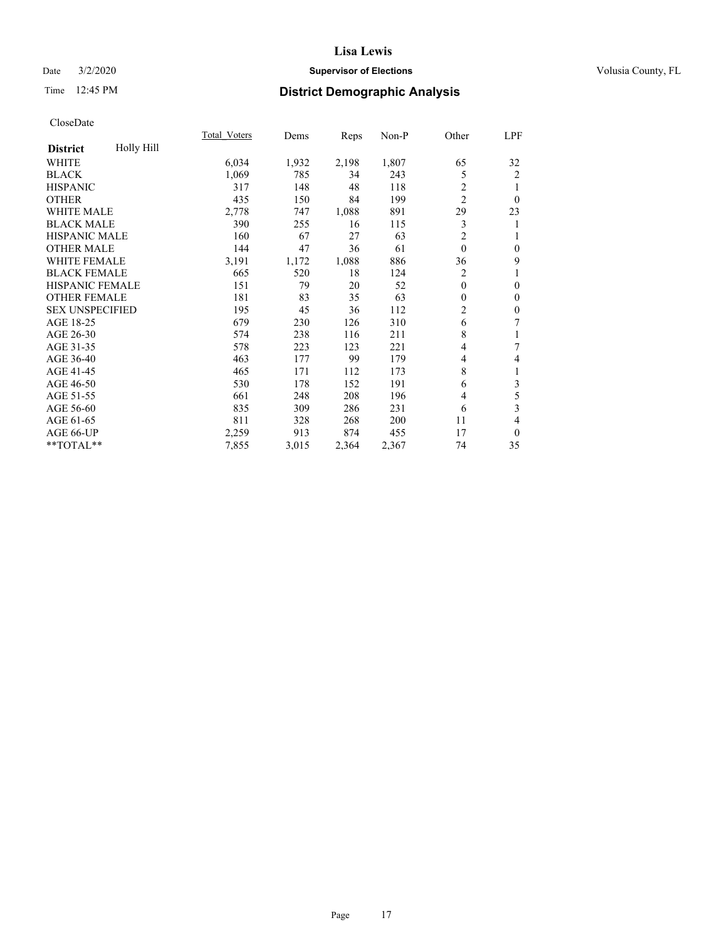## Date  $3/2/2020$  **Supervisor of Elections Supervisor of Elections** Volusia County, FL

## Time 12:45 PM **District Demographic Analysis**

|                        |            | Total Voters | Dems  | Reps  | Non-P | Other          | LPF              |
|------------------------|------------|--------------|-------|-------|-------|----------------|------------------|
| <b>District</b>        | Holly Hill |              |       |       |       |                |                  |
| WHITE                  |            | 6,034        | 1,932 | 2,198 | 1,807 | 65             | 32               |
| <b>BLACK</b>           |            | 1,069        | 785   | 34    | 243   | 5              | $\overline{c}$   |
| <b>HISPANIC</b>        |            | 317          | 148   | 48    | 118   | 2              |                  |
| <b>OTHER</b>           |            | 435          | 150   | 84    | 199   | $\overline{2}$ | $\theta$         |
| <b>WHITE MALE</b>      |            | 2,778        | 747   | 1,088 | 891   | 29             | 23               |
| <b>BLACK MALE</b>      |            | 390          | 255   | 16    | 115   | 3              | 1                |
| <b>HISPANIC MALE</b>   |            | 160          | 67    | 27    | 63    | $\overline{c}$ | 1                |
| <b>OTHER MALE</b>      |            | 144          | 47    | 36    | 61    | $\mathbf{0}$   | $\boldsymbol{0}$ |
| <b>WHITE FEMALE</b>    |            | 3,191        | 1,172 | 1,088 | 886   | 36             | 9                |
| <b>BLACK FEMALE</b>    |            | 665          | 520   | 18    | 124   | 2              |                  |
| HISPANIC FEMALE        |            | 151          | 79    | 20    | 52    | $\theta$       | $\mathbf{0}$     |
| <b>OTHER FEMALE</b>    |            | 181          | 83    | 35    | 63    | $\theta$       | $\mathbf{0}$     |
| <b>SEX UNSPECIFIED</b> |            | 195          | 45    | 36    | 112   | 2              | $\mathbf{0}$     |
| AGE 18-25              |            | 679          | 230   | 126   | 310   | 6              | 7                |
| AGE 26-30              |            | 574          | 238   | 116   | 211   | 8              | 1                |
| AGE 31-35              |            | 578          | 223   | 123   | 221   | 4              | 7                |
| AGE 36-40              |            | 463          | 177   | 99    | 179   | 4              | $\overline{4}$   |
| AGE 41-45              |            | 465          | 171   | 112   | 173   | 8              | 1                |
| AGE 46-50              |            | 530          | 178   | 152   | 191   | 6              | 3                |
| AGE 51-55              |            | 661          | 248   | 208   | 196   | 4              | 5                |
| AGE 56-60              |            | 835          | 309   | 286   | 231   | 6              | 3                |
| AGE 61-65              |            | 811          | 328   | 268   | 200   | 11             | 4                |
| AGE 66-UP              |            | 2,259        | 913   | 874   | 455   | 17             | $\mathbf{0}$     |
| **TOTAL**              |            | 7,855        | 3,015 | 2,364 | 2,367 | 74             | 35               |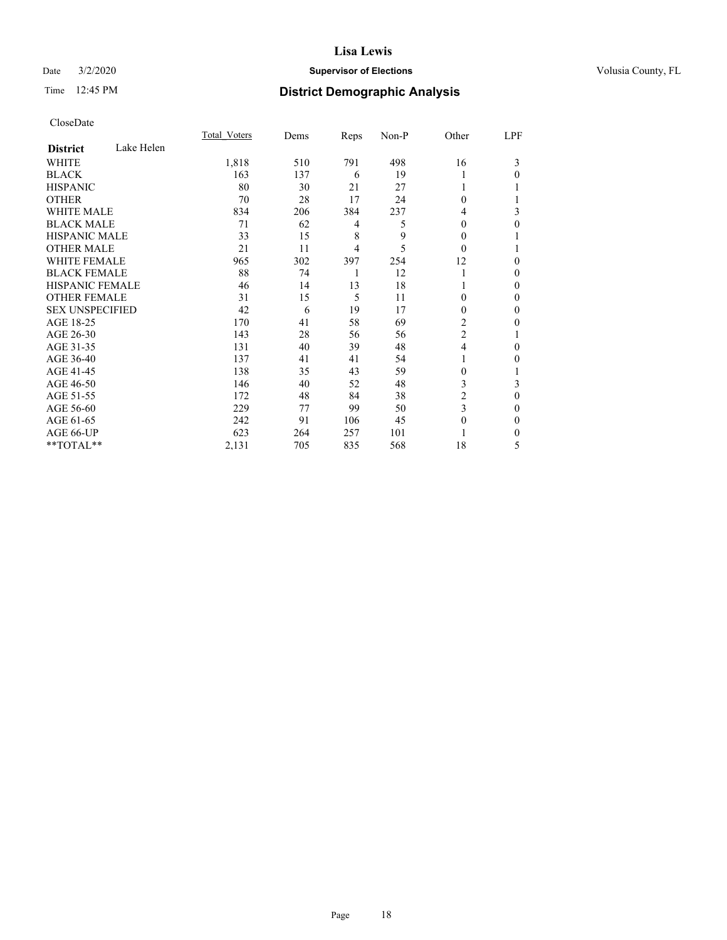## Date  $3/2/2020$  **Supervisor of Elections Supervisor of Elections** Volusia County, FL

## Time 12:45 PM **District Demographic Analysis**

|                        |            | Total Voters | Dems | Reps | Non-P | Other          | LPF          |
|------------------------|------------|--------------|------|------|-------|----------------|--------------|
| <b>District</b>        | Lake Helen |              |      |      |       |                |              |
| WHITE                  |            | 1,818        | 510  | 791  | 498   | 16             | 3            |
| <b>BLACK</b>           |            | 163          | 137  | 6    | 19    |                | $\Omega$     |
| <b>HISPANIC</b>        |            | 80           | 30   | 21   | 27    |                | 1            |
| <b>OTHER</b>           |            | 70           | 28   | 17   | 24    | $\theta$       |              |
| <b>WHITE MALE</b>      |            | 834          | 206  | 384  | 237   | 4              | 3            |
| <b>BLACK MALE</b>      |            | 71           | 62   | 4    | 5     | $\Omega$       | 0            |
| <b>HISPANIC MALE</b>   |            | 33           | 15   | 8    | 9     | 0              |              |
| <b>OTHER MALE</b>      |            | 21           | 11   | 4    | 5     | $\theta$       |              |
| <b>WHITE FEMALE</b>    |            | 965          | 302  | 397  | 254   | 12             | 0            |
| <b>BLACK FEMALE</b>    |            | 88           | 74   | 1    | 12    |                | $\theta$     |
| <b>HISPANIC FEMALE</b> |            | 46           | 14   | 13   | 18    |                | $\Omega$     |
| <b>OTHER FEMALE</b>    |            | 31           | 15   | 5    | 11    | $\Omega$       | $\mathbf{0}$ |
| <b>SEX UNSPECIFIED</b> |            | 42           | 6    | 19   | 17    | $\Omega$       | $\mathbf{0}$ |
| AGE 18-25              |            | 170          | 41   | 58   | 69    | 2              | 0            |
| AGE 26-30              |            | 143          | 28   | 56   | 56    | $\overline{c}$ |              |
| AGE 31-35              |            | 131          | 40   | 39   | 48    | $\overline{4}$ | 0            |
| AGE 36-40              |            | 137          | 41   | 41   | 54    |                | 0            |
| AGE 41-45              |            | 138          | 35   | 43   | 59    | 0              | 1            |
| AGE 46-50              |            | 146          | 40   | 52   | 48    | 3              | 3            |
| AGE 51-55              |            | 172          | 48   | 84   | 38    | 2              | $\theta$     |
| AGE 56-60              |            | 229          | 77   | 99   | 50    | 3              | $\mathbf{0}$ |
| AGE 61-65              |            | 242          | 91   | 106  | 45    | 0              | $\mathbf{0}$ |
| AGE 66-UP              |            | 623          | 264  | 257  | 101   |                | $\Omega$     |
| **TOTAL**              |            | 2,131        | 705  | 835  | 568   | 18             | 5            |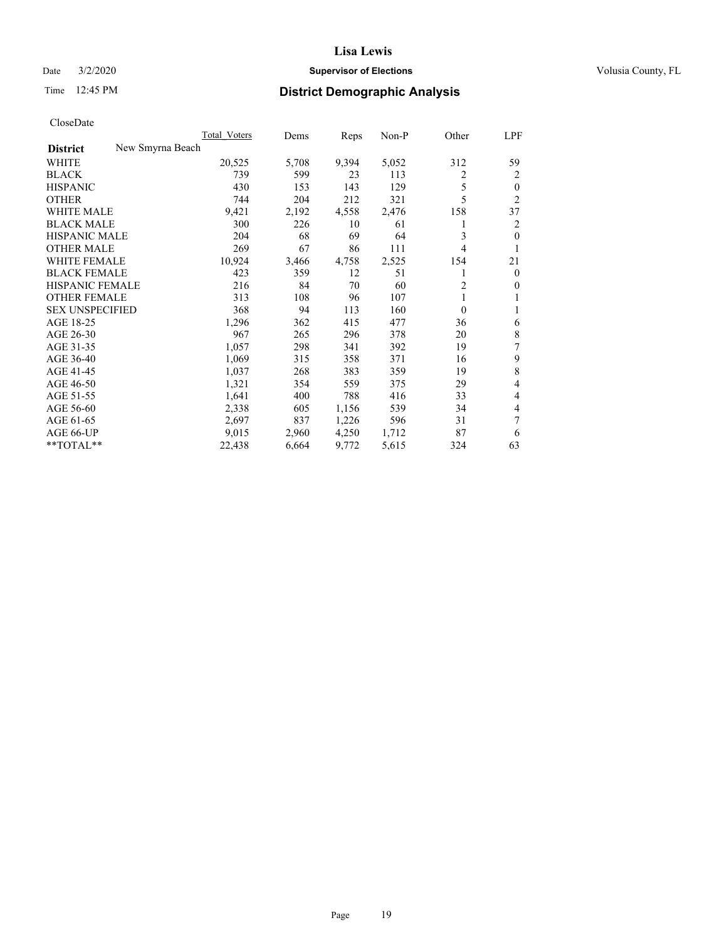## Date  $3/2/2020$  **Supervisor of Elections Supervisor of Elections** Volusia County, FL

## Time 12:45 PM **District Demographic Analysis**

|                                     | Total Voters | Dems  | Reps  | $Non-P$ | Other    | LPF            |
|-------------------------------------|--------------|-------|-------|---------|----------|----------------|
| New Smyrna Beach<br><b>District</b> |              |       |       |         |          |                |
| WHITE                               | 20,525       | 5,708 | 9,394 | 5,052   | 312      | 59             |
| <b>BLACK</b>                        | 739          | 599   | 23    | 113     | 2        | 2              |
| <b>HISPANIC</b>                     | 430          | 153   | 143   | 129     | 5        | $\theta$       |
| <b>OTHER</b>                        | 744          | 204   | 212   | 321     | 5        | $\overline{2}$ |
| <b>WHITE MALE</b>                   | 9,421        | 2,192 | 4,558 | 2,476   | 158      | 37             |
| <b>BLACK MALE</b>                   | 300          | 226   | 10    | 61      | 1        | $\overline{2}$ |
| <b>HISPANIC MALE</b>                | 204          | 68    | 69    | 64      | 3        | $\theta$       |
| <b>OTHER MALE</b>                   | 269          | 67    | 86    | 111     | 4        | 1              |
| <b>WHITE FEMALE</b>                 | 10,924       | 3,466 | 4,758 | 2,525   | 154      | 21             |
| <b>BLACK FEMALE</b>                 | 423          | 359   | 12    | 51      | 1        | $\mathbf{0}$   |
| <b>HISPANIC FEMALE</b>              | 216          | 84    | 70    | 60      | 2        | $\overline{0}$ |
| <b>OTHER FEMALE</b>                 | 313          | 108   | 96    | 107     | 1        | 1              |
| <b>SEX UNSPECIFIED</b>              | 368          | 94    | 113   | 160     | $\theta$ |                |
| AGE 18-25                           | 1,296        | 362   | 415   | 477     | 36       | 6              |
| AGE 26-30                           | 967          | 265   | 296   | 378     | 20       | 8              |
| AGE 31-35                           | 1,057        | 298   | 341   | 392     | 19       | 7              |
| AGE 36-40                           | 1,069        | 315   | 358   | 371     | 16       | 9              |
| AGE 41-45                           | 1,037        | 268   | 383   | 359     | 19       | 8              |
| AGE 46-50                           | 1,321        | 354   | 559   | 375     | 29       | $\overline{4}$ |
| AGE 51-55                           | 1,641        | 400   | 788   | 416     | 33       | $\overline{4}$ |
| AGE 56-60                           | 2,338        | 605   | 1,156 | 539     | 34       | 4              |
| AGE 61-65                           | 2,697        | 837   | 1,226 | 596     | 31       | 7              |
| AGE 66-UP                           | 9,015        | 2,960 | 4,250 | 1,712   | 87       | 6              |
| **TOTAL**                           | 22,438       | 6,664 | 9,772 | 5,615   | 324      | 63             |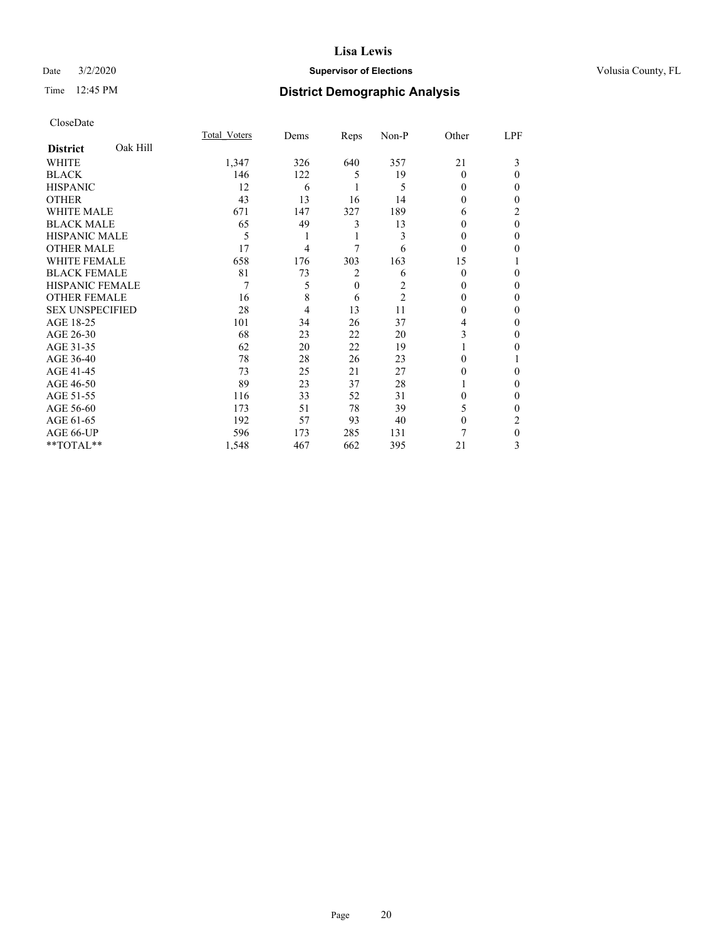## Date  $3/2/2020$  **Supervisor of Elections Supervisor of Elections** Volusia County, FL

## Time 12:45 PM **District Demographic Analysis**

|                             | Total Voters | Dems | Reps         | Non-P          | Other    | LPF          |
|-----------------------------|--------------|------|--------------|----------------|----------|--------------|
| Oak Hill<br><b>District</b> |              |      |              |                |          |              |
| WHITE                       | 1,347        | 326  | 640          | 357            | 21       | 3            |
| <b>BLACK</b>                | 146          | 122  | 5            | 19             | $\Omega$ | $\theta$     |
| <b>HISPANIC</b>             | 12           | 6    |              | 5              | $\Omega$ | 0            |
| <b>OTHER</b>                | 43           | 13   | 16           | 14             | 0        | 0            |
| WHITE MALE                  | 671          | 147  | 327          | 189            | 6        | 2            |
| <b>BLACK MALE</b>           | 65           | 49   | 3            | 13             | 0        | $\theta$     |
| <b>HISPANIC MALE</b>        | 5            | 1    | 1            | 3              | 0        | 0            |
| <b>OTHER MALE</b>           | 17           | 4    | 7            | 6              | $\theta$ | 0            |
| <b>WHITE FEMALE</b>         | 658          | 176  | 303          | 163            | 15       |              |
| <b>BLACK FEMALE</b>         | 81           | 73   | 2            | 6              | $\Omega$ | 0            |
| <b>HISPANIC FEMALE</b>      | 7            | 5    | $\mathbf{0}$ | 2              | 0        | 0            |
| <b>OTHER FEMALE</b>         | 16           | 8    | 6            | $\overline{2}$ | 0        | 0            |
| <b>SEX UNSPECIFIED</b>      | 28           | 4    | 13           | 11             | $\Omega$ | 0            |
| AGE 18-25                   | 101          | 34   | 26           | 37             | 4        | 0            |
| AGE 26-30                   | 68           | 23   | 22           | 20             | 3        | 0            |
| AGE 31-35                   | 62           | 20   | 22           | 19             |          | 0            |
| AGE 36-40                   | 78           | 28   | 26           | 23             | 0        |              |
| AGE 41-45                   | 73           | 25   | 21           | 27             | 0        | 0            |
| AGE 46-50                   | 89           | 23   | 37           | 28             |          | 0            |
| AGE 51-55                   | 116          | 33   | 52           | 31             | 0        | $\mathbf{0}$ |
| AGE 56-60                   | 173          | 51   | 78           | 39             | 5        | 0            |
| AGE 61-65                   | 192          | 57   | 93           | 40             | $\Omega$ | 2            |
| AGE 66-UP                   | 596          | 173  | 285          | 131            |          | $\theta$     |
| **TOTAL**                   | 1,548        | 467  | 662          | 395            | 21       | 3            |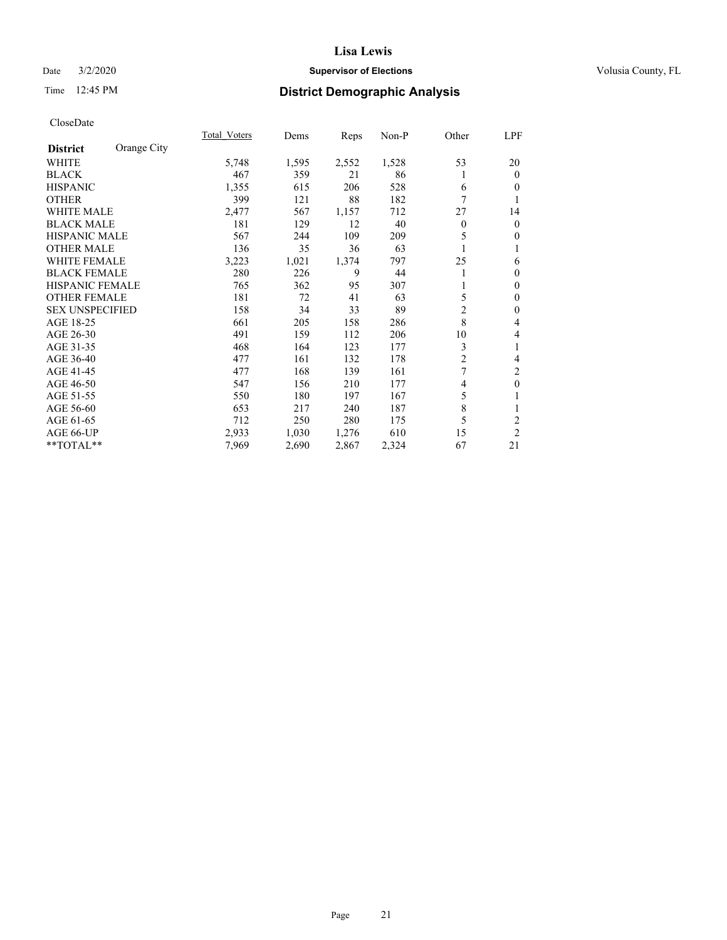## Date  $3/2/2020$  **Supervisor of Elections Supervisor of Elections** Volusia County, FL

## Time 12:45 PM **District Demographic Analysis**

|                                | Total Voters | Dems  | Reps  | $Non-P$ | Other          | LPF            |
|--------------------------------|--------------|-------|-------|---------|----------------|----------------|
| Orange City<br><b>District</b> |              |       |       |         |                |                |
| WHITE                          | 5,748        | 1,595 | 2,552 | 1,528   | 53             | 20             |
| <b>BLACK</b>                   | 467          | 359   | 21    | 86      |                | $\theta$       |
| <b>HISPANIC</b>                | 1,355        | 615   | 206   | 528     | 6              | $\theta$       |
| <b>OTHER</b>                   | 399          | 121   | 88    | 182     | 7              | 1              |
| WHITE MALE                     | 2,477        | 567   | 1,157 | 712     | 27             | 14             |
| <b>BLACK MALE</b>              | 181          | 129   | 12    | 40      | $\mathbf{0}$   | $\overline{0}$ |
| <b>HISPANIC MALE</b>           | 567          | 244   | 109   | 209     | 5              | $\overline{0}$ |
| <b>OTHER MALE</b>              | 136          | 35    | 36    | 63      | 1              |                |
| <b>WHITE FEMALE</b>            | 3,223        | 1,021 | 1,374 | 797     | 25             | 6              |
| <b>BLACK FEMALE</b>            | 280          | 226   | 9     | 44      | 1              | $\mathbf{0}$   |
| <b>HISPANIC FEMALE</b>         | 765          | 362   | 95    | 307     |                | $\theta$       |
| <b>OTHER FEMALE</b>            | 181          | 72    | 41    | 63      | 5              | $\mathbf{0}$   |
| <b>SEX UNSPECIFIED</b>         | 158          | 34    | 33    | 89      | $\overline{c}$ | $\mathbf{0}$   |
| AGE 18-25                      | 661          | 205   | 158   | 286     | 8              | 4              |
| AGE 26-30                      | 491          | 159   | 112   | 206     | 10             | 4              |
| AGE 31-35                      | 468          | 164   | 123   | 177     | 3              | 1              |
| AGE 36-40                      | 477          | 161   | 132   | 178     | $\overline{2}$ | 4              |
| AGE 41-45                      | 477          | 168   | 139   | 161     | 7              | 2              |
| AGE 46-50                      | 547          | 156   | 210   | 177     | 4              | $\mathbf{0}$   |
| AGE 51-55                      | 550          | 180   | 197   | 167     | 5              | 1              |
| AGE 56-60                      | 653          | 217   | 240   | 187     | 8              | 1              |
| AGE 61-65                      | 712          | 250   | 280   | 175     | 5              | 2              |
| AGE 66-UP                      | 2,933        | 1,030 | 1,276 | 610     | 15             | $\overline{2}$ |
| **TOTAL**                      | 7,969        | 2,690 | 2,867 | 2,324   | 67             | 21             |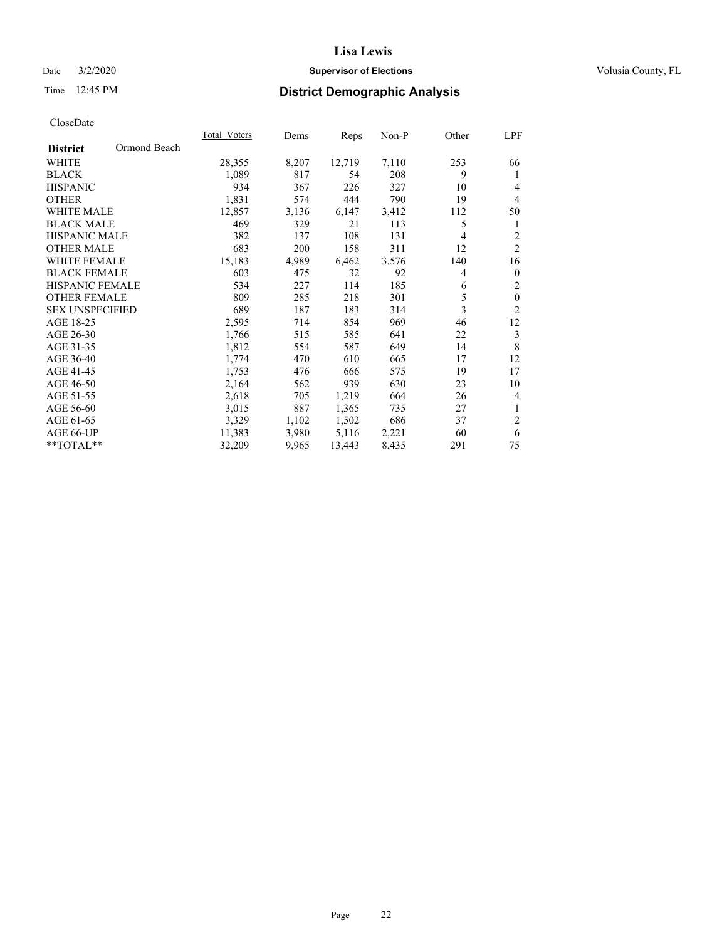## Date  $3/2/2020$  **Supervisor of Elections Supervisor of Elections** Volusia County, FL

## Time 12:45 PM **District Demographic Analysis**

|                        |              | <b>Total Voters</b> | Dems  | Reps   | $Non-P$ | Other | LPF            |
|------------------------|--------------|---------------------|-------|--------|---------|-------|----------------|
| <b>District</b>        | Ormond Beach |                     |       |        |         |       |                |
| WHITE                  |              | 28,355              | 8,207 | 12,719 | 7,110   | 253   | 66             |
| <b>BLACK</b>           |              | 1,089               | 817   | 54     | 208     | 9     | 1              |
| <b>HISPANIC</b>        |              | 934                 | 367   | 226    | 327     | 10    | 4              |
| <b>OTHER</b>           |              | 1,831               | 574   | 444    | 790     | 19    | $\overline{4}$ |
| <b>WHITE MALE</b>      |              | 12,857              | 3,136 | 6,147  | 3,412   | 112   | 50             |
| <b>BLACK MALE</b>      |              | 469                 | 329   | 21     | 113     | 5     | 1              |
| <b>HISPANIC MALE</b>   |              | 382                 | 137   | 108    | 131     | 4     | 2              |
| <b>OTHER MALE</b>      |              | 683                 | 200   | 158    | 311     | 12    | $\overline{2}$ |
| WHITE FEMALE           |              | 15,183              | 4,989 | 6,462  | 3,576   | 140   | 16             |
| <b>BLACK FEMALE</b>    |              | 603                 | 475   | 32     | 92      | 4     | $\mathbf{0}$   |
| <b>HISPANIC FEMALE</b> |              | 534                 | 227   | 114    | 185     | 6     | $\overline{c}$ |
| <b>OTHER FEMALE</b>    |              | 809                 | 285   | 218    | 301     | 5     | $\mathbf{0}$   |
| <b>SEX UNSPECIFIED</b> |              | 689                 | 187   | 183    | 314     | 3     | $\overline{2}$ |
| AGE 18-25              |              | 2,595               | 714   | 854    | 969     | 46    | 12             |
| AGE 26-30              |              | 1,766               | 515   | 585    | 641     | 22    | 3              |
| AGE 31-35              |              | 1,812               | 554   | 587    | 649     | 14    | 8              |
| AGE 36-40              |              | 1,774               | 470   | 610    | 665     | 17    | 12             |
| AGE 41-45              |              | 1,753               | 476   | 666    | 575     | 19    | 17             |
| AGE 46-50              |              | 2,164               | 562   | 939    | 630     | 23    | 10             |
| AGE 51-55              |              | 2,618               | 705   | 1,219  | 664     | 26    | $\overline{4}$ |
| AGE 56-60              |              | 3,015               | 887   | 1,365  | 735     | 27    | 1              |
| AGE 61-65              |              | 3,329               | 1,102 | 1,502  | 686     | 37    | $\overline{c}$ |
| AGE 66-UP              |              | 11,383              | 3,980 | 5,116  | 2,221   | 60    | 6              |
| **TOTAL**              |              | 32,209              | 9,965 | 13,443 | 8,435   | 291   | 75             |
|                        |              |                     |       |        |         |       |                |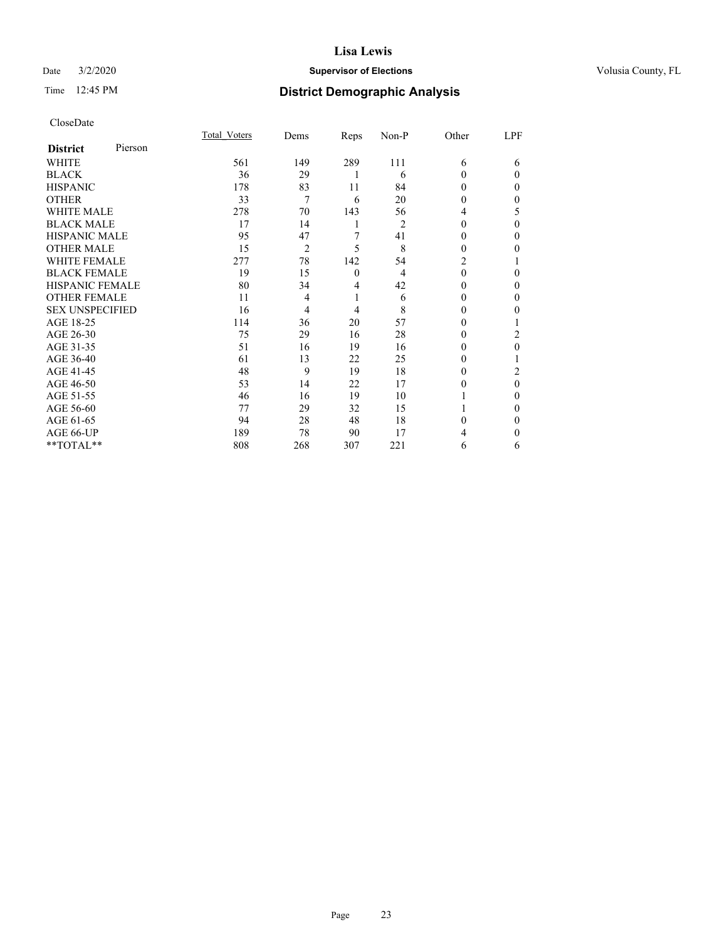## Date  $3/2/2020$  **Supervisor of Elections Supervisor of Elections** Volusia County, FL

| CloseDate |
|-----------|
|-----------|

|                        |         | Total Voters | Dems | Reps             | Non-P          | Other    | LPF      |
|------------------------|---------|--------------|------|------------------|----------------|----------|----------|
| <b>District</b>        | Pierson |              |      |                  |                |          |          |
| WHITE                  |         | 561          | 149  | 289              | 111            | 6        | 6        |
| <b>BLACK</b>           |         | 36           | 29   |                  | 6              | $\Omega$ | $\Omega$ |
| <b>HISPANIC</b>        |         | 178          | 83   | 11               | 84             | $\Omega$ | $\Omega$ |
| <b>OTHER</b>           |         | 33           | 7    | 6                | 20             | 0        | 0        |
| <b>WHITE MALE</b>      |         | 278          | 70   | 143              | 56             | 4        | 5        |
| <b>BLACK MALE</b>      |         | 17           | 14   | 1                | $\overline{2}$ | 0        | $\Omega$ |
| <b>HISPANIC MALE</b>   |         | 95           | 47   | 7                | 41             | 0        | 0        |
| <b>OTHER MALE</b>      |         | 15           | 2    | 5                | 8              | 0        | 0        |
| <b>WHITE FEMALE</b>    |         | 277          | 78   | 142              | 54             | 2        |          |
| <b>BLACK FEMALE</b>    |         | 19           | 15   | $\boldsymbol{0}$ | 4              | $\theta$ | 0        |
| <b>HISPANIC FEMALE</b> |         | 80           | 34   | 4                | 42             | 0        | 0        |
| <b>OTHER FEMALE</b>    |         | 11           | 4    | 1                | 6              | 0        | $\Omega$ |
| <b>SEX UNSPECIFIED</b> |         | 16           | 4    | 4                | 8              | 0        | 0        |
| AGE 18-25              |         | 114          | 36   | 20               | 57             | 0        |          |
| AGE 26-30              |         | 75           | 29   | 16               | 28             | 0        | 2        |
| AGE 31-35              |         | 51           | 16   | 19               | 16             | $_{0}$   | 0        |
| AGE 36-40              |         | 61           | 13   | 22               | 25             | 0        |          |
| AGE 41-45              |         | 48           | 9    | 19               | 18             | 0        | 2        |
| AGE 46-50              |         | 53           | 14   | 22               | 17             | 0        | $\theta$ |
| AGE 51-55              |         | 46           | 16   | 19               | 10             |          | 0        |
| AGE 56-60              |         | 77           | 29   | 32               | 15             |          | 0        |
| AGE 61-65              |         | 94           | 28   | 48               | 18             | 0        | 0        |
| AGE 66-UP              |         | 189          | 78   | 90               | 17             |          | 0        |
| **TOTAL**              |         | 808          | 268  | 307              | 221            | 6        | 6        |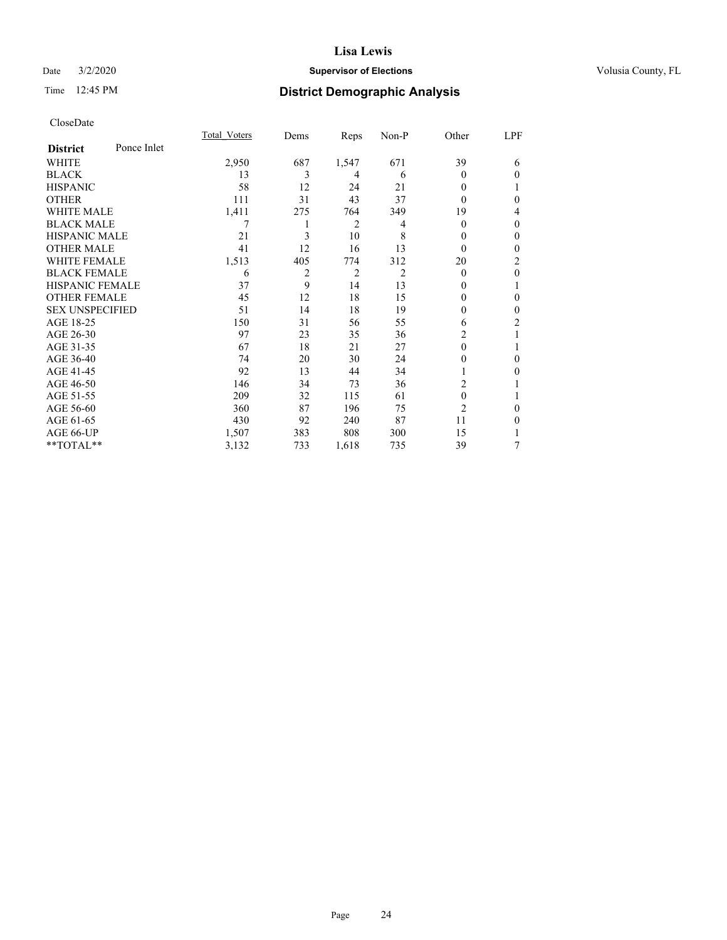## Date  $3/2/2020$  **Supervisor of Elections Supervisor of Elections** Volusia County, FL

## Time 12:45 PM **District Demographic Analysis**

|                        |             | Total Voters | Dems           | Reps           | Non-P | Other          | LPF            |
|------------------------|-------------|--------------|----------------|----------------|-------|----------------|----------------|
| <b>District</b>        | Ponce Inlet |              |                |                |       |                |                |
| WHITE                  |             | 2,950        | 687            | 1,547          | 671   | 39             | 6              |
| <b>BLACK</b>           |             | 13           | 3              | 4              | 6     | 0              | $\theta$       |
| <b>HISPANIC</b>        |             | 58           | 12             | 24             | 21    | 0              | 1              |
| <b>OTHER</b>           |             | 111          | 31             | 43             | 37    | 0              | $\theta$       |
| <b>WHITE MALE</b>      |             | 1,411        | 275            | 764            | 349   | 19             | 4              |
| <b>BLACK MALE</b>      |             | 7            | 1              | 2              | 4     | 0              | $\mathbf{0}$   |
| <b>HISPANIC MALE</b>   |             | 21           | 3              | 10             | 8     | 0              | $\theta$       |
| <b>OTHER MALE</b>      |             | 41           | 12             | 16             | 13    | 0              | $\theta$       |
| <b>WHITE FEMALE</b>    |             | 1,513        | 405            | 774            | 312   | 20             | 2              |
| <b>BLACK FEMALE</b>    |             | 6            | $\overline{2}$ | $\overline{2}$ | 2     | 0              | $\theta$       |
| <b>HISPANIC FEMALE</b> |             | 37           | 9              | 14             | 13    | 0              | 1              |
| <b>OTHER FEMALE</b>    |             | 45           | 12             | 18             | 15    | 0              | $\theta$       |
| <b>SEX UNSPECIFIED</b> |             | 51           | 14             | 18             | 19    | $\mathbf{0}$   | $\mathbf{0}$   |
| AGE 18-25              |             | 150          | 31             | 56             | 55    | 6              | $\overline{2}$ |
| AGE 26-30              |             | 97           | 23             | 35             | 36    | 2              |                |
| AGE 31-35              |             | 67           | 18             | 21             | 27    | $\theta$       | 1              |
| AGE 36-40              |             | 74           | 20             | 30             | 24    | 0              | $\theta$       |
| AGE 41-45              |             | 92           | 13             | 44             | 34    |                | $\theta$       |
| AGE 46-50              |             | 146          | 34             | 73             | 36    | $\overline{c}$ |                |
| AGE 51-55              |             | 209          | 32             | 115            | 61    | $\mathbf{0}$   | 1              |
| AGE 56-60              |             | 360          | 87             | 196            | 75    | $\overline{c}$ | $\theta$       |
| AGE 61-65              |             | 430          | 92             | 240            | 87    | 11             | $\theta$       |
| AGE 66-UP              |             | 1,507        | 383            | 808            | 300   | 15             |                |
| **TOTAL**              |             | 3,132        | 733            | 1,618          | 735   | 39             | 7              |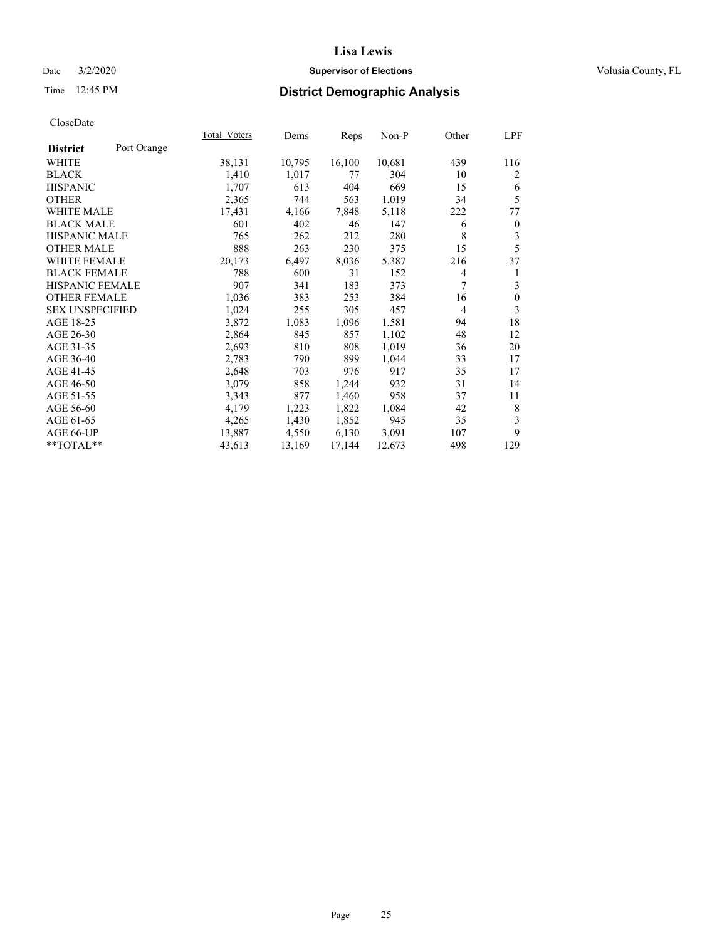## Date  $3/2/2020$  **Supervisor of Elections Supervisor of Elections** Volusia County, FL

## Time 12:45 PM **District Demographic Analysis**

| Total Voters | Dems   |        | Non-P  | Other | LPF              |
|--------------|--------|--------|--------|-------|------------------|
|              |        |        |        |       |                  |
| 38,131       | 10,795 | 16,100 | 10,681 | 439   | 116              |
| 1,410        | 1,017  | 77     | 304    | 10    | 2                |
| 1,707        | 613    | 404    | 669    | 15    | 6                |
| 2,365        | 744    | 563    | 1,019  | 34    | 5                |
| 17,431       | 4,166  | 7,848  | 5,118  | 222   | 77               |
| 601          | 402    | 46     | 147    | 6     | $\boldsymbol{0}$ |
| 765          | 262    | 212    | 280    | 8     | 3                |
| 888          | 263    | 230    | 375    | 15    | 5                |
| 20,173       | 6,497  | 8,036  | 5,387  | 216   | 37               |
| 788          | 600    | 31     | 152    | 4     | 1                |
| 907          | 341    | 183    | 373    | 7     | 3                |
| 1,036        | 383    | 253    | 384    | 16    | $\boldsymbol{0}$ |
| 1,024        | 255    | 305    | 457    | 4     | 3                |
| 3,872        | 1,083  | 1,096  | 1,581  | 94    | 18               |
| 2,864        | 845    | 857    | 1,102  | 48    | 12               |
| 2,693        | 810    | 808    | 1,019  | 36    | 20               |
| 2,783        | 790    | 899    | 1,044  | 33    | 17               |
| 2,648        | 703    | 976    | 917    | 35    | 17               |
| 3,079        | 858    | 1,244  | 932    | 31    | 14               |
| 3,343        | 877    | 1,460  | 958    | 37    | 11               |
| 4,179        | 1,223  | 1,822  | 1,084  | 42    | 8                |
| 4,265        | 1,430  | 1,852  | 945    | 35    | 3                |
| 13,887       | 4,550  | 6,130  | 3,091  | 107   | 9                |
| 43,613       | 13,169 | 17,144 | 12,673 | 498   | 129              |
|              |        |        | Reps   |       |                  |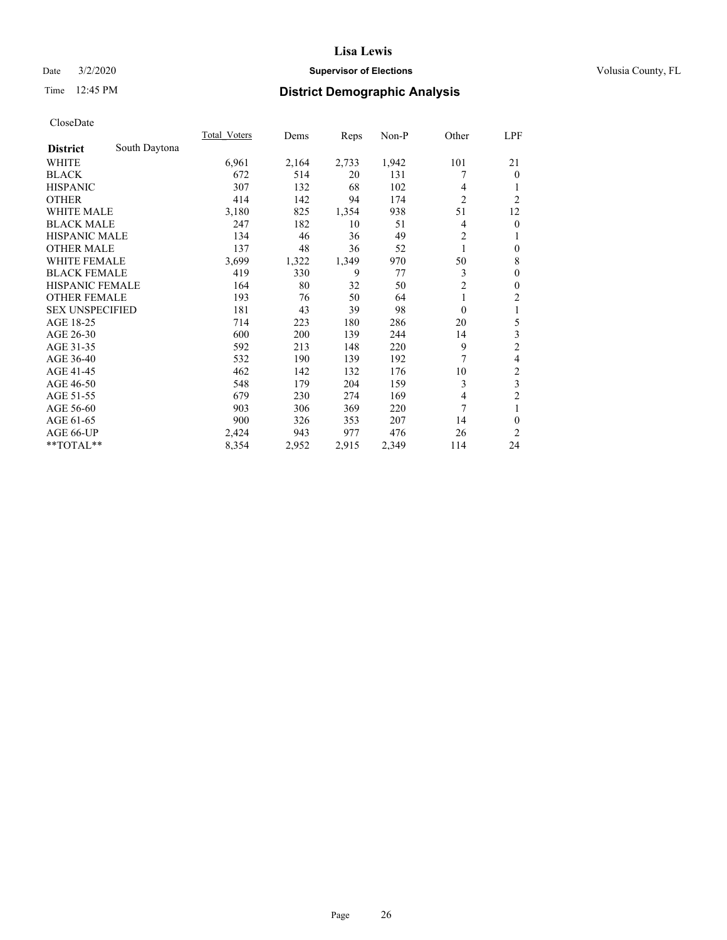## Date  $3/2/2020$  **Supervisor of Elections Supervisor of Elections** Volusia County, FL

## Time 12:45 PM **District Demographic Analysis**

|                                  | <b>Total Voters</b> | Dems  | Reps  | $Non-P$ | Other          | <u>LPF</u>     |
|----------------------------------|---------------------|-------|-------|---------|----------------|----------------|
| South Daytona<br><b>District</b> |                     |       |       |         |                |                |
| WHITE                            | 6,961               | 2,164 | 2,733 | 1,942   | 101            | 21             |
| <b>BLACK</b>                     | 672                 | 514   | 20    | 131     |                | $\theta$       |
| <b>HISPANIC</b>                  | 307                 | 132   | 68    | 102     | 4              | 1              |
| <b>OTHER</b>                     | 414                 | 142   | 94    | 174     | $\overline{c}$ | $\overline{c}$ |
| <b>WHITE MALE</b>                | 3,180               | 825   | 1,354 | 938     | 51             | 12             |
| <b>BLACK MALE</b>                | 247                 | 182   | 10    | 51      | 4              | $\mathbf{0}$   |
| <b>HISPANIC MALE</b>             | 134                 | 46    | 36    | 49      | $\overline{c}$ | 1              |
| <b>OTHER MALE</b>                | 137                 | 48    | 36    | 52      | 1              | $\mathbf{0}$   |
| WHITE FEMALE                     | 3,699               | 1,322 | 1,349 | 970     | 50             | 8              |
| <b>BLACK FEMALE</b>              | 419                 | 330   | 9     | 77      | 3              | $\mathbf{0}$   |
| <b>HISPANIC FEMALE</b>           | 164                 | 80    | 32    | 50      | $\overline{2}$ | $\mathbf{0}$   |
| <b>OTHER FEMALE</b>              | 193                 | 76    | 50    | 64      | 1              | $\overline{c}$ |
| <b>SEX UNSPECIFIED</b>           | 181                 | 43    | 39    | 98      | $\theta$       | 1              |
| AGE 18-25                        | 714                 | 223   | 180   | 286     | 20             | 5              |
| AGE 26-30                        | 600                 | 200   | 139   | 244     | 14             | 3              |
| AGE 31-35                        | 592                 | 213   | 148   | 220     | 9              | $\overline{c}$ |
| AGE 36-40                        | 532                 | 190   | 139   | 192     | 7              | 4              |
| AGE 41-45                        | 462                 | 142   | 132   | 176     | 10             | $\overline{c}$ |
| AGE 46-50                        | 548                 | 179   | 204   | 159     | 3              | 3              |
| AGE 51-55                        | 679                 | 230   | 274   | 169     | $\overline{4}$ | $\overline{2}$ |
| AGE 56-60                        | 903                 | 306   | 369   | 220     | 7              | 1              |
| AGE 61-65                        | 900                 | 326   | 353   | 207     | 14             | $\theta$       |
| AGE 66-UP                        | 2,424               | 943   | 977   | 476     | 26             | 2              |
| **TOTAL**                        | 8,354               | 2,952 | 2,915 | 2,349   | 114            | 24             |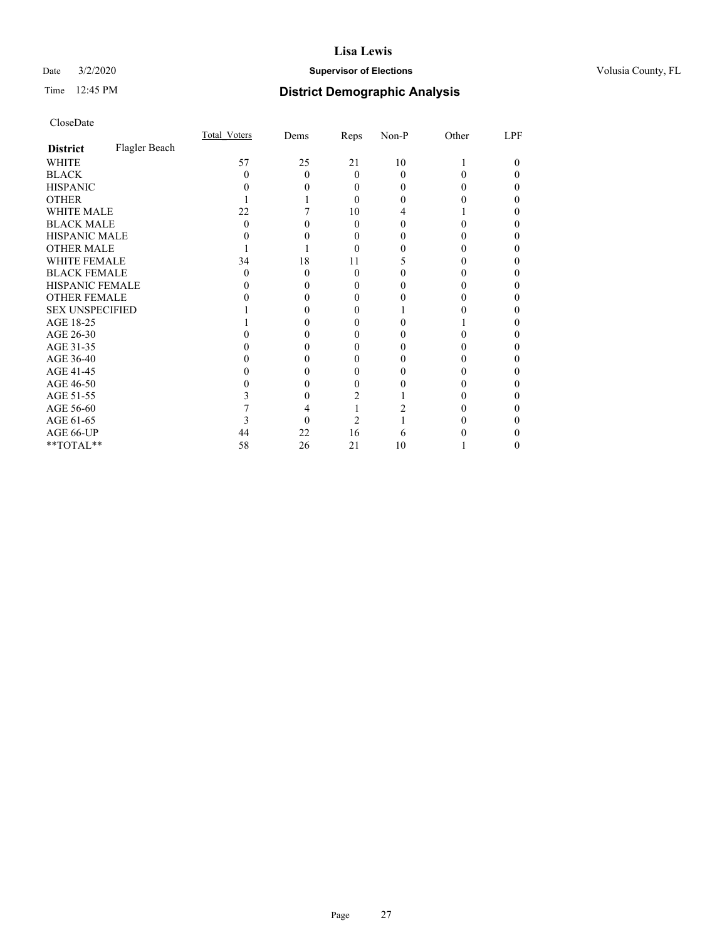## Date  $3/2/2020$  **Supervisor of Elections Supervisor of Elections** Volusia County, FL

## Time 12:45 PM **District Demographic Analysis**

|                        |               | Total Voters | Dems     | Reps     | Non-P | Other | LPF |
|------------------------|---------------|--------------|----------|----------|-------|-------|-----|
| <b>District</b>        | Flagler Beach |              |          |          |       |       |     |
| WHITE                  |               | 57           | 25       | 21       | 10    |       | 0   |
| <b>BLACK</b>           |               | $\mathbf{0}$ | $\theta$ | $\Omega$ | 0     |       |     |
| <b>HISPANIC</b>        |               |              |          | 0        | 0     |       |     |
| <b>OTHER</b>           |               |              |          | 0        | 0     |       |     |
| WHITE MALE             |               | 22           |          | 10       | 4     |       |     |
| <b>BLACK MALE</b>      |               | 0            |          | 0        | 0     |       |     |
| <b>HISPANIC MALE</b>   |               |              |          | $\theta$ |       |       |     |
| <b>OTHER MALE</b>      |               |              |          | 0        |       |       | 0   |
| <b>WHITE FEMALE</b>    |               | 34           | 18       | 11       |       |       |     |
| <b>BLACK FEMALE</b>    |               | $\mathbf{0}$ | 0        | $\Omega$ |       |       |     |
| <b>HISPANIC FEMALE</b> |               |              |          |          |       |       |     |
| <b>OTHER FEMALE</b>    |               |              |          | $\theta$ |       |       |     |
| <b>SEX UNSPECIFIED</b> |               |              |          |          |       |       |     |
| AGE 18-25              |               |              |          |          |       |       |     |
| AGE 26-30              |               |              |          |          |       |       |     |
| AGE 31-35              |               |              |          |          |       |       |     |
| AGE 36-40              |               |              |          | 0        |       |       | 0   |
| AGE 41-45              |               |              |          | 0        |       |       |     |
| AGE 46-50              |               |              |          | 0        |       |       |     |
| AGE 51-55              |               |              |          |          |       |       |     |
| AGE 56-60              |               |              |          |          |       |       |     |
| AGE 61-65              |               |              |          |          |       |       |     |
| AGE 66-UP              |               | 44           | 22       | 16       | 6     |       |     |
| **TOTAL**              |               | 58           | 26       | 21       | 10    |       | 0   |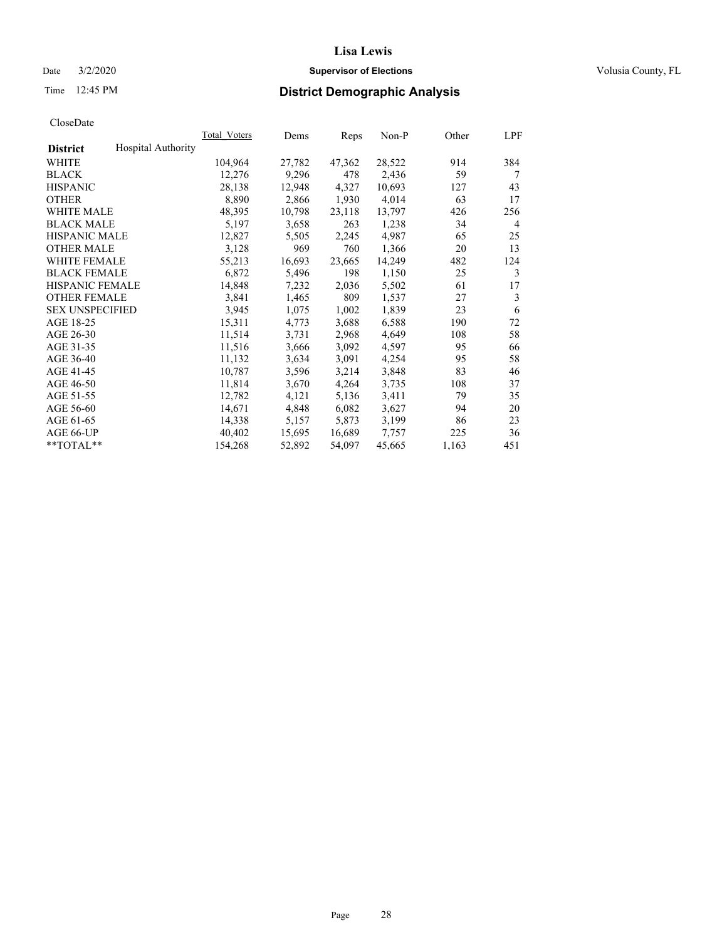### Date  $3/2/2020$  **Supervisor of Elections Supervisor of Elections** Volusia County, FL

## Time 12:45 PM **District Demographic Analysis**

|                        |                           | Total Voters | Dems   | Reps   | Non-P  | Other | LPF |
|------------------------|---------------------------|--------------|--------|--------|--------|-------|-----|
| <b>District</b>        | <b>Hospital Authority</b> |              |        |        |        |       |     |
| WHITE                  |                           | 104,964      | 27,782 | 47,362 | 28,522 | 914   | 384 |
| <b>BLACK</b>           |                           | 12,276       | 9,296  | 478    | 2,436  | 59    | 7   |
| <b>HISPANIC</b>        |                           | 28,138       | 12,948 | 4,327  | 10,693 | 127   | 43  |
| <b>OTHER</b>           |                           | 8,890        | 2,866  | 1,930  | 4,014  | 63    | 17  |
| WHITE MALE             |                           | 48,395       | 10,798 | 23,118 | 13,797 | 426   | 256 |
| <b>BLACK MALE</b>      |                           | 5,197        | 3,658  | 263    | 1,238  | 34    | 4   |
| <b>HISPANIC MALE</b>   |                           | 12,827       | 5,505  | 2,245  | 4,987  | 65    | 25  |
| <b>OTHER MALE</b>      |                           | 3,128        | 969    | 760    | 1,366  | 20    | 13  |
| <b>WHITE FEMALE</b>    |                           | 55,213       | 16,693 | 23,665 | 14,249 | 482   | 124 |
| <b>BLACK FEMALE</b>    |                           | 6,872        | 5,496  | 198    | 1,150  | 25    | 3   |
| <b>HISPANIC FEMALE</b> |                           | 14,848       | 7,232  | 2,036  | 5,502  | 61    | 17  |
| <b>OTHER FEMALE</b>    |                           | 3,841        | 1,465  | 809    | 1,537  | 27    | 3   |
| <b>SEX UNSPECIFIED</b> |                           | 3,945        | 1,075  | 1,002  | 1,839  | 23    | 6   |
| AGE 18-25              |                           | 15,311       | 4,773  | 3,688  | 6,588  | 190   | 72  |
| AGE 26-30              |                           | 11,514       | 3,731  | 2,968  | 4,649  | 108   | 58  |
| AGE 31-35              |                           | 11,516       | 3,666  | 3,092  | 4,597  | 95    | 66  |
| AGE 36-40              |                           | 11,132       | 3,634  | 3,091  | 4,254  | 95    | 58  |
| AGE 41-45              |                           | 10,787       | 3,596  | 3,214  | 3,848  | 83    | 46  |
| AGE 46-50              |                           | 11,814       | 3,670  | 4,264  | 3,735  | 108   | 37  |
| AGE 51-55              |                           | 12,782       | 4,121  | 5,136  | 3,411  | 79    | 35  |
| AGE 56-60              |                           | 14,671       | 4,848  | 6,082  | 3,627  | 94    | 20  |
| AGE 61-65              |                           | 14,338       | 5,157  | 5,873  | 3,199  | 86    | 23  |
| AGE 66-UP              |                           | 40,402       | 15,695 | 16,689 | 7,757  | 225   | 36  |
| $*$ TOTAL $*$          |                           | 154,268      | 52,892 | 54,097 | 45,665 | 1,163 | 451 |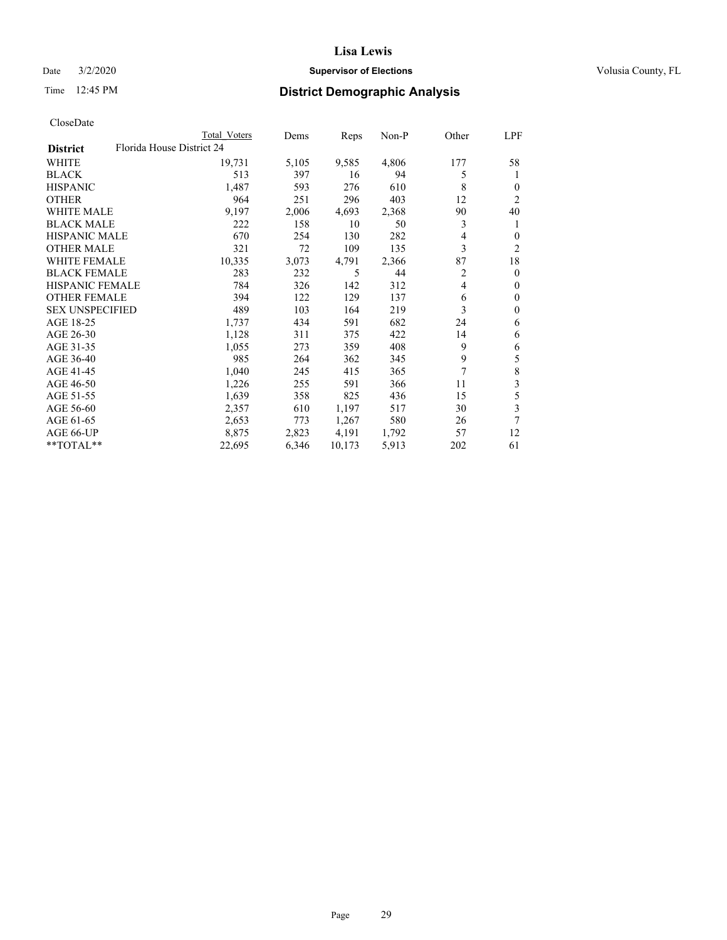## Date  $3/2/2020$  **Supervisor of Elections Supervisor of Elections** Volusia County, FL

| CloseDate |
|-----------|
|-----------|

|                                              | Total Voters | Dems  | Reps   | Non-P | Other | LPF          |
|----------------------------------------------|--------------|-------|--------|-------|-------|--------------|
| Florida House District 24<br><b>District</b> |              |       |        |       |       |              |
| WHITE                                        | 19,731       | 5,105 | 9,585  | 4,806 | 177   | 58           |
| <b>BLACK</b>                                 | 513          | 397   | 16     | 94    | 5     | 1            |
| <b>HISPANIC</b>                              | 1,487        | 593   | 276    | 610   | 8     | 0            |
| <b>OTHER</b>                                 | 964          | 251   | 296    | 403   | 12    | 2            |
| <b>WHITE MALE</b>                            | 9,197        | 2,006 | 4,693  | 2,368 | 90    | 40           |
| <b>BLACK MALE</b>                            | 222          | 158   | 10     | 50    | 3     | 1            |
| <b>HISPANIC MALE</b>                         | 670          | 254   | 130    | 282   | 4     | $\mathbf{0}$ |
| <b>OTHER MALE</b>                            | 321          | 72    | 109    | 135   | 3     | 2            |
| <b>WHITE FEMALE</b>                          | 10,335       | 3,073 | 4,791  | 2,366 | 87    | 18           |
| <b>BLACK FEMALE</b>                          | 283          | 232   | 5      | 44    | 2     | $\mathbf{0}$ |
| <b>HISPANIC FEMALE</b>                       | 784          | 326   | 142    | 312   | 4     | $\Omega$     |
| <b>OTHER FEMALE</b>                          | 394          | 122   | 129    | 137   | 6     | $\theta$     |
| <b>SEX UNSPECIFIED</b>                       | 489          | 103   | 164    | 219   | 3     | $\theta$     |
| AGE 18-25                                    | 1,737        | 434   | 591    | 682   | 24    | 6            |
| AGE 26-30                                    | 1,128        | 311   | 375    | 422   | 14    | 6            |
| AGE 31-35                                    | 1,055        | 273   | 359    | 408   | 9     | 6            |
| AGE 36-40                                    | 985          | 264   | 362    | 345   | 9     | 5            |
| AGE 41-45                                    | 1,040        | 245   | 415    | 365   | 7     | 8            |
| AGE 46-50                                    | 1,226        | 255   | 591    | 366   | 11    | 3            |
| AGE 51-55                                    | 1,639        | 358   | 825    | 436   | 15    | 5            |
| AGE 56-60                                    | 2,357        | 610   | 1,197  | 517   | 30    | 3            |
| AGE 61-65                                    | 2,653        | 773   | 1,267  | 580   | 26    | 7            |
| AGE 66-UP                                    | 8,875        | 2,823 | 4,191  | 1,792 | 57    | 12           |
| **TOTAL**                                    | 22,695       | 6,346 | 10,173 | 5,913 | 202   | 61           |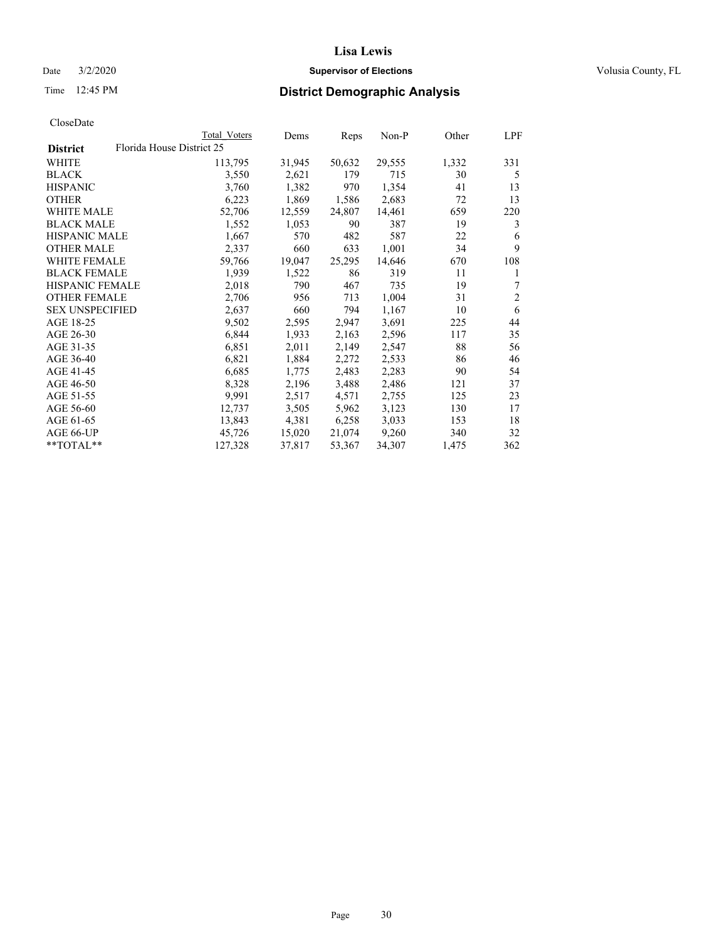### Date  $3/2/2020$  **Supervisor of Elections Supervisor of Elections** Volusia County, FL

## Time 12:45 PM **District Demographic Analysis**

|                        | Total Voters              | Dems   | Reps   | Non-P  | Other | LPF            |
|------------------------|---------------------------|--------|--------|--------|-------|----------------|
| <b>District</b>        | Florida House District 25 |        |        |        |       |                |
| WHITE                  | 113,795                   | 31,945 | 50,632 | 29,555 | 1,332 | 331            |
| <b>BLACK</b>           | 3,550                     | 2,621  | 179    | 715    | 30    | 5              |
| <b>HISPANIC</b>        | 3,760                     | 1,382  | 970    | 1,354  | 41    | 13             |
| <b>OTHER</b>           | 6,223                     | 1,869  | 1,586  | 2,683  | 72    | 13             |
| <b>WHITE MALE</b>      | 52,706                    | 12,559 | 24,807 | 14,461 | 659   | 220            |
| <b>BLACK MALE</b>      | 1,552                     | 1,053  | 90     | 387    | 19    | 3              |
| <b>HISPANIC MALE</b>   | 1,667                     | 570    | 482    | 587    | 22    | 6              |
| <b>OTHER MALE</b>      | 2,337                     | 660    | 633    | 1,001  | 34    | 9              |
| <b>WHITE FEMALE</b>    | 59,766                    | 19,047 | 25,295 | 14,646 | 670   | 108            |
| <b>BLACK FEMALE</b>    | 1,939                     | 1,522  | 86     | 319    | 11    | 1              |
| <b>HISPANIC FEMALE</b> | 2,018                     | 790    | 467    | 735    | 19    | 7              |
| <b>OTHER FEMALE</b>    | 2,706                     | 956    | 713    | 1,004  | 31    | $\overline{2}$ |
| <b>SEX UNSPECIFIED</b> | 2,637                     | 660    | 794    | 1,167  | 10    | 6              |
| AGE 18-25              | 9,502                     | 2,595  | 2,947  | 3,691  | 225   | 44             |
| AGE 26-30              | 6,844                     | 1,933  | 2,163  | 2,596  | 117   | 35             |
| AGE 31-35              | 6,851                     | 2,011  | 2,149  | 2,547  | 88    | 56             |
| AGE 36-40              | 6,821                     | 1,884  | 2,272  | 2,533  | 86    | 46             |
| AGE 41-45              | 6,685                     | 1,775  | 2,483  | 2,283  | 90    | 54             |
| AGE 46-50              | 8,328                     | 2,196  | 3,488  | 2,486  | 121   | 37             |
| AGE 51-55              | 9,991                     | 2,517  | 4,571  | 2,755  | 125   | 23             |
| AGE 56-60              | 12,737                    | 3,505  | 5,962  | 3,123  | 130   | 17             |
| AGE 61-65              | 13,843                    | 4,381  | 6,258  | 3,033  | 153   | 18             |
| AGE 66-UP              | 45,726                    | 15,020 | 21,074 | 9,260  | 340   | 32             |
| $*$ TOTAL $*$          | 127,328                   | 37,817 | 53,367 | 34,307 | 1,475 | 362            |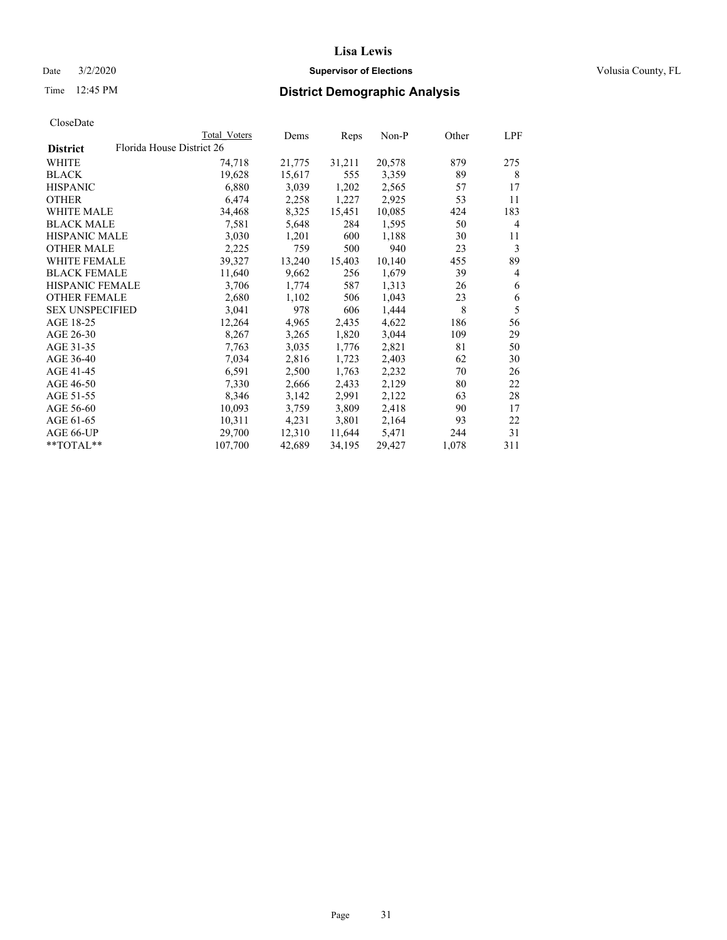## Date  $3/2/2020$  **Supervisor of Elections Supervisor of Elections** Volusia County, FL

| CloseDate |
|-----------|
|-----------|

|                        |                           | <b>Total Voters</b> | Dems   | Reps   | $Non-P$ | Other | LPF |
|------------------------|---------------------------|---------------------|--------|--------|---------|-------|-----|
| <b>District</b>        | Florida House District 26 |                     |        |        |         |       |     |
| WHITE                  |                           | 74,718              | 21,775 | 31,211 | 20,578  | 879   | 275 |
| BLACK                  |                           | 19,628              | 15,617 | 555    | 3,359   | 89    | 8   |
| HISPANIC               |                           | 6,880               | 3,039  | 1,202  | 2,565   | 57    | 17  |
| OTHER                  |                           | 6,474               | 2,258  | 1,227  | 2,925   | 53    | 11  |
| WHITE MALE             |                           | 34,468              | 8,325  | 15,451 | 10,085  | 424   | 183 |
| BLACK MALE             |                           | 7,581               | 5,648  | 284    | 1,595   | 50    | 4   |
| HISPANIC MALE          |                           | 3,030               | 1,201  | 600    | 1,188   | 30    | 11  |
| OTHER MALE             |                           | 2,225               | 759    | 500    | 940     | 23    | 3   |
| WHITE FEMALE           |                           | 39,327              | 13,240 | 15,403 | 10,140  | 455   | 89  |
| BLACK FEMALE           |                           | 11,640              | 9,662  | 256    | 1,679   | 39    | 4   |
| HISPANIC FEMALE        |                           | 3,706               | 1,774  | 587    | 1,313   | 26    | 6   |
| OTHER FEMALE           |                           | 2,680               | 1,102  | 506    | 1,043   | 23    | 6   |
| <b>SEX UNSPECIFIED</b> |                           | 3,041               | 978    | 606    | 1,444   | 8     | 5   |
| AGE 18-25              |                           | 12,264              | 4,965  | 2,435  | 4,622   | 186   | 56  |
| AGE 26-30              |                           | 8,267               | 3,265  | 1,820  | 3,044   | 109   | 29  |
| AGE 31-35              |                           | 7,763               | 3,035  | 1,776  | 2,821   | 81    | 50  |
| AGE 36-40              |                           | 7,034               | 2,816  | 1,723  | 2,403   | 62    | 30  |
| AGE 41-45              |                           | 6,591               | 2,500  | 1,763  | 2,232   | 70    | 26  |
| AGE 46-50              |                           | 7,330               | 2,666  | 2,433  | 2,129   | 80    | 22  |
| AGE 51-55              |                           | 8,346               | 3,142  | 2,991  | 2,122   | 63    | 28  |
| AGE 56-60              |                           | 10,093              | 3,759  | 3,809  | 2,418   | 90    | 17  |
| AGE 61-65              |                           | 10,311              | 4,231  | 3,801  | 2,164   | 93    | 22  |
| AGE 66-UP              |                           | 29,700              | 12,310 | 11,644 | 5,471   | 244   | 31  |
| $*$ $*$ TOTAL $*$ $*$  |                           | 107,700             | 42,689 | 34,195 | 29,427  | 1,078 | 311 |
|                        |                           |                     |        |        |         |       |     |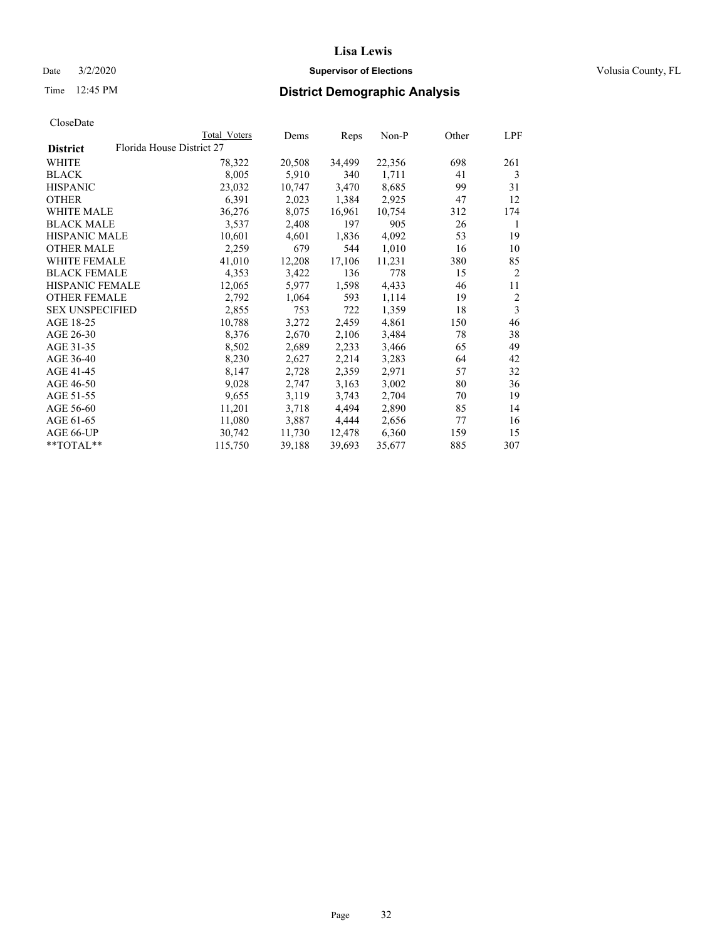## Date  $3/2/2020$  **Supervisor of Elections Supervisor of Elections** Volusia County, FL

|                                              | Total Voters | Dems   | Reps   | Non-P  | Other | LPF            |
|----------------------------------------------|--------------|--------|--------|--------|-------|----------------|
| Florida House District 27<br><b>District</b> |              |        |        |        |       |                |
| WHITE                                        | 78,322       | 20,508 | 34,499 | 22,356 | 698   | 261            |
| <b>BLACK</b>                                 | 8,005        | 5,910  | 340    | 1,711  | 41    | 3              |
| <b>HISPANIC</b>                              | 23,032       | 10,747 | 3,470  | 8,685  | 99    | 31             |
| <b>OTHER</b>                                 | 6,391        | 2,023  | 1,384  | 2,925  | 47    | 12             |
| WHITE MALE                                   | 36,276       | 8,075  | 16,961 | 10,754 | 312   | 174            |
| <b>BLACK MALE</b>                            | 3,537        | 2,408  | 197    | 905    | 26    | 1              |
| <b>HISPANIC MALE</b>                         | 10,601       | 4,601  | 1,836  | 4,092  | 53    | 19             |
| <b>OTHER MALE</b>                            | 2,259        | 679    | 544    | 1,010  | 16    | 10             |
| <b>WHITE FEMALE</b>                          | 41,010       | 12,208 | 17,106 | 11,231 | 380   | 85             |
| <b>BLACK FEMALE</b>                          | 4,353        | 3,422  | 136    | 778    | 15    | $\overline{2}$ |
| <b>HISPANIC FEMALE</b>                       | 12,065       | 5,977  | 1,598  | 4,433  | 46    | 11             |
| <b>OTHER FEMALE</b>                          | 2,792        | 1,064  | 593    | 1,114  | 19    | $\overline{c}$ |
| <b>SEX UNSPECIFIED</b>                       | 2,855        | 753    | 722    | 1,359  | 18    | 3              |
| AGE 18-25                                    | 10,788       | 3,272  | 2,459  | 4,861  | 150   | 46             |
| AGE 26-30                                    | 8,376        | 2,670  | 2,106  | 3,484  | 78    | 38             |
| AGE 31-35                                    | 8,502        | 2,689  | 2,233  | 3,466  | 65    | 49             |
| AGE 36-40                                    | 8,230        | 2,627  | 2,214  | 3,283  | 64    | 42             |
| AGE 41-45                                    | 8,147        | 2,728  | 2,359  | 2,971  | 57    | 32             |
| AGE 46-50                                    | 9,028        | 2,747  | 3,163  | 3,002  | 80    | 36             |
| AGE 51-55                                    | 9,655        | 3,119  | 3,743  | 2,704  | 70    | 19             |
| AGE 56-60                                    | 11,201       | 3,718  | 4,494  | 2,890  | 85    | 14             |
| AGE 61-65                                    | 11,080       | 3,887  | 4,444  | 2,656  | 77    | 16             |
| AGE 66-UP                                    | 30,742       | 11,730 | 12,478 | 6,360  | 159   | 15             |
| $*$ $TOTAL**$                                | 115,750      | 39,188 | 39,693 | 35,677 | 885   | 307            |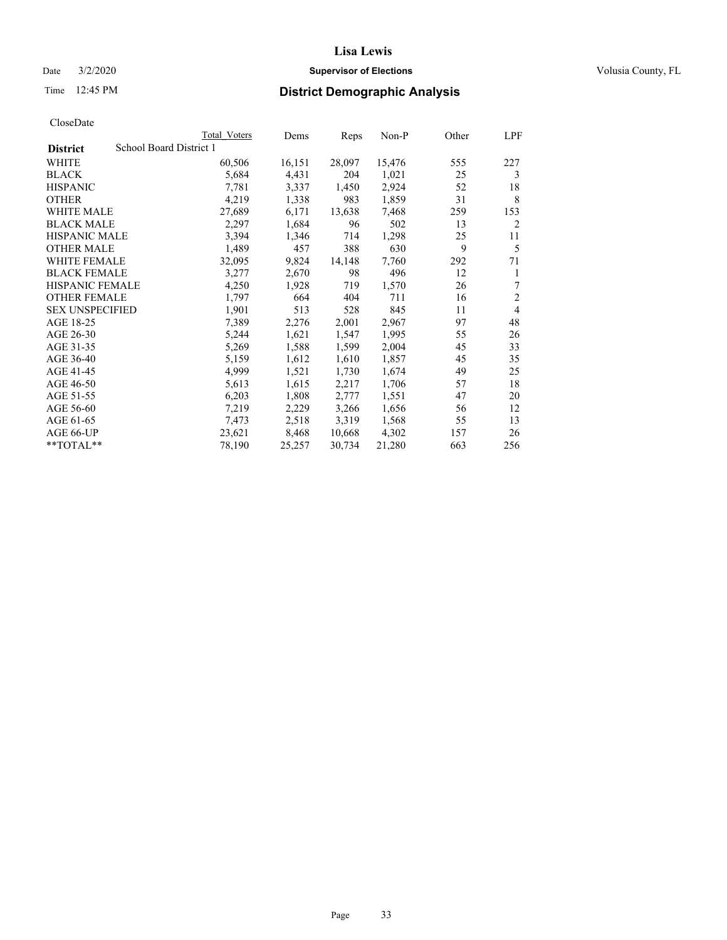### Date  $3/2/2020$  **Supervisor of Elections Supervisor of Elections** Volusia County, FL

## Time 12:45 PM **District Demographic Analysis**

|                        | Total Voters            | Dems   | Reps   | Non-P  | Other | LPF            |
|------------------------|-------------------------|--------|--------|--------|-------|----------------|
| <b>District</b>        | School Board District 1 |        |        |        |       |                |
| WHITE                  | 60,506                  | 16,151 | 28,097 | 15,476 | 555   | 227            |
| <b>BLACK</b>           | 5,684                   | 4,431  | 204    | 1,021  | 25    | 3              |
| <b>HISPANIC</b>        | 7,781                   | 3,337  | 1,450  | 2,924  | 52    | 18             |
| <b>OTHER</b>           | 4,219                   | 1,338  | 983    | 1,859  | 31    | 8              |
| WHITE MALE             | 27,689                  | 6,171  | 13,638 | 7,468  | 259   | 153            |
| <b>BLACK MALE</b>      | 2,297                   | 1,684  | 96     | 502    | 13    | 2              |
| <b>HISPANIC MALE</b>   | 3,394                   | 1,346  | 714    | 1,298  | 25    | 11             |
| <b>OTHER MALE</b>      | 1,489                   | 457    | 388    | 630    | 9     | 5              |
| <b>WHITE FEMALE</b>    | 32,095                  | 9,824  | 14,148 | 7,760  | 292   | 71             |
| <b>BLACK FEMALE</b>    | 3,277                   | 2,670  | 98     | 496    | 12    | 1              |
| <b>HISPANIC FEMALE</b> | 4,250                   | 1,928  | 719    | 1,570  | 26    | 7              |
| <b>OTHER FEMALE</b>    | 1,797                   | 664    | 404    | 711    | 16    | $\mathfrak{2}$ |
| <b>SEX UNSPECIFIED</b> | 1,901                   | 513    | 528    | 845    | 11    | 4              |
| AGE 18-25              | 7,389                   | 2,276  | 2,001  | 2,967  | 97    | 48             |
| AGE 26-30              | 5,244                   | 1,621  | 1,547  | 1,995  | 55    | 26             |
| AGE 31-35              | 5,269                   | 1,588  | 1,599  | 2,004  | 45    | 33             |
| AGE 36-40              | 5,159                   | 1,612  | 1,610  | 1,857  | 45    | 35             |
| AGE 41-45              | 4,999                   | 1,521  | 1,730  | 1,674  | 49    | 25             |
| AGE 46-50              | 5,613                   | 1,615  | 2,217  | 1,706  | 57    | 18             |
| AGE 51-55              | 6,203                   | 1,808  | 2,777  | 1,551  | 47    | 20             |
| AGE 56-60              | 7,219                   | 2,229  | 3,266  | 1,656  | 56    | 12             |
| AGE 61-65              | 7,473                   | 2,518  | 3,319  | 1,568  | 55    | 13             |
| AGE 66-UP              | 23,621                  | 8,468  | 10,668 | 4,302  | 157   | 26             |
| $*$ TOTAL $*$          | 78,190                  | 25,257 | 30,734 | 21,280 | 663   | 256            |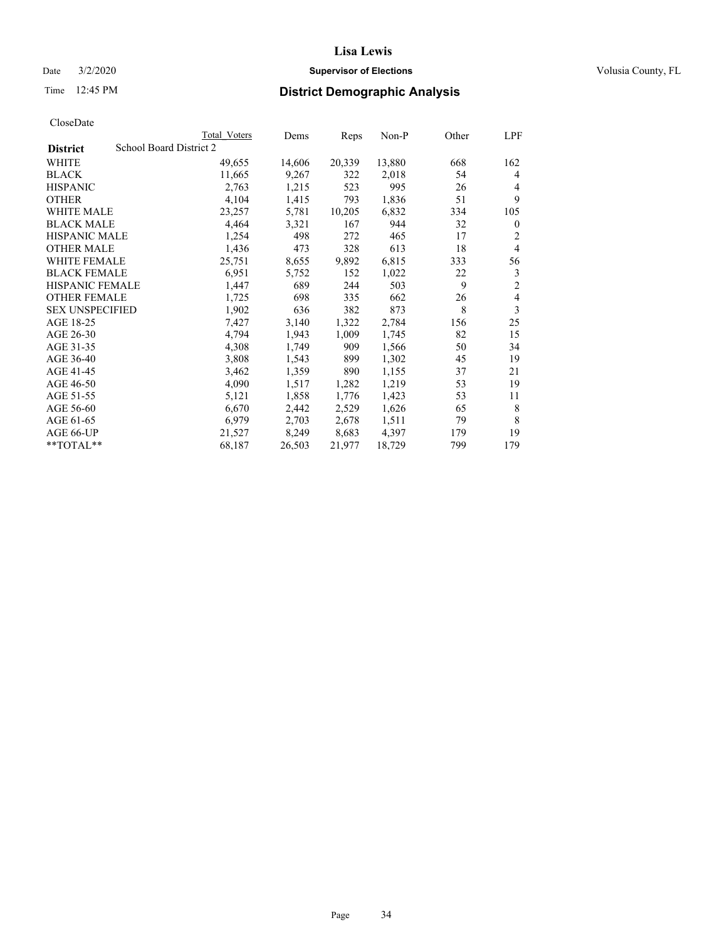## Date  $3/2/2020$  **Supervisor of Elections Supervisor of Elections** Volusia County, FL

## Time 12:45 PM **District Demographic Analysis**

|                                            | Total Voters | Dems   | Reps   | Non-P  | Other | LPF            |
|--------------------------------------------|--------------|--------|--------|--------|-------|----------------|
| School Board District 2<br><b>District</b> |              |        |        |        |       |                |
| WHITE                                      | 49,655       | 14,606 | 20,339 | 13,880 | 668   | 162            |
| <b>BLACK</b>                               | 11,665       | 9,267  | 322    | 2,018  | 54    | 4              |
| <b>HISPANIC</b>                            | 2,763        | 1,215  | 523    | 995    | 26    | 4              |
| <b>OTHER</b>                               | 4,104        | 1,415  | 793    | 1,836  | 51    | 9              |
| WHITE MALE                                 | 23,257       | 5,781  | 10,205 | 6,832  | 334   | 105            |
| <b>BLACK MALE</b>                          | 4,464        | 3,321  | 167    | 944    | 32    | $\mathbf{0}$   |
| <b>HISPANIC MALE</b>                       | 1,254        | 498    | 272    | 465    | 17    | 2              |
| <b>OTHER MALE</b>                          | 1,436        | 473    | 328    | 613    | 18    | $\overline{4}$ |
| WHITE FEMALE                               | 25,751       | 8,655  | 9,892  | 6,815  | 333   | 56             |
| <b>BLACK FEMALE</b>                        | 6,951        | 5,752  | 152    | 1,022  | 22    | 3              |
| <b>HISPANIC FEMALE</b>                     | 1,447        | 689    | 244    | 503    | 9     | 2              |
| <b>OTHER FEMALE</b>                        | 1,725        | 698    | 335    | 662    | 26    | $\overline{4}$ |
| <b>SEX UNSPECIFIED</b>                     | 1,902        | 636    | 382    | 873    | 8     | 3              |
| AGE 18-25                                  | 7,427        | 3,140  | 1,322  | 2,784  | 156   | 25             |
| AGE 26-30                                  | 4,794        | 1,943  | 1,009  | 1,745  | 82    | 15             |
| AGE 31-35                                  | 4,308        | 1,749  | 909    | 1,566  | 50    | 34             |
| AGE 36-40                                  | 3,808        | 1,543  | 899    | 1,302  | 45    | 19             |
| AGE 41-45                                  | 3,462        | 1,359  | 890    | 1,155  | 37    | 21             |
| AGE 46-50                                  | 4,090        | 1,517  | 1,282  | 1,219  | 53    | 19             |
| AGE 51-55                                  | 5,121        | 1,858  | 1,776  | 1,423  | 53    | 11             |
| AGE 56-60                                  | 6,670        | 2,442  | 2,529  | 1,626  | 65    | 8              |
| AGE 61-65                                  | 6,979        | 2,703  | 2,678  | 1,511  | 79    | 8              |
| AGE 66-UP                                  | 21,527       | 8,249  | 8,683  | 4.397  | 179   | 19             |
| $*$ $TOTAL**$                              | 68,187       | 26,503 | 21,977 | 18,729 | 799   | 179            |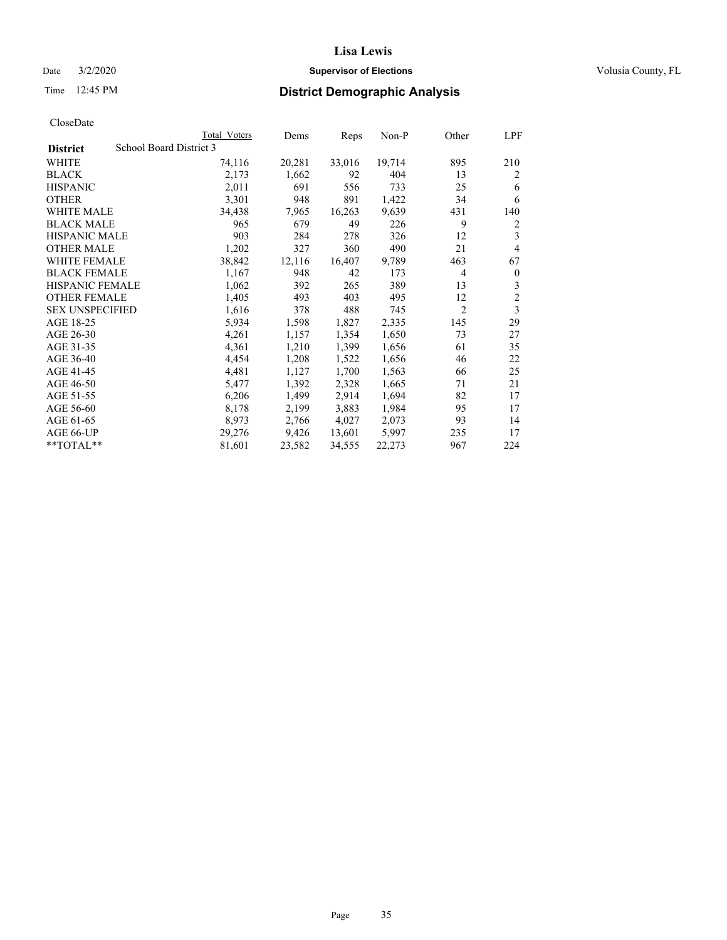## Date  $3/2/2020$  **Supervisor of Elections Supervisor of Elections** Volusia County, FL

## Time 12:45 PM **District Demographic Analysis**

|                        |                         | Total Voters | Dems   | Reps   | Non-P  | Other          | LPF            |
|------------------------|-------------------------|--------------|--------|--------|--------|----------------|----------------|
| <b>District</b>        | School Board District 3 |              |        |        |        |                |                |
| WHITE                  |                         | 74,116       | 20,281 | 33,016 | 19,714 | 895            | 210            |
| <b>BLACK</b>           |                         | 2,173        | 1,662  | 92     | 404    | 13             | 2              |
| <b>HISPANIC</b>        |                         | 2,011        | 691    | 556    | 733    | 25             | 6              |
| <b>OTHER</b>           |                         | 3,301        | 948    | 891    | 1,422  | 34             | 6              |
| WHITE MALE             |                         | 34,438       | 7,965  | 16,263 | 9,639  | 431            | 140            |
| <b>BLACK MALE</b>      |                         | 965          | 679    | 49     | 226    | 9              | 2              |
| <b>HISPANIC MALE</b>   |                         | 903          | 284    | 278    | 326    | 12             | 3              |
| <b>OTHER MALE</b>      |                         | 1,202        | 327    | 360    | 490    | 21             | 4              |
| WHITE FEMALE           |                         | 38,842       | 12,116 | 16,407 | 9,789  | 463            | 67             |
| <b>BLACK FEMALE</b>    |                         | 1,167        | 948    | 42     | 173    | 4              | $\mathbf{0}$   |
| <b>HISPANIC FEMALE</b> |                         | 1,062        | 392    | 265    | 389    | 13             | 3              |
| <b>OTHER FEMALE</b>    |                         | 1,405        | 493    | 403    | 495    | 12             | $\overline{c}$ |
| <b>SEX UNSPECIFIED</b> |                         | 1,616        | 378    | 488    | 745    | $\overline{2}$ | 3              |
| AGE 18-25              |                         | 5,934        | 1,598  | 1,827  | 2,335  | 145            | 29             |
| AGE 26-30              |                         | 4,261        | 1,157  | 1,354  | 1,650  | 73             | 27             |
| AGE 31-35              |                         | 4,361        | 1,210  | 1,399  | 1,656  | 61             | 35             |
| AGE 36-40              |                         | 4,454        | 1,208  | 1,522  | 1,656  | 46             | 22             |
| AGE 41-45              |                         | 4,481        | 1,127  | 1,700  | 1,563  | 66             | 25             |
| AGE 46-50              |                         | 5,477        | 1,392  | 2,328  | 1,665  | 71             | 21             |
| AGE 51-55              |                         | 6,206        | 1,499  | 2,914  | 1,694  | 82             | 17             |
| AGE 56-60              |                         | 8,178        | 2,199  | 3,883  | 1,984  | 95             | 17             |
| AGE 61-65              |                         | 8,973        | 2,766  | 4,027  | 2,073  | 93             | 14             |
| AGE 66-UP              |                         | 29,276       | 9,426  | 13,601 | 5,997  | 235            | 17             |
| $*$ $TOTAL**$          |                         | 81,601       | 23,582 | 34,555 | 22,273 | 967            | 224            |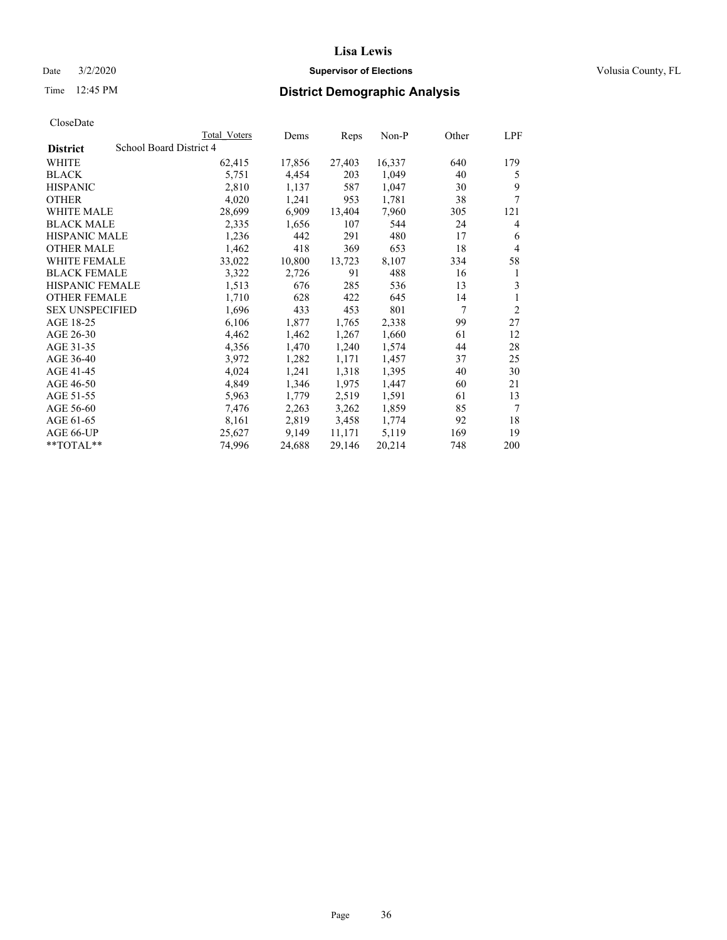## Date  $3/2/2020$  **Supervisor of Elections Supervisor of Elections** Volusia County, FL

## Time 12:45 PM **District Demographic Analysis**

|                        |                         | Total Voters | Dems   | Reps   | $Non-P$ | Other | LPF            |
|------------------------|-------------------------|--------------|--------|--------|---------|-------|----------------|
| <b>District</b>        | School Board District 4 |              |        |        |         |       |                |
| WHITE                  |                         | 62,415       | 17,856 | 27,403 | 16,337  | 640   | 179            |
| <b>BLACK</b>           |                         | 5,751        | 4,454  | 203    | 1,049   | 40    | 5              |
| <b>HISPANIC</b>        |                         | 2,810        | 1,137  | 587    | 1,047   | 30    | 9              |
| <b>OTHER</b>           |                         | 4,020        | 1,241  | 953    | 1,781   | 38    | 7              |
| WHITE MALE             |                         | 28,699       | 6,909  | 13,404 | 7,960   | 305   | 121            |
| <b>BLACK MALE</b>      |                         | 2,335        | 1,656  | 107    | 544     | 24    | 4              |
| <b>HISPANIC MALE</b>   |                         | 1,236        | 442    | 291    | 480     | 17    | 6              |
| <b>OTHER MALE</b>      |                         | 1,462        | 418    | 369    | 653     | 18    | $\overline{4}$ |
| WHITE FEMALE           |                         | 33,022       | 10,800 | 13,723 | 8,107   | 334   | 58             |
| <b>BLACK FEMALE</b>    |                         | 3,322        | 2,726  | 91     | 488     | 16    | 1              |
| <b>HISPANIC FEMALE</b> |                         | 1,513        | 676    | 285    | 536     | 13    | 3              |
| <b>OTHER FEMALE</b>    |                         | 1,710        | 628    | 422    | 645     | 14    | 1              |
| <b>SEX UNSPECIFIED</b> |                         | 1,696        | 433    | 453    | 801     | 7     | $\overline{2}$ |
| AGE 18-25              |                         | 6,106        | 1,877  | 1,765  | 2,338   | 99    | 27             |
| AGE 26-30              |                         | 4,462        | 1,462  | 1,267  | 1,660   | 61    | 12             |
| AGE 31-35              |                         | 4,356        | 1,470  | 1,240  | 1,574   | 44    | 28             |
| AGE 36-40              |                         | 3,972        | 1,282  | 1,171  | 1,457   | 37    | 25             |
| AGE 41-45              |                         | 4,024        | 1,241  | 1,318  | 1,395   | 40    | 30             |
| AGE 46-50              |                         | 4,849        | 1,346  | 1,975  | 1,447   | 60    | 21             |
| AGE 51-55              |                         | 5,963        | 1,779  | 2,519  | 1,591   | 61    | 13             |
| AGE 56-60              |                         | 7,476        | 2,263  | 3,262  | 1,859   | 85    | 7              |
| AGE 61-65              |                         | 8,161        | 2,819  | 3,458  | 1,774   | 92    | 18             |
| AGE 66-UP              |                         | 25,627       | 9,149  | 11,171 | 5,119   | 169   | 19             |
| $*$ TOTAL $*$          |                         | 74,996       | 24,688 | 29,146 | 20,214  | 748   | 200            |
|                        |                         |              |        |        |         |       |                |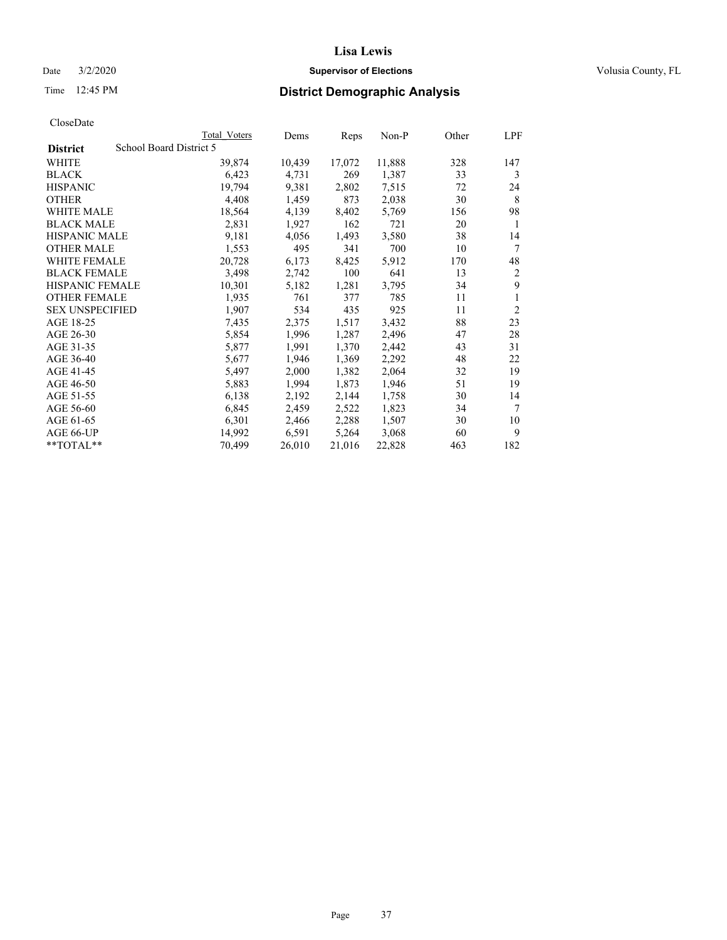Date  $3/2/2020$  **Supervisor of Elections Supervisor of Elections** Volusia County, FL

# Time 12:45 PM **District Demographic Analysis**

|                        |                         | Total Voters | Dems   | Reps   | Non-P  | Other | LPF            |
|------------------------|-------------------------|--------------|--------|--------|--------|-------|----------------|
| <b>District</b>        | School Board District 5 |              |        |        |        |       |                |
| WHITE                  |                         | 39,874       | 10,439 | 17,072 | 11,888 | 328   | 147            |
| <b>BLACK</b>           |                         | 6,423        | 4,731  | 269    | 1,387  | 33    | 3              |
| <b>HISPANIC</b>        |                         | 19,794       | 9,381  | 2,802  | 7,515  | 72    | 24             |
| <b>OTHER</b>           |                         | 4,408        | 1,459  | 873    | 2,038  | 30    | 8              |
| WHITE MALE             |                         | 18,564       | 4,139  | 8,402  | 5,769  | 156   | 98             |
| <b>BLACK MALE</b>      |                         | 2,831        | 1,927  | 162    | 721    | 20    | 1              |
| <b>HISPANIC MALE</b>   |                         | 9,181        | 4,056  | 1,493  | 3,580  | 38    | 14             |
| <b>OTHER MALE</b>      |                         | 1,553        | 495    | 341    | 700    | 10    | 7              |
| WHITE FEMALE           |                         | 20,728       | 6,173  | 8,425  | 5,912  | 170   | 48             |
| <b>BLACK FEMALE</b>    |                         | 3,498        | 2,742  | 100    | 641    | 13    | $\overline{2}$ |
| HISPANIC FEMALE        |                         | 10,301       | 5,182  | 1,281  | 3,795  | 34    | 9              |
| <b>OTHER FEMALE</b>    |                         | 1,935        | 761    | 377    | 785    | 11    | 1              |
| <b>SEX UNSPECIFIED</b> |                         | 1,907        | 534    | 435    | 925    | 11    | $\overline{2}$ |
| AGE 18-25              |                         | 7,435        | 2,375  | 1,517  | 3,432  | 88    | 23             |
| AGE 26-30              |                         | 5,854        | 1,996  | 1,287  | 2,496  | 47    | 28             |
| AGE 31-35              |                         | 5,877        | 1,991  | 1,370  | 2,442  | 43    | 31             |
| AGE 36-40              |                         | 5,677        | 1,946  | 1,369  | 2,292  | 48    | 22             |
| AGE 41-45              |                         | 5,497        | 2,000  | 1,382  | 2,064  | 32    | 19             |
| AGE 46-50              |                         | 5,883        | 1,994  | 1,873  | 1,946  | 51    | 19             |
| AGE 51-55              |                         | 6,138        | 2,192  | 2,144  | 1,758  | 30    | 14             |
| AGE 56-60              |                         | 6,845        | 2,459  | 2,522  | 1,823  | 34    | 7              |
| AGE 61-65              |                         | 6,301        | 2,466  | 2,288  | 1,507  | 30    | 10             |
| AGE 66-UP              |                         | 14,992       | 6,591  | 5,264  | 3,068  | 60    | 9              |
| $*$ $TOTAL**$          |                         | 70,499       | 26,010 | 21,016 | 22,828 | 463   | 182            |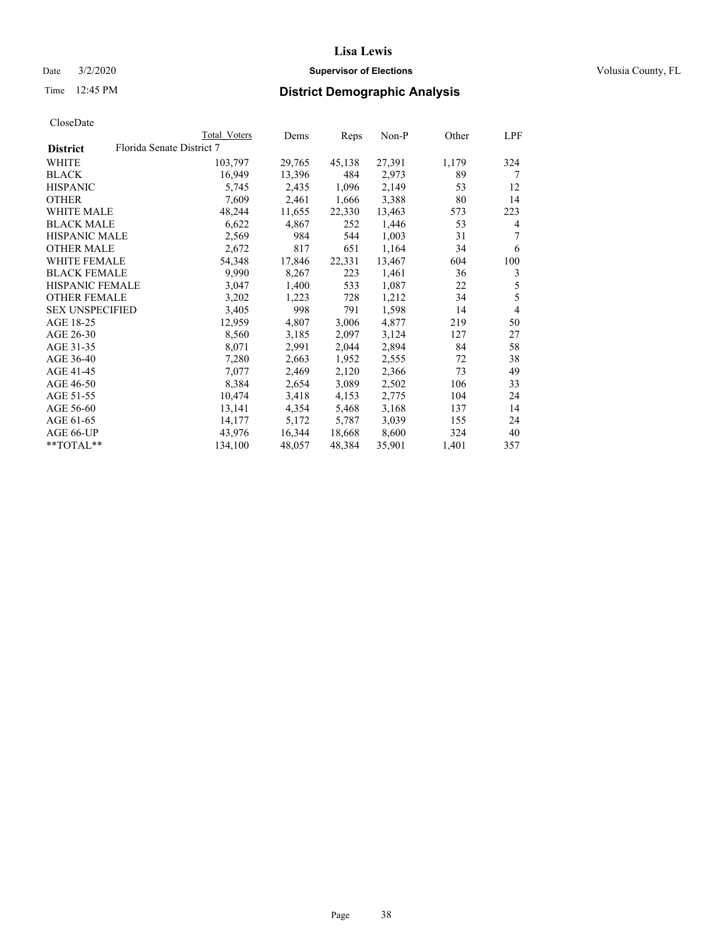Date  $3/2/2020$  **Supervisor of Elections Supervisor of Elections** Volusia County, FL

| CloseDate |
|-----------|
|-----------|

|                                              | Total Voters | Dems   | Reps   | Non-P  | Other | LPF            |
|----------------------------------------------|--------------|--------|--------|--------|-------|----------------|
| Florida Senate District 7<br><b>District</b> |              |        |        |        |       |                |
| <b>WHITE</b>                                 | 103,797      | 29,765 | 45,138 | 27,391 | 1,179 | 324            |
| <b>BLACK</b>                                 | 16,949       | 13,396 | 484    | 2,973  | 89    | 7              |
| <b>HISPANIC</b>                              | 5,745        | 2,435  | 1,096  | 2,149  | 53    | 12             |
| <b>OTHER</b>                                 | 7,609        | 2,461  | 1,666  | 3,388  | 80    | 14             |
| <b>WHITE MALE</b>                            | 48,244       | 11,655 | 22,330 | 13,463 | 573   | 223            |
| <b>BLACK MALE</b>                            | 6,622        | 4,867  | 252    | 1,446  | 53    | 4              |
| <b>HISPANIC MALE</b>                         | 2,569        | 984    | 544    | 1,003  | 31    | 7              |
| <b>OTHER MALE</b>                            | 2,672        | 817    | 651    | 1,164  | 34    | 6              |
| WHITE FEMALE                                 | 54,348       | 17,846 | 22,331 | 13,467 | 604   | 100            |
| <b>BLACK FEMALE</b>                          | 9,990        | 8,267  | 223    | 1,461  | 36    | 3              |
| HISPANIC FEMALE                              | 3,047        | 1,400  | 533    | 1,087  | 22    | 5              |
| <b>OTHER FEMALE</b>                          | 3,202        | 1,223  | 728    | 1,212  | 34    | 5              |
| <b>SEX UNSPECIFIED</b>                       | 3,405        | 998    | 791    | 1,598  | 14    | $\overline{4}$ |
| AGE 18-25                                    | 12,959       | 4,807  | 3,006  | 4,877  | 219   | 50             |
| AGE 26-30                                    | 8,560        | 3,185  | 2,097  | 3,124  | 127   | 27             |
| AGE 31-35                                    | 8,071        | 2,991  | 2,044  | 2,894  | 84    | 58             |
| AGE 36-40                                    | 7,280        | 2,663  | 1,952  | 2,555  | 72    | 38             |
| AGE 41-45                                    | 7,077        | 2,469  | 2,120  | 2,366  | 73    | 49             |
| AGE 46-50                                    | 8,384        | 2,654  | 3,089  | 2,502  | 106   | 33             |
| AGE 51-55                                    | 10,474       | 3,418  | 4,153  | 2,775  | 104   | 24             |
| AGE 56-60                                    | 13,141       | 4,354  | 5,468  | 3,168  | 137   | 14             |
| AGE 61-65                                    | 14,177       | 5,172  | 5,787  | 3,039  | 155   | 24             |
| AGE 66-UP                                    | 43,976       | 16,344 | 18,668 | 8,600  | 324   | 40             |
| **TOTAL**                                    | 134,100      | 48,057 | 48,384 | 35,901 | 1,401 | 357            |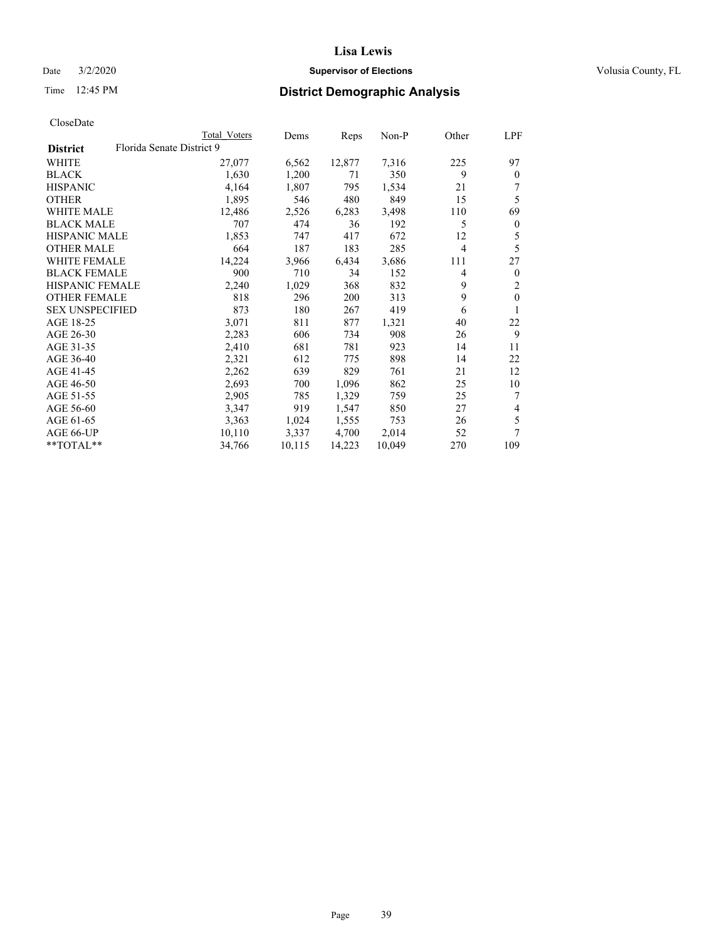## Date  $3/2/2020$  **Supervisor of Elections Supervisor of Elections** Volusia County, FL

# Time 12:45 PM **District Demographic Analysis**

|                        |                           | Total Voters | Dems   | Reps   | $Non-P$ | Other          | LPF          |
|------------------------|---------------------------|--------------|--------|--------|---------|----------------|--------------|
| <b>District</b>        | Florida Senate District 9 |              |        |        |         |                |              |
| WHITE                  |                           | 27,077       | 6,562  | 12,877 | 7,316   | 225            | 97           |
| <b>BLACK</b>           |                           | 1,630        | 1,200  | 71     | 350     | 9              | $\theta$     |
| <b>HISPANIC</b>        |                           | 4,164        | 1,807  | 795    | 1,534   | 21             |              |
| <b>OTHER</b>           |                           | 1,895        | 546    | 480    | 849     | 15             | 5            |
| WHITE MALE             |                           | 12,486       | 2,526  | 6,283  | 3,498   | 110            | 69           |
| <b>BLACK MALE</b>      |                           | 707          | 474    | 36     | 192     | 5              | $\mathbf{0}$ |
| <b>HISPANIC MALE</b>   |                           | 1,853        | 747    | 417    | 672     | 12             | 5            |
| <b>OTHER MALE</b>      |                           | 664          | 187    | 183    | 285     | $\overline{4}$ | 5            |
| WHITE FEMALE           |                           | 14,224       | 3,966  | 6,434  | 3,686   | 111            | 27           |
| <b>BLACK FEMALE</b>    |                           | 900          | 710    | 34     | 152     | 4              | $\mathbf{0}$ |
| HISPANIC FEMALE        |                           | 2,240        | 1,029  | 368    | 832     | 9              | 2            |
| <b>OTHER FEMALE</b>    |                           | 818          | 296    | 200    | 313     | 9              | $\mathbf{0}$ |
| <b>SEX UNSPECIFIED</b> |                           | 873          | 180    | 267    | 419     | 6              | 1            |
| AGE 18-25              |                           | 3,071        | 811    | 877    | 1,321   | 40             | 22           |
| AGE 26-30              |                           | 2,283        | 606    | 734    | 908     | 26             | 9            |
| AGE 31-35              |                           | 2,410        | 681    | 781    | 923     | 14             | 11           |
| AGE 36-40              |                           | 2,321        | 612    | 775    | 898     | 14             | 22           |
| AGE 41-45              |                           | 2,262        | 639    | 829    | 761     | 21             | 12           |
| AGE 46-50              |                           | 2,693        | 700    | 1,096  | 862     | 25             | 10           |
| AGE 51-55              |                           | 2,905        | 785    | 1,329  | 759     | 25             | 7            |
| AGE 56-60              |                           | 3,347        | 919    | 1,547  | 850     | 27             | 4            |
| AGE 61-65              |                           | 3,363        | 1,024  | 1,555  | 753     | 26             | 5            |
| AGE 66-UP              |                           | 10,110       | 3,337  | 4,700  | 2,014   | 52             | 7            |
| **TOTAL**              |                           | 34,766       | 10,115 | 14,223 | 10,049  | 270            | 109          |
|                        |                           |              |        |        |         |                |              |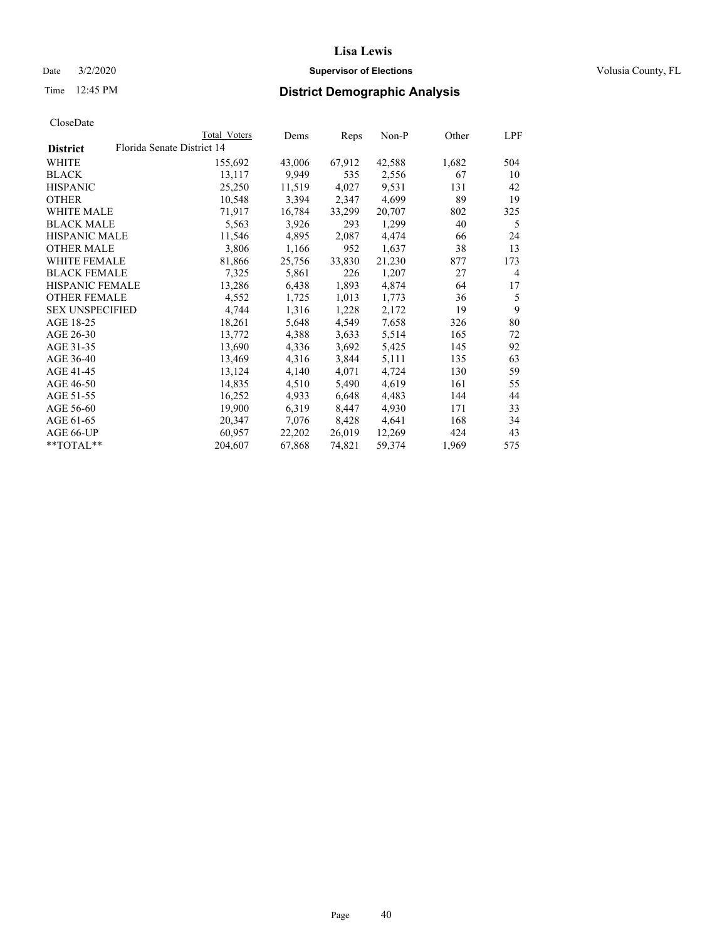## Date  $3/2/2020$  **Supervisor of Elections Supervisor of Elections** Volusia County, FL

| CloseDate |
|-----------|
|-----------|

|                        | Total Voters               | Dems   | Reps   | Non-P  | Other | LPF |
|------------------------|----------------------------|--------|--------|--------|-------|-----|
| <b>District</b>        | Florida Senate District 14 |        |        |        |       |     |
| WHITE                  | 155,692                    | 43,006 | 67,912 | 42,588 | 1,682 | 504 |
| BLACK                  | 13,117                     | 9,949  | 535    | 2,556  | 67    | 10  |
| HISPANIC               | 25,250                     | 11,519 | 4,027  | 9,531  | 131   | 42  |
| OTHER                  | 10,548                     | 3,394  | 2,347  | 4,699  | 89    | 19  |
| WHITE MALE             | 71,917                     | 16,784 | 33,299 | 20,707 | 802   | 325 |
| BLACK MALE             | 5,563                      | 3,926  | 293    | 1,299  | 40    | 5   |
| HISPANIC MALE          | 11,546                     | 4,895  | 2,087  | 4,474  | 66    | 24  |
| OTHER MALE             | 3,806                      | 1,166  | 952    | 1,637  | 38    | 13  |
| WHITE FEMALE           | 81,866                     | 25,756 | 33,830 | 21,230 | 877   | 173 |
| <b>BLACK FEMALE</b>    | 7,325                      | 5,861  | 226    | 1,207  | 27    | 4   |
| HISPANIC FEMALE        | 13,286                     | 6,438  | 1,893  | 4,874  | 64    | 17  |
| OTHER FEMALE           | 4,552                      | 1,725  | 1,013  | 1,773  | 36    | 5   |
| <b>SEX UNSPECIFIED</b> | 4,744                      | 1,316  | 1,228  | 2,172  | 19    | 9   |
| AGE 18-25              | 18,261                     | 5,648  | 4,549  | 7,658  | 326   | 80  |
| AGE 26-30              | 13,772                     | 4,388  | 3,633  | 5,514  | 165   | 72  |
| AGE 31-35              | 13,690                     | 4,336  | 3,692  | 5,425  | 145   | 92  |
| AGE 36-40              | 13,469                     | 4,316  | 3,844  | 5,111  | 135   | 63  |
| AGE 41-45              | 13,124                     | 4,140  | 4,071  | 4,724  | 130   | 59  |
| AGE 46-50              | 14,835                     | 4,510  | 5,490  | 4,619  | 161   | 55  |
| AGE 51-55              | 16,252                     | 4,933  | 6,648  | 4,483  | 144   | 44  |
| AGE 56-60              | 19,900                     | 6,319  | 8,447  | 4,930  | 171   | 33  |
| AGE 61-65              | 20,347                     | 7,076  | 8,428  | 4,641  | 168   | 34  |
| AGE 66-UP              | 60,957                     | 22,202 | 26,019 | 12,269 | 424   | 43  |
| $*$ $TOTAL**$          | 204,607                    | 67,868 | 74,821 | 59,374 | 1,969 | 575 |
|                        |                            |        |        |        |       |     |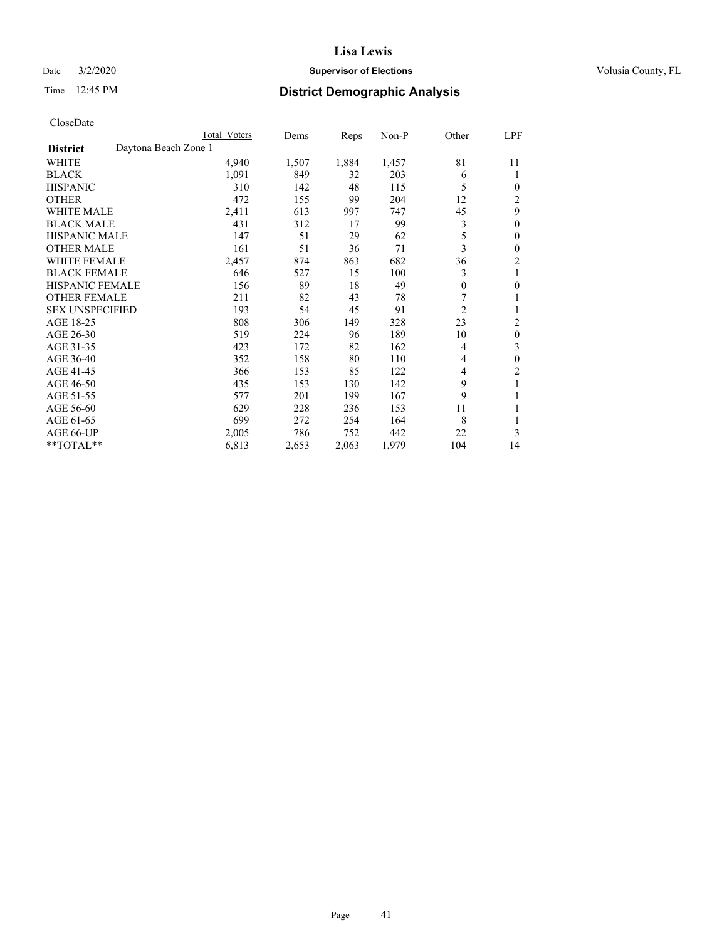## Date  $3/2/2020$  **Supervisor of Elections Supervisor of Elections** Volusia County, FL

# Time 12:45 PM **District Demographic Analysis**

|                                         | Total Voters | Dems  | Reps  | $Non-P$ | Other    | LPF            |
|-----------------------------------------|--------------|-------|-------|---------|----------|----------------|
| Daytona Beach Zone 1<br><b>District</b> |              |       |       |         |          |                |
| WHITE                                   | 4,940        | 1,507 | 1,884 | 1,457   | 81       | 11             |
| <b>BLACK</b>                            | 1,091        | 849   | 32    | 203     | 6        | 1              |
| <b>HISPANIC</b>                         | 310          | 142   | 48    | 115     | 5        | 0              |
| <b>OTHER</b>                            | 472          | 155   | 99    | 204     | 12       | 2              |
| <b>WHITE MALE</b>                       | 2,411        | 613   | 997   | 747     | 45       | 9              |
| <b>BLACK MALE</b>                       | 431          | 312   | 17    | 99      | 3        | $\mathbf{0}$   |
| <b>HISPANIC MALE</b>                    | 147          | 51    | 29    | 62      | 5        | $\theta$       |
| <b>OTHER MALE</b>                       | 161          | 51    | 36    | 71      | 3        | $\theta$       |
| <b>WHITE FEMALE</b>                     | 2,457        | 874   | 863   | 682     | 36       | $\overline{2}$ |
| <b>BLACK FEMALE</b>                     | 646          | 527   | 15    | 100     | 3        | 1              |
| <b>HISPANIC FEMALE</b>                  | 156          | 89    | 18    | 49      | $\theta$ | $\theta$       |
| <b>OTHER FEMALE</b>                     | 211          | 82    | 43    | 78      | 7        | 1              |
| <b>SEX UNSPECIFIED</b>                  | 193          | 54    | 45    | 91      | 2        |                |
| AGE 18-25                               | 808          | 306   | 149   | 328     | 23       | 2              |
| AGE 26-30                               | 519          | 224   | 96    | 189     | 10       | $\theta$       |
| AGE 31-35                               | 423          | 172   | 82    | 162     | 4        | 3              |
| AGE 36-40                               | 352          | 158   | 80    | 110     | 4        | $\theta$       |
| AGE 41-45                               | 366          | 153   | 85    | 122     | 4        | $\overline{2}$ |
| AGE 46-50                               | 435          | 153   | 130   | 142     | 9        | 1              |
| AGE 51-55                               | 577          | 201   | 199   | 167     | 9        | 1              |
| AGE 56-60                               | 629          | 228   | 236   | 153     | 11       | 1              |
| AGE 61-65                               | 699          | 272   | 254   | 164     | 8        |                |
| AGE 66-UP                               | 2,005        | 786   | 752   | 442     | 22       | 3              |
| $*$ TOTAL $*$                           | 6,813        | 2,653 | 2,063 | 1,979   | 104      | 14             |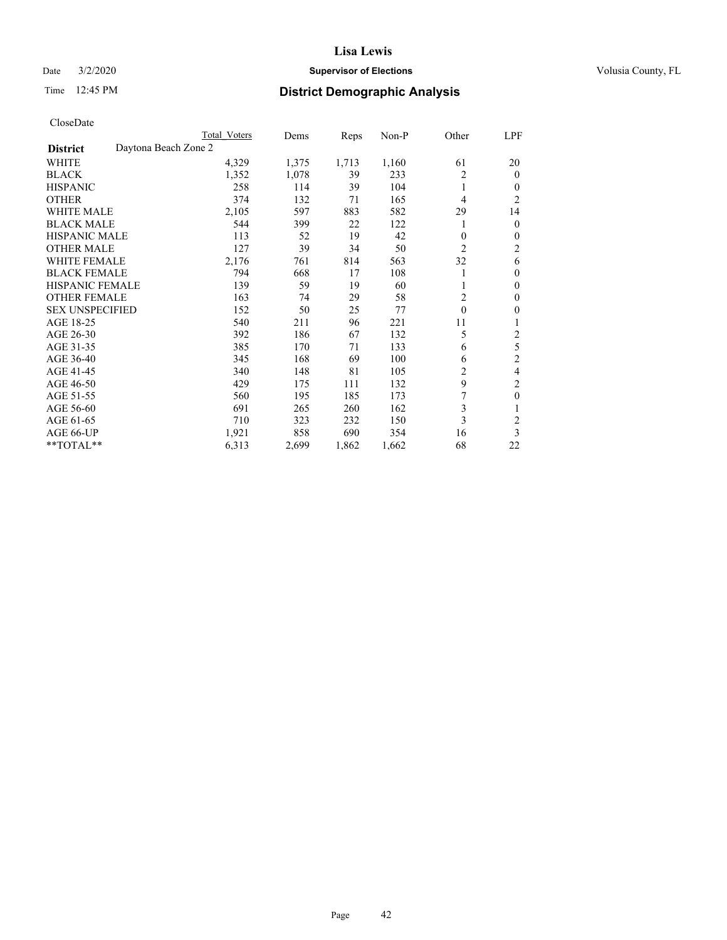## Date  $3/2/2020$  **Supervisor of Elections Supervisor of Elections** Volusia County, FL

# Time 12:45 PM **District Demographic Analysis**

|                        |                      | Total Voters | Dems  | Reps  | Non-P | Other        | LPF            |
|------------------------|----------------------|--------------|-------|-------|-------|--------------|----------------|
| <b>District</b>        | Daytona Beach Zone 2 |              |       |       |       |              |                |
| WHITE                  |                      | 4,329        | 1,375 | 1,713 | 1,160 | 61           | 20             |
| <b>BLACK</b>           |                      | 1,352        | 1,078 | 39    | 233   | 2            | $\mathbf{0}$   |
| <b>HISPANIC</b>        |                      | 258          | 114   | 39    | 104   | 1            | 0              |
| <b>OTHER</b>           |                      | 374          | 132   | 71    | 165   | 4            | $\overline{2}$ |
| <b>WHITE MALE</b>      |                      | 2,105        | 597   | 883   | 582   | 29           | 14             |
| <b>BLACK MALE</b>      |                      | 544          | 399   | 22    | 122   |              | $\mathbf{0}$   |
| <b>HISPANIC MALE</b>   |                      | 113          | 52    | 19    | 42    | 0            | $\theta$       |
| <b>OTHER MALE</b>      |                      | 127          | 39    | 34    | 50    | 2            | 2              |
| WHITE FEMALE           |                      | 2,176        | 761   | 814   | 563   | 32           | 6              |
| <b>BLACK FEMALE</b>    |                      | 794          | 668   | 17    | 108   |              | $\theta$       |
| <b>HISPANIC FEMALE</b> |                      | 139          | 59    | 19    | 60    |              | $\theta$       |
| <b>OTHER FEMALE</b>    |                      | 163          | 74    | 29    | 58    | 2            | $\theta$       |
| <b>SEX UNSPECIFIED</b> |                      | 152          | 50    | 25    | 77    | $\mathbf{0}$ | $\theta$       |
| AGE 18-25              |                      | 540          | 211   | 96    | 221   | 11           | 1              |
| AGE 26-30              |                      | 392          | 186   | 67    | 132   | 5            | $\overline{c}$ |
| AGE 31-35              |                      | 385          | 170   | 71    | 133   | 6            | 5              |
| AGE 36-40              |                      | 345          | 168   | 69    | 100   | 6            | $\mathfrak{2}$ |
| AGE 41-45              |                      | 340          | 148   | 81    | 105   | 2            | 4              |
| AGE 46-50              |                      | 429          | 175   | 111   | 132   | 9            | 2              |
| AGE 51-55              |                      | 560          | 195   | 185   | 173   |              | $\theta$       |
| AGE 56-60              |                      | 691          | 265   | 260   | 162   | 3            | 1              |
| AGE 61-65              |                      | 710          | 323   | 232   | 150   | 3            | $\overline{2}$ |
| AGE 66-UP              |                      | 1,921        | 858   | 690   | 354   | 16           | 3              |
| **TOTAL**              |                      | 6,313        | 2,699 | 1,862 | 1,662 | 68           | 22             |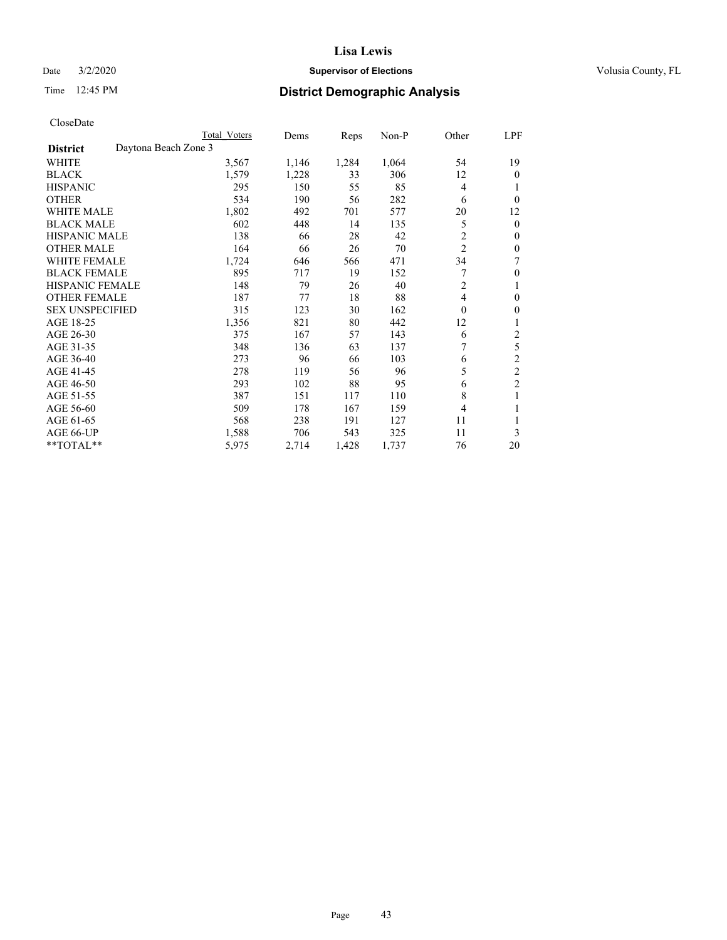## Date  $3/2/2020$  **Supervisor of Elections Supervisor of Elections** Volusia County, FL

# Time 12:45 PM **District Demographic Analysis**

| Total Voters | Dems                 | Reps  | $Non-P$ | Other          | LPF            |
|--------------|----------------------|-------|---------|----------------|----------------|
|              |                      |       |         |                |                |
| 3,567        | 1,146                | 1,284 | 1,064   | 54             | 19             |
| 1,579        | 1,228                | 33    | 306     | 12             | $\theta$       |
| 295          | 150                  | 55    | 85      | 4              | 1              |
| 534          | 190                  | 56    | 282     | 6              | $\theta$       |
| 1,802        | 492                  | 701   | 577     | 20             | 12             |
| 602          | 448                  | 14    | 135     | 5              | $\mathbf{0}$   |
| 138          | 66                   | 28    | 42      | 2              | $\mathbf{0}$   |
| 164          | 66                   | 26    | 70      | $\overline{2}$ | $\theta$       |
| 1,724        | 646                  | 566   | 471     | 34             | 7              |
| 895          | 717                  | 19    | 152     | 7              | $\theta$       |
| 148          | 79                   | 26    | 40      | 2              | 1              |
| 187          | 77                   | 18    | 88      | 4              | $\theta$       |
| 315          | 123                  | 30    | 162     | $\mathbf{0}$   | $\mathbf{0}$   |
| 1,356        | 821                  | 80    | 442     | 12             | 1              |
| 375          | 167                  | 57    | 143     | 6              | 2              |
| 348          | 136                  | 63    | 137     | 7              | 5              |
| 273          | 96                   | 66    | 103     | 6              | $\overline{2}$ |
| 278          | 119                  | 56    | 96      | 5              | $\mathfrak{2}$ |
| 293          | 102                  | 88    | 95      | 6              | $\overline{c}$ |
| 387          | 151                  | 117   | 110     | 8              | 1              |
| 509          | 178                  | 167   | 159     | 4              | 1              |
| 568          | 238                  | 191   | 127     | 11             |                |
| 1,588        | 706                  | 543   | 325     | 11             | 3              |
| 5,975        | 2,714                | 1,428 | 1,737   | 76             | 20             |
|              | Daytona Beach Zone 3 |       |         |                |                |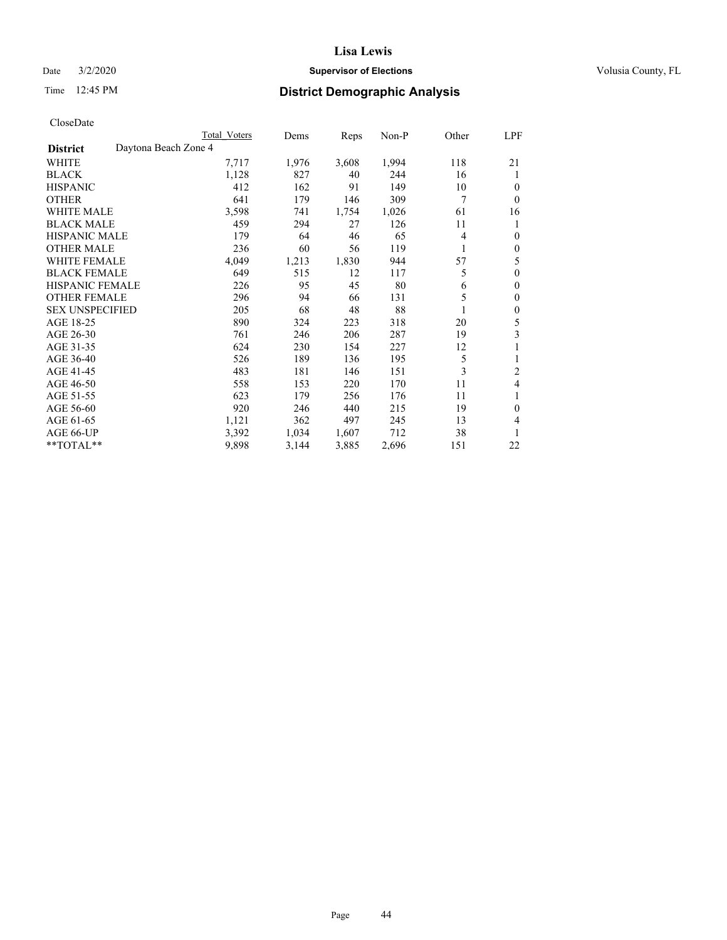## Date  $3/2/2020$  **Supervisor of Elections Supervisor of Elections** Volusia County, FL

# Time 12:45 PM **District Demographic Analysis**

|                        |                      | Total Voters | Dems  | Reps  | Non-P | Other | LPF            |
|------------------------|----------------------|--------------|-------|-------|-------|-------|----------------|
| <b>District</b>        | Daytona Beach Zone 4 |              |       |       |       |       |                |
| WHITE                  |                      | 7,717        | 1,976 | 3,608 | 1,994 | 118   | 21             |
| <b>BLACK</b>           |                      | 1,128        | 827   | 40    | 244   | 16    | 1              |
| <b>HISPANIC</b>        |                      | 412          | 162   | 91    | 149   | 10    | $\theta$       |
| <b>OTHER</b>           |                      | 641          | 179   | 146   | 309   | 7     | $\theta$       |
| <b>WHITE MALE</b>      |                      | 3,598        | 741   | 1,754 | 1,026 | 61    | 16             |
| <b>BLACK MALE</b>      |                      | 459          | 294   | 27    | 126   | 11    | 1              |
| <b>HISPANIC MALE</b>   |                      | 179          | 64    | 46    | 65    | 4     | $\mathbf{0}$   |
| <b>OTHER MALE</b>      |                      | 236          | 60    | 56    | 119   | 1     | $\mathbf{0}$   |
| WHITE FEMALE           |                      | 4,049        | 1,213 | 1,830 | 944   | 57    | 5              |
| <b>BLACK FEMALE</b>    |                      | 649          | 515   | 12    | 117   | 5     | $\mathbf{0}$   |
| <b>HISPANIC FEMALE</b> |                      | 226          | 95    | 45    | 80    | 6     | $\mathbf{0}$   |
| <b>OTHER FEMALE</b>    |                      | 296          | 94    | 66    | 131   | 5     | $\mathbf{0}$   |
| <b>SEX UNSPECIFIED</b> |                      | 205          | 68    | 48    | 88    | 1     | $\mathbf{0}$   |
| AGE 18-25              |                      | 890          | 324   | 223   | 318   | 20    | 5              |
| AGE 26-30              |                      | 761          | 246   | 206   | 287   | 19    | 3              |
| AGE 31-35              |                      | 624          | 230   | 154   | 227   | 12    | 1              |
| AGE 36-40              |                      | 526          | 189   | 136   | 195   | 5     | 1              |
| AGE 41-45              |                      | 483          | 181   | 146   | 151   | 3     | $\overline{2}$ |
| AGE 46-50              |                      | 558          | 153   | 220   | 170   | 11    | 4              |
| AGE 51-55              |                      | 623          | 179   | 256   | 176   | 11    | 1              |
| AGE 56-60              |                      | 920          | 246   | 440   | 215   | 19    | $\theta$       |
| AGE 61-65              |                      | 1,121        | 362   | 497   | 245   | 13    | 4              |
| AGE 66-UP              |                      | 3,392        | 1,034 | 1,607 | 712   | 38    | 1              |
| **TOTAL**              |                      | 9,898        | 3,144 | 3,885 | 2,696 | 151   | 22             |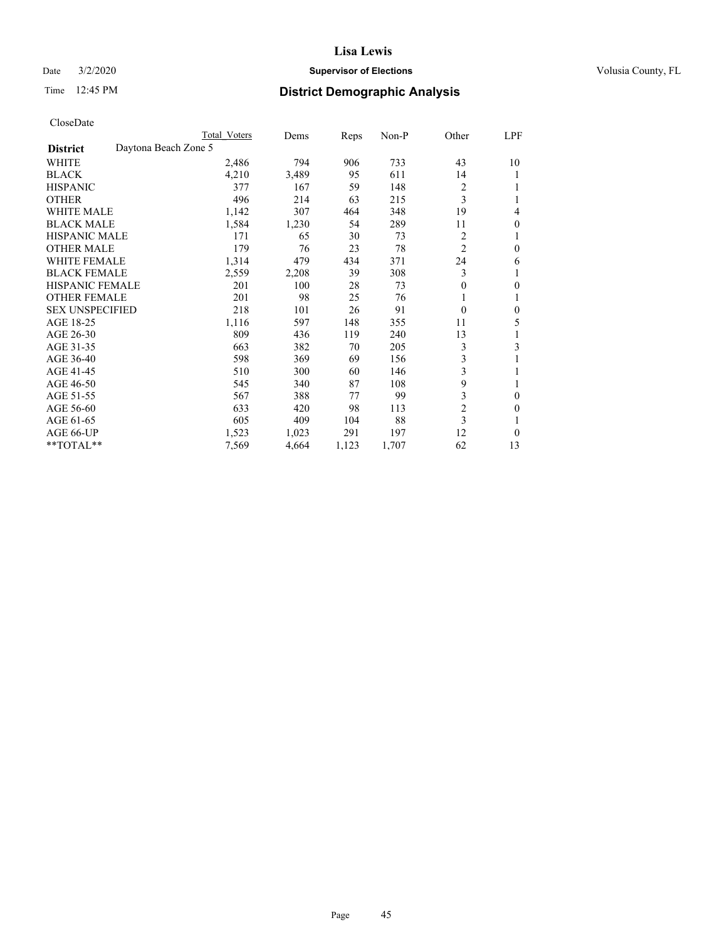## Date  $3/2/2020$  **Supervisor of Elections Supervisor of Elections** Volusia County, FL

# Time 12:45 PM **District Demographic Analysis**

|                        |                      | Total Voters | Dems  | Reps  | Non-P | Other          | LPF |
|------------------------|----------------------|--------------|-------|-------|-------|----------------|-----|
| <b>District</b>        | Daytona Beach Zone 5 |              |       |       |       |                |     |
| WHITE                  |                      | 2,486        | 794   | 906   | 733   | 43             | 10  |
| <b>BLACK</b>           |                      | 4,210        | 3,489 | 95    | 611   | 14             |     |
| <b>HISPANIC</b>        |                      | 377          | 167   | 59    | 148   | 2              |     |
| <b>OTHER</b>           |                      | 496          | 214   | 63    | 215   | 3              |     |
| WHITE MALE             |                      | 1,142        | 307   | 464   | 348   | 19             | 4   |
| <b>BLACK MALE</b>      |                      | 1,584        | 1,230 | 54    | 289   | 11             | 0   |
| <b>HISPANIC MALE</b>   |                      | 171          | 65    | 30    | 73    | 2              | 1   |
| <b>OTHER MALE</b>      |                      | 179          | 76    | 23    | 78    | 2              | 0   |
| WHITE FEMALE           |                      | 1,314        | 479   | 434   | 371   | 24             | 6   |
| <b>BLACK FEMALE</b>    |                      | 2,559        | 2,208 | 39    | 308   | 3              |     |
| <b>HISPANIC FEMALE</b> |                      | 201          | 100   | 28    | 73    | 0              | 0   |
| <b>OTHER FEMALE</b>    |                      | 201          | 98    | 25    | 76    | 1              |     |
| <b>SEX UNSPECIFIED</b> |                      | 218          | 101   | 26    | 91    | $\theta$       | 0   |
| AGE 18-25              |                      | 1,116        | 597   | 148   | 355   | 11             | 5   |
| AGE 26-30              |                      | 809          | 436   | 119   | 240   | 13             | 1   |
| AGE 31-35              |                      | 663          | 382   | 70    | 205   | 3              | 3   |
| AGE 36-40              |                      | 598          | 369   | 69    | 156   | 3              |     |
| AGE 41-45              |                      | 510          | 300   | 60    | 146   | 3              |     |
| AGE 46-50              |                      | 545          | 340   | 87    | 108   | 9              | 1   |
| AGE 51-55              |                      | 567          | 388   | 77    | 99    | 3              | 0   |
| AGE 56-60              |                      | 633          | 420   | 98    | 113   | $\overline{c}$ | 0   |
| AGE 61-65              |                      | 605          | 409   | 104   | 88    | 3              |     |
| AGE 66-UP              |                      | 1,523        | 1,023 | 291   | 197   | 12             | 0   |
| $*$ TOTAL $**$         |                      | 7,569        | 4,664 | 1,123 | 1,707 | 62             | 13  |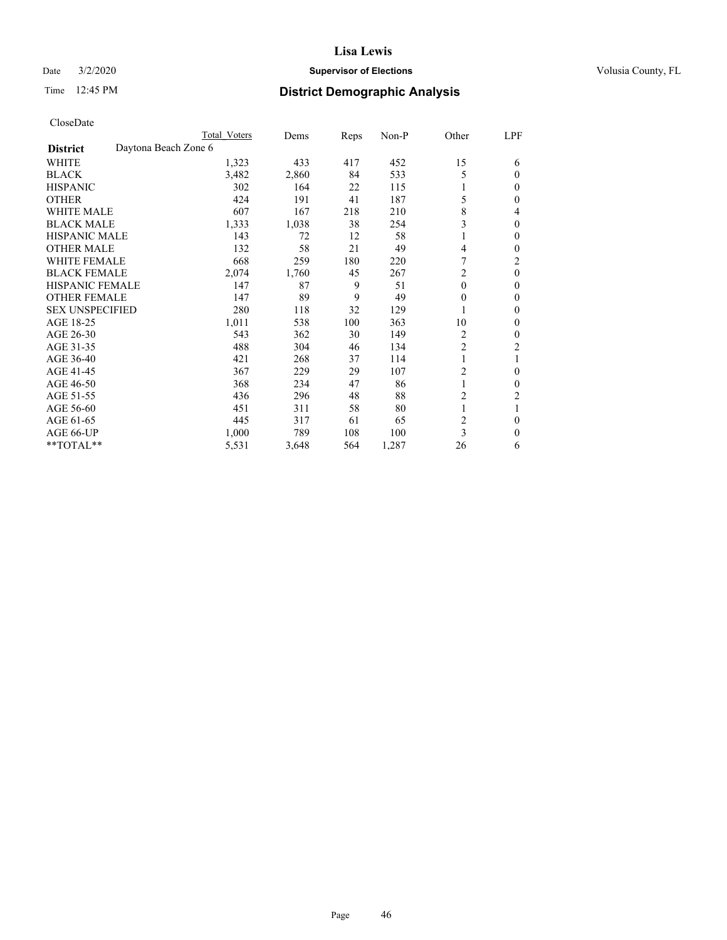## Date  $3/2/2020$  **Supervisor of Elections Supervisor of Elections** Volusia County, FL

| CloseDate |
|-----------|
|-----------|

|                                         | Total Voters | Dems  | Reps | Non-P | Other          | LPF            |
|-----------------------------------------|--------------|-------|------|-------|----------------|----------------|
| Daytona Beach Zone 6<br><b>District</b> |              |       |      |       |                |                |
| WHITE                                   | 1,323        | 433   | 417  | 452   | 15             | 6              |
| <b>BLACK</b>                            | 3,482        | 2,860 | 84   | 533   | 5              | $\theta$       |
| <b>HISPANIC</b>                         | 302          | 164   | 22   | 115   | 1              | $\bf{0}$       |
| <b>OTHER</b>                            | 424          | 191   | 41   | 187   | 5              | $\theta$       |
| <b>WHITE MALE</b>                       | 607          | 167   | 218  | 210   | 8              | 4              |
| <b>BLACK MALE</b>                       | 1,333        | 1,038 | 38   | 254   | 3              | $\theta$       |
| <b>HISPANIC MALE</b>                    | 143          | 72    | 12   | 58    |                | $\theta$       |
| <b>OTHER MALE</b>                       | 132          | 58    | 21   | 49    | 4              | $\mathbf{0}$   |
| <b>WHITE FEMALE</b>                     | 668          | 259   | 180  | 220   | 7              | 2              |
| <b>BLACK FEMALE</b>                     | 2,074        | 1,760 | 45   | 267   | 2              | $\mathbf{0}$   |
| <b>HISPANIC FEMALE</b>                  | 147          | 87    | 9    | 51    | $\theta$       | $\theta$       |
| <b>OTHER FEMALE</b>                     | 147          | 89    | 9    | 49    | $\mathbf{0}$   | $\theta$       |
| <b>SEX UNSPECIFIED</b>                  | 280          | 118   | 32   | 129   |                | $\theta$       |
| AGE 18-25                               | 1,011        | 538   | 100  | 363   | 10             | $\mathbf{0}$   |
| AGE 26-30                               | 543          | 362   | 30   | 149   | 2              | $\mathbf{0}$   |
| AGE 31-35                               | 488          | 304   | 46   | 134   | $\overline{c}$ | $\overline{2}$ |
| AGE 36-40                               | 421          | 268   | 37   | 114   |                | 1              |
| AGE 41-45                               | 367          | 229   | 29   | 107   | $\overline{2}$ | $\theta$       |
| AGE 46-50                               | 368          | 234   | 47   | 86    | 1              | $\theta$       |
| AGE 51-55                               | 436          | 296   | 48   | 88    | $\overline{c}$ | 2              |
| AGE 56-60                               | 451          | 311   | 58   | 80    |                | 1              |
| AGE 61-65                               | 445          | 317   | 61   | 65    | $\overline{c}$ | $\theta$       |
| AGE 66-UP                               | 1,000        | 789   | 108  | 100   | 3              | $\theta$       |
| **TOTAL**                               | 5,531        | 3,648 | 564  | 1,287 | 26             | 6              |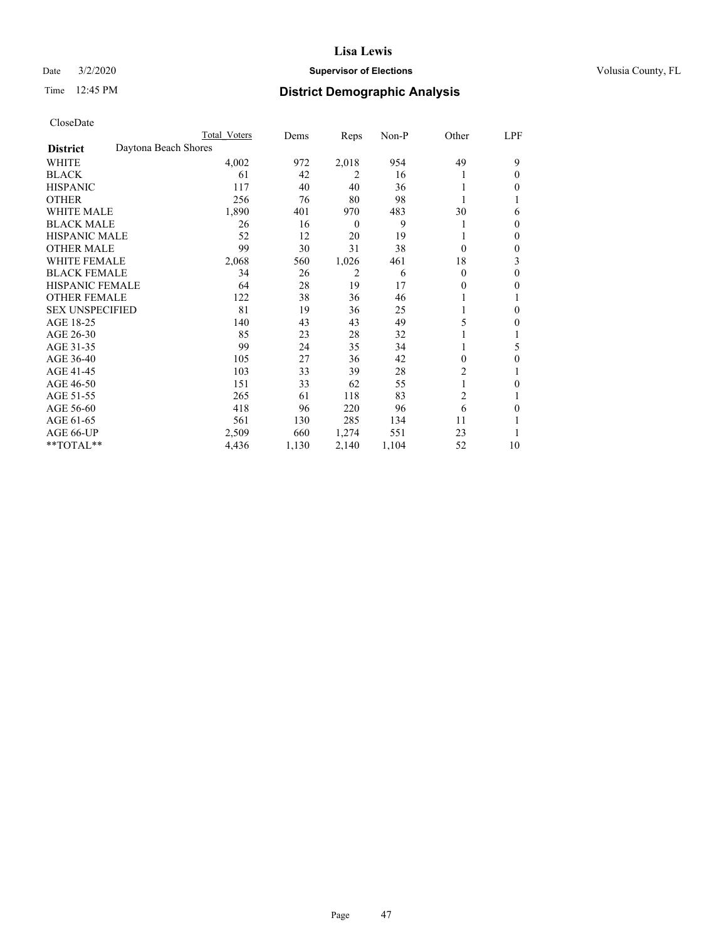## Date  $3/2/2020$  **Supervisor of Elections Supervisor of Elections** Volusia County, FL

# Time 12:45 PM **District Demographic Analysis**

|                        |                      | Total Voters | Dems  | Reps             | Non-P | Other    | LPF |
|------------------------|----------------------|--------------|-------|------------------|-------|----------|-----|
| <b>District</b>        | Daytona Beach Shores |              |       |                  |       |          |     |
| WHITE                  |                      | 4,002        | 972   | 2,018            | 954   | 49       | 9   |
| <b>BLACK</b>           |                      | 61           | 42    | 2                | 16    |          | 0   |
| <b>HISPANIC</b>        |                      | 117          | 40    | 40               | 36    |          | 0   |
| <b>OTHER</b>           |                      | 256          | 76    | 80               | 98    |          |     |
| WHITE MALE             |                      | 1,890        | 401   | 970              | 483   | 30       | 6   |
| <b>BLACK MALE</b>      |                      | 26           | 16    | $\boldsymbol{0}$ | 9     |          | 0   |
| <b>HISPANIC MALE</b>   |                      | 52           | 12    | 20               | 19    |          | 0   |
| <b>OTHER MALE</b>      |                      | 99           | 30    | 31               | 38    | $\Omega$ | 0   |
| WHITE FEMALE           |                      | 2,068        | 560   | 1,026            | 461   | 18       | 3   |
| <b>BLACK FEMALE</b>    |                      | 34           | 26    | 2                | 6     | $\Omega$ | 0   |
| <b>HISPANIC FEMALE</b> |                      | 64           | 28    | 19               | 17    | 0        | 0   |
| <b>OTHER FEMALE</b>    |                      | 122          | 38    | 36               | 46    |          |     |
| <b>SEX UNSPECIFIED</b> |                      | 81           | 19    | 36               | 25    |          | 0   |
| AGE 18-25              |                      | 140          | 43    | 43               | 49    | 5        | 0   |
| AGE 26-30              |                      | 85           | 23    | 28               | 32    |          |     |
| AGE 31-35              |                      | 99           | 24    | 35               | 34    |          | 5   |
| AGE 36-40              |                      | 105          | 27    | 36               | 42    | 0        | 0   |
| AGE 41-45              |                      | 103          | 33    | 39               | 28    | 2        |     |
| AGE 46-50              |                      | 151          | 33    | 62               | 55    | 1        | 0   |
| AGE 51-55              |                      | 265          | 61    | 118              | 83    | 2        |     |
| AGE 56-60              |                      | 418          | 96    | 220              | 96    | 6        | 0   |
| AGE 61-65              |                      | 561          | 130   | 285              | 134   | 11       |     |
| AGE 66-UP              |                      | 2,509        | 660   | 1,274            | 551   | 23       |     |
| $*$ TOTAL $**$         |                      | 4,436        | 1,130 | 2,140            | 1,104 | 52       | 10  |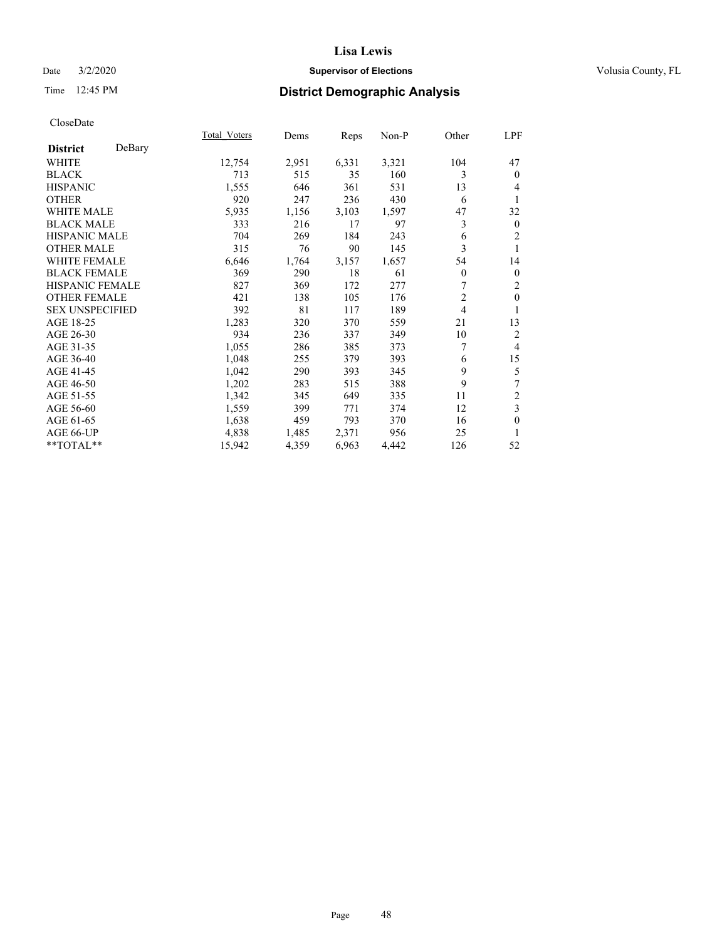## Date  $3/2/2020$  **Supervisor of Elections Supervisor of Elections** Volusia County, FL

# Time 12:45 PM **District Demographic Analysis**

|                        |        | Total Voters | Dems  | Reps  | Non-P | Other          | LPF            |
|------------------------|--------|--------------|-------|-------|-------|----------------|----------------|
| <b>District</b>        | DeBary |              |       |       |       |                |                |
| WHITE                  |        | 12,754       | 2,951 | 6,331 | 3,321 | 104            | 47             |
| <b>BLACK</b>           |        | 713          | 515   | 35    | 160   | 3              | $\theta$       |
| <b>HISPANIC</b>        |        | 1,555        | 646   | 361   | 531   | 13             | 4              |
| <b>OTHER</b>           |        | 920          | 247   | 236   | 430   | 6              | 1              |
| <b>WHITE MALE</b>      |        | 5,935        | 1,156 | 3,103 | 1,597 | 47             | 32             |
| <b>BLACK MALE</b>      |        | 333          | 216   | 17    | 97    | 3              | $\mathbf{0}$   |
| <b>HISPANIC MALE</b>   |        | 704          | 269   | 184   | 243   | 6              | $\overline{c}$ |
| <b>OTHER MALE</b>      |        | 315          | 76    | 90    | 145   | 3              | 1              |
| <b>WHITE FEMALE</b>    |        | 6,646        | 1,764 | 3,157 | 1,657 | 54             | 14             |
| <b>BLACK FEMALE</b>    |        | 369          | 290   | 18    | 61    | $\overline{0}$ | $\mathbf{0}$   |
| <b>HISPANIC FEMALE</b> |        | 827          | 369   | 172   | 277   |                | 2              |
| <b>OTHER FEMALE</b>    |        | 421          | 138   | 105   | 176   | $\overline{2}$ | $\theta$       |
| <b>SEX UNSPECIFIED</b> |        | 392          | 81    | 117   | 189   | 4              | 1              |
| AGE 18-25              |        | 1,283        | 320   | 370   | 559   | 21             | 13             |
| AGE 26-30              |        | 934          | 236   | 337   | 349   | 10             | 2              |
| AGE 31-35              |        | 1,055        | 286   | 385   | 373   | 7              | $\overline{4}$ |
| AGE 36-40              |        | 1,048        | 255   | 379   | 393   | 6              | 15             |
| AGE 41-45              |        | 1,042        | 290   | 393   | 345   | 9              | 5              |
| AGE 46-50              |        | 1,202        | 283   | 515   | 388   | 9              | 7              |
| AGE 51-55              |        | 1,342        | 345   | 649   | 335   | 11             | 2              |
| AGE 56-60              |        | 1,559        | 399   | 771   | 374   | 12             | 3              |
| AGE 61-65              |        | 1,638        | 459   | 793   | 370   | 16             | $\mathbf{0}$   |
| AGE 66-UP              |        | 4,838        | 1,485 | 2,371 | 956   | 25             | 1              |
| **TOTAL**              |        | 15,942       | 4,359 | 6,963 | 4,442 | 126            | 52             |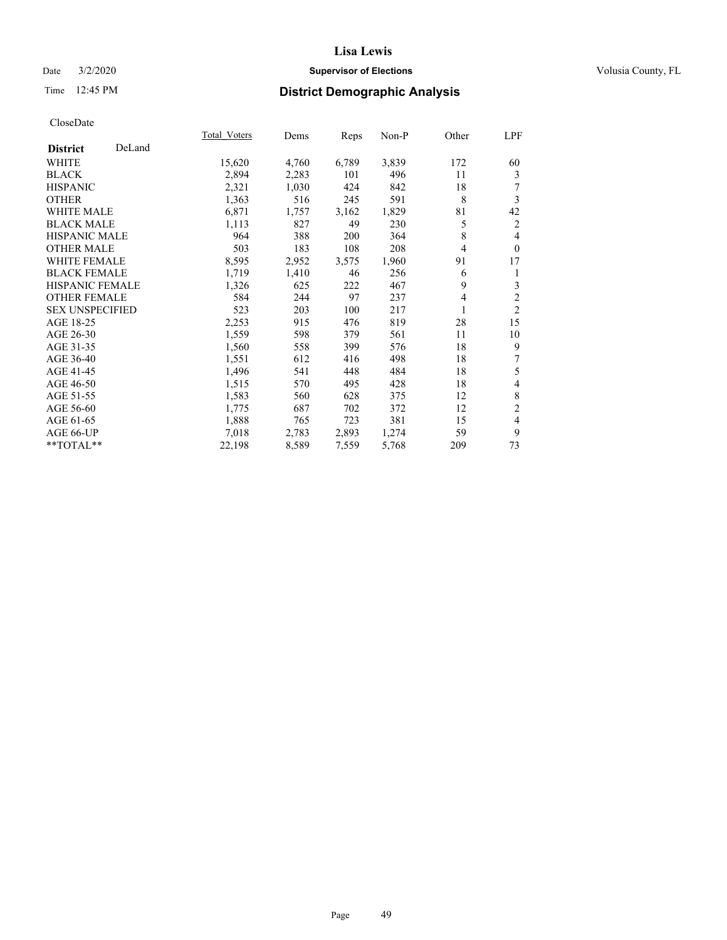## Date  $3/2/2020$  **Supervisor of Elections Supervisor of Elections** Volusia County, FL

# Time 12:45 PM **District Demographic Analysis**

|                        |        | Total Voters | Dems  | Reps  | Non-P | Other | LPF            |
|------------------------|--------|--------------|-------|-------|-------|-------|----------------|
| <b>District</b>        | DeLand |              |       |       |       |       |                |
| WHITE                  |        | 15,620       | 4,760 | 6,789 | 3,839 | 172   | 60             |
| <b>BLACK</b>           |        | 2,894        | 2,283 | 101   | 496   | 11    | 3              |
| <b>HISPANIC</b>        |        | 2,321        | 1,030 | 424   | 842   | 18    | 7              |
| <b>OTHER</b>           |        | 1,363        | 516   | 245   | 591   | 8     | 3              |
| <b>WHITE MALE</b>      |        | 6,871        | 1,757 | 3,162 | 1,829 | 81    | 42             |
| <b>BLACK MALE</b>      |        | 1,113        | 827   | 49    | 230   | 5     | 2              |
| <b>HISPANIC MALE</b>   |        | 964          | 388   | 200   | 364   | 8     | 4              |
| <b>OTHER MALE</b>      |        | 503          | 183   | 108   | 208   | 4     | $\theta$       |
| <b>WHITE FEMALE</b>    |        | 8,595        | 2,952 | 3,575 | 1,960 | 91    | 17             |
| <b>BLACK FEMALE</b>    |        | 1,719        | 1,410 | 46    | 256   | 6     | 1              |
| <b>HISPANIC FEMALE</b> |        | 1,326        | 625   | 222   | 467   | 9     | 3              |
| <b>OTHER FEMALE</b>    |        | 584          | 244   | 97    | 237   | 4     | $\overline{c}$ |
| <b>SEX UNSPECIFIED</b> |        | 523          | 203   | 100   | 217   |       | $\overline{2}$ |
| AGE 18-25              |        | 2,253        | 915   | 476   | 819   | 28    | 15             |
| AGE 26-30              |        | 1,559        | 598   | 379   | 561   | 11    | 10             |
| AGE 31-35              |        | 1,560        | 558   | 399   | 576   | 18    | 9              |
| AGE 36-40              |        | 1,551        | 612   | 416   | 498   | 18    | 7              |
| AGE 41-45              |        | 1,496        | 541   | 448   | 484   | 18    | 5              |
| AGE 46-50              |        | 1,515        | 570   | 495   | 428   | 18    | 4              |
| AGE 51-55              |        | 1,583        | 560   | 628   | 375   | 12    | $\,$ 8 $\,$    |
| AGE 56-60              |        | 1,775        | 687   | 702   | 372   | 12    | $\overline{c}$ |
| AGE 61-65              |        | 1,888        | 765   | 723   | 381   | 15    | 4              |
| AGE 66-UP              |        | 7,018        | 2,783 | 2,893 | 1,274 | 59    | 9              |
| **TOTAL**              |        | 22,198       | 8,589 | 7,559 | 5,768 | 209   | 73             |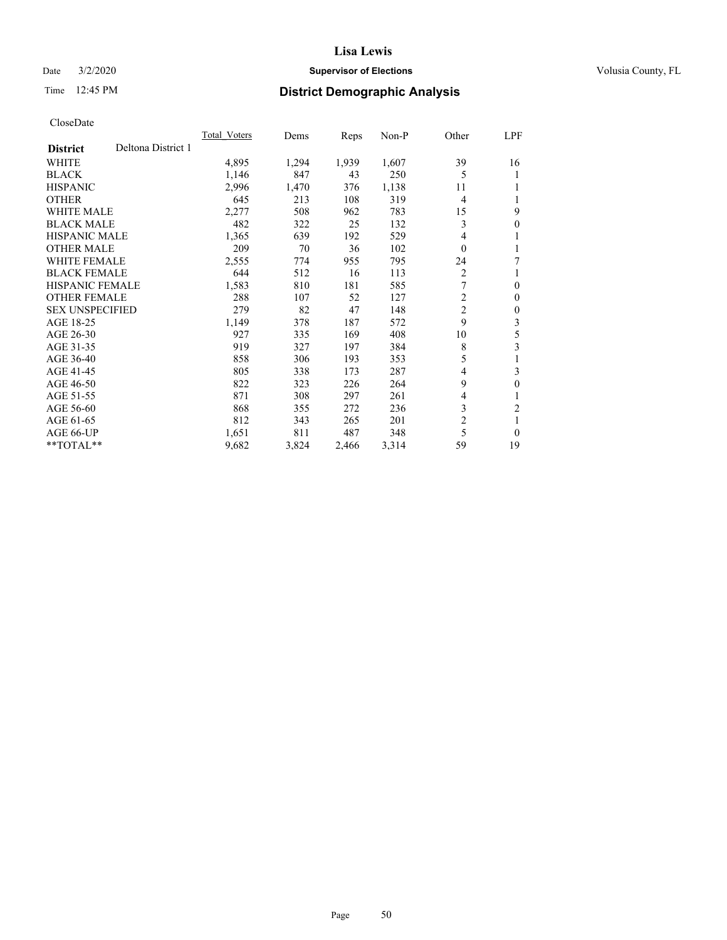## Date  $3/2/2020$  **Supervisor of Elections Supervisor of Elections** Volusia County, FL

# Time 12:45 PM **District Demographic Analysis**

| Total Voters | Dems  | Reps  | Non-P |                | LPF                          |
|--------------|-------|-------|-------|----------------|------------------------------|
|              |       |       |       |                |                              |
| 4,895        | 1,294 | 1,939 | 1,607 | 39             | 16                           |
| 1,146        | 847   | 43    | 250   | 5              | 1                            |
| 2,996        | 1,470 | 376   | 1,138 | 11             |                              |
| 645          | 213   | 108   | 319   | 4              | 1                            |
| 2,277        | 508   | 962   | 783   | 15             | 9                            |
| 482          | 322   | 25    | 132   | 3              | $\mathbf{0}$                 |
| 1,365        | 639   | 192   | 529   | 4              | 1                            |
| 209          | 70    | 36    | 102   | $\theta$       | 1                            |
| 2,555        | 774   | 955   | 795   | 24             | 7                            |
| 644          | 512   | 16    | 113   | $\overline{2}$ | 1                            |
| 1,583        | 810   | 181   | 585   | 7              | $\theta$                     |
| 288          | 107   | 52    | 127   | 2              | $\mathbf{0}$                 |
| 279          | 82    | 47    | 148   |                | $\theta$                     |
| 1,149        | 378   | 187   | 572   |                | 3                            |
| 927          | 335   | 169   | 408   | 10             | 5                            |
| 919          | 327   | 197   | 384   | 8              | 3                            |
| 858          | 306   | 193   | 353   | 5              | 1                            |
| 805          | 338   | 173   | 287   | 4              | 3                            |
| 822          | 323   | 226   | 264   | 9              | $\boldsymbol{0}$             |
| 871          | 308   | 297   | 261   | 4              | 1                            |
| 868          | 355   | 272   | 236   | 3              | 2                            |
| 812          | 343   | 265   | 201   | $\overline{c}$ | 1                            |
| 1,651        | 811   | 487   | 348   | 5              | $\theta$                     |
| 9,682        | 3,824 | 2,466 | 3,314 | 59             | 19                           |
|              |       |       |       |                | Other<br>$\overline{2}$<br>9 |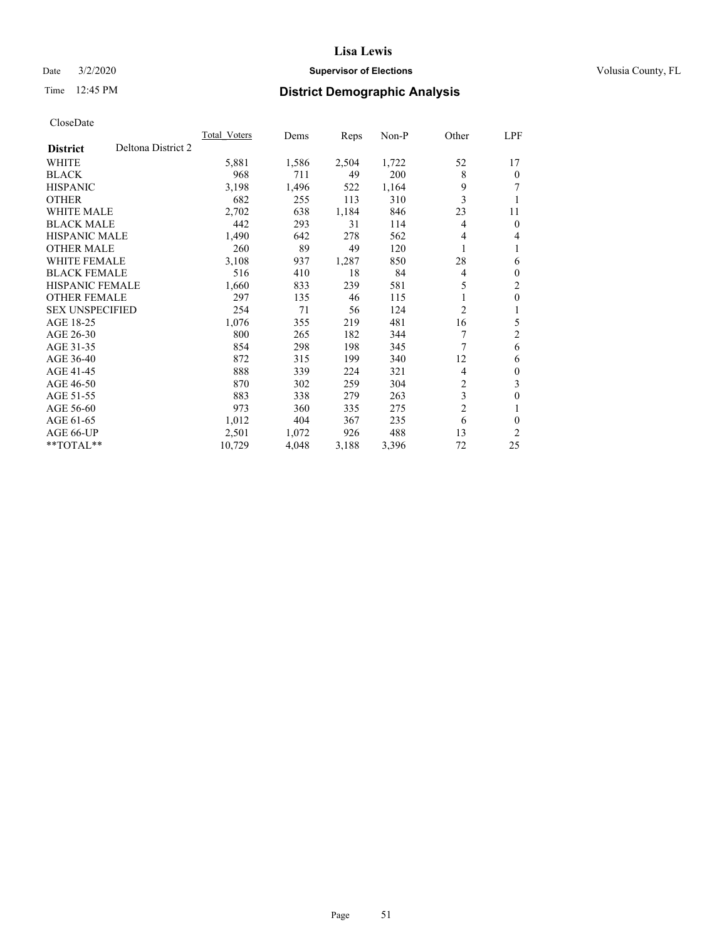## Date  $3/2/2020$  **Supervisor of Elections Supervisor of Elections** Volusia County, FL

# Time 12:45 PM **District Demographic Analysis**

| Deltona District 2<br><b>District</b><br><b>WHITE</b><br>5,881<br>1,586<br>968<br><b>BLACK</b><br>711<br>3,198<br><b>HISPANIC</b><br>1,496 | 1,722<br>52<br>2,504<br>17<br>8<br>49<br>200<br>$\theta$<br>9<br>1,164<br>7<br>522 |
|--------------------------------------------------------------------------------------------------------------------------------------------|------------------------------------------------------------------------------------|
|                                                                                                                                            |                                                                                    |
|                                                                                                                                            |                                                                                    |
|                                                                                                                                            |                                                                                    |
|                                                                                                                                            |                                                                                    |
| <b>OTHER</b><br>682<br>255                                                                                                                 | 3<br>113<br>310<br>1                                                               |
| <b>WHITE MALE</b><br>2,702<br>638                                                                                                          | 23<br>1,184<br>846<br>11                                                           |
| 442<br><b>BLACK MALE</b><br>293                                                                                                            | 31<br>114<br>4<br>$\theta$                                                         |
| <b>HISPANIC MALE</b><br>1,490<br>642                                                                                                       | 278<br>562<br>4<br>4                                                               |
| 89<br><b>OTHER MALE</b><br>260                                                                                                             | 49<br>120<br>1<br>1                                                                |
| 3,108<br><b>WHITE FEMALE</b><br>937                                                                                                        | 28<br>1,287<br>850<br>6                                                            |
| <b>BLACK FEMALE</b><br>516<br>410                                                                                                          | 18<br>84<br>$\theta$<br>4                                                          |
| <b>HISPANIC FEMALE</b><br>1,660<br>833                                                                                                     | 5<br>$\overline{2}$<br>239<br>581                                                  |
| <b>OTHER FEMALE</b><br>297<br>135                                                                                                          | 46<br>1<br>$\theta$<br>115                                                         |
| <b>SEX UNSPECIFIED</b><br>254<br>71                                                                                                        | 2<br>56<br>124<br>1                                                                |
| AGE 18-25<br>1,076<br>355                                                                                                                  | 5<br>16<br>219<br>481                                                              |
| AGE 26-30<br>800<br>265                                                                                                                    | 2<br>7<br>182<br>344                                                               |
| 298<br>AGE 31-35<br>854                                                                                                                    | 7<br>198<br>345<br>6                                                               |
| 872<br>AGE 36-40<br>315                                                                                                                    | 199<br>12<br>340<br>6                                                              |
| 888<br>AGE 41-45<br>339                                                                                                                    | 224<br>321<br>4<br>$\theta$                                                        |
| AGE 46-50<br>870<br>302                                                                                                                    | 2<br>3<br>259<br>304                                                               |
| AGE 51-55<br>883<br>338                                                                                                                    | 3<br>279<br>$\theta$<br>263                                                        |
| AGE 56-60<br>973<br>360                                                                                                                    | $\overline{2}$<br>335<br>275<br>1                                                  |
| 1,012<br>404<br>AGE 61-65                                                                                                                  | 367<br>235<br>6<br>0                                                               |
| 2,501<br>AGE 66-UP<br>1,072                                                                                                                | 13<br>2<br>926<br>488                                                              |
| $*$ TOTAL $*$<br>10,729<br>4,048                                                                                                           | 72<br>25<br>3,188<br>3,396                                                         |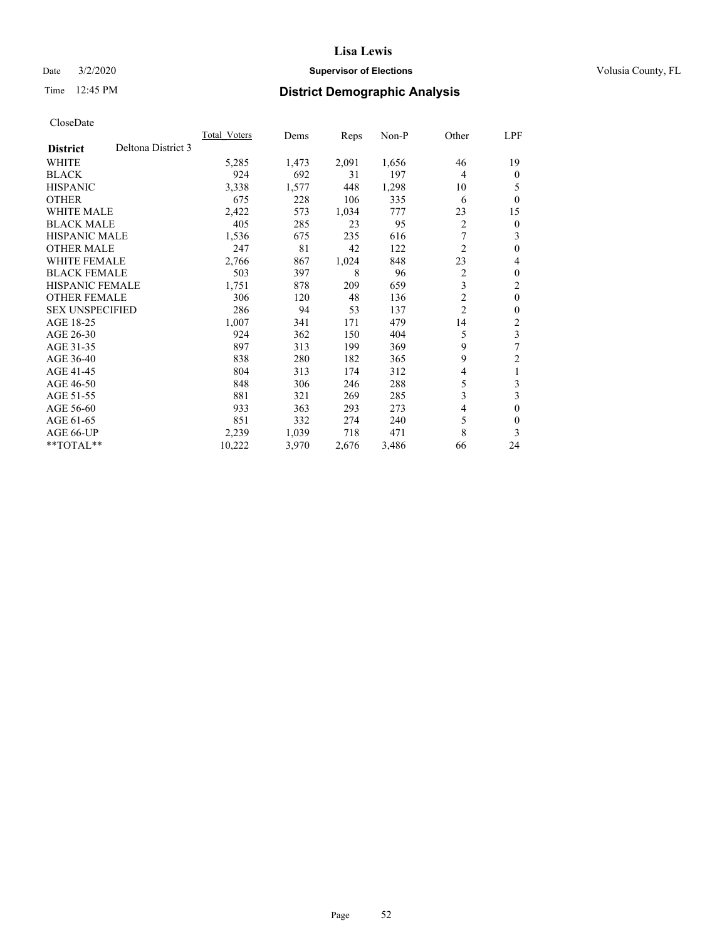## Date  $3/2/2020$  **Supervisor of Elections Supervisor of Elections** Volusia County, FL

# Time 12:45 PM **District Demographic Analysis**

|                        |                    | Total Voters | Dems  | Reps  | Non-P | Other          | LPF            |
|------------------------|--------------------|--------------|-------|-------|-------|----------------|----------------|
| <b>District</b>        | Deltona District 3 |              |       |       |       |                |                |
| WHITE                  |                    | 5,285        | 1,473 | 2,091 | 1,656 | 46             | 19             |
| <b>BLACK</b>           |                    | 924          | 692   | 31    | 197   | $\overline{4}$ | 0              |
| <b>HISPANIC</b>        |                    | 3,338        | 1,577 | 448   | 1,298 | 10             | 5              |
| <b>OTHER</b>           |                    | 675          | 228   | 106   | 335   | 6              | $\Omega$       |
| WHITE MALE             |                    | 2,422        | 573   | 1,034 | 777   | 23             | 15             |
| <b>BLACK MALE</b>      |                    | 405          | 285   | 23    | 95    | 2              | 0              |
| HISPANIC MALE          |                    | 1,536        | 675   | 235   | 616   | 7              | 3              |
| <b>OTHER MALE</b>      |                    | 247          | 81    | 42    | 122   | $\overline{2}$ | 0              |
| <b>WHITE FEMALE</b>    |                    | 2,766        | 867   | 1,024 | 848   | 23             | 4              |
| <b>BLACK FEMALE</b>    |                    | 503          | 397   | 8     | 96    | $\overline{2}$ | 0              |
| <b>HISPANIC FEMALE</b> |                    | 1,751        | 878   | 209   | 659   | 3              | 2              |
| <b>OTHER FEMALE</b>    |                    | 306          | 120   | 48    | 136   | $\overline{2}$ | $\theta$       |
| <b>SEX UNSPECIFIED</b> |                    | 286          | 94    | 53    | 137   | $\overline{c}$ | 0              |
| AGE 18-25              |                    | 1,007        | 341   | 171   | 479   | 14             | $\overline{c}$ |
| AGE 26-30              |                    | 924          | 362   | 150   | 404   | 5              | 3              |
| AGE 31-35              |                    | 897          | 313   | 199   | 369   | 9              | 7              |
| AGE 36-40              |                    | 838          | 280   | 182   | 365   | 9              | 2              |
| AGE 41-45              |                    | 804          | 313   | 174   | 312   | 4              | 1              |
| AGE 46-50              |                    | 848          | 306   | 246   | 288   | 5              | 3              |
| AGE 51-55              |                    | 881          | 321   | 269   | 285   | 3              | 3              |
| AGE 56-60              |                    | 933          | 363   | 293   | 273   | 4              | 0              |
| AGE 61-65              |                    | 851          | 332   | 274   | 240   | 5              | 0              |
| AGE 66-UP              |                    | 2,239        | 1,039 | 718   | 471   | 8              | 3              |
| **TOTAL**              |                    | 10,222       | 3,970 | 2,676 | 3,486 | 66             | 24             |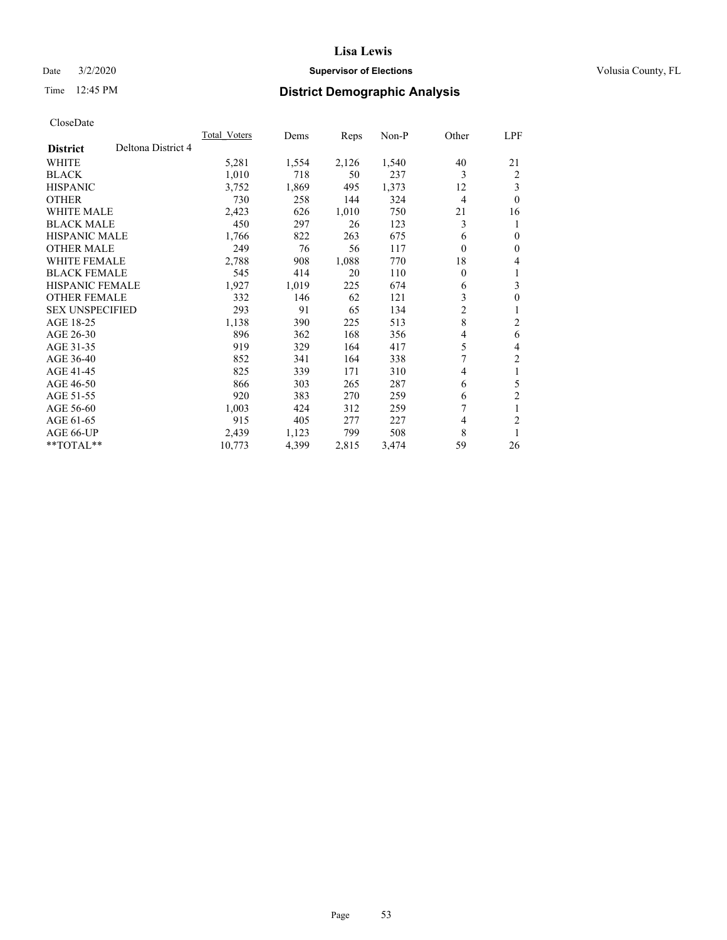## Date  $3/2/2020$  **Supervisor of Elections Supervisor of Elections** Volusia County, FL

# Time 12:45 PM **District Demographic Analysis**

|                                       | Total Voters | Dems  | Reps  | $Non-P$ | Other          | LPF            |
|---------------------------------------|--------------|-------|-------|---------|----------------|----------------|
| Deltona District 4<br><b>District</b> |              |       |       |         |                |                |
| WHITE                                 | 5,281        | 1,554 | 2,126 | 1,540   | 40             | 21             |
| <b>BLACK</b>                          | 1,010        | 718   | 50    | 237     | 3              | 2              |
| <b>HISPANIC</b>                       | 3,752        | 1,869 | 495   | 1,373   | 12             | 3              |
| <b>OTHER</b>                          | 730          | 258   | 144   | 324     | $\overline{4}$ | $\theta$       |
| <b>WHITE MALE</b>                     | 2,423        | 626   | 1,010 | 750     | 21             | 16             |
| <b>BLACK MALE</b>                     | 450          | 297   | 26    | 123     | 3              | 1              |
| <b>HISPANIC MALE</b>                  | 1,766        | 822   | 263   | 675     | 6              | $\theta$       |
| <b>OTHER MALE</b>                     | 249          | 76    | 56    | 117     | $\theta$       | $\mathbf{0}$   |
| WHITE FEMALE                          | 2,788        | 908   | 1,088 | 770     | 18             | 4              |
| <b>BLACK FEMALE</b>                   | 545          | 414   | 20    | 110     | 0              | 1              |
| <b>HISPANIC FEMALE</b>                | 1,927        | 1,019 | 225   | 674     | 6              | 3              |
| <b>OTHER FEMALE</b>                   | 332          | 146   | 62    | 121     | 3              | $\theta$       |
| <b>SEX UNSPECIFIED</b>                | 293          | 91    | 65    | 134     | 2              | 1              |
| AGE 18-25                             | 1,138        | 390   | 225   | 513     | 8              | $\overline{c}$ |
| AGE 26-30                             | 896          | 362   | 168   | 356     | 4              | 6              |
| AGE 31-35                             | 919          | 329   | 164   | 417     | 5              | 4              |
| AGE 36-40                             | 852          | 341   | 164   | 338     | 7              | $\overline{2}$ |
| AGE 41-45                             | 825          | 339   | 171   | 310     | 4              | 1              |
| AGE 46-50                             | 866          | 303   | 265   | 287     | 6              | 5              |
| AGE 51-55                             | 920          | 383   | 270   | 259     | 6              | $\overline{2}$ |
| AGE 56-60                             | 1,003        | 424   | 312   | 259     | 7              | 1              |
| AGE 61-65                             | 915          | 405   | 277   | 227     | 4              | $\overline{2}$ |
| AGE 66-UP                             | 2,439        | 1,123 | 799   | 508     | 8              | 1              |
| **TOTAL**                             | 10,773       | 4,399 | 2,815 | 3,474   | 59             | 26             |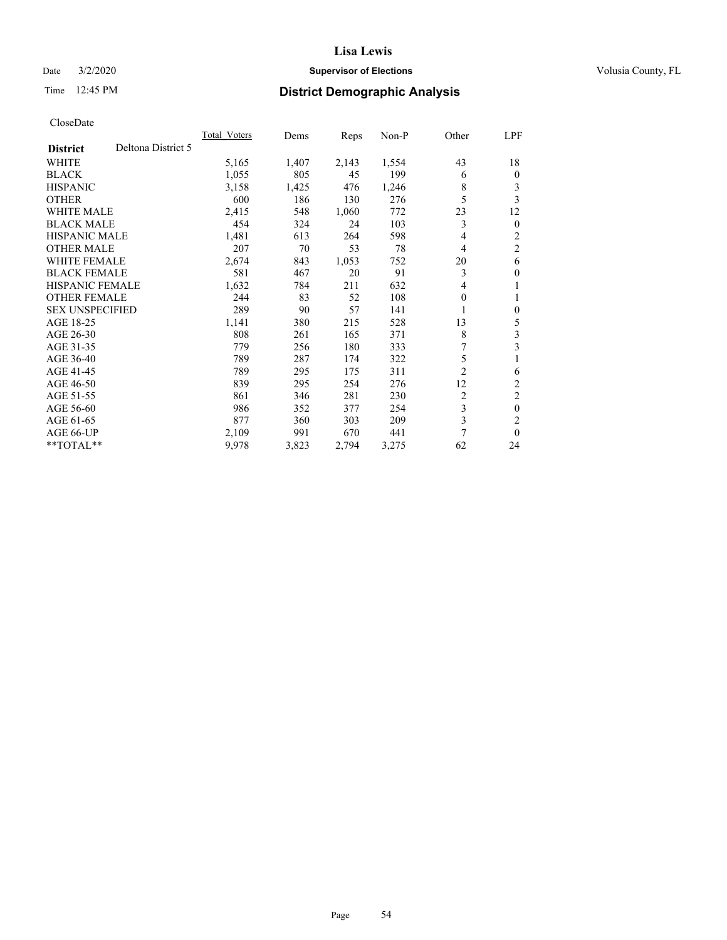## Date  $3/2/2020$  **Supervisor of Elections Supervisor of Elections** Volusia County, FL

# Time 12:45 PM **District Demographic Analysis**

|                        | Total Voters       | Dems  | Reps  | $Non-P$ | Other          | LPF            |
|------------------------|--------------------|-------|-------|---------|----------------|----------------|
| <b>District</b>        | Deltona District 5 |       |       |         |                |                |
| WHITE                  | 5,165              | 1,407 | 2,143 | 1,554   | 43             | 18             |
| <b>BLACK</b>           | 1,055              | 805   | 45    | 199     | 6              | $\mathbf{0}$   |
| <b>HISPANIC</b>        | 3,158              | 1,425 | 476   | 1,246   | 8              | 3              |
| <b>OTHER</b>           | 600                | 186   | 130   | 276     | 5              | 3              |
| <b>WHITE MALE</b>      | 2,415              | 548   | 1,060 | 772     | 23             | 12             |
| <b>BLACK MALE</b>      | 454                | 324   | 24    | 103     | 3              | $\mathbf{0}$   |
| <b>HISPANIC MALE</b>   | 1,481              | 613   | 264   | 598     | 4              | 2              |
| <b>OTHER MALE</b>      | 207                | 70    | 53    | 78      | 4              | $\overline{2}$ |
| WHITE FEMALE           | 2,674              | 843   | 1,053 | 752     | 20             | 6              |
| <b>BLACK FEMALE</b>    | 581                | 467   | 20    | 91      | 3              | $\theta$       |
| <b>HISPANIC FEMALE</b> | 1,632              | 784   | 211   | 632     | 4              | 1              |
| <b>OTHER FEMALE</b>    | 244                | 83    | 52    | 108     | 0              | 1              |
| <b>SEX UNSPECIFIED</b> | 289                | 90    | 57    | 141     |                | $\theta$       |
| AGE 18-25              | 1,141              | 380   | 215   | 528     | 13             | 5              |
| AGE 26-30              | 808                | 261   | 165   | 371     | 8              | 3              |
| AGE 31-35              | 779                | 256   | 180   | 333     | 7              | 3              |
| AGE 36-40              | 789                | 287   | 174   | 322     | 5              |                |
| AGE 41-45              | 789                | 295   | 175   | 311     | $\overline{2}$ | 6              |
| AGE 46-50              | 839                | 295   | 254   | 276     | 12             | 2              |
| AGE 51-55              | 861                | 346   | 281   | 230     | 2              | $\overline{c}$ |
| AGE 56-60              | 986                | 352   | 377   | 254     | 3              | $\theta$       |
| AGE 61-65              | 877                | 360   | 303   | 209     | 3              | $\overline{c}$ |
| AGE 66-UP              | 2,109              | 991   | 670   | 441     | 7              | $\theta$       |
| **TOTAL**              | 9,978              | 3,823 | 2,794 | 3,275   | 62             | 24             |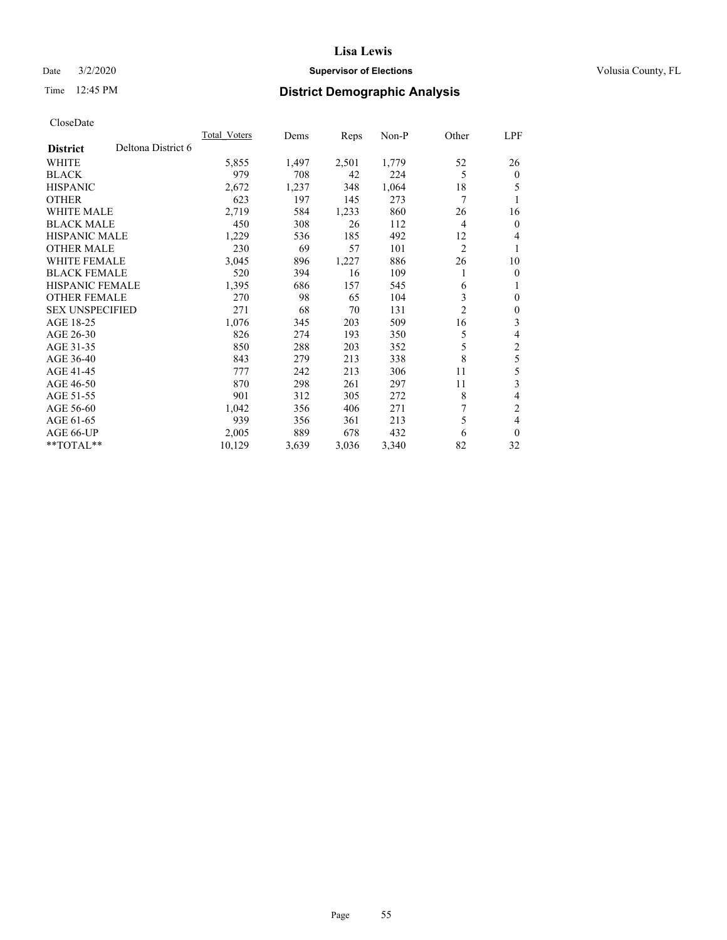## Date  $3/2/2020$  **Supervisor of Elections Supervisor of Elections** Volusia County, FL

# Time 12:45 PM **District Demographic Analysis**

|                                       | <b>Total Voters</b> | Dems  | Reps  | $Non-P$ | Other          | LPF            |
|---------------------------------------|---------------------|-------|-------|---------|----------------|----------------|
| Deltona District 6<br><b>District</b> |                     |       |       |         |                |                |
| <b>WHITE</b>                          | 5,855               | 1,497 | 2,501 | 1,779   | 52             | 26             |
| <b>BLACK</b>                          | 979                 | 708   | 42    | 224     | 5              | $\mathbf{0}$   |
| <b>HISPANIC</b>                       | 2,672               | 1,237 | 348   | 1,064   | 18             | 5              |
| <b>OTHER</b>                          | 623                 | 197   | 145   | 273     | 7              | 1              |
| <b>WHITE MALE</b>                     | 2,719               | 584   | 1,233 | 860     | 26             | 16             |
| <b>BLACK MALE</b>                     | 450                 | 308   | 26    | 112     | 4              | $\overline{0}$ |
| <b>HISPANIC MALE</b>                  | 1,229               | 536   | 185   | 492     | 12             | 4              |
| <b>OTHER MALE</b>                     | 230                 | 69    | 57    | 101     | $\overline{2}$ | 1              |
| <b>WHITE FEMALE</b>                   | 3,045               | 896   | 1,227 | 886     | 26             | 10             |
| <b>BLACK FEMALE</b>                   | 520                 | 394   | 16    | 109     | 1              | $\theta$       |
| <b>HISPANIC FEMALE</b>                | 1,395               | 686   | 157   | 545     | 6              | 1              |
| <b>OTHER FEMALE</b>                   | 270                 | 98    | 65    | 104     | 3              | $\mathbf{0}$   |
| <b>SEX UNSPECIFIED</b>                | 271                 | 68    | 70    | 131     | $\overline{c}$ | $\theta$       |
| AGE 18-25                             | 1,076               | 345   | 203   | 509     | 16             | 3              |
| AGE 26-30                             | 826                 | 274   | 193   | 350     | 5              | 4              |
| AGE 31-35                             | 850                 | 288   | 203   | 352     | 5              | $\mathfrak{2}$ |
| AGE 36-40                             | 843                 | 279   | 213   | 338     | 8              | 5              |
| AGE 41-45                             | 777                 | 242   | 213   | 306     | 11             | 5              |
| AGE 46-50                             | 870                 | 298   | 261   | 297     | 11             | 3              |
| AGE 51-55                             | 901                 | 312   | 305   | 272     | 8              | 4              |
| AGE 56-60                             | 1,042               | 356   | 406   | 271     | 7              | 2              |
| AGE 61-65                             | 939                 | 356   | 361   | 213     | 5              | 4              |
| AGE 66-UP                             | 2,005               | 889   | 678   | 432     | 6              | $\theta$       |
| $*$ TOTAL $*$                         | 10,129              | 3,639 | 3,036 | 3,340   | 82             | 32             |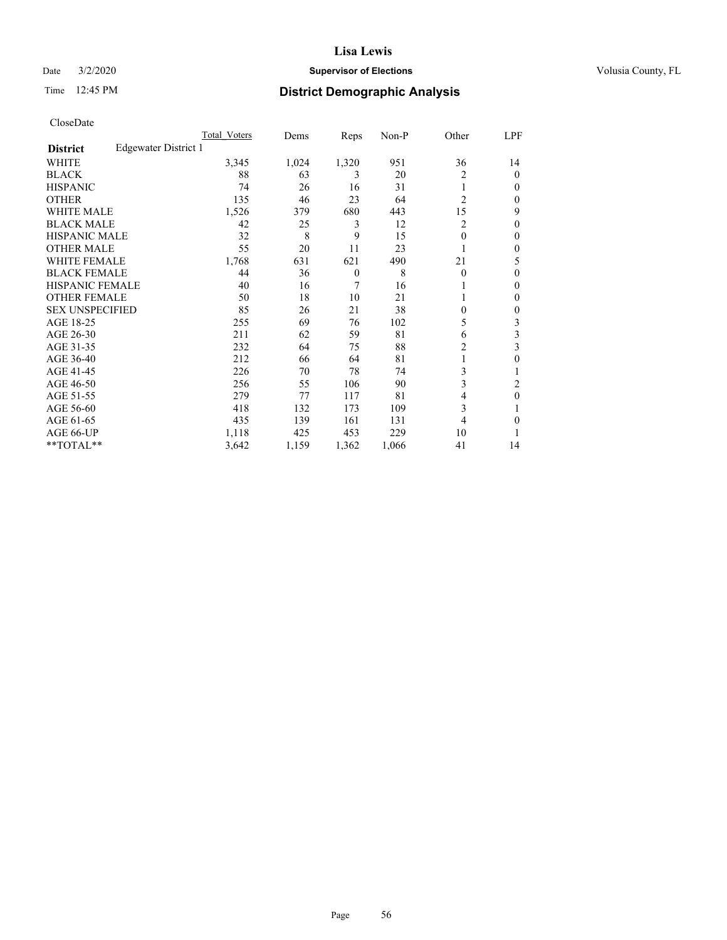## Date  $3/2/2020$  **Supervisor of Elections Supervisor of Elections** Volusia County, FL

# Time 12:45 PM **District Demographic Analysis**

|                        |                      | Total Voters | Dems  | Reps     | Non-P | Other          | LPF    |
|------------------------|----------------------|--------------|-------|----------|-------|----------------|--------|
| <b>District</b>        | Edgewater District 1 |              |       |          |       |                |        |
| WHITE                  |                      | 3,345        | 1,024 | 1,320    | 951   | 36             | 14     |
| <b>BLACK</b>           |                      | 88           | 63    | 3        | 20    | 2              | 0      |
| <b>HISPANIC</b>        |                      | 74           | 26    | 16       | 31    | 1              | $_{0}$ |
| <b>OTHER</b>           |                      | 135          | 46    | 23       | 64    | $\overline{2}$ | 0      |
| WHITE MALE             |                      | 1,526        | 379   | 680      | 443   | 15             | 9      |
| <b>BLACK MALE</b>      |                      | 42           | 25    | 3        | 12    | 2              | 0      |
| <b>HISPANIC MALE</b>   |                      | 32           | 8     | 9        | 15    | 0              | 0      |
| <b>OTHER MALE</b>      |                      | 55           | 20    | 11       | 23    |                | 0      |
| WHITE FEMALE           |                      | 1,768        | 631   | 621      | 490   | 21             | 5      |
| <b>BLACK FEMALE</b>    |                      | 44           | 36    | $\theta$ | 8     | $\Omega$       | 0      |
| <b>HISPANIC FEMALE</b> |                      | 40           | 16    | 7        | 16    |                | 0      |
| <b>OTHER FEMALE</b>    |                      | 50           | 18    | 10       | 21    |                | 0      |
| <b>SEX UNSPECIFIED</b> |                      | 85           | 26    | 21       | 38    | 0              | 0      |
| AGE 18-25              |                      | 255          | 69    | 76       | 102   | 5              | 3      |
| AGE 26-30              |                      | 211          | 62    | 59       | 81    | 6              | 3      |
| AGE 31-35              |                      | 232          | 64    | 75       | 88    | 2              | 3      |
| AGE 36-40              |                      | 212          | 66    | 64       | 81    |                | 0      |
| AGE 41-45              |                      | 226          | 70    | 78       | 74    | 3              |        |
| AGE 46-50              |                      | 256          | 55    | 106      | 90    | 3              | 2      |
| AGE 51-55              |                      | 279          | 77    | 117      | 81    | 4              | 0      |
| AGE 56-60              |                      | 418          | 132   | 173      | 109   | 3              |        |
| AGE 61-65              |                      | 435          | 139   | 161      | 131   | 4              | 0      |
| AGE 66-UP              |                      | 1,118        | 425   | 453      | 229   | 10             |        |
| **TOTAL**              |                      | 3,642        | 1,159 | 1,362    | 1,066 | 41             | 14     |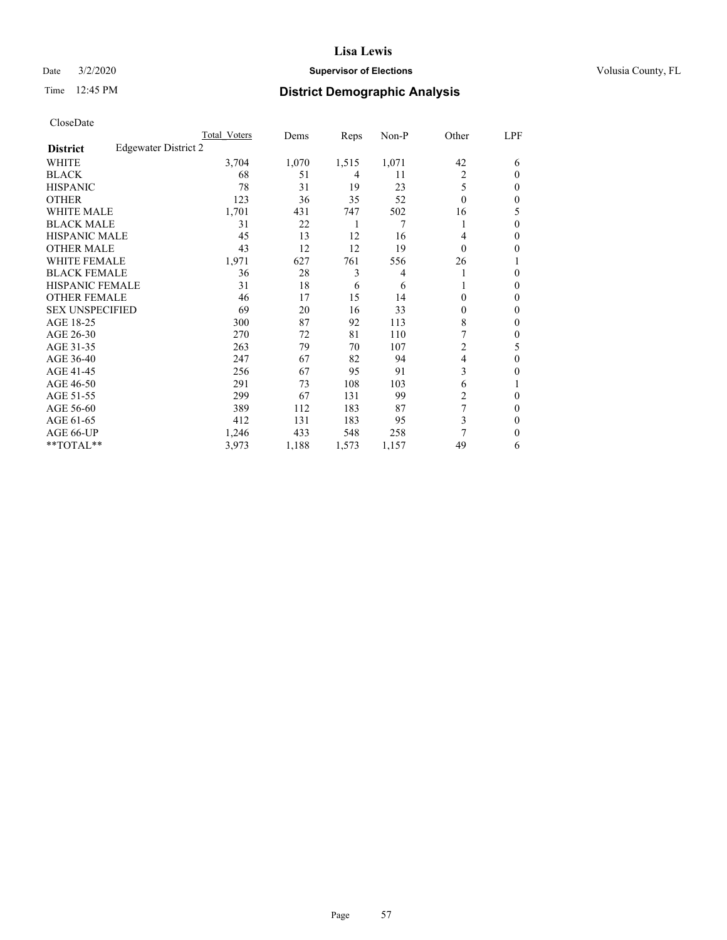#### Date  $3/2/2020$  **Supervisor of Elections Supervisor of Elections** Volusia County, FL

# Time 12:45 PM **District Demographic Analysis**

|                        |                      | Total Voters | Dems  | Reps  | Non-P          | Other          | LPF    |
|------------------------|----------------------|--------------|-------|-------|----------------|----------------|--------|
| <b>District</b>        | Edgewater District 2 |              |       |       |                |                |        |
| WHITE                  |                      | 3,704        | 1,070 | 1,515 | 1,071          | 42             | 6      |
| <b>BLACK</b>           |                      | 68           | 51    | 4     | 11             | 2              | 0      |
| <b>HISPANIC</b>        |                      | 78           | 31    | 19    | 23             | 5              | $_{0}$ |
| <b>OTHER</b>           |                      | 123          | 36    | 35    | 52             | $\Omega$       | 0      |
| WHITE MALE             |                      | 1,701        | 431   | 747   | 502            | 16             | 5      |
| <b>BLACK MALE</b>      |                      | 31           | 22    | 1     | 7              | 1              | 0      |
| <b>HISPANIC MALE</b>   |                      | 45           | 13    | 12    | 16             | 4              | 0      |
| <b>OTHER MALE</b>      |                      | 43           | 12    | 12    | 19             | 0              | 0      |
| WHITE FEMALE           |                      | 1,971        | 627   | 761   | 556            | 26             |        |
| <b>BLACK FEMALE</b>    |                      | 36           | 28    | 3     | $\overline{4}$ |                | 0      |
| <b>HISPANIC FEMALE</b> |                      | 31           | 18    | 6     | 6              |                | 0      |
| <b>OTHER FEMALE</b>    |                      | 46           | 17    | 15    | 14             | 0              | 0      |
| <b>SEX UNSPECIFIED</b> |                      | 69           | 20    | 16    | 33             | 0              | 0      |
| AGE 18-25              |                      | 300          | 87    | 92    | 113            | 8              | 0      |
| AGE 26-30              |                      | 270          | 72    | 81    | 110            | 7              | 0      |
| AGE 31-35              |                      | 263          | 79    | 70    | 107            | $\overline{c}$ | 5      |
| AGE 36-40              |                      | 247          | 67    | 82    | 94             | 4              | 0      |
| AGE 41-45              |                      | 256          | 67    | 95    | 91             | 3              | 0      |
| AGE 46-50              |                      | 291          | 73    | 108   | 103            | 6              |        |
| AGE 51-55              |                      | 299          | 67    | 131   | 99             | 2              | 0      |
| AGE 56-60              |                      | 389          | 112   | 183   | 87             | 7              | 0      |
| AGE 61-65              |                      | 412          | 131   | 183   | 95             | 3              | 0      |
| AGE 66-UP              |                      | 1,246        | 433   | 548   | 258            | 7              | 0      |
| **TOTAL**              |                      | 3,973        | 1,188 | 1,573 | 1,157          | 49             | 6      |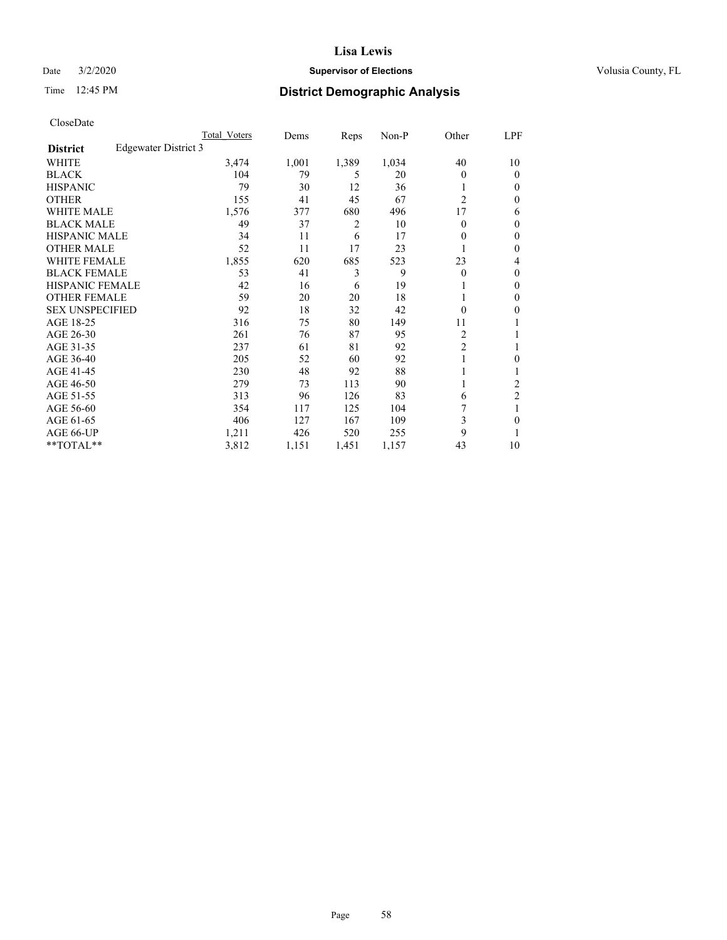## Date  $3/2/2020$  **Supervisor of Elections Supervisor of Elections** Volusia County, FL

# Time 12:45 PM **District Demographic Analysis**

|                        |                      | Total Voters | Dems  | Reps           | Non-P | Other          | LPF            |
|------------------------|----------------------|--------------|-------|----------------|-------|----------------|----------------|
| <b>District</b>        | Edgewater District 3 |              |       |                |       |                |                |
| WHITE                  |                      | 3,474        | 1,001 | 1,389          | 1,034 | 40             | 10             |
| <b>BLACK</b>           |                      | 104          | 79    | 5              | 20    | 0              | $\theta$       |
| <b>HISPANIC</b>        |                      | 79           | 30    | 12             | 36    | 1              | $\Omega$       |
| <b>OTHER</b>           |                      | 155          | 41    | 45             | 67    | $\overline{2}$ | 0              |
| WHITE MALE             |                      | 1,576        | 377   | 680            | 496   | 17             | 6              |
| <b>BLACK MALE</b>      |                      | 49           | 37    | $\overline{2}$ | 10    | 0              | $\mathbf{0}$   |
| <b>HISPANIC MALE</b>   |                      | 34           | 11    | 6              | 17    | 0              | $\theta$       |
| <b>OTHER MALE</b>      |                      | 52           | 11    | 17             | 23    | 1              | 0              |
| WHITE FEMALE           |                      | 1,855        | 620   | 685            | 523   | 23             | 4              |
| <b>BLACK FEMALE</b>    |                      | 53           | 41    | 3              | 9     | 0              | $\mathbf{0}$   |
| <b>HISPANIC FEMALE</b> |                      | 42           | 16    | 6              | 19    |                | 0              |
| <b>OTHER FEMALE</b>    |                      | 59           | 20    | 20             | 18    |                | 0              |
| <b>SEX UNSPECIFIED</b> |                      | 92           | 18    | 32             | 42    | 0              | 0              |
| AGE 18-25              |                      | 316          | 75    | 80             | 149   | 11             |                |
| AGE 26-30              |                      | 261          | 76    | 87             | 95    | 2              | 1              |
| AGE 31-35              |                      | 237          | 61    | 81             | 92    | $\overline{2}$ | 1              |
| AGE 36-40              |                      | 205          | 52    | 60             | 92    |                | 0              |
| AGE 41-45              |                      | 230          | 48    | 92             | 88    |                |                |
| AGE 46-50              |                      | 279          | 73    | 113            | 90    | 1              | 2              |
| AGE 51-55              |                      | 313          | 96    | 126            | 83    | 6              | $\overline{c}$ |
| AGE 56-60              |                      | 354          | 117   | 125            | 104   |                |                |
| AGE 61-65              |                      | 406          | 127   | 167            | 109   | 3              | 0              |
| AGE 66-UP              |                      | 1,211        | 426   | 520            | 255   | 9              |                |
| $*$ $TOTAL**$          |                      | 3,812        | 1,151 | 1,451          | 1,157 | 43             | 10             |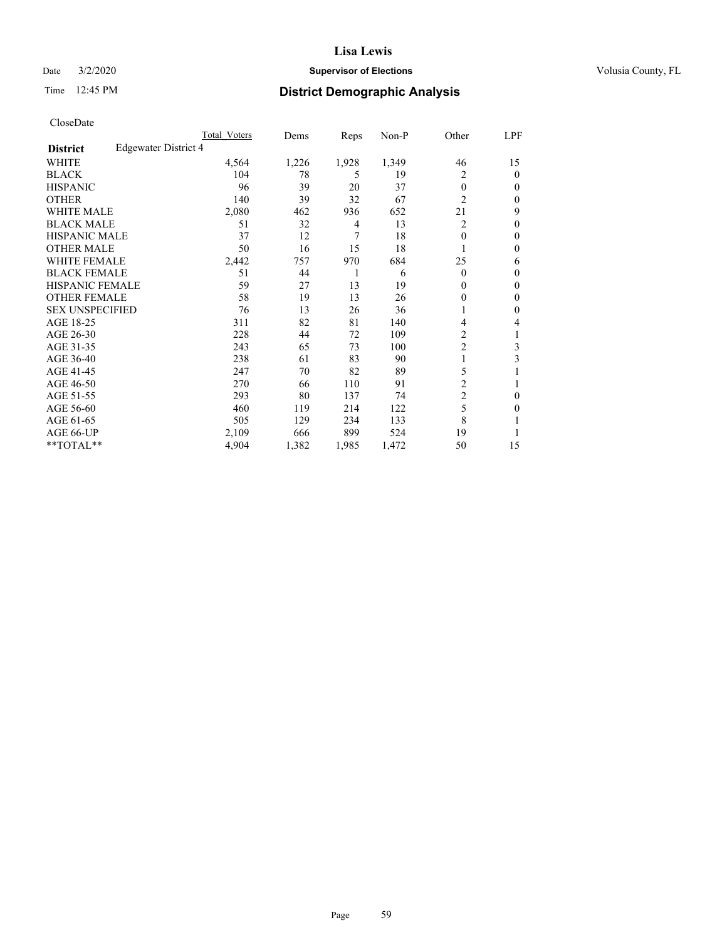## Date  $3/2/2020$  **Supervisor of Elections Supervisor of Elections** Volusia County, FL

# Time 12:45 PM **District Demographic Analysis**

|                        |                      | Total Voters | Dems  | Reps  | Non-P | Other          | LPF          |
|------------------------|----------------------|--------------|-------|-------|-------|----------------|--------------|
| <b>District</b>        | Edgewater District 4 |              |       |       |       |                |              |
| WHITE                  |                      | 4,564        | 1,226 | 1,928 | 1,349 | 46             | 15           |
| <b>BLACK</b>           |                      | 104          | 78    | 5     | 19    | 2              | $\mathbf{0}$ |
| <b>HISPANIC</b>        |                      | 96           | 39    | 20    | 37    | $\theta$       | $\Omega$     |
| <b>OTHER</b>           |                      | 140          | 39    | 32    | 67    | $\overline{2}$ | $\Omega$     |
| WHITE MALE             |                      | 2,080        | 462   | 936   | 652   | 21             | 9            |
| <b>BLACK MALE</b>      |                      | 51           | 32    | 4     | 13    | 2              | $\theta$     |
| <b>HISPANIC MALE</b>   |                      | 37           | 12    | 7     | 18    | $\theta$       | $\theta$     |
| <b>OTHER MALE</b>      |                      | 50           | 16    | 15    | 18    |                | $\mathbf{0}$ |
| WHITE FEMALE           |                      | 2,442        | 757   | 970   | 684   | 25             | 6            |
| <b>BLACK FEMALE</b>    |                      | 51           | 44    | 1     | 6     | $\theta$       | $\Omega$     |
| <b>HISPANIC FEMALE</b> |                      | 59           | 27    | 13    | 19    | 0              | $\Omega$     |
| <b>OTHER FEMALE</b>    |                      | 58           | 19    | 13    | 26    | 0              | $\Omega$     |
| <b>SEX UNSPECIFIED</b> |                      | 76           | 13    | 26    | 36    | 1              | $\theta$     |
| AGE 18-25              |                      | 311          | 82    | 81    | 140   | 4              | 4            |
| AGE 26-30              |                      | 228          | 44    | 72    | 109   | 2              | 1            |
| AGE 31-35              |                      | 243          | 65    | 73    | 100   | $\overline{c}$ | 3            |
| AGE 36-40              |                      | 238          | 61    | 83    | 90    | 1              | 3            |
| AGE 41-45              |                      | 247          | 70    | 82    | 89    | 5              |              |
| AGE 46-50              |                      | 270          | 66    | 110   | 91    | $\overline{c}$ |              |
| AGE 51-55              |                      | 293          | 80    | 137   | 74    | $\overline{c}$ | 0            |
| AGE 56-60              |                      | 460          | 119   | 214   | 122   | 5              | 0            |
| AGE 61-65              |                      | 505          | 129   | 234   | 133   | 8              |              |
| AGE 66-UP              |                      | 2,109        | 666   | 899   | 524   | 19             |              |
| $*$ TOTAL $**$         |                      | 4,904        | 1,382 | 1,985 | 1,472 | 50             | 15           |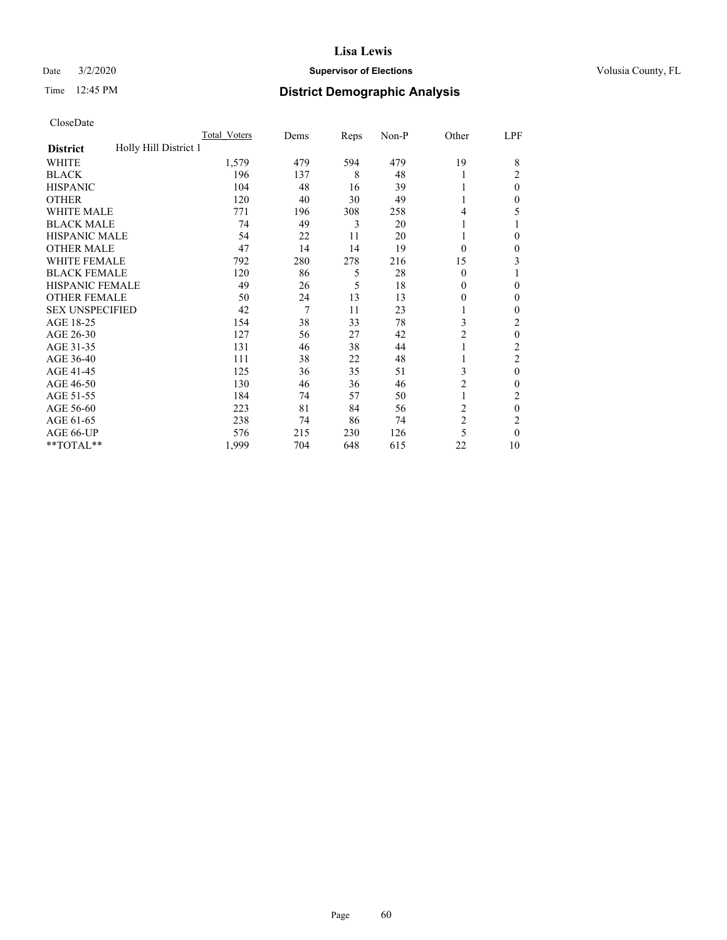#### Date  $3/2/2020$  **Supervisor of Elections Supervisor of Elections** Volusia County, FL

# Time 12:45 PM **District Demographic Analysis**

|                                          | Total Voters | Dems | Reps | Non-P | Other          | LPF            |
|------------------------------------------|--------------|------|------|-------|----------------|----------------|
| Holly Hill District 1<br><b>District</b> |              |      |      |       |                |                |
| WHITE                                    | 1,579        | 479  | 594  | 479   | 19             | 8              |
| <b>BLACK</b>                             | 196          | 137  | 8    | 48    | 1              | 2              |
| <b>HISPANIC</b>                          | 104          | 48   | 16   | 39    | 1              | $\theta$       |
| <b>OTHER</b>                             | 120          | 40   | 30   | 49    | 1              | 0              |
| <b>WHITE MALE</b>                        | 771          | 196  | 308  | 258   | 4              | 5              |
| <b>BLACK MALE</b>                        | 74           | 49   | 3    | 20    | 1              |                |
| <b>HISPANIC MALE</b>                     | 54           | 22   | 11   | 20    | 1              | 0              |
| <b>OTHER MALE</b>                        | 47           | 14   | 14   | 19    | $\theta$       | 0              |
| <b>WHITE FEMALE</b>                      | 792          | 280  | 278  | 216   | 15             | 3              |
| <b>BLACK FEMALE</b>                      | 120          | 86   | 5    | 28    | $\theta$       |                |
| <b>HISPANIC FEMALE</b>                   | 49           | 26   | 5    | 18    | $\theta$       | 0              |
| <b>OTHER FEMALE</b>                      | 50           | 24   | 13   | 13    | $\theta$       | $\Omega$       |
| <b>SEX UNSPECIFIED</b>                   | 42           | 7    | 11   | 23    | 1              | 0              |
| AGE 18-25                                | 154          | 38   | 33   | 78    | 3              | 2              |
| AGE 26-30                                | 127          | 56   | 27   | 42    | $\overline{c}$ | $\theta$       |
| AGE 31-35                                | 131          | 46   | 38   | 44    | 1              | $\overline{c}$ |
| AGE 36-40                                | 111          | 38   | 22   | 48    | 1              | 2              |
| AGE 41-45                                | 125          | 36   | 35   | 51    | 3              | $\theta$       |
| AGE 46-50                                | 130          | 46   | 36   | 46    | $\overline{2}$ | 0              |
| AGE 51-55                                | 184          | 74   | 57   | 50    | 1              | 2              |
| AGE 56-60                                | 223          | 81   | 84   | 56    | $\overline{c}$ | $\theta$       |
| AGE 61-65                                | 238          | 74   | 86   | 74    | $\overline{2}$ | 2              |
| AGE 66-UP                                | 576          | 215  | 230  | 126   | 5              | $\theta$       |
| **TOTAL**                                | 1,999        | 704  | 648  | 615   | 22             | 10             |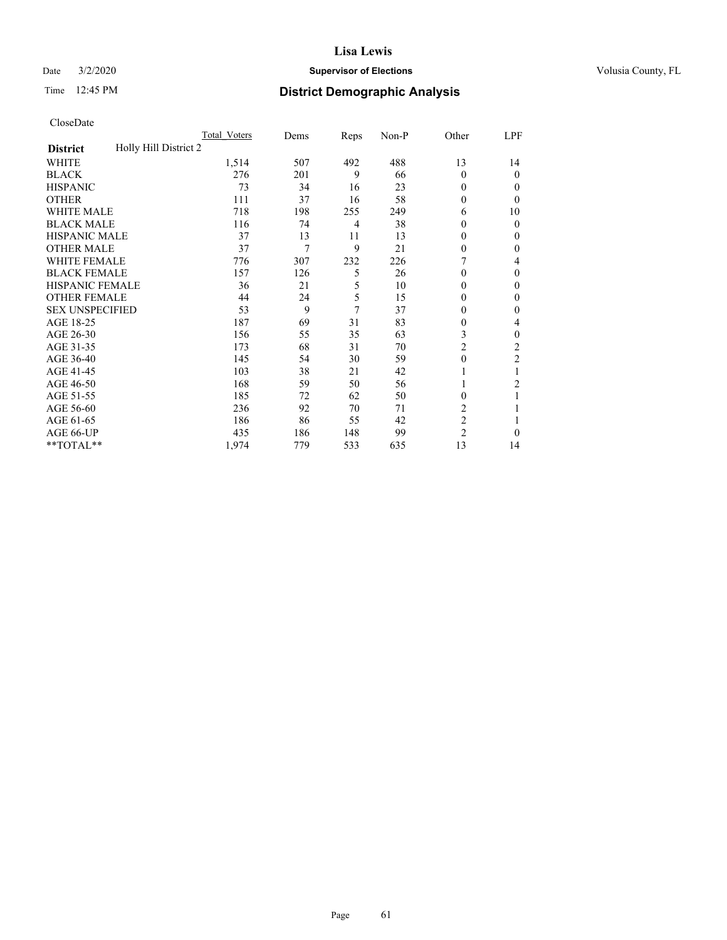## Date  $3/2/2020$  **Supervisor of Elections Supervisor of Elections** Volusia County, FL

# Time 12:45 PM **District Demographic Analysis**

|                                          | Total Voters | Dems | Reps | Non-P | Other          | LPF            |
|------------------------------------------|--------------|------|------|-------|----------------|----------------|
| Holly Hill District 2<br><b>District</b> |              |      |      |       |                |                |
| WHITE                                    | 1,514        | 507  | 492  | 488   | 13             | 14             |
| <b>BLACK</b>                             | 276          | 201  | 9    | 66    | $\Omega$       | $\mathbf{0}$   |
| <b>HISPANIC</b>                          | 73           | 34   | 16   | 23    | $\Omega$       | $\Omega$       |
| <b>OTHER</b>                             | 111          | 37   | 16   | 58    | $\theta$       | 0              |
| WHITE MALE                               | 718          | 198  | 255  | 249   | 6              | 10             |
| <b>BLACK MALE</b>                        | 116          | 74   | 4    | 38    | $\Omega$       | $\theta$       |
| <b>HISPANIC MALE</b>                     | 37           | 13   | 11   | 13    | $\mathbf{0}$   | $\mathbf{0}$   |
| <b>OTHER MALE</b>                        | 37           | 7    | 9    | 21    | 0              | $\mathbf{0}$   |
| WHITE FEMALE                             | 776          | 307  | 232  | 226   |                | 4              |
| <b>BLACK FEMALE</b>                      | 157          | 126  | 5    | 26    | $\Omega$       | $\mathbf{0}$   |
| <b>HISPANIC FEMALE</b>                   | 36           | 21   | 5    | 10    | $\Omega$       | $\Omega$       |
| <b>OTHER FEMALE</b>                      | 44           | 24   | 5    | 15    | $\Omega$       | $\theta$       |
| <b>SEX UNSPECIFIED</b>                   | 53           | 9    | 7    | 37    | 0              | $\theta$       |
| AGE 18-25                                | 187          | 69   | 31   | 83    | $\Omega$       | 4              |
| AGE 26-30                                | 156          | 55   | 35   | 63    | 3              | $\theta$       |
| AGE 31-35                                | 173          | 68   | 31   | 70    | $\overline{c}$ | $\overline{c}$ |
| AGE 36-40                                | 145          | 54   | 30   | 59    | $\mathbf{0}$   | 2              |
| AGE 41-45                                | 103          | 38   | 21   | 42    |                |                |
| AGE 46-50                                | 168          | 59   | 50   | 56    | 1              | 2              |
| AGE 51-55                                | 185          | 72   | 62   | 50    | 0              |                |
| AGE 56-60                                | 236          | 92   | 70   | 71    | $\overline{c}$ |                |
| AGE 61-65                                | 186          | 86   | 55   | 42    | $\overline{c}$ |                |
| AGE 66-UP                                | 435          | 186  | 148  | 99    | $\overline{c}$ | $\Omega$       |
| **TOTAL**                                | 1,974        | 779  | 533  | 635   | 13             | 14             |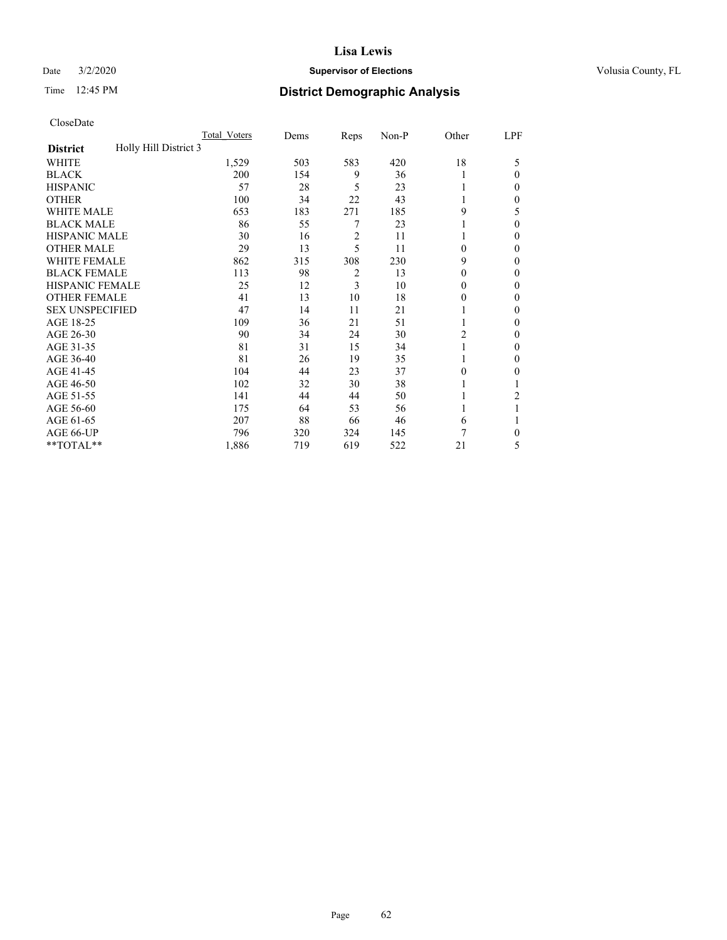## Date  $3/2/2020$  **Supervisor of Elections Supervisor of Elections** Volusia County, FL

# Time 12:45 PM **District Demographic Analysis**

|                                          | Total Voters | Dems | Reps | Non-P | Other    | LPF            |
|------------------------------------------|--------------|------|------|-------|----------|----------------|
| Holly Hill District 3<br><b>District</b> |              |      |      |       |          |                |
| WHITE                                    | 1,529        | 503  | 583  | 420   | 18       | 5              |
| <b>BLACK</b>                             | 200          | 154  | 9    | 36    |          | $\Omega$       |
| <b>HISPANIC</b>                          | 57           | 28   | 5    | 23    |          | 0              |
| <b>OTHER</b>                             | 100          | 34   | 22   | 43    |          | 0              |
| WHITE MALE                               | 653          | 183  | 271  | 185   | 9        | 5              |
| <b>BLACK MALE</b>                        | 86           | 55   | 7    | 23    |          | $\Omega$       |
| <b>HISPANIC MALE</b>                     | 30           | 16   | 2    | 11    |          | 0              |
| <b>OTHER MALE</b>                        | 29           | 13   | 5    | 11    | $\Omega$ | 0              |
| WHITE FEMALE                             | 862          | 315  | 308  | 230   | 9        | 0              |
| <b>BLACK FEMALE</b>                      | 113          | 98   | 2    | 13    | $\Omega$ | 0              |
| <b>HISPANIC FEMALE</b>                   | 25           | 12   | 3    | 10    | $\Omega$ | 0              |
| <b>OTHER FEMALE</b>                      | 41           | 13   | 10   | 18    | $\Omega$ | 0              |
| <b>SEX UNSPECIFIED</b>                   | 47           | 14   | 11   | 21    |          | 0              |
| AGE 18-25                                | 109          | 36   | 21   | 51    |          | 0              |
| AGE 26-30                                | 90           | 34   | 24   | 30    | 2        | $\mathbf{0}$   |
| AGE 31-35                                | 81           | 31   | 15   | 34    |          | 0              |
| AGE 36-40                                | 81           | 26   | 19   | 35    | 1        | 0              |
| AGE 41-45                                | 104          | 44   | 23   | 37    | $\theta$ | 0              |
| AGE 46-50                                | 102          | 32   | 30   | 38    |          |                |
| AGE 51-55                                | 141          | 44   | 44   | 50    |          | $\overline{2}$ |
| AGE 56-60                                | 175          | 64   | 53   | 56    |          |                |
| AGE 61-65                                | 207          | 88   | 66   | 46    | 6        |                |
| AGE 66-UP                                | 796          | 320  | 324  | 145   | 7        | 0              |
| **TOTAL**                                | 1,886        | 719  | 619  | 522   | 21       | 5              |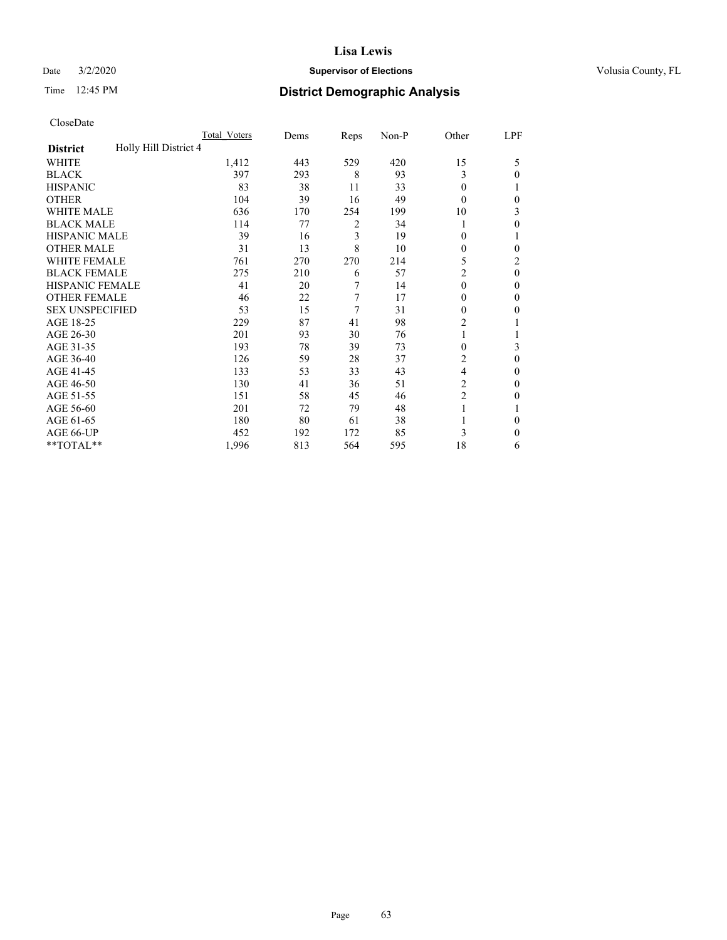## Date  $3/2/2020$  **Supervisor of Elections Supervisor of Elections** Volusia County, FL

# Time 12:45 PM **District Demographic Analysis**

|                                          | Total Voters | Dems | Reps | Non-P | Other          | LPF      |
|------------------------------------------|--------------|------|------|-------|----------------|----------|
| Holly Hill District 4<br><b>District</b> |              |      |      |       |                |          |
| WHITE                                    | 1,412        | 443  | 529  | 420   | 15             | 5        |
| <b>BLACK</b>                             | 397          | 293  | 8    | 93    | 3              | 0        |
| <b>HISPANIC</b>                          | 83           | 38   | 11   | 33    | $\theta$       |          |
| <b>OTHER</b>                             | 104          | 39   | 16   | 49    | $\Omega$       | 0        |
| WHITE MALE                               | 636          | 170  | 254  | 199   | 10             | 3        |
| <b>BLACK MALE</b>                        | 114          | 77   | 2    | 34    |                | 0        |
| <b>HISPANIC MALE</b>                     | 39           | 16   | 3    | 19    | 0              |          |
| <b>OTHER MALE</b>                        | 31           | 13   | 8    | 10    | 0              | 0        |
| <b>WHITE FEMALE</b>                      | 761          | 270  | 270  | 214   | 5              | 2        |
| <b>BLACK FEMALE</b>                      | 275          | 210  | 6    | 57    | 2              | $\theta$ |
| <b>HISPANIC FEMALE</b>                   | 41           | 20   | 7    | 14    | $\theta$       | 0        |
| <b>OTHER FEMALE</b>                      | 46           | 22   | 7    | 17    | $\theta$       | 0        |
| <b>SEX UNSPECIFIED</b>                   | 53           | 15   | 7    | 31    | 0              | 0        |
| AGE 18-25                                | 229          | 87   | 41   | 98    | $\overline{c}$ |          |
| AGE 26-30                                | 201          | 93   | 30   | 76    | 1              |          |
| AGE 31-35                                | 193          | 78   | 39   | 73    | 0              | 3        |
| AGE 36-40                                | 126          | 59   | 28   | 37    | 2              | 0        |
| AGE 41-45                                | 133          | 53   | 33   | 43    | 4              | 0        |
| AGE 46-50                                | 130          | 41   | 36   | 51    | 2              | 0        |
| AGE 51-55                                | 151          | 58   | 45   | 46    | $\overline{2}$ | 0        |
| AGE 56-60                                | 201          | 72   | 79   | 48    |                |          |
| AGE 61-65                                | 180          | 80   | 61   | 38    |                | 0        |
| AGE 66-UP                                | 452          | 192  | 172  | 85    | 3              | 0        |
| **TOTAL**                                | 1,996        | 813  | 564  | 595   | 18             | 6        |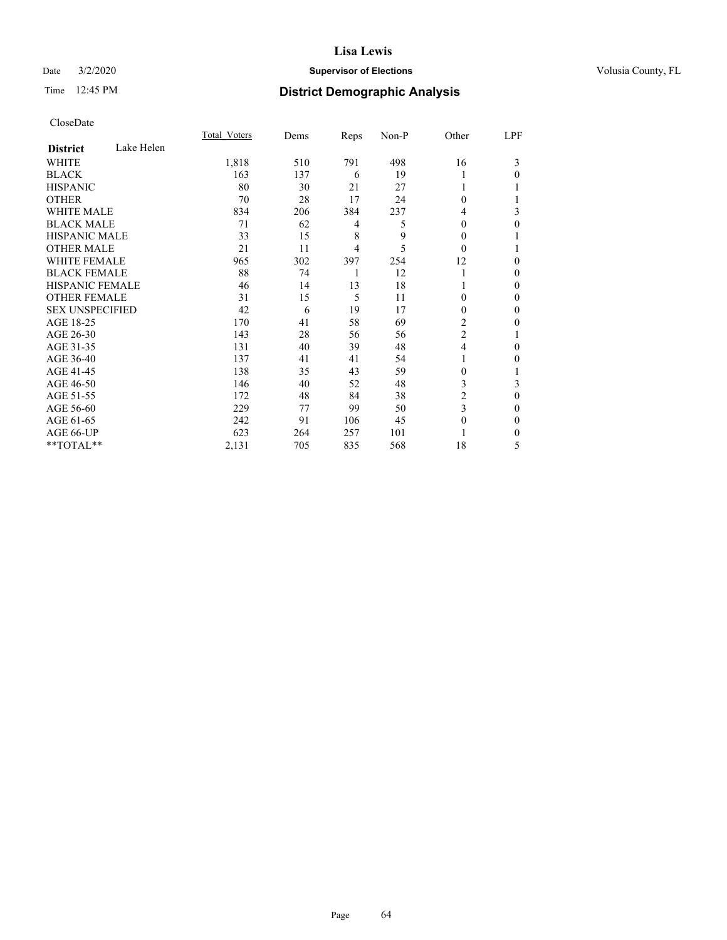## Date  $3/2/2020$  **Supervisor of Elections Supervisor of Elections** Volusia County, FL

# Time 12:45 PM **District Demographic Analysis**

|                        |            | Total Voters | Dems | Reps | Non-P | Other          | LPF          |
|------------------------|------------|--------------|------|------|-------|----------------|--------------|
| <b>District</b>        | Lake Helen |              |      |      |       |                |              |
| WHITE                  |            | 1,818        | 510  | 791  | 498   | 16             | 3            |
| <b>BLACK</b>           |            | 163          | 137  | 6    | 19    |                | 0            |
| <b>HISPANIC</b>        |            | 80           | 30   | 21   | 27    |                |              |
| <b>OTHER</b>           |            | 70           | 28   | 17   | 24    | 0              |              |
| <b>WHITE MALE</b>      |            | 834          | 206  | 384  | 237   | 4              | 3            |
| <b>BLACK MALE</b>      |            | 71           | 62   | 4    | 5     | $\mathbf{0}$   | $\theta$     |
| <b>HISPANIC MALE</b>   |            | 33           | 15   | 8    | 9     | 0              | 1            |
| <b>OTHER MALE</b>      |            | 21           | 11   | 4    | 5     | 0              |              |
| <b>WHITE FEMALE</b>    |            | 965          | 302  | 397  | 254   | 12             | $\theta$     |
| <b>BLACK FEMALE</b>    |            | 88           | 74   | 1    | 12    |                | $\theta$     |
| <b>HISPANIC FEMALE</b> |            | 46           | 14   | 13   | 18    |                | 0            |
| <b>OTHER FEMALE</b>    |            | 31           | 15   | 5    | 11    | 0              | $\Omega$     |
| <b>SEX UNSPECIFIED</b> |            | 42           | 6    | 19   | 17    | $\mathbf{0}$   | $\theta$     |
| AGE 18-25              |            | 170          | 41   | 58   | 69    | 2              | 0            |
| AGE 26-30              |            | 143          | 28   | 56   | 56    | $\overline{2}$ |              |
| AGE 31-35              |            | 131          | 40   | 39   | 48    | $\overline{4}$ | $\Omega$     |
| AGE 36-40              |            | 137          | 41   | 41   | 54    | 1              | 0            |
| AGE 41-45              |            | 138          | 35   | 43   | 59    | 0              | 1            |
| AGE 46-50              |            | 146          | 40   | 52   | 48    | 3              | 3            |
| AGE 51-55              |            | 172          | 48   | 84   | 38    | 2              | $\theta$     |
| AGE 56-60              |            | 229          | 77   | 99   | 50    | 3              | 0            |
| AGE 61-65              |            | 242          | 91   | 106  | 45    | $\theta$       | $\theta$     |
| AGE 66-UP              |            | 623          | 264  | 257  | 101   |                | $\mathbf{0}$ |
| **TOTAL**              |            | 2,131        | 705  | 835  | 568   | 18             | 5            |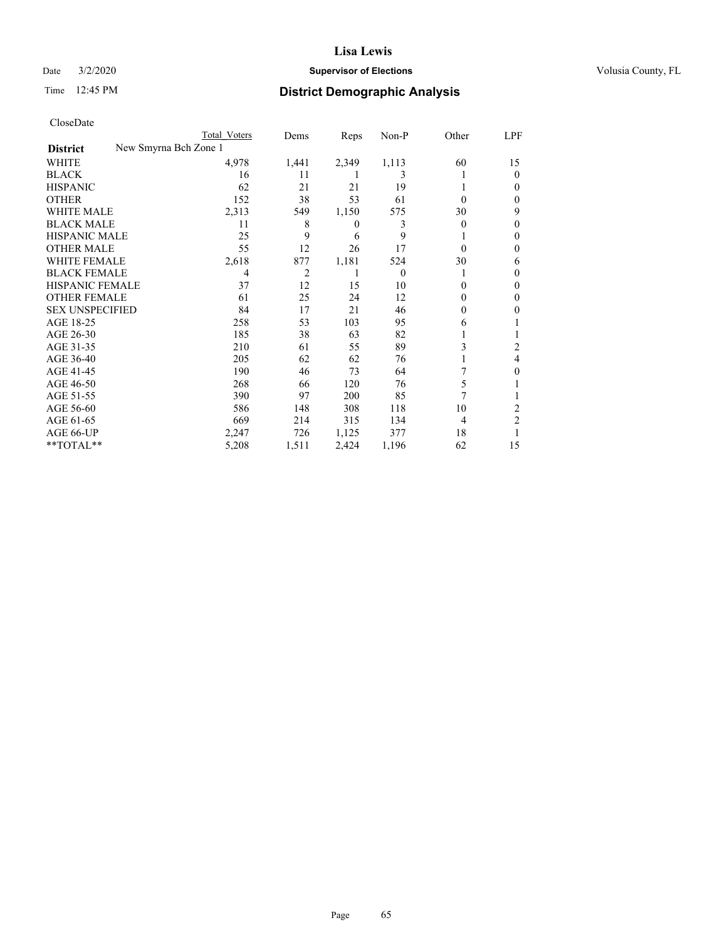## Date  $3/2/2020$  **Supervisor of Elections Supervisor of Elections** Volusia County, FL

| CloseDate |
|-----------|
|-----------|

|                                          | Total Voters | Dems  | Reps  | $Non-P$  | Other    | LPF            |
|------------------------------------------|--------------|-------|-------|----------|----------|----------------|
| New Smyrna Bch Zone 1<br><b>District</b> |              |       |       |          |          |                |
| WHITE                                    | 4,978        | 1,441 | 2,349 | 1,113    | 60       | 15             |
| <b>BLACK</b>                             | 16           | 11    |       | 3        |          | $\theta$       |
| <b>HISPANIC</b>                          | 62           | 21    | 21    | 19       |          | 0              |
| <b>OTHER</b>                             | 152          | 38    | 53    | 61       | 0        | 0              |
| <b>WHITE MALE</b>                        | 2,313        | 549   | 1,150 | 575      | 30       | 9              |
| <b>BLACK MALE</b>                        | 11           | 8     | 0     | 3        | 0        | 0              |
| <b>HISPANIC MALE</b>                     | 25           | 9     | 6     | 9        |          | 0              |
| <b>OTHER MALE</b>                        | 55           | 12    | 26    | 17       | $\Omega$ | 0              |
| <b>WHITE FEMALE</b>                      | 2,618        | 877   | 1,181 | 524      | 30       | 6              |
| <b>BLACK FEMALE</b>                      | 4            | 2     |       | $\theta$ |          | $_{0}$         |
| <b>HISPANIC FEMALE</b>                   | 37           | 12    | 15    | 10       | 0        | 0              |
| <b>OTHER FEMALE</b>                      | 61           | 25    | 24    | 12       | 0        | 0              |
| <b>SEX UNSPECIFIED</b>                   | 84           | 17    | 21    | 46       | 0        | 0              |
| AGE 18-25                                | 258          | 53    | 103   | 95       | 6        |                |
| AGE 26-30                                | 185          | 38    | 63    | 82       |          |                |
| AGE 31-35                                | 210          | 61    | 55    | 89       | 3        | 2              |
| AGE 36-40                                | 205          | 62    | 62    | 76       |          | 4              |
| AGE 41-45                                | 190          | 46    | 73    | 64       |          | 0              |
| AGE 46-50                                | 268          | 66    | 120   | 76       | 5        |                |
| AGE 51-55                                | 390          | 97    | 200   | 85       | 7        |                |
| AGE 56-60                                | 586          | 148   | 308   | 118      | 10       | 2              |
| AGE 61-65                                | 669          | 214   | 315   | 134      | 4        | $\overline{2}$ |
| AGE 66-UP                                | 2,247        | 726   | 1,125 | 377      | 18       |                |
| **TOTAL**                                | 5,208        | 1,511 | 2,424 | 1,196    | 62       | 15             |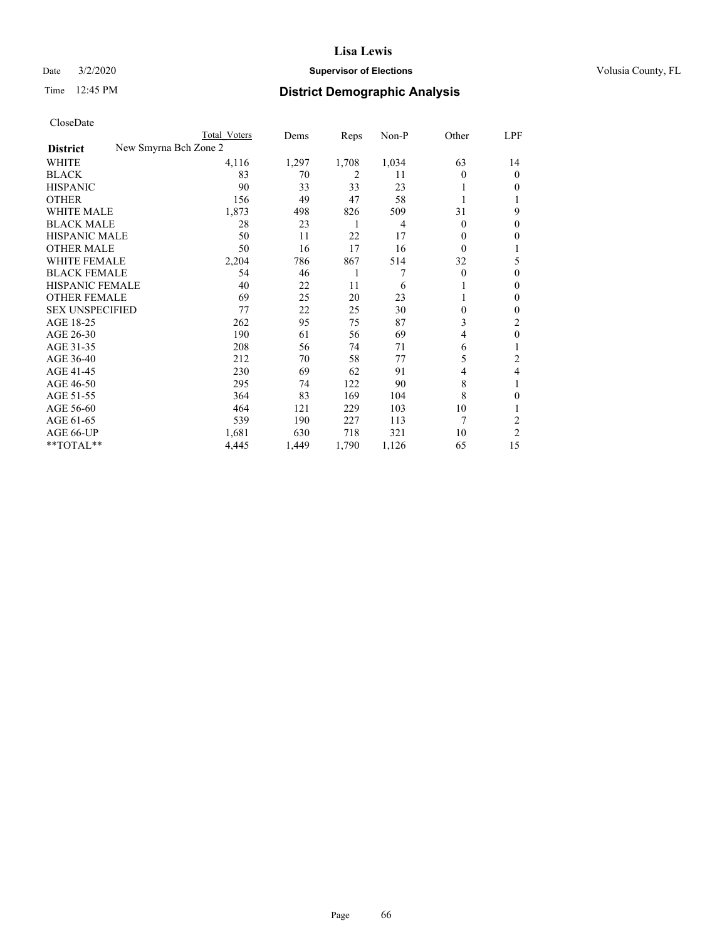## Date  $3/2/2020$  **Supervisor of Elections Supervisor of Elections** Volusia County, FL

| CloseDate |
|-----------|
|-----------|

| Total Voters | Dems                  | Reps  | $Non-P$ | Other    | LPF            |
|--------------|-----------------------|-------|---------|----------|----------------|
|              |                       |       |         |          |                |
| 4,116        | 1,297                 | 1,708 | 1,034   | 63       | 14             |
| 83           | 70                    | 2     | 11      | $\Omega$ | $\theta$       |
| 90           | 33                    | 33    | 23      |          | $\Omega$       |
| 156          | 49                    | 47    | 58      |          |                |
| 1,873        | 498                   | 826   | 509     | 31       | 9              |
| 28           | 23                    | 1     | 4       | $\Omega$ | $\theta$       |
| 50           | 11                    | 22    | 17      | 0        | $\Omega$       |
| 50           | 16                    | 17    | 16      | $\Omega$ |                |
| 2,204        | 786                   | 867   | 514     | 32       | 5              |
| 54           | 46                    | 1     | 7       | $\theta$ | $\theta$       |
| 40           | 22                    | 11    | 6       |          | $\mathbf{0}$   |
| 69           | 25                    | 20    | 23      |          | $\Omega$       |
| 77           | 22                    | 25    | 30      | 0        | $\mathbf{0}$   |
| 262          | 95                    | 75    | 87      | 3        | 2              |
| 190          | 61                    | 56    | 69      | 4        | $\theta$       |
| 208          | 56                    | 74    | 71      | 6        |                |
| 212          | 70                    | 58    | 77      | 5        | 2              |
| 230          | 69                    | 62    | 91      | 4        | 4              |
| 295          | 74                    | 122   | 90      | 8        |                |
| 364          | 83                    | 169   | 104     | 8        | $\theta$       |
| 464          | 121                   | 229   | 103     | 10       |                |
| 539          | 190                   | 227   | 113     | 7        | $\overline{c}$ |
| 1,681        | 630                   | 718   | 321     | 10       | 2              |
| 4,445        | 1,449                 | 1,790 | 1,126   | 65       | 15             |
|              | New Smyrna Bch Zone 2 |       |         |          |                |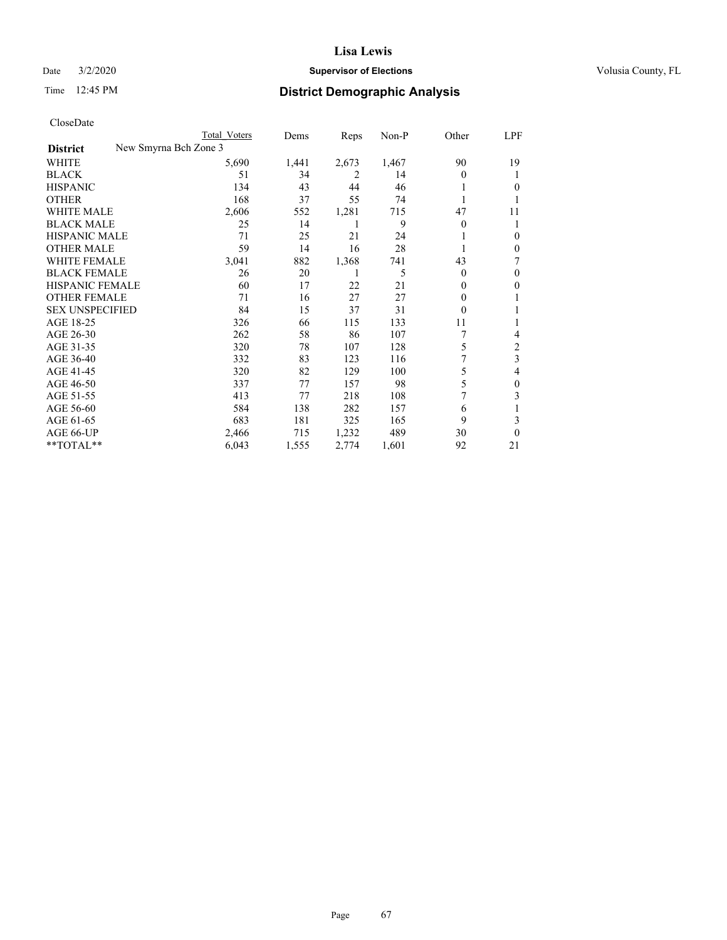## Date  $3/2/2020$  **Supervisor of Elections Supervisor of Elections** Volusia County, FL

| CloseDate |
|-----------|
|-----------|

|                        | Total Voters          | Dems  | Reps  | Non-P | Other    | LPF      |
|------------------------|-----------------------|-------|-------|-------|----------|----------|
| <b>District</b>        | New Smyrna Bch Zone 3 |       |       |       |          |          |
| WHITE                  | 5,690                 | 1,441 | 2,673 | 1,467 | 90       | 19       |
| BLACK                  | 51                    | 34    | 2     | 14    | $\Omega$ |          |
| <b>HISPANIC</b>        | 134                   | 43    | 44    | 46    |          | 0        |
| <b>OTHER</b>           | 168                   | 37    | 55    | 74    |          |          |
| <b>WHITE MALE</b>      | 2,606                 | 552   | 1,281 | 715   | 47       | 11       |
| <b>BLACK MALE</b>      | 25                    | 14    |       | 9     | $\Omega$ |          |
| <b>HISPANIC MALE</b>   | 71                    | 25    | 21    | 24    |          | 0        |
| <b>OTHER MALE</b>      | 59                    | 14    | 16    | 28    |          | 0        |
| <b>WHITE FEMALE</b>    | 3,041                 | 882   | 1,368 | 741   | 43       | 7        |
| <b>BLACK FEMALE</b>    | 26                    | 20    |       | 5     | $\Omega$ | 0        |
| <b>HISPANIC FEMALE</b> | 60                    | 17    | 22    | 21    | $\Omega$ | 0        |
| <b>OTHER FEMALE</b>    | 71                    | 16    | 27    | 27    | $\Omega$ |          |
| <b>SEX UNSPECIFIED</b> | 84                    | 15    | 37    | 31    | $\theta$ |          |
| AGE 18-25              | 326                   | 66    | 115   | 133   | 11       |          |
| AGE 26-30              | 262                   | 58    | 86    | 107   | 7        | 4        |
| AGE 31-35              | 320                   | 78    | 107   | 128   | 5        | 2        |
| AGE 36-40              | 332                   | 83    | 123   | 116   |          | 3        |
| AGE 41-45              | 320                   | 82    | 129   | 100   | 5        | 4        |
| AGE 46-50              | 337                   | 77    | 157   | 98    | 5        | 0        |
| AGE 51-55              | 413                   | 77    | 218   | 108   |          | 3        |
| AGE 56-60              | 584                   | 138   | 282   | 157   | 6        |          |
| AGE 61-65              | 683                   | 181   | 325   | 165   | 9        | 3        |
| AGE 66-UP              | 2,466                 | 715   | 1,232 | 489   | 30       | $\theta$ |
| **TOTAL**              | 6,043                 | 1,555 | 2,774 | 1,601 | 92       | 21       |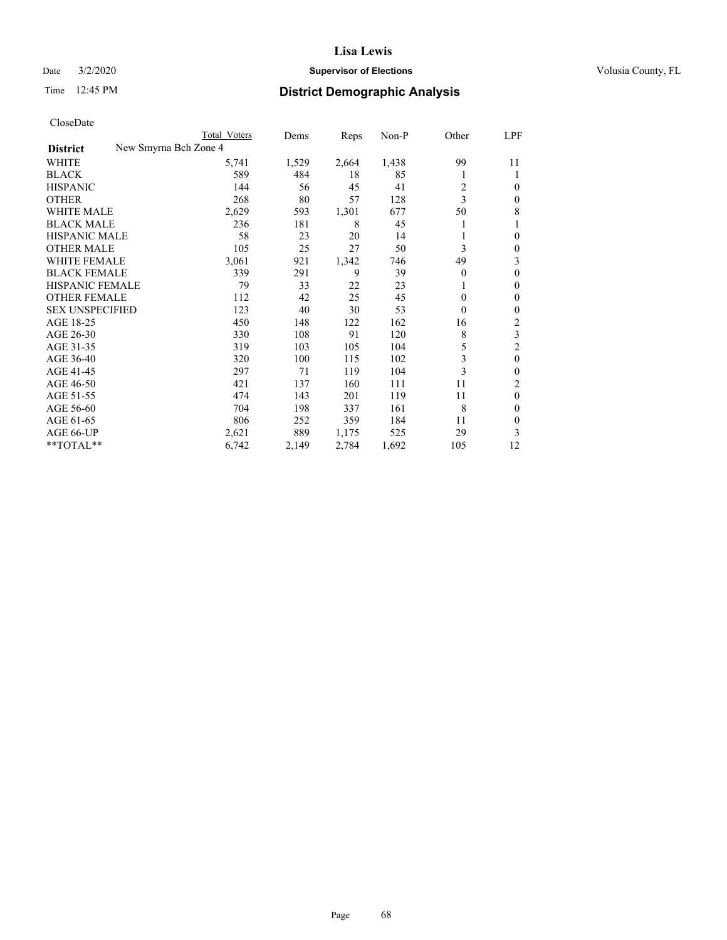## Date  $3/2/2020$  **Supervisor of Elections Supervisor of Elections** Volusia County, FL

|                                          | Total Voters | Dems  | Reps  | Non-P | Other        | LPF              |
|------------------------------------------|--------------|-------|-------|-------|--------------|------------------|
| New Smyrna Bch Zone 4<br><b>District</b> |              |       |       |       |              |                  |
| WHITE                                    | 5,741        | 1,529 | 2,664 | 1,438 | 99           | 11               |
| <b>BLACK</b>                             | 589          | 484   | 18    | 85    |              | 1                |
| <b>HISPANIC</b>                          | 144          | 56    | 45    | 41    | 2            | $\theta$         |
| <b>OTHER</b>                             | 268          | 80    | 57    | 128   | 3            | $\mathbf{0}$     |
| <b>WHITE MALE</b>                        | 2,629        | 593   | 1,301 | 677   | 50           | 8                |
| <b>BLACK MALE</b>                        | 236          | 181   | 8     | 45    |              | 1                |
| <b>HISPANIC MALE</b>                     | 58           | 23    | 20    | 14    |              | $\theta$         |
| <b>OTHER MALE</b>                        | 105          | 25    | 27    | 50    | 3            | $\mathbf{0}$     |
| <b>WHITE FEMALE</b>                      | 3,061        | 921   | 1,342 | 746   | 49           | 3                |
| <b>BLACK FEMALE</b>                      | 339          | 291   | 9     | 39    | 0            | $\mathbf{0}$     |
| <b>HISPANIC FEMALE</b>                   | 79           | 33    | 22    | 23    |              | $\mathbf{0}$     |
| <b>OTHER FEMALE</b>                      | 112          | 42    | 25    | 45    | $\mathbf{0}$ | $\mathbf{0}$     |
| <b>SEX UNSPECIFIED</b>                   | 123          | 40    | 30    | 53    | $\theta$     | $\boldsymbol{0}$ |
| AGE 18-25                                | 450          | 148   | 122   | 162   | 16           | $\overline{c}$   |
| AGE 26-30                                | 330          | 108   | 91    | 120   | 8            | 3                |
| AGE 31-35                                | 319          | 103   | 105   | 104   | 5            | $\overline{c}$   |
| AGE 36-40                                | 320          | 100   | 115   | 102   | 3            | $\mathbf{0}$     |
| AGE 41-45                                | 297          | 71    | 119   | 104   | 3            | $\mathbf{0}$     |
| AGE 46-50                                | 421          | 137   | 160   | 111   | 11           | 2                |
| AGE 51-55                                | 474          | 143   | 201   | 119   | 11           | $\mathbf{0}$     |
| AGE 56-60                                | 704          | 198   | 337   | 161   | 8            | $\mathbf{0}$     |
| AGE 61-65                                | 806          | 252   | 359   | 184   | 11           | $\mathbf{0}$     |
| AGE 66-UP                                | 2,621        | 889   | 1,175 | 525   | 29           | 3                |
| **TOTAL**                                | 6,742        | 2,149 | 2,784 | 1,692 | 105          | 12               |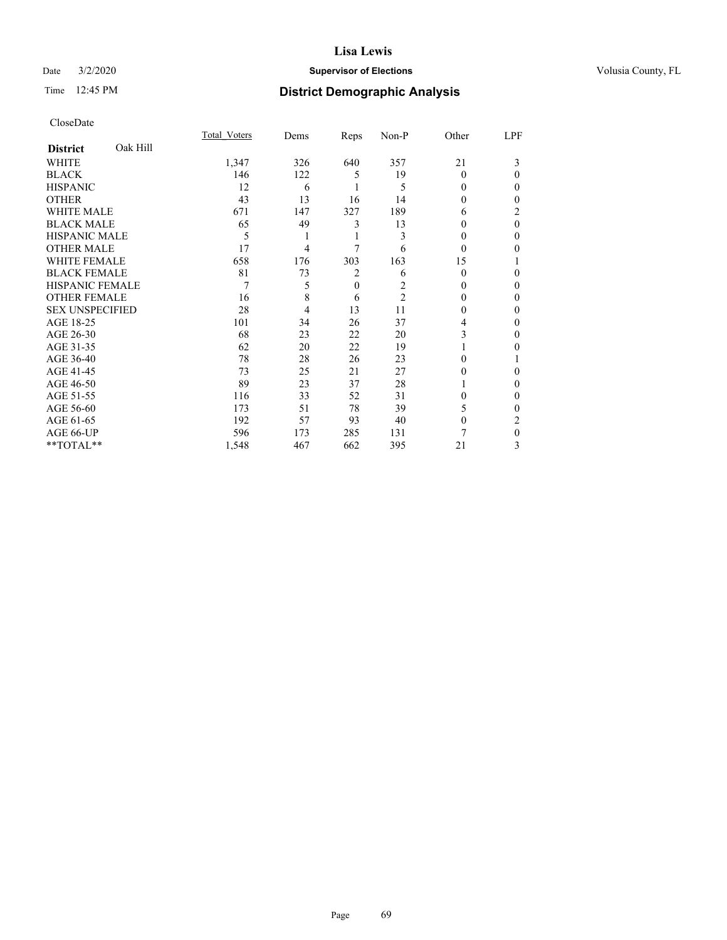## Date  $3/2/2020$  **Supervisor of Elections Supervisor of Elections** Volusia County, FL

# Time 12:45 PM **District Demographic Analysis**

|                        |          | Total Voters | Dems | Reps         | Non-P          | Other    | LPF          |
|------------------------|----------|--------------|------|--------------|----------------|----------|--------------|
| <b>District</b>        | Oak Hill |              |      |              |                |          |              |
| WHITE                  |          | 1,347        | 326  | 640          | 357            | 21       | 3            |
| <b>BLACK</b>           |          | 146          | 122  | 5            | 19             | $\theta$ | $\theta$     |
| <b>HISPANIC</b>        |          | 12           | 6    |              | 5              | $\Omega$ | 0            |
| <b>OTHER</b>           |          | 43           | 13   | 16           | 14             | 0        | 0            |
| WHITE MALE             |          | 671          | 147  | 327          | 189            | 6        | 2            |
| <b>BLACK MALE</b>      |          | 65           | 49   | 3            | 13             | 0        | $\theta$     |
| <b>HISPANIC MALE</b>   |          | 5            | 1    | 1            | 3              | 0        | 0            |
| <b>OTHER MALE</b>      |          | 17           | 4    | 7            | 6              | $\theta$ | 0            |
| WHITE FEMALE           |          | 658          | 176  | 303          | 163            | 15       |              |
| <b>BLACK FEMALE</b>    |          | 81           | 73   | 2            | 6              | $\Omega$ | 0            |
| <b>HISPANIC FEMALE</b> |          | 7            | 5    | $\mathbf{0}$ | 2              | 0        | 0            |
| <b>OTHER FEMALE</b>    |          | 16           | 8    | 6            | $\overline{c}$ | 0        | 0            |
| <b>SEX UNSPECIFIED</b> |          | 28           | 4    | 13           | 11             | $\theta$ | 0            |
| AGE 18-25              |          | 101          | 34   | 26           | 37             | 4        | 0            |
| AGE 26-30              |          | 68           | 23   | 22           | 20             | 3        | 0            |
| AGE 31-35              |          | 62           | 20   | 22           | 19             |          | 0            |
| AGE 36-40              |          | 78           | 28   | 26           | 23             | $\Omega$ |              |
| AGE 41-45              |          | 73           | 25   | 21           | 27             | 0        | 0            |
| AGE 46-50              |          | 89           | 23   | 37           | 28             |          | 0            |
| AGE 51-55              |          | 116          | 33   | 52           | 31             | $\Omega$ | $\mathbf{0}$ |
| AGE 56-60              |          | 173          | 51   | 78           | 39             | 5        | 0            |
| AGE 61-65              |          | 192          | 57   | 93           | 40             | $\Omega$ | 2            |
| AGE 66-UP              |          | 596          | 173  | 285          | 131            |          | $\theta$     |
| **TOTAL**              |          | 1,548        | 467  | 662          | 395            | 21       | 3            |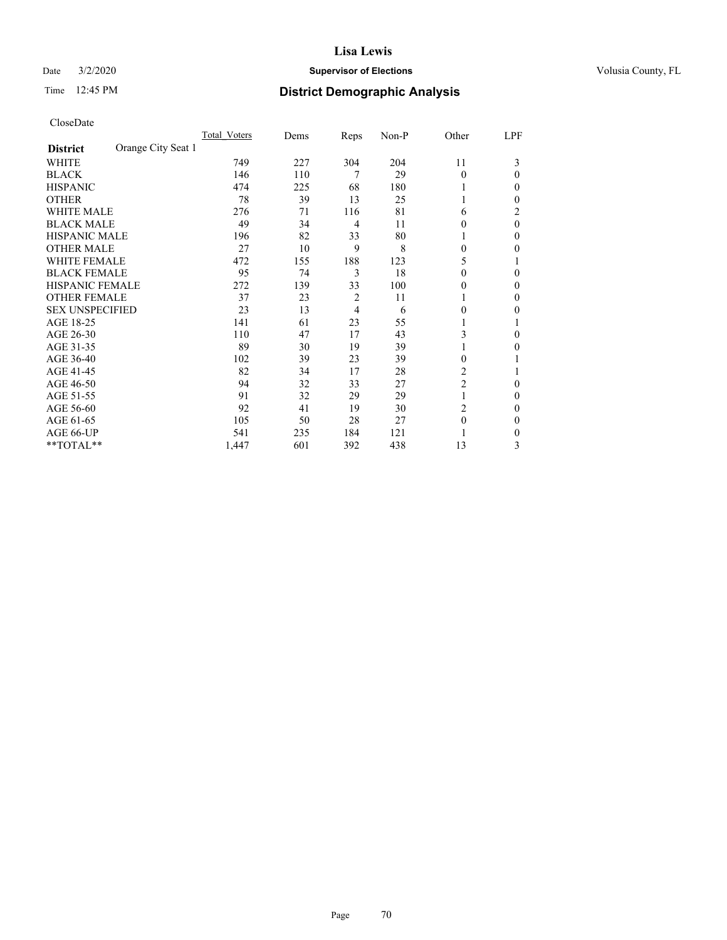## Date  $3/2/2020$  **Supervisor of Elections Supervisor of Elections** Volusia County, FL

# Time 12:45 PM **District Demographic Analysis**

|                        |                    | Total Voters | Dems | Reps | Non-P | Other          | LPF      |
|------------------------|--------------------|--------------|------|------|-------|----------------|----------|
| <b>District</b>        | Orange City Seat 1 |              |      |      |       |                |          |
| WHITE                  |                    | 749          | 227  | 304  | 204   | 11             | 3        |
| <b>BLACK</b>           |                    | 146          | 110  | 7    | 29    | $\Omega$       | 0        |
| <b>HISPANIC</b>        |                    | 474          | 225  | 68   | 180   | 1              | 0        |
| <b>OTHER</b>           |                    | 78           | 39   | 13   | 25    |                | 0        |
| WHITE MALE             |                    | 276          | 71   | 116  | 81    | 6              | 2        |
| <b>BLACK MALE</b>      |                    | 49           | 34   | 4    | 11    | $\Omega$       | $\theta$ |
| HISPANIC MALE          |                    | 196          | 82   | 33   | 80    |                | 0        |
| <b>OTHER MALE</b>      |                    | 27           | 10   | 9    | 8     | $\Omega$       | 0        |
| WHITE FEMALE           |                    | 472          | 155  | 188  | 123   | 5              |          |
| <b>BLACK FEMALE</b>    |                    | 95           | 74   | 3    | 18    | $\Omega$       | 0        |
| <b>HISPANIC FEMALE</b> |                    | 272          | 139  | 33   | 100   | 0              | 0        |
| <b>OTHER FEMALE</b>    |                    | 37           | 23   | 2    | 11    | 1              | 0        |
| <b>SEX UNSPECIFIED</b> |                    | 23           | 13   | 4    | 6     | $\Omega$       | 0        |
| AGE 18-25              |                    | 141          | 61   | 23   | 55    |                |          |
| AGE 26-30              |                    | 110          | 47   | 17   | 43    | 3              | $\Omega$ |
| AGE 31-35              |                    | 89           | 30   | 19   | 39    |                | 0        |
| AGE 36-40              |                    | 102          | 39   | 23   | 39    | $\theta$       |          |
| AGE 41-45              |                    | 82           | 34   | 17   | 28    | 2              |          |
| AGE 46-50              |                    | 94           | 32   | 33   | 27    | $\overline{2}$ | 0        |
| AGE 51-55              |                    | 91           | 32   | 29   | 29    | 1              | 0        |
| AGE 56-60              |                    | 92           | 41   | 19   | 30    | $\overline{c}$ | 0        |
| AGE 61-65              |                    | 105          | 50   | 28   | 27    | $\theta$       | 0        |
| AGE 66-UP              |                    | 541          | 235  | 184  | 121   |                | 0        |
| **TOTAL**              |                    | 1,447        | 601  | 392  | 438   | 13             | 3        |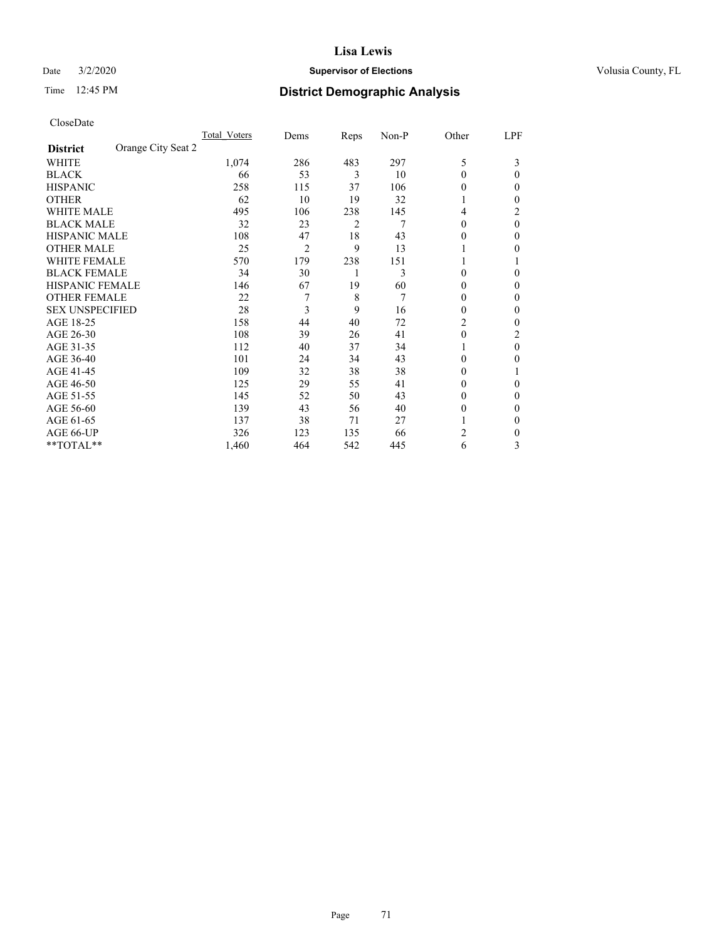## Date  $3/2/2020$  **Supervisor of Elections Supervisor of Elections** Volusia County, FL

# Time 12:45 PM **District Demographic Analysis**

|                                       | Total Voters | Dems           | Reps | Non-P | Other    | LPF |
|---------------------------------------|--------------|----------------|------|-------|----------|-----|
| Orange City Seat 2<br><b>District</b> |              |                |      |       |          |     |
| WHITE                                 | 1,074        | 286            | 483  | 297   | 5        | 3   |
| <b>BLACK</b>                          | 66           | 53             | 3    | 10    | $\Omega$ | 0   |
| <b>HISPANIC</b>                       | 258          | 115            | 37   | 106   | $_{0}$   | 0   |
| <b>OTHER</b>                          | 62           | 10             | 19   | 32    |          | 0   |
| WHITE MALE                            | 495          | 106            | 238  | 145   | 4        | 2   |
| <b>BLACK MALE</b>                     | 32           | 23             | 2    | 7     | $\Omega$ | 0   |
| <b>HISPANIC MALE</b>                  | 108          | 47             | 18   | 43    | $_{0}$   | 0   |
| <b>OTHER MALE</b>                     | 25           | $\overline{2}$ | 9    | 13    |          | 0   |
| WHITE FEMALE                          | 570          | 179            | 238  | 151   |          |     |
| <b>BLACK FEMALE</b>                   | 34           | 30             | 1    | 3     | 0        | 0   |
| <b>HISPANIC FEMALE</b>                | 146          | 67             | 19   | 60    | 0        | 0   |
| <b>OTHER FEMALE</b>                   | 22           | 7              | 8    | 7     | $_{0}$   | 0   |
| <b>SEX UNSPECIFIED</b>                | 28           | 3              | 9    | 16    | 0        | 0   |
| AGE 18-25                             | 158          | 44             | 40   | 72    | 2        | 0   |
| AGE 26-30                             | 108          | 39             | 26   | 41    | $\Omega$ | 2   |
| AGE 31-35                             | 112          | 40             | 37   | 34    |          | 0   |
| AGE 36-40                             | 101          | 24             | 34   | 43    | 0        | 0   |
| AGE 41-45                             | 109          | 32             | 38   | 38    | $_{0}$   |     |
| AGE 46-50                             | 125          | 29             | 55   | 41    | 0        | 0   |
| AGE 51-55                             | 145          | 52             | 50   | 43    | $_{0}$   | 0   |
| AGE 56-60                             | 139          | 43             | 56   | 40    | $_{0}$   | 0   |
| AGE 61-65                             | 137          | 38             | 71   | 27    |          | 0   |
| AGE 66-UP                             | 326          | 123            | 135  | 66    | 2        | 0   |
| **TOTAL**                             | 1,460        | 464            | 542  | 445   | 6        | 3   |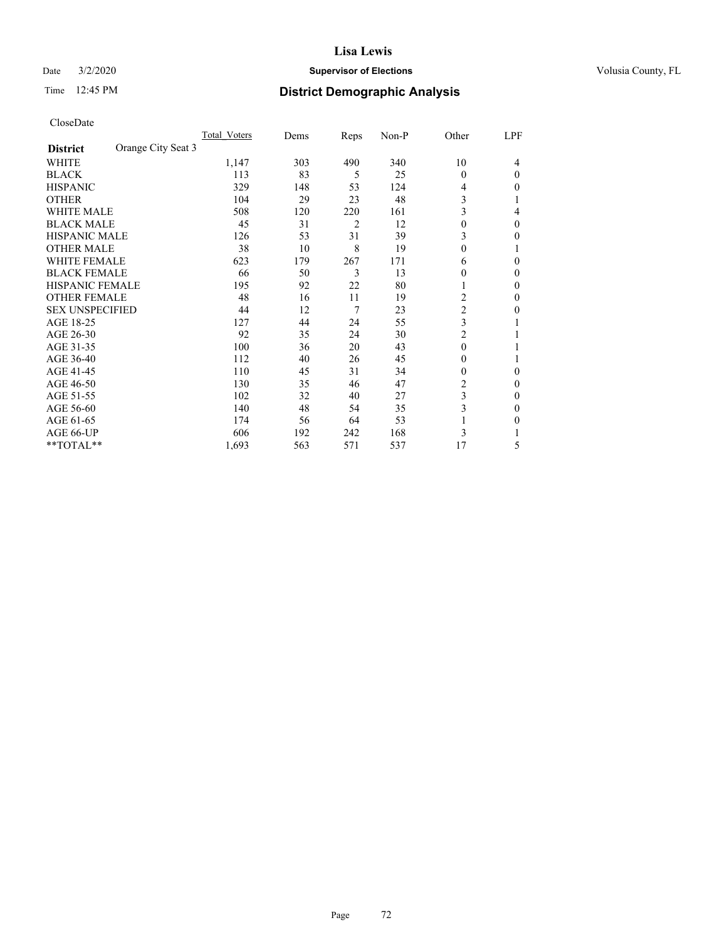#### Date  $3/2/2020$  **Supervisor of Elections Supervisor of Elections** Volusia County, FL

# Time 12:45 PM **District Demographic Analysis**

|                        |                    | Total Voters | Dems | Reps | Non-P | Other          | LPF |
|------------------------|--------------------|--------------|------|------|-------|----------------|-----|
| <b>District</b>        | Orange City Seat 3 |              |      |      |       |                |     |
| WHITE                  |                    | 1,147        | 303  | 490  | 340   | 10             | 4   |
| <b>BLACK</b>           |                    | 113          | 83   | 5    | 25    | $\Omega$       | 0   |
| <b>HISPANIC</b>        |                    | 329          | 148  | 53   | 124   | 4              | 0   |
| <b>OTHER</b>           |                    | 104          | 29   | 23   | 48    | 3              |     |
| WHITE MALE             |                    | 508          | 120  | 220  | 161   | 3              | 4   |
| <b>BLACK MALE</b>      |                    | 45           | 31   | 2    | 12    | $\theta$       | 0   |
| HISPANIC MALE          |                    | 126          | 53   | 31   | 39    | 3              | 0   |
| <b>OTHER MALE</b>      |                    | 38           | 10   | 8    | 19    | $\Omega$       | 1   |
| WHITE FEMALE           |                    | 623          | 179  | 267  | 171   | 6              | 0   |
| <b>BLACK FEMALE</b>    |                    | 66           | 50   | 3    | 13    | 0              | 0   |
| <b>HISPANIC FEMALE</b> |                    | 195          | 92   | 22   | 80    |                | 0   |
| <b>OTHER FEMALE</b>    |                    | 48           | 16   | 11   | 19    | 2              | 0   |
| <b>SEX UNSPECIFIED</b> |                    | 44           | 12   | 7    | 23    | $\overline{c}$ | 0   |
| AGE 18-25              |                    | 127          | 44   | 24   | 55    | 3              |     |
| AGE 26-30              |                    | 92           | 35   | 24   | 30    | $\overline{2}$ |     |
| AGE 31-35              |                    | 100          | 36   | 20   | 43    | $\theta$       |     |
| AGE 36-40              |                    | 112          | 40   | 26   | 45    | 0              |     |
| AGE 41-45              |                    | 110          | 45   | 31   | 34    | 0              | 0   |
| AGE 46-50              |                    | 130          | 35   | 46   | 47    | 2              | 0   |
| AGE 51-55              |                    | 102          | 32   | 40   | 27    | 3              | 0   |
| AGE 56-60              |                    | 140          | 48   | 54   | 35    | 3              | 0   |
| AGE 61-65              |                    | 174          | 56   | 64   | 53    |                | 0   |
| AGE 66-UP              |                    | 606          | 192  | 242  | 168   | 3              |     |
| **TOTAL**              |                    | 1,693        | 563  | 571  | 537   | 17             | 5   |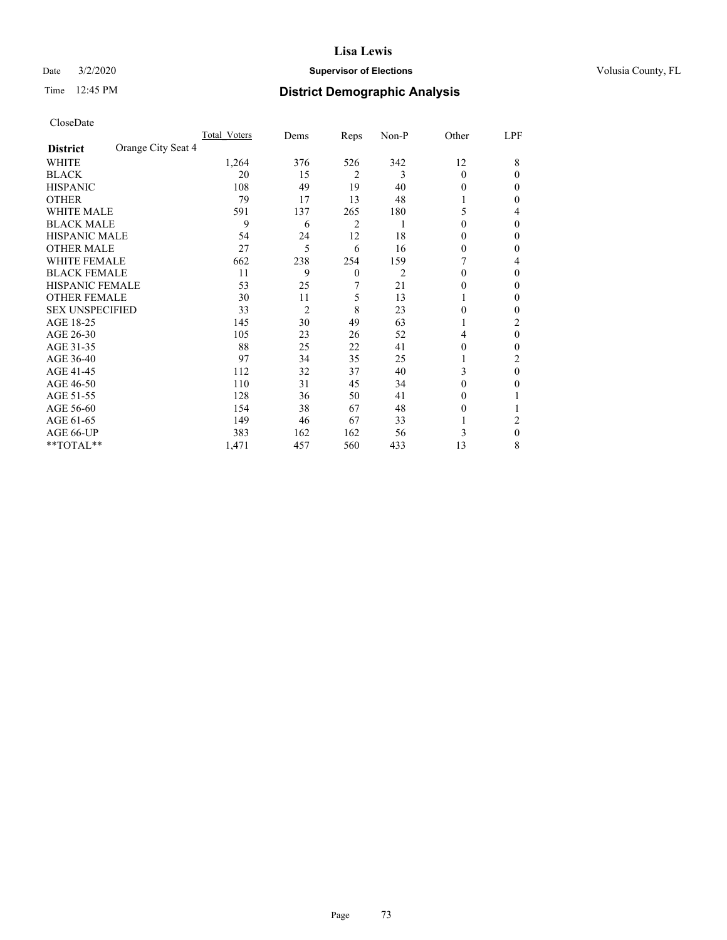### Date  $3/2/2020$  **Supervisor of Elections Supervisor of Elections** Volusia County, FL

# Time 12:45 PM **District Demographic Analysis**

|                        |                    | Total Voters | Dems           | Reps           | Non-P          | Other    | LPF      |
|------------------------|--------------------|--------------|----------------|----------------|----------------|----------|----------|
| <b>District</b>        | Orange City Seat 4 |              |                |                |                |          |          |
| WHITE                  |                    | 1,264        | 376            | 526            | 342            | 12       | 8        |
| <b>BLACK</b>           |                    | 20           | 15             | $\overline{2}$ | 3              | $\Omega$ | 0        |
| <b>HISPANIC</b>        |                    | 108          | 49             | 19             | 40             | 0        | 0        |
| <b>OTHER</b>           |                    | 79           | 17             | 13             | 48             |          | 0        |
| WHITE MALE             |                    | 591          | 137            | 265            | 180            | 5        | 4        |
| <b>BLACK MALE</b>      |                    | 9            | 6              | 2              | 1              | 0        | 0        |
| <b>HISPANIC MALE</b>   |                    | 54           | 24             | 12             | 18             | 0        | 0        |
| <b>OTHER MALE</b>      |                    | 27           | 5              | 6              | 16             | $\Omega$ | 0        |
| WHITE FEMALE           |                    | 662          | 238            | 254            | 159            |          | 4        |
| <b>BLACK FEMALE</b>    |                    | 11           | 9              | $\mathbf{0}$   | $\overline{c}$ | $\Omega$ | 0        |
| <b>HISPANIC FEMALE</b> |                    | 53           | 25             | 7              | 21             | 0        | 0        |
| <b>OTHER FEMALE</b>    |                    | 30           | 11             | 5              | 13             |          | 0        |
| <b>SEX UNSPECIFIED</b> |                    | 33           | $\overline{2}$ | 8              | 23             | 0        | 0        |
| AGE 18-25              |                    | 145          | 30             | 49             | 63             |          | 2        |
| AGE 26-30              |                    | 105          | 23             | 26             | 52             | 4        | $\theta$ |
| AGE 31-35              |                    | 88           | 25             | 22             | 41             | 0        | 0        |
| AGE 36-40              |                    | 97           | 34             | 35             | 25             |          | 2        |
| AGE 41-45              |                    | 112          | 32             | 37             | 40             | 3        | 0        |
| AGE 46-50              |                    | 110          | 31             | 45             | 34             | $\Omega$ | 0        |
| AGE 51-55              |                    | 128          | 36             | 50             | 41             | 0        |          |
| AGE 56-60              |                    | 154          | 38             | 67             | 48             | 0        |          |
| AGE 61-65              |                    | 149          | 46             | 67             | 33             |          | 2        |
| AGE 66-UP              |                    | 383          | 162            | 162            | 56             | 3        | $\Omega$ |
| **TOTAL**              |                    | 1,471        | 457            | 560            | 433            | 13       | 8        |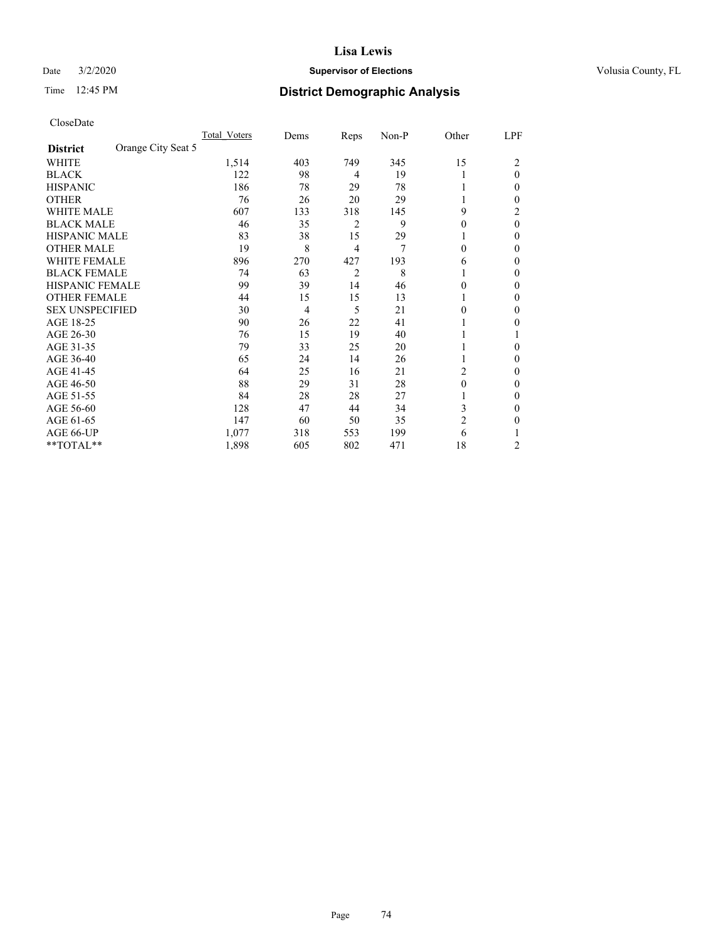## Date  $3/2/2020$  **Supervisor of Elections Supervisor of Elections** Volusia County, FL

# Time 12:45 PM **District Demographic Analysis**

|                        |                    | Total Voters | Dems           | Reps           | Non-P | Other          | LPF      |
|------------------------|--------------------|--------------|----------------|----------------|-------|----------------|----------|
| <b>District</b>        | Orange City Seat 5 |              |                |                |       |                |          |
| WHITE                  |                    | 1,514        | 403            | 749            | 345   | 15             | 2        |
| <b>BLACK</b>           |                    | 122          | 98             | 4              | 19    |                | $\theta$ |
| <b>HISPANIC</b>        |                    | 186          | 78             | 29             | 78    |                | 0        |
| <b>OTHER</b>           |                    | 76           | 26             | 20             | 29    |                | 0        |
| WHITE MALE             |                    | 607          | 133            | 318            | 145   | 9              | 2        |
| <b>BLACK MALE</b>      |                    | 46           | 35             | 2              | 9     | $\Omega$       | $\theta$ |
| <b>HISPANIC MALE</b>   |                    | 83           | 38             | 15             | 29    |                | 0        |
| <b>OTHER MALE</b>      |                    | 19           | 8              | 4              | 7     | $\Omega$       | 0        |
| WHITE FEMALE           |                    | 896          | 270            | 427            | 193   | 6              | 0        |
| <b>BLACK FEMALE</b>    |                    | 74           | 63             | $\overline{2}$ | 8     |                | 0        |
| <b>HISPANIC FEMALE</b> |                    | 99           | 39             | 14             | 46    | $\Omega$       | 0        |
| <b>OTHER FEMALE</b>    |                    | 44           | 15             | 15             | 13    |                | 0        |
| <b>SEX UNSPECIFIED</b> |                    | 30           | $\overline{4}$ | 5              | 21    | 0              | 0        |
| AGE 18-25              |                    | 90           | 26             | 22             | 41    |                | 0        |
| AGE 26-30              |                    | 76           | 15             | 19             | 40    |                |          |
| AGE 31-35              |                    | 79           | 33             | 25             | 20    |                | 0        |
| AGE 36-40              |                    | 65           | 24             | 14             | 26    |                | 0        |
| AGE 41-45              |                    | 64           | 25             | 16             | 21    | 2              | 0        |
| AGE 46-50              |                    | 88           | 29             | 31             | 28    | $\theta$       | 0        |
| AGE 51-55              |                    | 84           | 28             | 28             | 27    |                | 0        |
| AGE 56-60              |                    | 128          | 47             | 44             | 34    | 3              | 0        |
| AGE 61-65              |                    | 147          | 60             | 50             | 35    | $\overline{2}$ | 0        |
| AGE 66-UP              |                    | 1,077        | 318            | 553            | 199   | 6              |          |
| **TOTAL**              |                    | 1,898        | 605            | 802            | 471   | 18             | 2        |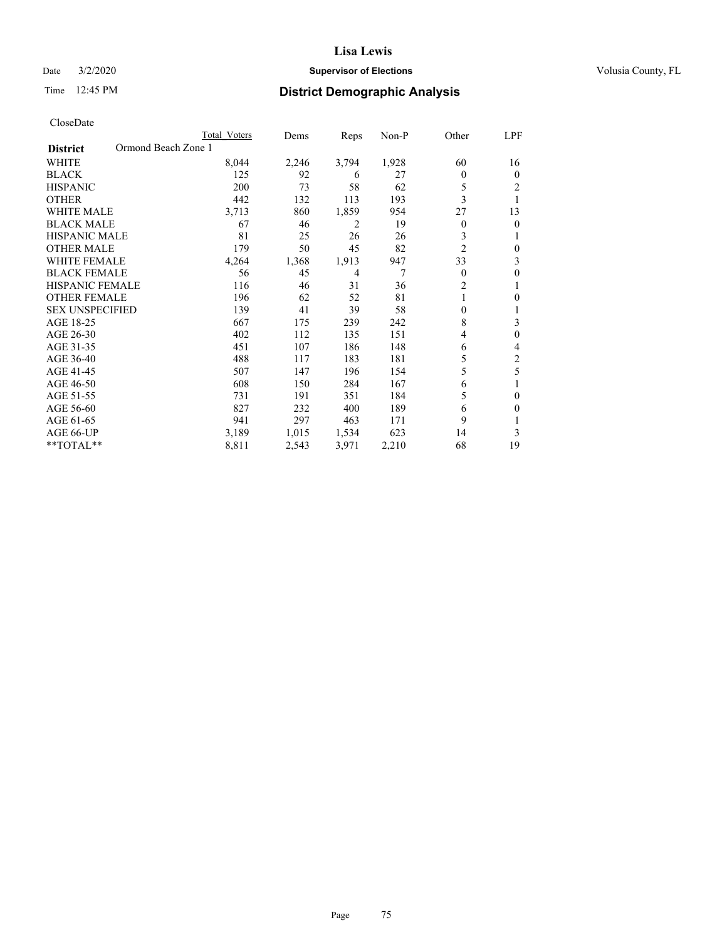## Date  $3/2/2020$  **Supervisor of Elections Supervisor of Elections** Volusia County, FL

# Time 12:45 PM **District Demographic Analysis**

|                                        | Total Voters | Dems  | Reps  | Non-P | Other            | LPF            |
|----------------------------------------|--------------|-------|-------|-------|------------------|----------------|
| Ormond Beach Zone 1<br><b>District</b> |              |       |       |       |                  |                |
| WHITE                                  | 8,044        | 2,246 | 3,794 | 1,928 | 60               | 16             |
| <b>BLACK</b>                           | 125          | 92    | 6     | 27    | 0                | $\theta$       |
| <b>HISPANIC</b>                        | 200          | 73    | 58    | 62    | 5                | 2              |
| <b>OTHER</b>                           | 442          | 132   | 113   | 193   | 3                | 1              |
| WHITE MALE                             | 3,713        | 860   | 1,859 | 954   | 27               | 13             |
| <b>BLACK MALE</b>                      | 67           | 46    | 2     | 19    | $\overline{0}$   | $\theta$       |
| HISPANIC MALE                          | 81           | 25    | 26    | 26    | 3                | 1              |
| <b>OTHER MALE</b>                      | 179          | 50    | 45    | 82    | $\overline{2}$   | $\theta$       |
| <b>WHITE FEMALE</b>                    | 4,264        | 1,368 | 1,913 | 947   | 33               | 3              |
| <b>BLACK FEMALE</b>                    | 56           | 45    | 4     | 7     | $\theta$         | $\theta$       |
| <b>HISPANIC FEMALE</b>                 | 116          | 46    | 31    | 36    | 2                | 1              |
| OTHER FEMALE                           | 196          | 62    | 52    | 81    | 1                | 0              |
| <b>SEX UNSPECIFIED</b>                 | 139          | 41    | 39    | 58    | $\boldsymbol{0}$ | 1              |
| AGE 18-25                              | 667          | 175   | 239   | 242   | 8                | 3              |
| AGE 26-30                              | 402          | 112   | 135   | 151   | 4                | $\theta$       |
| AGE 31-35                              | 451          | 107   | 186   | 148   | 6                | 4              |
| AGE 36-40                              | 488          | 117   | 183   | 181   | 5                | $\overline{2}$ |
| AGE 41-45                              | 507          | 147   | 196   | 154   | 5                | 5              |
| AGE 46-50                              | 608          | 150   | 284   | 167   | 6                |                |
| AGE 51-55                              | 731          | 191   | 351   | 184   | 5                | $\theta$       |
| AGE 56-60                              | 827          | 232   | 400   | 189   | 6                | $\Omega$       |
| AGE 61-65                              | 941          | 297   | 463   | 171   | 9                |                |
| AGE 66-UP                              | 3,189        | 1,015 | 1,534 | 623   | 14               | 3              |
| **TOTAL**                              | 8,811        | 2,543 | 3,971 | 2,210 | 68               | 19             |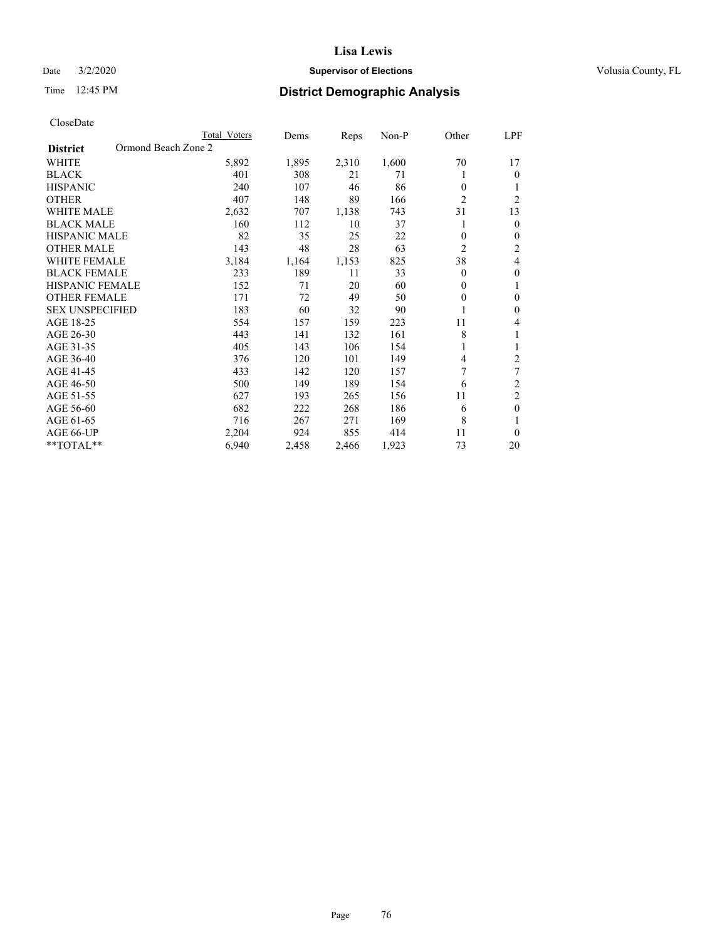## Date  $3/2/2020$  **Supervisor of Elections Supervisor of Elections** Volusia County, FL

# Time 12:45 PM **District Demographic Analysis**

|                                        | Total Voters | Dems  | Reps  | Non-P | Other          | LPF            |
|----------------------------------------|--------------|-------|-------|-------|----------------|----------------|
| Ormond Beach Zone 2<br><b>District</b> |              |       |       |       |                |                |
| WHITE                                  | 5,892        | 1,895 | 2,310 | 1,600 | 70             | 17             |
| <b>BLACK</b>                           | 401          | 308   | 21    | 71    |                | $\mathbf{0}$   |
| <b>HISPANIC</b>                        | 240          | 107   | 46    | 86    | 0              | 1              |
| <b>OTHER</b>                           | 407          | 148   | 89    | 166   | $\overline{2}$ | $\overline{2}$ |
| <b>WHITE MALE</b>                      | 2,632        | 707   | 1,138 | 743   | 31             | 13             |
| <b>BLACK MALE</b>                      | 160          | 112   | 10    | 37    |                | $\mathbf{0}$   |
| <b>HISPANIC MALE</b>                   | 82           | 35    | 25    | 22    | 0              | $\mathbf{0}$   |
| <b>OTHER MALE</b>                      | 143          | 48    | 28    | 63    | 2              | $\overline{c}$ |
| <b>WHITE FEMALE</b>                    | 3,184        | 1,164 | 1,153 | 825   | 38             | 4              |
| <b>BLACK FEMALE</b>                    | 233          | 189   | 11    | 33    | 0              | $\theta$       |
| <b>HISPANIC FEMALE</b>                 | 152          | 71    | 20    | 60    | 0              | 1              |
| <b>OTHER FEMALE</b>                    | 171          | 72    | 49    | 50    | 0              | $\theta$       |
| <b>SEX UNSPECIFIED</b>                 | 183          | 60    | 32    | 90    |                | $\theta$       |
| AGE 18-25                              | 554          | 157   | 159   | 223   | 11             | 4              |
| AGE 26-30                              | 443          | 141   | 132   | 161   | 8              | 1              |
| AGE 31-35                              | 405          | 143   | 106   | 154   |                | 1              |
| AGE 36-40                              | 376          | 120   | 101   | 149   | 4              | 2              |
| AGE 41-45                              | 433          | 142   | 120   | 157   | 7              | 7              |
| AGE 46-50                              | 500          | 149   | 189   | 154   | 6              | 2              |
| AGE 51-55                              | 627          | 193   | 265   | 156   | 11             | $\overline{c}$ |
| AGE 56-60                              | 682          | 222   | 268   | 186   | 6              | $\theta$       |
| AGE 61-65                              | 716          | 267   | 271   | 169   | 8              | 1              |
| AGE 66-UP                              | 2,204        | 924   | 855   | 414   | 11             | $\theta$       |
| **TOTAL**                              | 6,940        | 2,458 | 2,466 | 1,923 | 73             | 20             |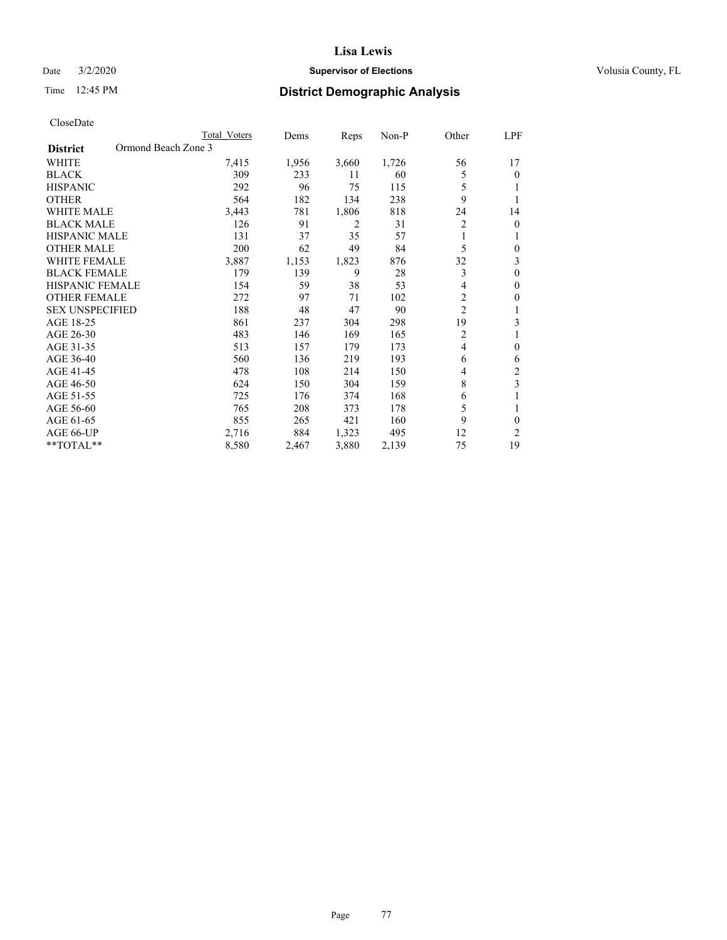## Date  $3/2/2020$  **Supervisor of Elections Supervisor of Elections** Volusia County, FL

# Time 12:45 PM **District Demographic Analysis**

|                                        | Total Voters | Dems  | Reps  | $Non-P$ | Other          | LPF            |
|----------------------------------------|--------------|-------|-------|---------|----------------|----------------|
| Ormond Beach Zone 3<br><b>District</b> |              |       |       |         |                |                |
| WHITE                                  | 7,415        | 1,956 | 3,660 | 1,726   | 56             | 17             |
| <b>BLACK</b>                           | 309          | 233   | 11    | 60      | 5              | $\theta$       |
| <b>HISPANIC</b>                        | 292          | 96    | 75    | 115     | 5              |                |
| <b>OTHER</b>                           | 564          | 182   | 134   | 238     | 9              |                |
| <b>WHITE MALE</b>                      | 3,443        | 781   | 1,806 | 818     | 24             | 14             |
| <b>BLACK MALE</b>                      | 126          | 91    | 2     | 31      | 2              | $\theta$       |
| <b>HISPANIC MALE</b>                   | 131          | 37    | 35    | 57      | 1              | 1              |
| <b>OTHER MALE</b>                      | 200          | 62    | 49    | 84      | 5              | $\theta$       |
| WHITE FEMALE                           | 3,887        | 1,153 | 1,823 | 876     | 32             | 3              |
| <b>BLACK FEMALE</b>                    | 179          | 139   | 9     | 28      | 3              | $\theta$       |
| <b>HISPANIC FEMALE</b>                 | 154          | 59    | 38    | 53      | 4              | $\theta$       |
| <b>OTHER FEMALE</b>                    | 272          | 97    | 71    | 102     | 2              | 0              |
| <b>SEX UNSPECIFIED</b>                 | 188          | 48    | 47    | 90      | $\overline{2}$ | 1              |
| AGE 18-25                              | 861          | 237   | 304   | 298     | 19             | 3              |
| AGE 26-30                              | 483          | 146   | 169   | 165     | 2              | 1              |
| AGE 31-35                              | 513          | 157   | 179   | 173     | 4              | $\theta$       |
| AGE 36-40                              | 560          | 136   | 219   | 193     | 6              | 6              |
| AGE 41-45                              | 478          | 108   | 214   | 150     | 4              | $\overline{c}$ |
| AGE 46-50                              | 624          | 150   | 304   | 159     | 8              | 3              |
| AGE 51-55                              | 725          | 176   | 374   | 168     | 6              | 1              |
| AGE 56-60                              | 765          | 208   | 373   | 178     | 5              | 1              |
| AGE 61-65                              | 855          | 265   | 421   | 160     | 9              | 0              |
| AGE 66-UP                              | 2,716        | 884   | 1,323 | 495     | 12             | 2              |
| **TOTAL**                              | 8,580        | 2,467 | 3,880 | 2,139   | 75             | 19             |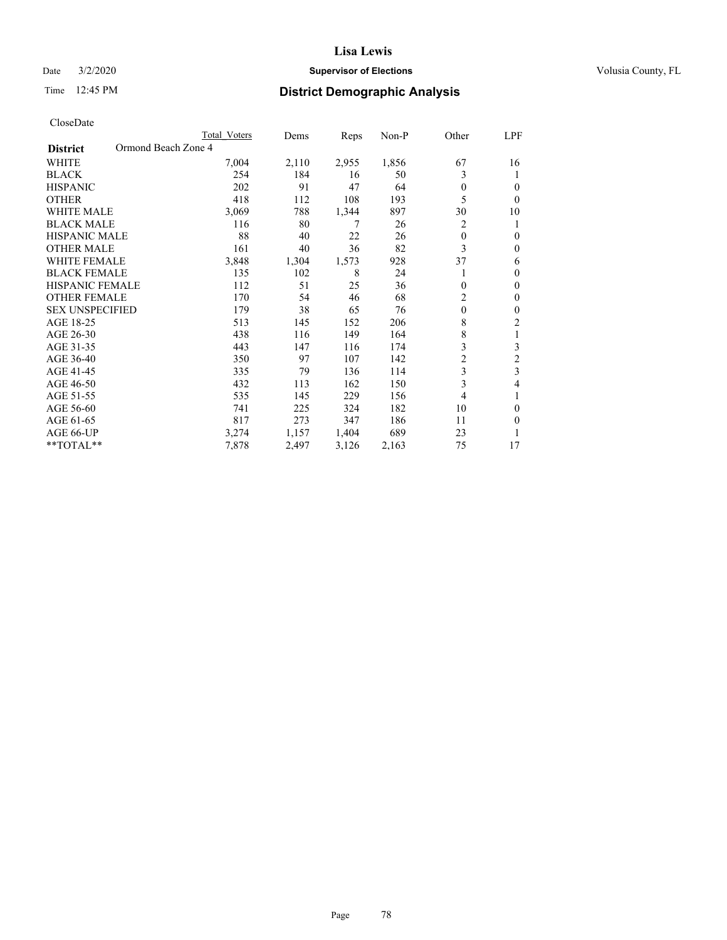## Date  $3/2/2020$  **Supervisor of Elections Supervisor of Elections** Volusia County, FL

# Time 12:45 PM **District Demographic Analysis**

|                        |                     | Total Voters | Dems  | Reps  | $Non-P$ | Other          | LPF            |
|------------------------|---------------------|--------------|-------|-------|---------|----------------|----------------|
| <b>District</b>        | Ormond Beach Zone 4 |              |       |       |         |                |                |
| <b>WHITE</b>           |                     | 7,004        | 2,110 | 2,955 | 1,856   | 67             | 16             |
| <b>BLACK</b>           |                     | 254          | 184   | 16    | 50      | 3              | 1              |
| <b>HISPANIC</b>        |                     | 202          | 91    | 47    | 64      | $\theta$       | $\theta$       |
| <b>OTHER</b>           |                     | 418          | 112   | 108   | 193     | 5              | $\theta$       |
| <b>WHITE MALE</b>      |                     | 3,069        | 788   | 1,344 | 897     | 30             | 10             |
| <b>BLACK MALE</b>      |                     | 116          | 80    | 7     | 26      | 2              | 1              |
| HISPANIC MALE          |                     | 88           | 40    | 22    | 26      | $\theta$       | $\theta$       |
| <b>OTHER MALE</b>      |                     | 161          | 40    | 36    | 82      | 3              | $\theta$       |
| <b>WHITE FEMALE</b>    |                     | 3,848        | 1,304 | 1,573 | 928     | 37             | 6              |
| <b>BLACK FEMALE</b>    |                     | 135          | 102   | 8     | 24      |                | $\theta$       |
| <b>HISPANIC FEMALE</b> |                     | 112          | 51    | 25    | 36      | $\Omega$       | $\theta$       |
| <b>OTHER FEMALE</b>    |                     | 170          | 54    | 46    | 68      | $\overline{c}$ | $\mathbf{0}$   |
| <b>SEX UNSPECIFIED</b> |                     | 179          | 38    | 65    | 76      | $\mathbf{0}$   | $\theta$       |
| AGE 18-25              |                     | 513          | 145   | 152   | 206     | 8              | 2              |
| AGE 26-30              |                     | 438          | 116   | 149   | 164     | 8              | 1              |
| AGE 31-35              |                     | 443          | 147   | 116   | 174     | 3              | 3              |
| AGE 36-40              |                     | 350          | 97    | 107   | 142     | $\overline{c}$ | $\overline{2}$ |
| AGE 41-45              |                     | 335          | 79    | 136   | 114     | 3              | 3              |
| AGE 46-50              |                     | 432          | 113   | 162   | 150     | 3              | 4              |
| AGE 51-55              |                     | 535          | 145   | 229   | 156     | $\overline{4}$ | 1              |
| AGE 56-60              |                     | 741          | 225   | 324   | 182     | 10             | $\theta$       |
| AGE 61-65              |                     | 817          | 273   | 347   | 186     | 11             | $\theta$       |
| AGE 66-UP              |                     | 3,274        | 1,157 | 1,404 | 689     | 23             | 1              |
| $*$ TOTAL $*$          |                     | 7,878        | 2,497 | 3,126 | 2,163   | 75             | 17             |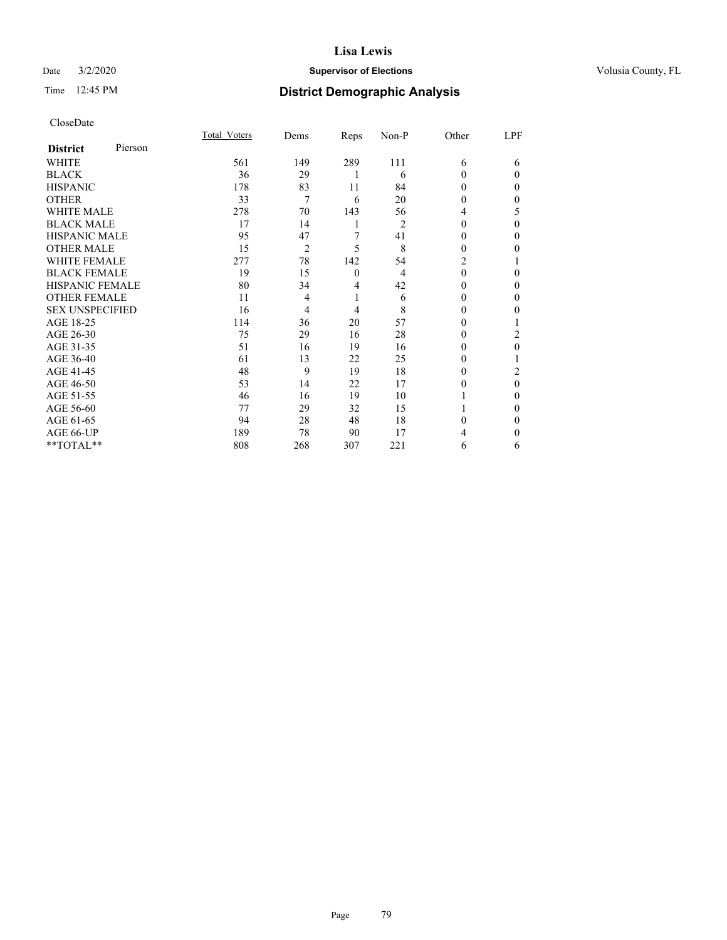## Date  $3/2/2020$  **Supervisor of Elections Supervisor of Elections** Volusia County, FL

# Time 12:45 PM **District Demographic Analysis**

| CloseDate |
|-----------|
|-----------|

|                        |         | Total Voters | Dems           | Reps             | Non-P | Other    | LPF      |
|------------------------|---------|--------------|----------------|------------------|-------|----------|----------|
| <b>District</b>        | Pierson |              |                |                  |       |          |          |
| WHITE                  |         | 561          | 149            | 289              | 111   | 6        | 6        |
| <b>BLACK</b>           |         | 36           | 29             |                  | 6     | 0        | 0        |
| <b>HISPANIC</b>        |         | 178          | 83             | 11               | 84    | 0        | 0        |
| OTHER                  |         | 33           | 7              | 6                | 20    | 0        | 0        |
| <b>WHITE MALE</b>      |         | 278          | 70             | 143              | 56    | 4        | 5        |
| <b>BLACK MALE</b>      |         | 17           | 14             | 1                | 2     | 0        | 0        |
| <b>HISPANIC MALE</b>   |         | 95           | 47             | 7                | 41    | 0        | 0        |
| OTHER MALE             |         | 15           | $\overline{2}$ | 5                | 8     | 0        | 0        |
| <b>WHITE FEMALE</b>    |         | 277          | 78             | 142              | 54    | 2        |          |
| <b>BLACK FEMALE</b>    |         | 19           | 15             | $\boldsymbol{0}$ | 4     | $\theta$ | 0        |
| <b>HISPANIC FEMALE</b> |         | 80           | 34             | 4                | 42    | 0        | 0        |
| <b>OTHER FEMALE</b>    |         | 11           | 4              | 1                | 6     | 0        | 0        |
| <b>SEX UNSPECIFIED</b> |         | 16           | 4              | 4                | 8     | 0        | 0        |
| AGE 18-25              |         | 114          | 36             | 20               | 57    | 0        |          |
| AGE 26-30              |         | 75           | 29             | 16               | 28    | 0        | 2        |
| AGE 31-35              |         | 51           | 16             | 19               | 16    | 0        | 0        |
| AGE 36-40              |         | 61           | 13             | 22               | 25    | 0        |          |
| AGE 41-45              |         | 48           | 9              | 19               | 18    | 0        | 2        |
| AGE 46-50              |         | 53           | 14             | 22               | 17    | 0        | $\theta$ |
| AGE 51-55              |         | 46           | 16             | 19               | 10    |          | 0        |
| AGE 56-60              |         | 77           | 29             | 32               | 15    |          | 0        |
| AGE 61-65              |         | 94           | 28             | 48               | 18    | 0        | 0        |
| AGE 66-UP              |         | 189          | 78             | 90               | 17    |          | 0        |
| **TOTAL**              |         | 808          | 268            | 307              | 221   | 6        | 6        |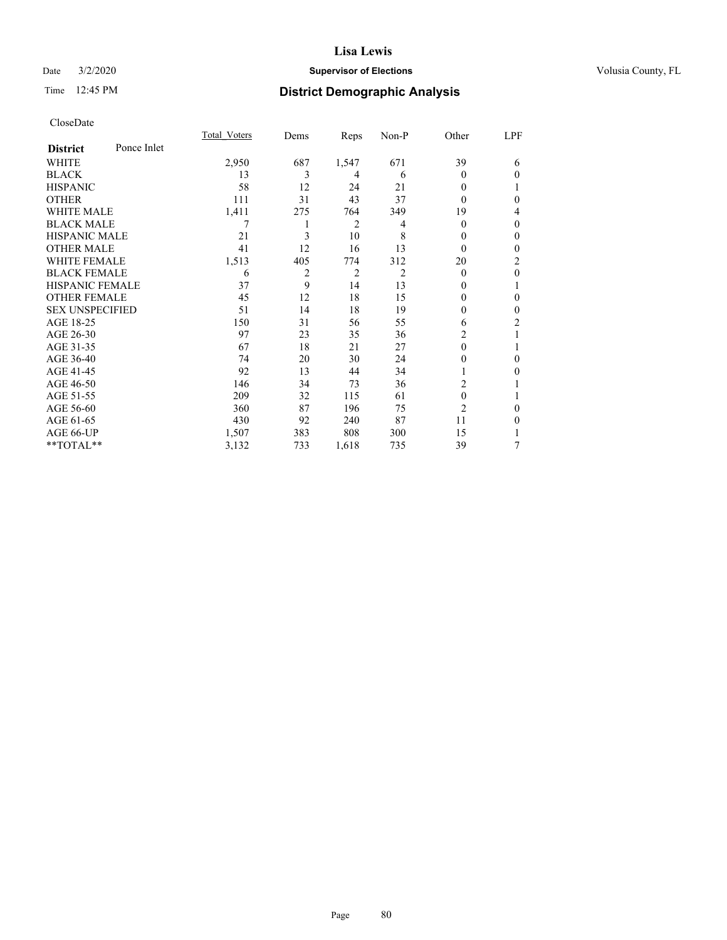## Date  $3/2/2020$  **Supervisor of Elections Supervisor of Elections** Volusia County, FL

# Time 12:45 PM **District Demographic Analysis**

|                        |             | Total Voters | Dems | Reps           | Non-P | Other          | LPF            |
|------------------------|-------------|--------------|------|----------------|-------|----------------|----------------|
| <b>District</b>        | Ponce Inlet |              |      |                |       |                |                |
| WHITE                  |             | 2,950        | 687  | 1,547          | 671   | 39             | 6              |
| <b>BLACK</b>           |             | 13           | 3    | 4              | 6     | 0              | $\theta$       |
| <b>HISPANIC</b>        |             | 58           | 12   | 24             | 21    | 0              |                |
| <b>OTHER</b>           |             | 111          | 31   | 43             | 37    | 0              | $\theta$       |
| WHITE MALE             |             | 1,411        | 275  | 764            | 349   | 19             | 4              |
| <b>BLACK MALE</b>      |             |              |      | $\overline{2}$ | 4     | 0              | $\mathbf{0}$   |
| <b>HISPANIC MALE</b>   |             | 21           | 3    | 10             | 8     | 0              | $\theta$       |
| <b>OTHER MALE</b>      |             | 41           | 12   | 16             | 13    | $\theta$       | $\mathbf{0}$   |
| <b>WHITE FEMALE</b>    |             | 1,513        | 405  | 774            | 312   | 20             | 2              |
| <b>BLACK FEMALE</b>    |             | 6            | 2    | 2              | 2     | $\theta$       | $\theta$       |
| <b>HISPANIC FEMALE</b> |             | 37           | 9    | 14             | 13    | $_{0}$         | 1              |
| <b>OTHER FEMALE</b>    |             | 45           | 12   | 18             | 15    | 0              | $\theta$       |
| <b>SEX UNSPECIFIED</b> |             | 51           | 14   | 18             | 19    | 0              | $\theta$       |
| AGE 18-25              |             | 150          | 31   | 56             | 55    | 6              | $\overline{c}$ |
| AGE 26-30              |             | 97           | 23   | 35             | 36    | 2              | 1              |
| AGE 31-35              |             | 67           | 18   | 21             | 27    | 0              | 1              |
| AGE 36-40              |             | 74           | 20   | 30             | 24    | 0              | $\Omega$       |
| AGE 41-45              |             | 92           | 13   | 44             | 34    |                | $\Omega$       |
| AGE 46-50              |             | 146          | 34   | 73             | 36    | 2              |                |
| AGE 51-55              |             | 209          | 32   | 115            | 61    | $\theta$       | 1              |
| AGE 56-60              |             | 360          | 87   | 196            | 75    | $\overline{2}$ | 0              |
| AGE 61-65              |             | 430          | 92   | 240            | 87    | 11             | $\theta$       |
| AGE 66-UP              |             | 1,507        | 383  | 808            | 300   | 15             | 1              |
| **TOTAL**              |             | 3,132        | 733  | 1,618          | 735   | 39             | 7              |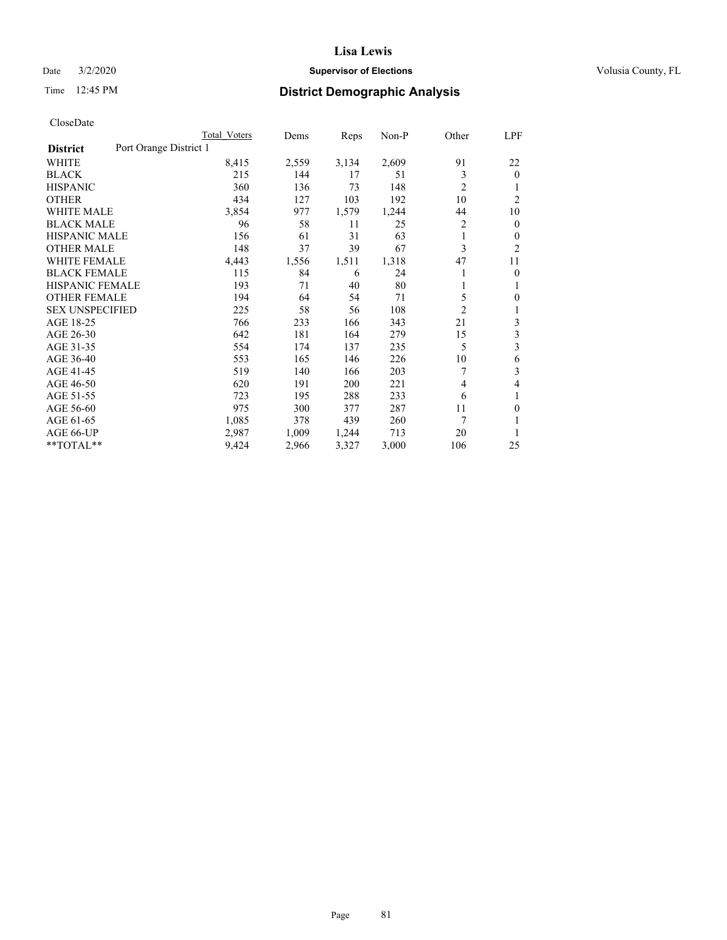## Date  $3/2/2020$  **Supervisor of Elections Supervisor of Elections** Volusia County, FL

# Time 12:45 PM **District Demographic Analysis**

|                                           | Total Voters | Dems  | Reps  | $Non-P$ | Other          | <u>LPF</u>     |
|-------------------------------------------|--------------|-------|-------|---------|----------------|----------------|
| Port Orange District 1<br><b>District</b> |              |       |       |         |                |                |
| WHITE                                     | 8,415        | 2,559 | 3,134 | 2,609   | 91             | 22             |
| <b>BLACK</b>                              | 215          | 144   | 17    | 51      | 3              | $\theta$       |
| <b>HISPANIC</b>                           | 360          | 136   | 73    | 148     | $\overline{2}$ | 1              |
| <b>OTHER</b>                              | 434          | 127   | 103   | 192     | 10             | $\overline{2}$ |
| <b>WHITE MALE</b>                         | 3,854        | 977   | 1,579 | 1,244   | 44             | 10             |
| <b>BLACK MALE</b>                         | 96           | 58    | 11    | 25      | 2              | $\mathbf{0}$   |
| <b>HISPANIC MALE</b>                      | 156          | 61    | 31    | 63      | 1              | $\mathbf{0}$   |
| <b>OTHER MALE</b>                         | 148          | 37    | 39    | 67      | 3              | 2              |
| <b>WHITE FEMALE</b>                       | 4,443        | 1,556 | 1,511 | 1,318   | 47             | 11             |
| <b>BLACK FEMALE</b>                       | 115          | 84    | 6     | 24      |                | $\theta$       |
| <b>HISPANIC FEMALE</b>                    | 193          | 71    | 40    | 80      | 1              | 1              |
| <b>OTHER FEMALE</b>                       | 194          | 64    | 54    | 71      | 5              | $\theta$       |
| <b>SEX UNSPECIFIED</b>                    | 225          | 58    | 56    | 108     | $\overline{2}$ | 1              |
| AGE 18-25                                 | 766          | 233   | 166   | 343     | 21             | 3              |
| AGE 26-30                                 | 642          | 181   | 164   | 279     | 15             | 3              |
| AGE 31-35                                 | 554          | 174   | 137   | 235     | 5              | 3              |
| AGE 36-40                                 | 553          | 165   | 146   | 226     | 10             | 6              |
| AGE 41-45                                 | 519          | 140   | 166   | 203     | 7              | 3              |
| AGE 46-50                                 | 620          | 191   | 200   | 221     | 4              | 4              |
| AGE 51-55                                 | 723          | 195   | 288   | 233     | 6              | 1              |
| AGE 56-60                                 | 975          | 300   | 377   | 287     | 11             | $\theta$       |
| AGE 61-65                                 | 1,085        | 378   | 439   | 260     | 7              | 1              |
| AGE 66-UP                                 | 2,987        | 1,009 | 1,244 | 713     | 20             | 1              |
| **TOTAL**                                 | 9,424        | 2,966 | 3,327 | 3,000   | 106            | 25             |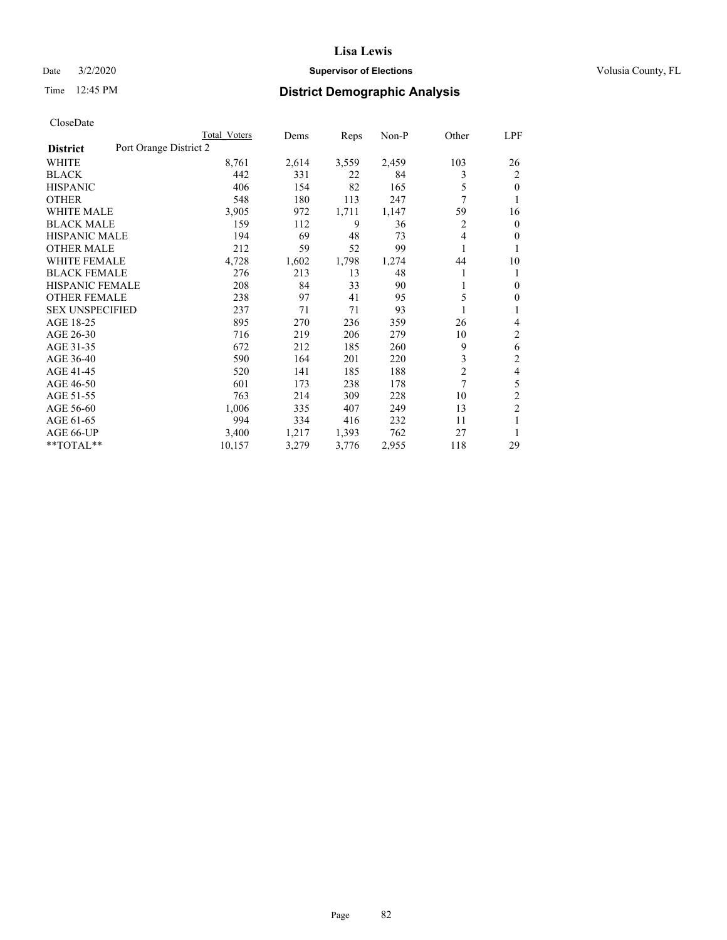## Date  $3/2/2020$  **Supervisor of Elections Supervisor of Elections** Volusia County, FL

# Time 12:45 PM **District Demographic Analysis**

|                                           | Total Voters | Dems  | Reps  | $Non-P$ | Other          | LPF            |
|-------------------------------------------|--------------|-------|-------|---------|----------------|----------------|
| Port Orange District 2<br><b>District</b> |              |       |       |         |                |                |
| WHITE                                     | 8,761        | 2,614 | 3,559 | 2,459   | 103            | 26             |
| <b>BLACK</b>                              | 442          | 331   | 22    | 84      | 3              | $\overline{2}$ |
| <b>HISPANIC</b>                           | 406          | 154   | 82    | 165     | 5              | $\theta$       |
| <b>OTHER</b>                              | 548          | 180   | 113   | 247     | 7              | 1              |
| <b>WHITE MALE</b>                         | 3,905        | 972   | 1,711 | 1,147   | 59             | 16             |
| <b>BLACK MALE</b>                         | 159          | 112   | 9     | 36      | 2              | $\overline{0}$ |
| <b>HISPANIC MALE</b>                      | 194          | 69    | 48    | 73      | 4              | 0              |
| <b>OTHER MALE</b>                         | 212          | 59    | 52    | 99      | 1              | 1              |
| <b>WHITE FEMALE</b>                       | 4,728        | 1,602 | 1,798 | 1,274   | 44             | 10             |
| <b>BLACK FEMALE</b>                       | 276          | 213   | 13    | 48      |                | 1              |
| <b>HISPANIC FEMALE</b>                    | 208          | 84    | 33    | 90      | 1              | $\Omega$       |
| <b>OTHER FEMALE</b>                       | 238          | 97    | 41    | 95      | 5              | 0              |
| <b>SEX UNSPECIFIED</b>                    | 237          | 71    | 71    | 93      |                | 1              |
| AGE 18-25                                 | 895          | 270   | 236   | 359     | 26             | 4              |
| AGE 26-30                                 | 716          | 219   | 206   | 279     | 10             | 2              |
| AGE 31-35                                 | 672          | 212   | 185   | 260     | 9              | 6              |
| AGE 36-40                                 | 590          | 164   | 201   | 220     | 3              | $\overline{2}$ |
| AGE 41-45                                 | 520          | 141   | 185   | 188     | $\overline{c}$ | 4              |
| AGE 46-50                                 | 601          | 173   | 238   | 178     | 7              | 5              |
| AGE 51-55                                 | 763          | 214   | 309   | 228     | 10             | $\overline{c}$ |
| AGE 56-60                                 | 1,006        | 335   | 407   | 249     | 13             | $\overline{c}$ |
| AGE 61-65                                 | 994          | 334   | 416   | 232     | 11             | 1              |
| AGE 66-UP                                 | 3,400        | 1,217 | 1,393 | 762     | 27             | 1              |
| **TOTAL**                                 | 10,157       | 3,279 | 3,776 | 2,955   | 118            | 29             |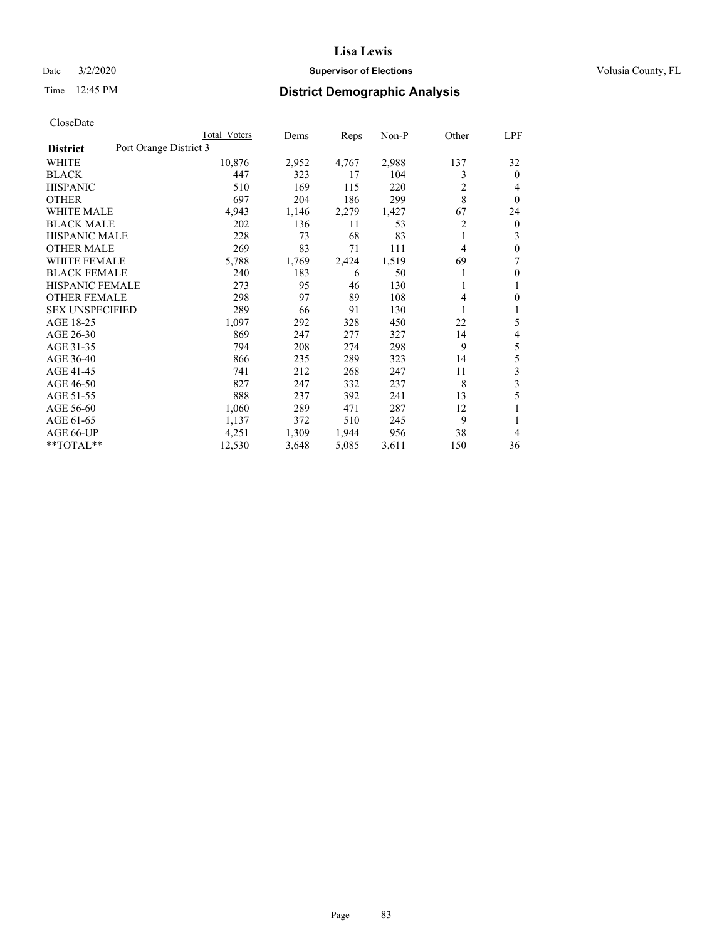## Date  $3/2/2020$  **Supervisor of Elections Supervisor of Elections** Volusia County, FL

# Time 12:45 PM **District Demographic Analysis**

|                                           | Total Voters | Dems  | Reps  | $Non-P$ | Other | <u>LPF</u>     |
|-------------------------------------------|--------------|-------|-------|---------|-------|----------------|
| Port Orange District 3<br><b>District</b> |              |       |       |         |       |                |
| WHITE                                     | 10,876       | 2,952 | 4,767 | 2,988   | 137   | 32             |
| <b>BLACK</b>                              | 447          | 323   | 17    | 104     | 3     | $\theta$       |
| <b>HISPANIC</b>                           | 510          | 169   | 115   | 220     | 2     | 4              |
| <b>OTHER</b>                              | 697          | 204   | 186   | 299     | 8     | $\theta$       |
| <b>WHITE MALE</b>                         | 4,943        | 1,146 | 2,279 | 1,427   | 67    | 24             |
| <b>BLACK MALE</b>                         | 202          | 136   | 11    | 53      | 2     | $\overline{0}$ |
| <b>HISPANIC MALE</b>                      | 228          | 73    | 68    | 83      | 1     | 3              |
| <b>OTHER MALE</b>                         | 269          | 83    | 71    | 111     | 4     | $\mathbf{0}$   |
| <b>WHITE FEMALE</b>                       | 5,788        | 1,769 | 2,424 | 1,519   | 69    | 7              |
| <b>BLACK FEMALE</b>                       | 240          | 183   | 6     | 50      |       | $\mathbf{0}$   |
| <b>HISPANIC FEMALE</b>                    | 273          | 95    | 46    | 130     | 1     | 1              |
| <b>OTHER FEMALE</b>                       | 298          | 97    | 89    | 108     | 4     | $\Omega$       |
| <b>SEX UNSPECIFIED</b>                    | 289          | 66    | 91    | 130     |       | 1              |
| AGE 18-25                                 | 1,097        | 292   | 328   | 450     | 22    | 5              |
| AGE 26-30                                 | 869          | 247   | 277   | 327     | 14    | 4              |
| AGE 31-35                                 | 794          | 208   | 274   | 298     | 9     | 5              |
| AGE 36-40                                 | 866          | 235   | 289   | 323     | 14    | 5              |
| AGE 41-45                                 | 741          | 212   | 268   | 247     | 11    | 3              |
| AGE 46-50                                 | 827          | 247   | 332   | 237     | 8     | 3              |
| AGE 51-55                                 | 888          | 237   | 392   | 241     | 13    | 5              |
| AGE 56-60                                 | 1,060        | 289   | 471   | 287     | 12    | 1              |
| AGE 61-65                                 | 1,137        | 372   | 510   | 245     | 9     | 1              |
| AGE 66-UP                                 | 4,251        | 1,309 | 1,944 | 956     | 38    | 4              |
| **TOTAL**                                 | 12,530       | 3,648 | 5,085 | 3,611   | 150   | 36             |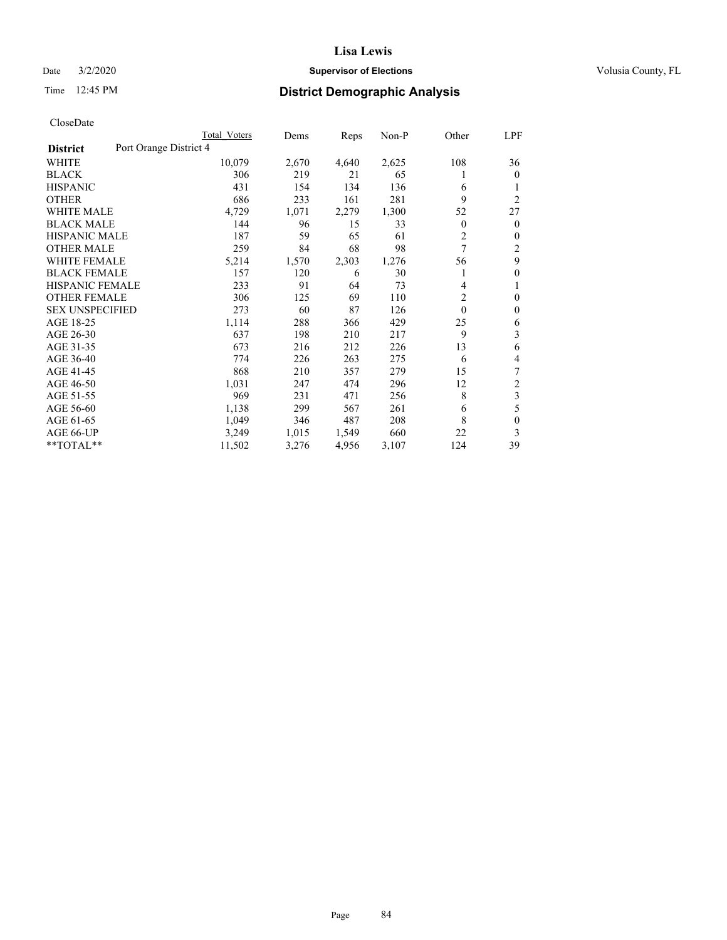## Date  $3/2/2020$  **Supervisor of Elections Supervisor of Elections** Volusia County, FL

# Time 12:45 PM **District Demographic Analysis**

|                                           | Total Voters | Dems  | Reps  | Non-P | Other    | LPF              |
|-------------------------------------------|--------------|-------|-------|-------|----------|------------------|
| Port Orange District 4<br><b>District</b> |              |       |       |       |          |                  |
| WHITE                                     | 10,079       | 2,670 | 4,640 | 2,625 | 108      | 36               |
| <b>BLACK</b>                              | 306          | 219   | 21    | 65    | 1        | $\mathbf{0}$     |
| <b>HISPANIC</b>                           | 431          | 154   | 134   | 136   | 6        | 1                |
| <b>OTHER</b>                              | 686          | 233   | 161   | 281   | 9        | $\overline{2}$   |
| <b>WHITE MALE</b>                         | 4,729        | 1,071 | 2,279 | 1,300 | 52       | 27               |
| <b>BLACK MALE</b>                         | 144          | 96    | 15    | 33    | 0        | $\overline{0}$   |
| <b>HISPANIC MALE</b>                      | 187          | 59    | 65    | 61    | 2        | 0                |
| <b>OTHER MALE</b>                         | 259          | 84    | 68    | 98    | 7        | 2                |
| <b>WHITE FEMALE</b>                       | 5,214        | 1,570 | 2,303 | 1,276 | 56       | 9                |
| <b>BLACK FEMALE</b>                       | 157          | 120   | 6     | 30    |          | $\boldsymbol{0}$ |
| <b>HISPANIC FEMALE</b>                    | 233          | 91    | 64    | 73    | 4        | 1                |
| <b>OTHER FEMALE</b>                       | 306          | 125   | 69    | 110   | 2        | $\theta$         |
| <b>SEX UNSPECIFIED</b>                    | 273          | 60    | 87    | 126   | $\theta$ | 0                |
| AGE 18-25                                 | 1,114        | 288   | 366   | 429   | 25       | 6                |
| AGE 26-30                                 | 637          | 198   | 210   | 217   | 9        | 3                |
| AGE 31-35                                 | 673          | 216   | 212   | 226   | 13       | 6                |
| AGE 36-40                                 | 774          | 226   | 263   | 275   | 6        | 4                |
| AGE 41-45                                 | 868          | 210   | 357   | 279   | 15       | 7                |
| AGE 46-50                                 | 1,031        | 247   | 474   | 296   | 12       | $\overline{c}$   |
| AGE 51-55                                 | 969          | 231   | 471   | 256   | 8        | 3                |
| AGE 56-60                                 | 1,138        | 299   | 567   | 261   | 6        | 5                |
| AGE 61-65                                 | 1,049        | 346   | 487   | 208   | 8        | $\theta$         |
| AGE 66-UP                                 | 3,249        | 1,015 | 1,549 | 660   | 22       | 3                |
| **TOTAL**                                 | 11,502       | 3,276 | 4,956 | 3,107 | 124      | 39               |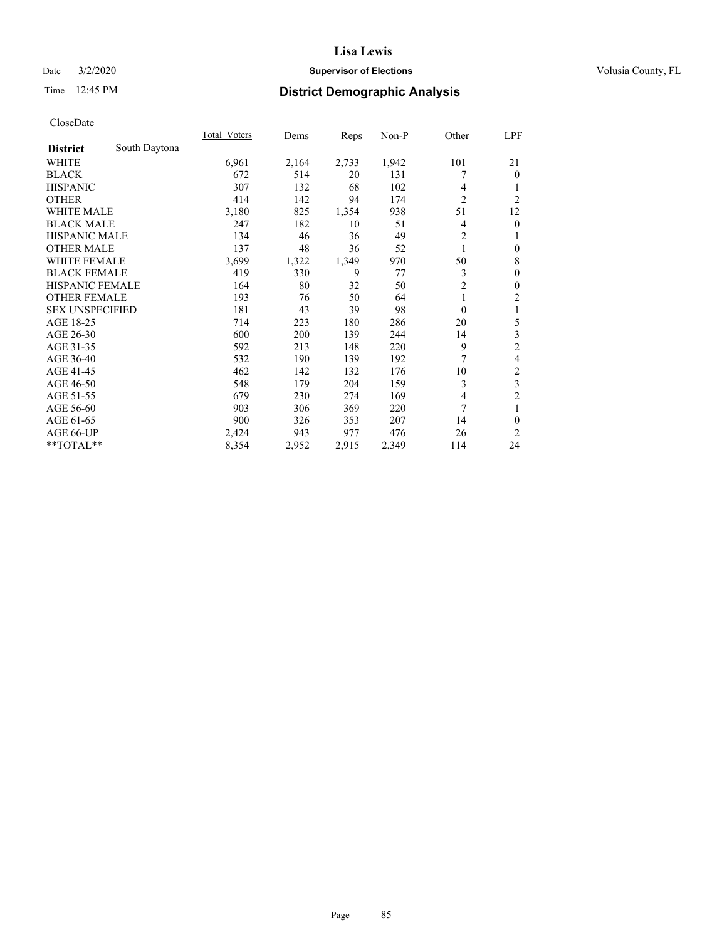## Date  $3/2/2020$  **Supervisor of Elections Supervisor of Elections** Volusia County, FL

# Time 12:45 PM **District Demographic Analysis**

|                                  | <b>Total Voters</b> | Dems  | Reps  | $Non-P$ | Other          | <u>LPF</u>     |
|----------------------------------|---------------------|-------|-------|---------|----------------|----------------|
| South Daytona<br><b>District</b> |                     |       |       |         |                |                |
| WHITE                            | 6,961               | 2,164 | 2,733 | 1,942   | 101            | 21             |
| <b>BLACK</b>                     | 672                 | 514   | 20    | 131     |                | $\theta$       |
| <b>HISPANIC</b>                  | 307                 | 132   | 68    | 102     | 4              | 1              |
| <b>OTHER</b>                     | 414                 | 142   | 94    | 174     | $\overline{2}$ | $\overline{2}$ |
| <b>WHITE MALE</b>                | 3,180               | 825   | 1,354 | 938     | 51             | 12             |
| <b>BLACK MALE</b>                | 247                 | 182   | 10    | 51      | 4              | $\mathbf{0}$   |
| <b>HISPANIC MALE</b>             | 134                 | 46    | 36    | 49      | $\overline{c}$ | 1              |
| <b>OTHER MALE</b>                | 137                 | 48    | 36    | 52      | 1              | $\mathbf{0}$   |
| WHITE FEMALE                     | 3,699               | 1,322 | 1,349 | 970     | 50             | 8              |
| <b>BLACK FEMALE</b>              | 419                 | 330   | 9     | 77      | 3              | $\mathbf{0}$   |
| <b>HISPANIC FEMALE</b>           | 164                 | 80    | 32    | 50      | $\overline{2}$ | $\mathbf{0}$   |
| <b>OTHER FEMALE</b>              | 193                 | 76    | 50    | 64      | 1              | $\overline{c}$ |
| <b>SEX UNSPECIFIED</b>           | 181                 | 43    | 39    | 98      | $\theta$       | 1              |
| AGE 18-25                        | 714                 | 223   | 180   | 286     | 20             | 5              |
| AGE 26-30                        | 600                 | 200   | 139   | 244     | 14             | 3              |
| AGE 31-35                        | 592                 | 213   | 148   | 220     | 9              | $\overline{c}$ |
| AGE 36-40                        | 532                 | 190   | 139   | 192     | 7              | 4              |
| AGE 41-45                        | 462                 | 142   | 132   | 176     | 10             | $\overline{c}$ |
| AGE 46-50                        | 548                 | 179   | 204   | 159     | 3              | 3              |
| AGE 51-55                        | 679                 | 230   | 274   | 169     | $\overline{4}$ | $\overline{2}$ |
| AGE 56-60                        | 903                 | 306   | 369   | 220     | 7              | 1              |
| AGE 61-65                        | 900                 | 326   | 353   | 207     | 14             | $\theta$       |
| AGE 66-UP                        | 2,424               | 943   | 977   | 476     | 26             | 2              |
| **TOTAL**                        | 8,354               | 2,952 | 2,915 | 2,349   | 114            | 24             |